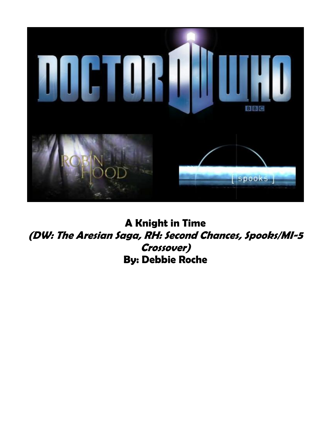

**A Knight in Time (DW: The Aresian Saga, RH: Second Chances, Spooks/MI-5 Crossover) By: Debbie Roche**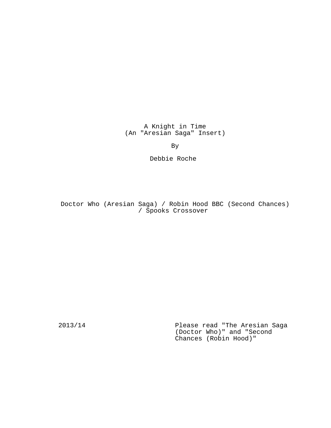A Knight in Time (An "Aresian Saga" Insert)

By

Debbie Roche

Doctor Who (Aresian Saga) / Robin Hood BBC (Second Chances) / Spooks Crossover

2013/14 Please read "The Aresian Saga (Doctor Who)" and "Second Chances (Robin Hood)"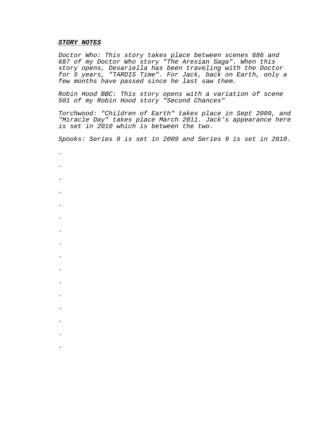#### **STORY NOTES**

.

.

.

.

.

.

.

.

.

.

.

.

.

.

.

.

Doctor Who: This story takes place between scenes 686 and 687 of my Doctor Who story "The Aresian Saga". When this story opens, Desariella has been traveling with the Doctor for 5 years, "TARDIS Time". For Jack, back on Earth, only a few months have passed since he last saw them.

Robin Hood BBC: This story opens with a variation of scene 501 of my Robin Hood story "Second Chances"

Torchwood: "Children of Earth" takes place in Sept 2009, and "Miracle Day" takes place March 2011. Jack's appearance here is set in 2010 which is between the two.

Spooks: Series 8 is set in 2009 and Series 9 is set in 2010.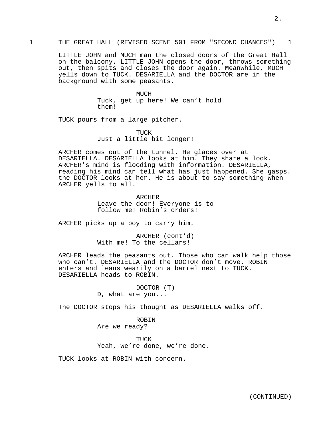LITTLE JOHN and MUCH man the closed doors of the Great Hall on the balcony. LITTLE JOHN opens the door, throws something out, then spits and closes the door again. Meanwhile, MUCH yells down to TUCK. DESARIELLA and the DOCTOR are in the background with some peasants.

> MUCH Tuck, get up here! We can't hold them!

TUCK pours from a large pitcher.

TUCK Just a little bit longer!

ARCHER comes out of the tunnel. He glaces over at DESARIELLA. DESARIELLA looks at him. They share a look. ARCHER's mind is flooding with information. DESARIELLA, reading his mind can tell what has just happened. She gasps. the DOCTOR looks at her. He is about to say something when ARCHER yells to all.

> ARCHER Leave the door! Everyone is to follow me! Robin's orders!

ARCHER picks up a boy to carry him.

ARCHER (cont'd) With me! To the cellars!

ARCHER leads the peasants out. Those who can walk help those who can't. DESARIELLA and the DOCTOR don't move. ROBIN enters and leans wearily on a barrel next to TUCK. DESARIELLA heads to ROBIN.

> DOCTOR (T) D, what are you...

The DOCTOR stops his thought as DESARIELLA walks off.

ROBIN Are we ready?

TUCK Yeah, we're done, we're done.

TUCK looks at ROBIN with concern.

2.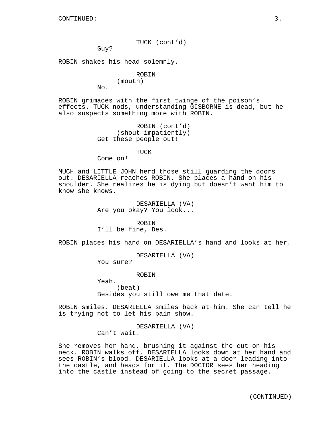TUCK (cont'd)

Guy?

ROBIN shakes his head solemnly.

ROBIN (mouth)

No.

ROBIN grimaces with the first twinge of the poison's effects. TUCK nods, understanding GISBORNE is dead, but he also suspects something more with ROBIN.

```
ROBIN (cont'd)
     (shout impatiently)
Get these people out!
```
TUCK

Come on!

MUCH and LITTLE JOHN herd those still guarding the doors out. DESARIELLA reaches ROBIN. She places a hand on his shoulder. She realizes he is dying but doesn't want him to know she knows.

> DESARIELLA (VA) Are you okay? You look...

ROBIN I'll be fine, Des.

ROBIN places his hand on DESARIELLA's hand and looks at her.

DESARIELLA (VA)

You sure?

ROBIN

Yeah. (beat) Besides you still owe me that date.

ROBIN smiles. DESARIELLA smiles back at him. She can tell he is trying not to let his pain show.

> DESARIELLA (VA) Can't wait.

She removes her hand, brushing it against the cut on his neck. ROBIN walks off. DESARIELLA looks down at her hand and sees ROBIN's blood. DESARIELLA looks at a door leading into the castle, and heads for it. The DOCTOR sees her heading into the castle instead of going to the secret passage.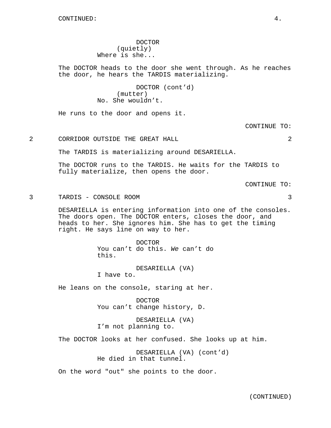DOCTOR (quietly) Where is she...

The DOCTOR heads to the door she went through. As he reaches the door, he hears the TARDIS materializing.

> DOCTOR (cont'd) (mutter) No. She wouldn't.

He runs to the door and opens it.

CONTINUE TO:

2 CORRIDOR OUTSIDE THE GREAT HALL 2

The TARDIS is materializing around DESARIELLA.

The DOCTOR runs to the TARDIS. He waits for the TARDIS to fully materialize, then opens the door.

CONTINUE TO:

3 TARDIS - CONSOLE ROOM 3

DESARIELLA is entering information into one of the consoles. The doors open. The DOCTOR enters, closes the door, and heads to her. She ignores him. She has to get the timing right. He says line on way to her.

> DOCTOR You can't do this. We can't do this.

DESARIELLA (VA) I have to.

He leans on the console, staring at her.

DOCTOR You can't change history, D.

DESARIELLA (VA) I'm not planning to.

The DOCTOR looks at her confused. She looks up at him.

DESARIELLA (VA) (cont'd) He died in that tunnel.

On the word "out" she points to the door.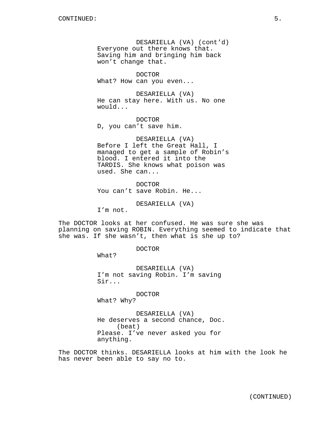DESARIELLA (VA) (cont'd) Everyone out there knows that. Saving him and bringing him back won't change that.

DOCTOR What? How can you even...

DESARIELLA (VA) He can stay here. With us. No one would...

DOCTOR D, you can't save him.

DESARIELLA (VA) Before I left the Great Hall, I managed to get a sample of Robin's blood. I entered it into the TARDIS. She knows what poison was used. She can...

DOCTOR You can't save Robin. He...

DESARIELLA (VA)

I'm not.

The DOCTOR looks at her confused. He was sure she was planning on saving ROBIN. Everything seemed to indicate that she was. If she wasn't, then what is she up to?

DOCTOR

What?

DESARIELLA (VA) I'm not saving Robin. I'm saving Sir...

DOCTOR What? Why?

DESARIELLA (VA) He deserves a second chance, Doc. (beat) Please. I've never asked you for anything.

The DOCTOR thinks. DESARIELLA looks at him with the look he has never been able to say no to.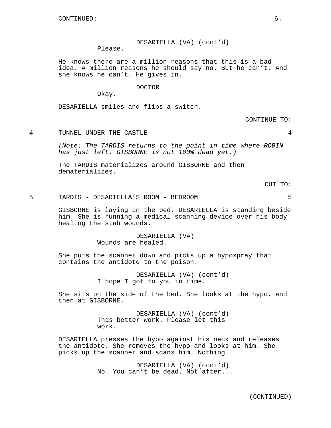## DESARIELLA (VA) (cont'd)

Please.

He knows there are a million reasons that this is a bad idea. A million reasons he should say no. But he can't. And she knows he can't. He gives in.

### DOCTOR

Okay.

DESARIELLA smiles and flips a switch.

CONTINUE TO:

4 TUNNEL UNDER THE CASTLE 4

(Note: The TARDIS returns to the point in time where ROBIN has just left. GISBORNE is not 100% dead yet.)

The TARDIS materializes around GISBORNE and then dematerializes.

CUT TO:

5 TARDIS - DESARIELLA'S ROOM - BEDROOM 5

GISBORNE is laying in the bed. DESARIELLA is standing beside him. She is running a medical scanning device over his body healing the stab wounds.

> DESARIELLA (VA) Wounds are healed.

She puts the scanner down and picks up a hypospray that contains the antidote to the poison.

> DESARIELLA (VA) (cont'd) I hope I got to you in time.

She sits on the side of the bed. She looks at the hypo, and then at GISBORNE.

> DESARIELLA (VA) (cont'd) This better work. Please let this work.

DESARIELLA presses the hypo against his neck and releases the antidote. She removes the hypo and looks at him. She picks up the scanner and scans him. Nothing.

> DESARIELLA (VA) (cont'd) No. You can't be dead. Not after...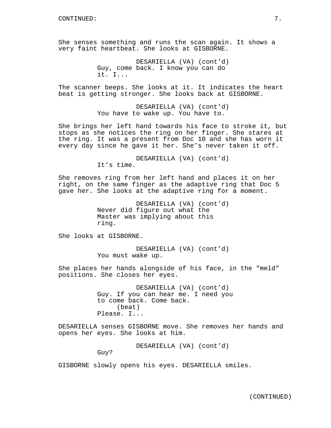She senses something and runs the scan again. It shows a very faint heartbeat. She looks at GISBORNE.

> DESARIELLA (VA) (cont'd) Guy, come back. I know you can do it. I...

The scanner beeps. She looks at it. It indicates the heart beat is getting stronger. She looks back at GISBORNE.

> DESARIELLA (VA) (cont'd) You have to wake up. You have to.

She brings her left hand towards his face to stroke it, but stops as she notices the ring on her finger. She stares at the ring. It was a present from Doc 10 and she has worn it every day since he gave it her. She's never taken it off.

> DESARIELLA (VA) (cont'd) It's time.

She removes ring from her left hand and places it on her right, on the same finger as the adaptive ring that Doc 5 gave her. She looks at the adaptive ring for a moment.

> DESARIELLA (VA) (cont'd) Never did figure out what the Master was implying about this ring.

She looks at GISBORNE.

DESARIELLA (VA) (cont'd) You must wake up.

She places her hands alongside of his face, in the "meld" positions. She closes her eyes.

> DESARIELLA (VA) (cont'd) Guy. If you can hear me. I need you to come back. Come back. (beat) Please. I...

DESARIELLA senses GISBORNE move. She removes her hands and opens her eyes. She looks at him.

DESARIELLA (VA) (cont'd)

Guy?

GISBORNE slowly opens his eyes. DESARIELLA smiles.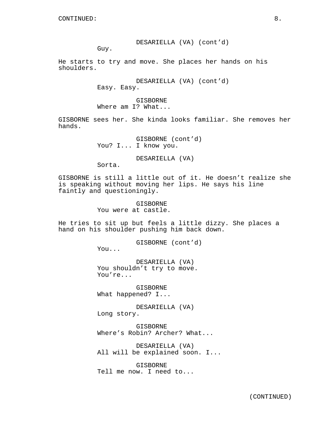### DESARIELLA (VA) (cont'd)

Guy.

He starts to try and move. She places her hands on his shoulders.

> DESARIELLA (VA) (cont'd) Easy. Easy.

GISBORNE Where am I? What...

GISBORNE sees her. She kinda looks familiar. She removes her hands.

> GISBORNE (cont'd) You? I... I know you.

> > DESARIELLA (VA)

Sorta.

GISBORNE is still a little out of it. He doesn't realize she is speaking without moving her lips. He says his line faintly and questioningly.

> GISBORNE You were at castle.

He tries to sit up but feels a little dizzy. She places a hand on his shoulder pushing him back down.

GISBORNE (cont'd)

You...

DESARIELLA (VA) You shouldn't try to move. You're...

GISBORNE What happened? I...

DESARIELLA (VA) Long story.

GISBORNE Where's Robin? Archer? What...

DESARIELLA (VA) All will be explained soon. I...

GISBORNE Tell me now. I need to...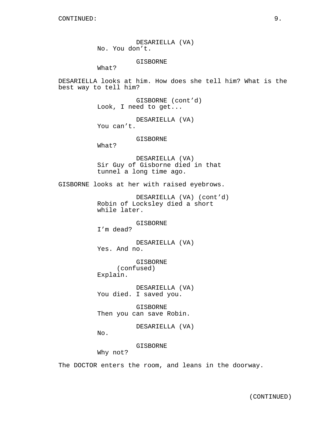DESARIELLA (VA) No. You don't.

GISBORNE

What?

DESARIELLA looks at him. How does she tell him? What is the best way to tell him?

> GISBORNE (cont'd) Look, I need to get...

DESARIELLA (VA) You can't.

GISBORNE

What?

DESARIELLA (VA) Sir Guy of Gisborne died in that tunnel a long time ago.

GISBORNE looks at her with raised eyebrows.

```
DESARIELLA (VA) (cont'd)
Robin of Locksley died a short
while later.
```
GISBORNE

I'm dead?

DESARIELLA (VA) Yes. And no.

GISBORNE (confused) Explain.

DESARIELLA (VA) You died. I saved you.

GISBORNE Then you can save Robin.

DESARIELLA (VA)

No.

GISBORNE

Why not?

The DOCTOR enters the room, and leans in the doorway.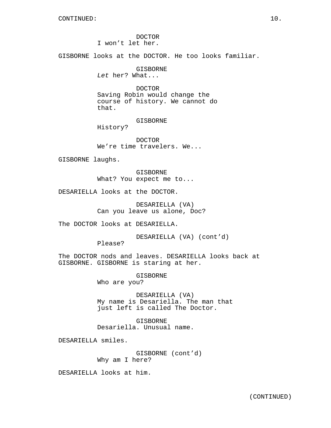DOCTOR I won't let her.

GISBORNE looks at the DOCTOR. He too looks familiar.

GISBORNE

Let her? What...

DOCTOR Saving Robin would change the course of history. We cannot do that.

GISBORNE

History?

DOCTOR We're time travelers. We...

GISBORNE laughs.

GISBORNE What? You expect me to...

DESARIELLA looks at the DOCTOR.

DESARIELLA (VA) Can you leave us alone, Doc?

The DOCTOR looks at DESARIELLA.

DESARIELLA (VA) (cont'd)

Please?

The DOCTOR nods and leaves. DESARIELLA looks back at GISBORNE. GISBORNE is staring at her.

> GISBORNE Who are you?

DESARIELLA (VA) My name is Desariella. The man that just left is called The Doctor.

GISBORNE Desariella. Unusual name.

DESARIELLA smiles.

GISBORNE (cont'd) Why am I here?

DESARIELLA looks at him.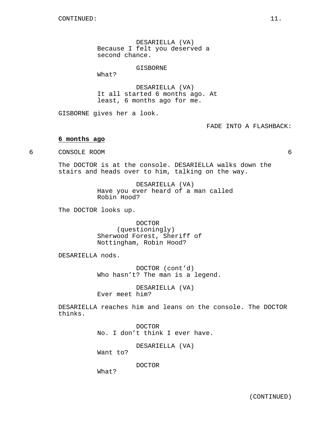DESARIELLA (VA) Because I felt you deserved a second chance.

GISBORNE

What?

DESARIELLA (VA) It all started 6 months ago. At least, 6 months ago for me.

GISBORNE gives her a look.

FADE INTO A FLASHBACK:

### **6 months ago**

6 CONSOLE ROOM 6

The DOCTOR is at the console. DESARIELLA walks down the stairs and heads over to him, talking on the way.

> DESARIELLA (VA) Have you ever heard of a man called Robin Hood?

The DOCTOR looks up.

DOCTOR (questioningly) Sherwood Forest, Sheriff of Nottingham, Robin Hood?

DESARIELLA nods.

DOCTOR (cont'd) Who hasn't? The man is a legend.

DESARIELLA (VA) Ever meet him?

DESARIELLA reaches him and leans on the console. The DOCTOR thinks.

> DOCTOR No. I don't think I ever have.

> > DESARIELLA (VA)

Want to?

DOCTOR

What?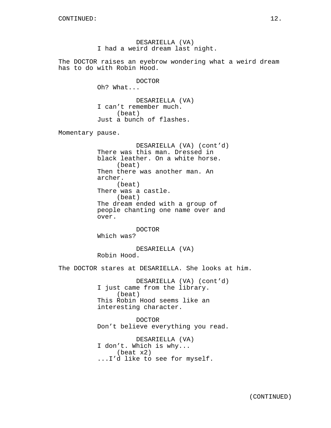DESARIELLA (VA) I had a weird dream last night.

The DOCTOR raises an eyebrow wondering what a weird dream has to do with Robin Hood.

DOCTOR

Oh? What...

DESARIELLA (VA) I can't remember much. (beat) Just a bunch of flashes.

Momentary pause.

DESARIELLA (VA) (cont'd) There was this man. Dressed in black leather. On a white horse. (beat) Then there was another man. An archer. (beat) There was a castle. (beat) The dream ended with a group of people chanting one name over and over.

DOCTOR Which was?

DESARIELLA (VA) Robin Hood.

The DOCTOR stares at DESARIELLA. She looks at him.

DESARIELLA (VA) (cont'd) I just came from the library. (beat) This Robin Hood seems like an interesting character.

DOCTOR Don't believe everything you read.

DESARIELLA (VA) I don't. Which is why... (beat x2) ...I'd like to see for myself.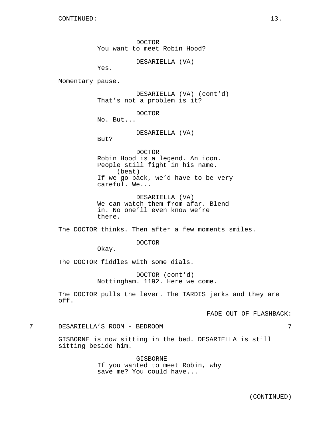DOCTOR You want to meet Robin Hood?

DESARIELLA (VA)

Yes.

Momentary pause.

DESARIELLA (VA) (cont'd) That's not a problem is it?

DOCTOR

No. But...

DESARIELLA (VA)

But?

DOCTOR Robin Hood is a legend. An icon. People still fight in his name. (beat) If we go back, we'd have to be very careful. We...

DESARIELLA (VA) We can watch them from afar. Blend in. No one'll even know we're there.

The DOCTOR thinks. Then after a few moments smiles.

DOCTOR

Okay.

The DOCTOR fiddles with some dials.

DOCTOR (cont'd) Nottingham. 1192. Here we come.

The DOCTOR pulls the lever. The TARDIS jerks and they are off.

FADE OUT OF FLASHBACK:

## 7 DESARIELLA'S ROOM - BEDROOM 7

GISBORNE is now sitting in the bed. DESARIELLA is still sitting beside him.

> GISBORNE If you wanted to meet Robin, why save me? You could have...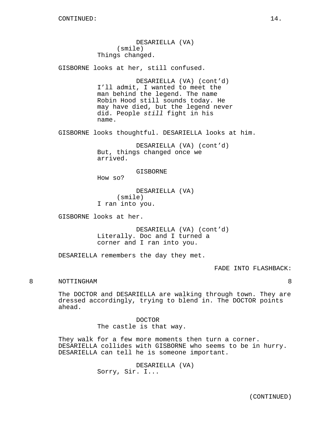DESARIELLA (VA) (smile) Things changed.

GISBORNE looks at her, still confused.

DESARIELLA (VA) (cont'd) I'll admit, I wanted to meet the man behind the legend. The name Robin Hood still sounds today. He may have died, but the legend never did. People still fight in his name.

GISBORNE looks thoughtful. DESARIELLA looks at him.

DESARIELLA (VA) (cont'd) But, things changed once we arrived.

GISBORNE

How so?

DESARIELLA (VA) (smile) I ran into you.

GISBORNE looks at her.

DESARIELLA (VA) (cont'd) Literally. Doc and I turned a corner and I ran into you.

DESARIELLA remembers the day they met.

FADE INTO FLASHBACK:

# 8 NOTTINGHAM 8

The DOCTOR and DESARIELLA are walking through town. They are dressed accordingly, trying to blend in. The DOCTOR points ahead.

> DOCTOR The castle is that way.

They walk for a few more moments then turn a corner. DESARIELLA collides with GISBORNE who seems to be in hurry. DESARIELLA can tell he is someone important.

> DESARIELLA (VA) Sorry, Sir. I...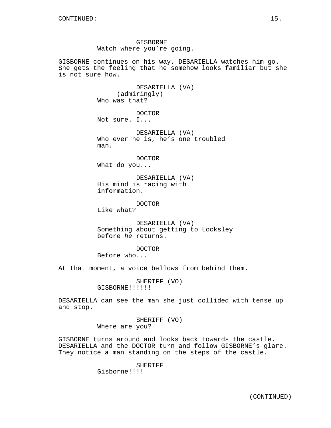GISBORNE Watch where you're going.

GISBORNE continues on his way. DESARIELLA watches him go. She gets the feeling that he somehow looks familiar but she is not sure how.

> DESARIELLA (VA) (admiringly) Who was that?

DOCTOR Not sure. I...

DESARIELLA (VA) Who ever he is, he's one troubled man.

DOCTOR What do you...

DESARIELLA (VA) His mind is racing with information.

DOCTOR Like what?

DESARIELLA (VA) Something about getting to Locksley before he returns.

DOCTOR

Before who...

At that moment, a voice bellows from behind them.

SHERIFF (VO) GISBORNE!!!!!!

DESARIELLA can see the man she just collided with tense up and stop.

> SHERIFF (VO) Where are you?

GISBORNE turns around and looks back towards the castle. DESARIELLA and the DOCTOR turn and follow GISBORNE's glare. They notice a man standing on the steps of the castle.

SHERIFF

Gisborne!!!!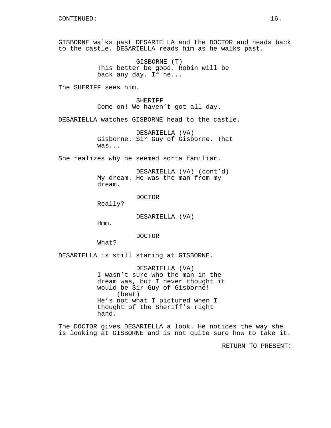GISBORNE walks past DESARIELLA and the DOCTOR and heads back to the castle. DESARIELLA reads him as he walks past.

> GISBORNE (T) This better be good. Robin will be back any day. If he...

The SHERIFF sees him.

SHERIFF Come on! We haven't got all day.

DESARIELLA watches GISBORNE head to the castle.

DESARIELLA (VA) Gisborne. Sir Guy of Gisborne. That was...

She realizes why he seemed sorta familiar.

DESARIELLA (VA) (cont'd) My dream. He was the man from my dream.

DOCTOR

Really?

DESARIELLA (VA)

Hmm.

DOCTOR

What?

DESARIELLA is still staring at GISBORNE.

DESARIELLA (VA) I wasn't sure who the man in the dream was, but I never thought it would be Sir Guy of Gisborne! (beat) He's not what I pictured when I thought of the Sheriff's right hand.

The DOCTOR gives DESARIELLA a look. He notices the way she is looking at GISBORNE and is not quite sure how to take it.

RETURN TO PRESENT: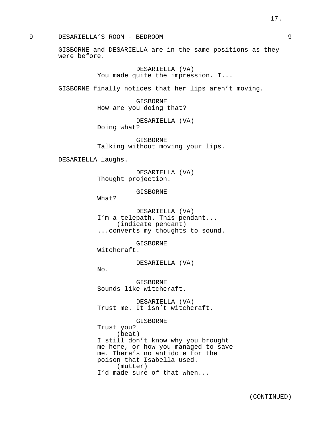GISBORNE and DESARIELLA are in the same positions as they were before.

> DESARIELLA (VA) You made quite the impression. I...

GISBORNE finally notices that her lips aren't moving.

GISBORNE How are you doing that?

DESARIELLA (VA) Doing what?

GISBORNE Talking without moving your lips.

DESARIELLA laughs.

DESARIELLA (VA) Thought projection.

GISBORNE

What?

No.

DESARIELLA (VA) I'm a telepath. This pendant... (indicate pendant) ...converts my thoughts to sound.

GISBORNE Witchcraft.

DESARIELLA (VA)

Trust you?

GISBORNE Sounds like witchcraft.

DESARIELLA (VA) Trust me. It isn't witchcraft.

GISBORNE

(beat) I still don't know why you brought me here, or how you managed to save me. There's no antidote for the poison that Isabella used. (mutter) I'd made sure of that when...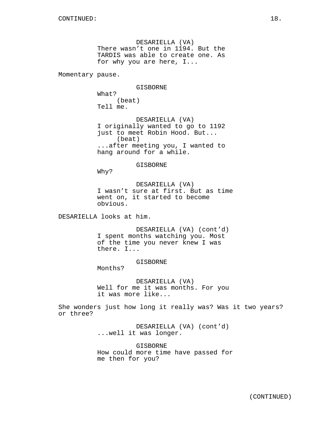DESARIELLA (VA) There wasn't one in 1194. But the TARDIS was able to create one. As for why you are here, I...

Momentary pause.

GISBORNE

What? (beat) Tell me.

DESARIELLA (VA) I originally wanted to go to 1192 just to meet Robin Hood. But... (beat) ...after meeting you, I wanted to hang around for a while.

GISBORNE

Why?

DESARIELLA (VA) I wasn't sure at first. But as time went on, it started to become obvious.

DESARIELLA looks at him.

DESARIELLA (VA) (cont'd) I spent months watching you. Most of the time you never knew I was there. I...

GISBORNE

Months?

DESARIELLA (VA) Well for me it was months. For you it was more like...

She wonders just how long it really was? Was it two years? or three?

> DESARIELLA (VA) (cont'd) ...well it was longer.

GISBORNE How could more time have passed for me then for you?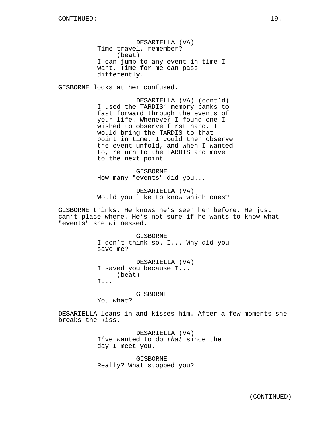DESARIELLA (VA) Time travel, remember? (beat) I can jump to any event in time I want. Time for me can pass differently.

GISBORNE looks at her confused.

DESARIELLA (VA) (cont'd) I used the TARDIS' memory banks to fast forward through the events of your life. Whenever I found one I wished to observe first hand, I would bring the TARDIS to that point in time. I could then observe the event unfold, and when I wanted to, return to the TARDIS and move to the next point.

GISBORNE How many "events" did you...

DESARIELLA (VA) Would you like to know which ones?

GISBORNE thinks. He knows he's seen her before. He just can't place where. He's not sure if he wants to know what "events" she witnessed.

> GISBORNE I don't think so. I... Why did you save me?

DESARIELLA (VA) I saved you because I... (beat) I...

GISBORNE

You what?

DESARIELLA leans in and kisses him. After a few moments she breaks the kiss.

> DESARIELLA (VA) I've wanted to do that since the day I meet you.

GISBORNE Really? What stopped you?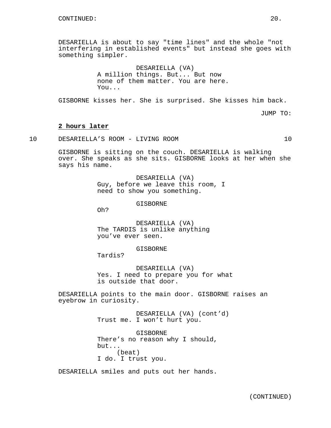DESARIELLA is about to say "time lines" and the whole "not interfering in established events" but instead she goes with something simpler.

> DESARIELLA (VA) A million things. But... But now none of them matter. You are here. You...

GISBORNE kisses her. She is surprised. She kisses him back.

JUMP TO:

#### **2 hours later**

10 DESARIELLA'S ROOM - LIVING ROOM 10

GISBORNE is sitting on the couch. DESARIELLA is walking over. She speaks as she sits. GISBORNE looks at her when she says his name.

> DESARIELLA (VA) Guy, before we leave this room, I need to show you something.

> > GISBORNE

Oh?

DESARIELLA (VA) The TARDIS is unlike anything you've ever seen.

GISBORNE

Tardis?

DESARIELLA (VA) Yes. I need to prepare you for what is outside that door.

DESARIELLA points to the main door. GISBORNE raises an eyebrow in curiosity.

> DESARIELLA (VA) (cont'd) Trust me. I won't hurt you.

GISBORNE There's no reason why I should, but... (beat) I do. I trust you.

DESARIELLA smiles and puts out her hands.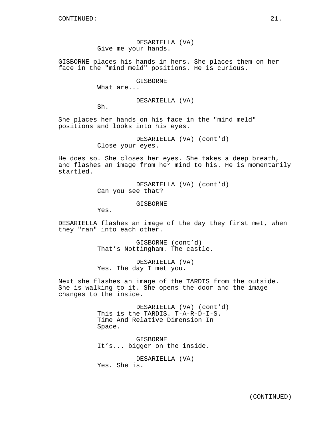## DESARIELLA (VA) Give me your hands.

GISBORNE places his hands in hers. She places them on her face in the "mind meld" positions. He is curious.

#### GISBORNE

What are...

### DESARIELLA (VA)

Sh.

She places her hands on his face in the "mind meld" positions and looks into his eyes.

> DESARIELLA (VA) (cont'd) Close your eyes.

He does so. She closes her eyes. She takes a deep breath, and flashes an image from her mind to his. He is momentarily startled.

> DESARIELLA (VA) (cont'd) Can you see that?

> > GISBORNE

Yes.

DESARIELLA flashes an image of the day they first met, when they "ran" into each other.

> GISBORNE (cont'd) That's Nottingham. The castle.

DESARIELLA (VA) Yes. The day I met you.

Next she flashes an image of the TARDIS from the outside. She is walking to it. She opens the door and the image changes to the inside.

> DESARIELLA (VA) (cont'd) This is the TARDIS. T-A-R-D-I-S. Time And Relative Dimension In Space.

GISBORNE It's... bigger on the inside.

DESARIELLA (VA) Yes. She is.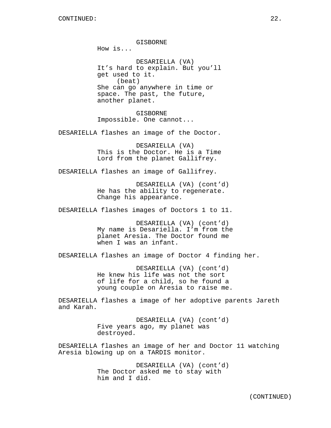How is... DESARIELLA (VA) It's hard to explain. But you'll get used to it. (beat) She can go anywhere in time or space. The past, the future, another planet.

GISBORNE

GISBORNE Impossible. One cannot...

DESARIELLA flashes an image of the Doctor.

DESARIELLA (VA) This is the Doctor. He is a Time Lord from the planet Gallifrey.

DESARIELLA flashes an image of Gallifrey.

DESARIELLA (VA) (cont'd) He has the ability to regenerate. Change his appearance.

DESARIELLA flashes images of Doctors 1 to 11.

DESARIELLA (VA) (cont'd) My name is Desariella. I'm from the planet Aresia. The Doctor found me when I was an infant.

DESARIELLA flashes an image of Doctor 4 finding her.

DESARIELLA (VA) (cont'd) He knew his life was not the sort of life for a child, so he found a young couple on Aresia to raise me.

DESARIELLA flashes a image of her adoptive parents Jareth and Karah.

> DESARIELLA (VA) (cont'd) Five years ago, my planet was destroyed.

DESARIELLA flashes an image of her and Doctor 11 watching Aresia blowing up on a TARDIS monitor.

> DESARIELLA (VA) (cont'd) The Doctor asked me to stay with him and I did.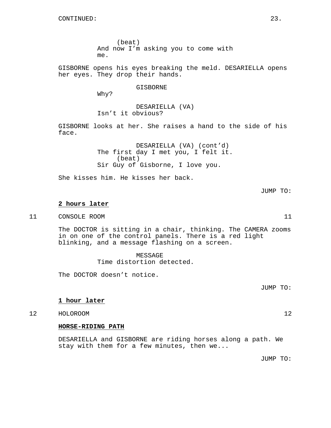(beat) And now I'm asking you to come with me.

GISBORNE opens his eyes breaking the meld. DESARIELLA opens her eyes. They drop their hands.

GISBORNE

Why?

DESARIELLA (VA) Isn't it obvious?

GISBORNE looks at her. She raises a hand to the side of his face.

> DESARIELLA (VA) (cont'd) The first day I met you, I felt it. (beat) Sir Guy of Gisborne, I love you.

She kisses him. He kisses her back.

JUMP TO:

### **2 hours later**

11 CONSOLE ROOM 11

The DOCTOR is sitting in a chair, thinking. The CAMERA zooms in on one of the control panels. There is a red light blinking, and a message flashing on a screen.

> MESSAGE Time distortion detected.

The DOCTOR doesn't notice.

JUMP TO:

## **1 hour later**

12 HOLOROOM 12

### **HORSE-RIDING PATH**

DESARIELLA and GISBORNE are riding horses along a path. We stay with them for a few minutes, then we...

JUMP TO: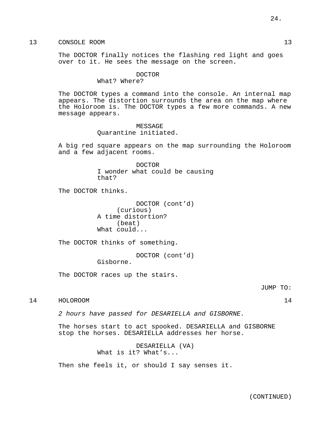The DOCTOR finally notices the flashing red light and goes over to it. He sees the message on the screen.

### DOCTOR

#### What? Where?

The DOCTOR types a command into the console. An internal map appears. The distortion surrounds the area on the map where the Holoroom is. The DOCTOR types a few more commands. A new message appears.

> MESSAGE Quarantine initiated.

A big red square appears on the map surrounding the Holoroom and a few adjacent rooms.

#### DOCTOR

I wonder what could be causing that?

The DOCTOR thinks.

DOCTOR (cont'd) (curious) A time distortion? (beat) What could...

The DOCTOR thinks of something.

DOCTOR (cont'd) Gisborne.

The DOCTOR races up the stairs.

JUMP TO:

14 HOLOROOM 14

2 hours have passed for DESARIELLA and GISBORNE.

The horses start to act spooked. DESARIELLA and GISBORNE stop the horses. DESARIELLA addresses her horse.

> DESARIELLA (VA) What is it? What's...

Then she feels it, or should I say senses it.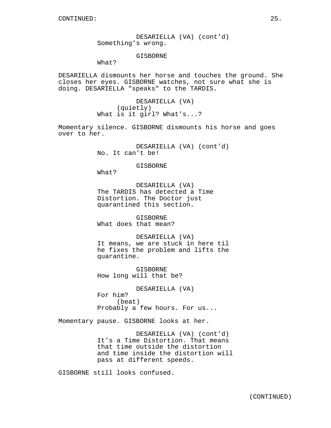DESARIELLA (VA) (cont'd) Something's wrong.

### GISBORNE

What?

DESARIELLA dismounts her horse and touches the ground. She closes her eyes. GISBORNE watches, not sure what she is doing. DESARIELLA "speaks" to the TARDIS.

> DESARIELLA (VA) (quietly) What is it girl? What's...?

Momentary silence. GISBORNE dismounts his horse and goes over to her.

> DESARIELLA (VA) (cont'd) No. It can't be!

> > GISBORNE

What?

DESARIELLA (VA) The TARDIS has detected a Time Distortion. The Doctor just quarantined this section.

GISBORNE What does that mean?

DESARIELLA (VA) It means, we are stuck in here til he fixes the problem and lifts the quarantine.

GISBORNE How long will that be?

DESARIELLA (VA) For him? (beat) Probably a few hours. For us...

Momentary pause. GISBORNE looks at her.

DESARIELLA (VA) (cont'd) It's a Time Distortion. That means that time outside the distortion and time inside the distortion will pass at different speeds.

GISBORNE still looks confused.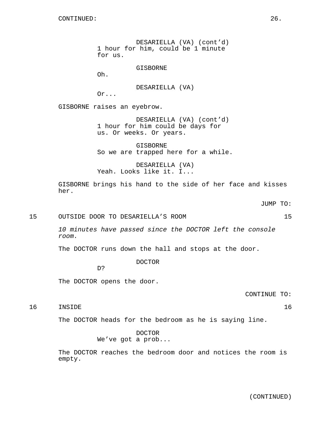DESARIELLA (VA) (cont'd) 1 hour for him, could be 1 minute for us. GISBORNE Oh. DESARIELLA (VA) Or... GISBORNE raises an eyebrow. DESARIELLA (VA) (cont'd) 1 hour for him could be days for us. Or weeks. Or years.

> GISBORNE So we are trapped here for a while.

DESARIELLA (VA) Yeah. Looks like it. I...

GISBORNE brings his hand to the side of her face and kisses her.

15 OUTSIDE DOOR TO DESARIELLA'S ROOM 15

10 minutes have passed since the DOCTOR left the console room.

The DOCTOR runs down the hall and stops at the door.

DOCTOR

D?

The DOCTOR opens the door.

CONTINUE TO:

16 INSIDE 16

The DOCTOR heads for the bedroom as he is saying line.

DOCTOR We've got a prob...

The DOCTOR reaches the bedroom door and notices the room is empty.

(CONTINUED)

JUMP TO: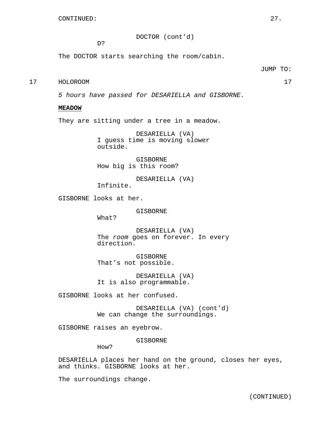DOCTOR (cont'd)

D?

The DOCTOR starts searching the room/cabin.

#### JUMP TO:

# 17 HOLOROOM 17

5 hours have passed for DESARIELLA and GISBORNE.

### **MEADOW**

They are sitting under a tree in a meadow.

DESARIELLA (VA) I guess time is moving slower outside.

GISBORNE How big is this room?

DESARIELLA (VA) Infinite.

GISBORNE looks at her.

GISBORNE

What?

DESARIELLA (VA) The room goes on forever. In every direction.

GISBORNE That's not possible.

DESARIELLA (VA) It is also programmable.

GISBORNE looks at her confused.

DESARIELLA (VA) (cont'd) We can change the surroundings.

GISBORNE raises an eyebrow.

GISBORNE

How?

DESARIELLA places her hand on the ground, closes her eyes, and thinks. GISBORNE looks at her.

The surroundings change.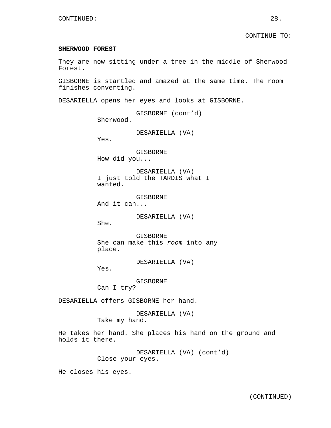#### **SHERWOOD FOREST**

They are now sitting under a tree in the middle of Sherwood Forest.

GISBORNE is startled and amazed at the same time. The room finishes converting.

DESARIELLA opens her eyes and looks at GISBORNE.

GISBORNE (cont'd) Sherwood.

DESARIELLA (VA)

Yes.

GISBORNE How did you...

DESARIELLA (VA) I just told the TARDIS what I wanted.

GISBORNE And it can...

DESARIELLA (VA)

She.

GISBORNE She can make this room into any place.

DESARIELLA (VA)

Yes.

GISBORNE Can I try?

DESARIELLA offers GISBORNE her hand.

DESARIELLA (VA) Take my hand.

He takes her hand. She places his hand on the ground and holds it there.

> DESARIELLA (VA) (cont'd) Close your eyes.

He closes his eyes.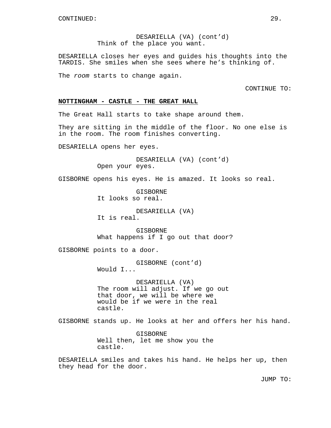DESARIELLA (VA) (cont'd) Think of the place you want.

DESARIELLA closes her eyes and guides his thoughts into the TARDIS. She smiles when she sees where he's thinking of.

The room starts to change again.

CONTINUE TO:

### **NOTTINGHAM - CASTLE - THE GREAT HALL**

The Great Hall starts to take shape around them.

They are sitting in the middle of the floor. No one else is in the room. The room finishes converting.

DESARIELLA opens her eyes.

DESARIELLA (VA) (cont'd) Open your eyes.

GISBORNE opens his eyes. He is amazed. It looks so real.

GISBORNE It looks so real.

DESARIELLA (VA) It is real.

GISBORNE What happens if I go out that door?

GISBORNE points to a door.

GISBORNE (cont'd) Would I...

DESARIELLA (VA) The room will adjust. If we go out that door, we will be where we would be if we were in the real castle.

GISBORNE stands up. He looks at her and offers her his hand.

GISBORNE Well then, let me show you the castle.

DESARIELLA smiles and takes his hand. He helps her up, then they head for the door.

JUMP TO: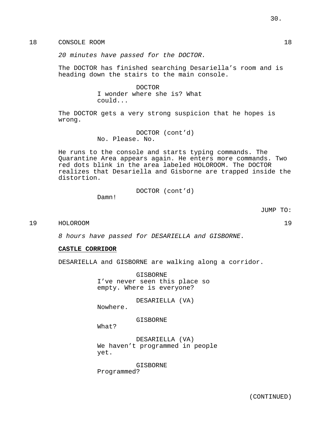18 CONSOLE ROOM 18

20 minutes have passed for the DOCTOR.

The DOCTOR has finished searching Desariella's room and is heading down the stairs to the main console.

> DOCTOR I wonder where she is? What could...

The DOCTOR gets a very strong suspicion that he hopes is wrong.

> DOCTOR (cont'd) No. Please. No.

He runs to the console and starts typing commands. The Quarantine Area appears again. He enters more commands. Two red dots blink in the area labeled HOLOROOM. The DOCTOR realizes that Desariella and Gisborne are trapped inside the distortion.

DOCTOR (cont'd)

Damn!

JUMP TO:

19 HOLOROOM 19

8 hours have passed for DESARIELLA and GISBORNE.

### **CASTLE CORRIDOR**

DESARIELLA and GISBORNE are walking along a corridor.

GISBORNE I've never seen this place so empty. Where is everyone?

DESARIELLA (VA)

Nowhere.

GISBORNE

What?

DESARIELLA (VA) We haven't programmed in people yet.

GISBORNE Programmed?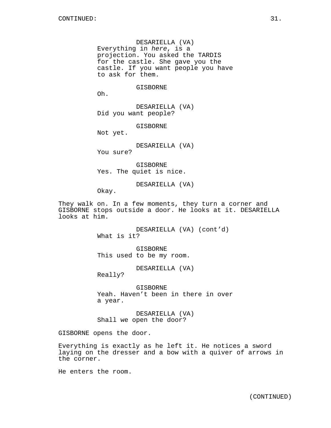DESARIELLA (VA) Everything in here, is a projection. You asked the TARDIS for the castle. She gave you the castle. If you want people you have to ask for them.

### **GISBORNE**

Oh.

DESARIELLA (VA) Did you want people?

GISBORNE

Not yet.

DESARIELLA (VA) You sure?

GISBORNE Yes. The quiet is nice.

DESARIELLA (VA)

Okay.

They walk on. In a few moments, they turn a corner and GISBORNE stops outside a door. He looks at it. DESARIELLA looks at him.

> DESARIELLA (VA) (cont'd) What is it?

GISBORNE This used to be my room.

DESARIELLA (VA)

Really?

GISBORNE Yeah. Haven't been in there in over a year.

DESARIELLA (VA) Shall we open the door?

GISBORNE opens the door.

Everything is exactly as he left it. He notices a sword laying on the dresser and a bow with a quiver of arrows in the corner.

He enters the room.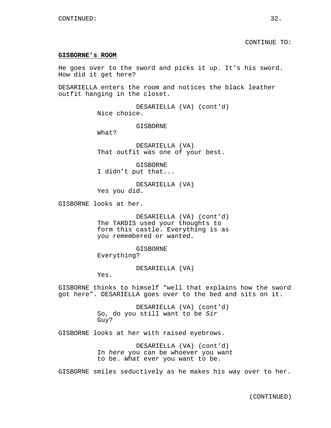#### CONTINUE TO:

#### **GISBORNE's ROOM**

He goes over to the sword and picks it up. It's his sword. How did it get here?

DESARIELLA enters the room and notices the black leather outfit hanging in the closet.

> DESARIELLA (VA) (cont'd) Nice choice.

> > GISBORNE

What?

DESARIELLA (VA) That outfit was one of your best.

GISBORNE I didn't put that...

DESARIELLA (VA) Yes you did.

GISBORNE looks at her.

DESARIELLA (VA) (cont'd) The TARDIS used your thoughts to form this castle. Everything is as you remembered or wanted.

GISBORNE Everything?

DESARIELLA (VA)

Yes.

GISBORNE thinks to himself "well that explains how the sword got here". DESARIELLA goes over to the bed and sits on it.

> DESARIELLA (VA) (cont'd) So, do you still want to be Sir Guy?

GISBORNE looks at her with raised eyebrows.

DESARIELLA (VA) (cont'd) In here you can be whoever you want to be. What ever you want to be.

GISBORNE smiles seductively as he makes his way over to her.

(CONTINUED)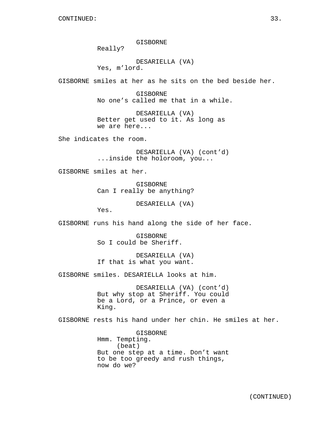GISBORNE

Really?

DESARIELLA (VA) Yes, m'lord.

GISBORNE smiles at her as he sits on the bed beside her.

GISBORNE No one's called me that in a while.

DESARIELLA (VA) Better get used to it. As long as we are here...

She indicates the room.

DESARIELLA (VA) (cont'd) ...inside the holoroom, you...

GISBORNE smiles at her.

GISBORNE Can I really be anything?

DESARIELLA (VA)

Yes.

GISBORNE runs his hand along the side of her face.

GISBORNE So I could be Sheriff.

DESARIELLA (VA) If that is what you want.

GISBORNE smiles. DESARIELLA looks at him.

DESARIELLA (VA) (cont'd) But why stop at Sheriff. You could be a Lord, or a Prince, or even a King.

GISBORNE rests his hand under her chin. He smiles at her.

GISBORNE Hmm. Tempting. (beat) But one step at a time. Don't want to be too greedy and rush things, now do we?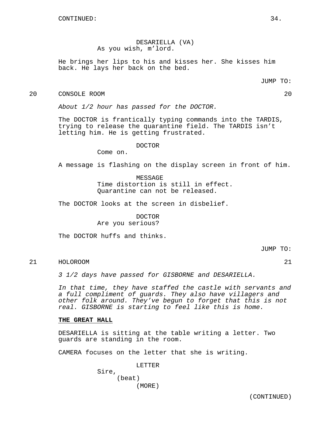DESARIELLA (VA) As you wish, m'lord.

He brings her lips to his and kisses her. She kisses him back. He lays her back on the bed.

JUMP TO:

20 CONSOLE ROOM 20

About 1/2 hour has passed for the DOCTOR.

The DOCTOR is frantically typing commands into the TARDIS, trying to release the quarantine field. The TARDIS isn't letting him. He is getting frustrated.

### DOCTOR

Come on.

A message is flashing on the display screen in front of him.

#### MESSAGE

Time distortion is still in effect. Quarantine can not be released.

The DOCTOR looks at the screen in disbelief.

# DOCTOR

Are you serious?

The DOCTOR huffs and thinks.

JUMP TO:

# 21 HOLOROOM 21

3 1/2 days have passed for GISBORNE and DESARIELLA.

In that time, they have staffed the castle with servants and a full compliment of guards. They also have villagers and other folk around. They've begun to forget that this is not real. GISBORNE is starting to feel like this is home.

### **THE GREAT HALL**

DESARIELLA is sitting at the table writing a letter. Two guards are standing in the room.

CAMERA focuses on the letter that she is writing.

LETTER Sire, (beat) (MORE)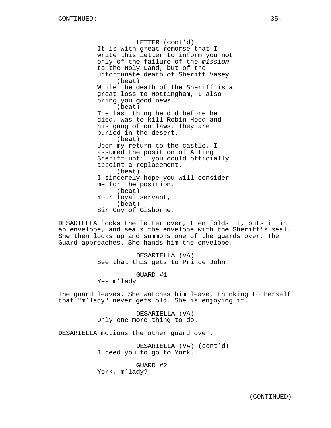LETTER (cont'd) It is with great remorse that I write this letter to inform you not only of the failure of the mission to the Holy Land, but of the unfortunate death of Sheriff Vasey. (beat) While the death of the Sheriff is a great loss to Nottingham, I also bring you good news. (beat) The last thing he did before he died, was to kill Robin Hood and his gang of outlaws. They are buried in the desert. (beat) Upon my return to the castle, I assumed the position of Acting Sheriff until you could officially appoint a replacement. (beat) I sincerely hope you will consider me for the position. (beat) Your loyal servant, (beat) Sir Guy of Gisborne.

DESARIELLA looks the letter over, then folds it, puts it in an envelope, and seals the envelope with the Sheriff's seal. She then looks up and summons one of the guards over. The Guard approaches. She hands him the envelope.

> DESARIELLA (VA) See that this gets to Prince John.

> > GUARD #1

Yes m'lady.

The guard leaves. She watches him leave, thinking to herself that "m'lady" never gets old. She is enjoying it.

> DESARIELLA (VA) Only one more thing to do.

DESARIELLA motions the other guard over.

DESARIELLA (VA) (cont'd) I need you to go to York.

GUARD #2 York, m'lady?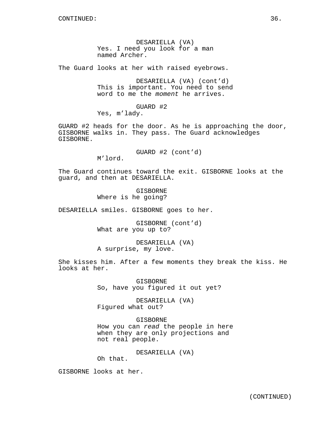DESARIELLA (VA) Yes. I need you look for a man named Archer.

The Guard looks at her with raised eyebrows.

DESARIELLA (VA) (cont'd) This is important. You need to send word to me the moment he arrives.

GUARD #2 Yes, m'lady.

GUARD #2 heads for the door. As he is approaching the door, GISBORNE walks in. They pass. The Guard acknowledges GISBORNE.

GUARD #2 (cont'd)

M'lord.

The Guard continues toward the exit. GISBORNE looks at the guard, and then at DESARIELLA.

> GISBORNE Where is he going?

DESARIELLA smiles. GISBORNE goes to her.

GISBORNE (cont'd) What are you up to?

DESARIELLA (VA) A surprise, my love.

She kisses him. After a few moments they break the kiss. He looks at her.

> GISBORNE So, have you figured it out yet?

DESARIELLA (VA) Figured what out?

GISBORNE

How you can read the people in here when they are only projections and not real people.

DESARIELLA (VA)

Oh that.

GISBORNE looks at her.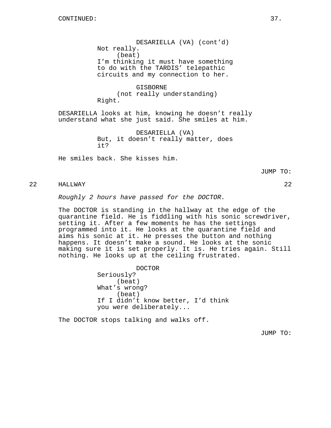DESARIELLA (VA) (cont'd) Not really. (beat) I'm thinking it must have something to do with the TARDIS' telepathic circuits and my connection to her.

GISBORNE (not really understanding) Right.

DESARIELLA looks at him, knowing he doesn't really understand what she just said. She smiles at him.

> DESARIELLA (VA) But, it doesn't really matter, does it?

He smiles back. She kisses him.

JUMP TO:

# 22 HALLWAY 22

Roughly 2 hours have passed for the DOCTOR.

The DOCTOR is standing in the hallway at the edge of the quarantine field. He is fiddling with his sonic screwdriver, setting it. After a few moments he has the settings programmed into it. He looks at the quarantine field and aims his sonic at it. He presses the button and nothing happens. It doesn't make a sound. He looks at the sonic making sure it is set properly. It is. He tries again. Still nothing. He looks up at the ceiling frustrated.

> DOCTOR Seriously? (beat) What's wrong? (beat) If I didn't know better, I'd think you were deliberately...

The DOCTOR stops talking and walks off.

JUMP TO: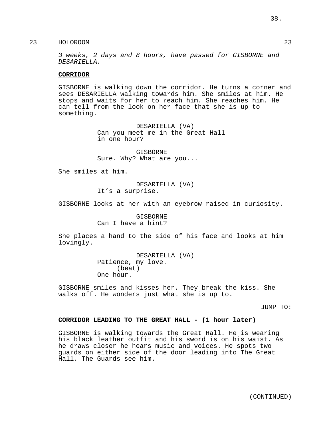3 weeks, 2 days and 8 hours, have passed for GISBORNE and DESARIELLA.

### **CORRIDOR**

GISBORNE is walking down the corridor. He turns a corner and sees DESARIELLA walking towards him. She smiles at him. He stops and waits for her to reach him. She reaches him. He can tell from the look on her face that she is up to something.

> DESARIELLA (VA) Can you meet me in the Great Hall in one hour?

GISBORNE Sure. Why? What are you...

She smiles at him.

DESARIELLA (VA) It's a surprise.

GISBORNE looks at her with an eyebrow raised in curiosity.

GISBORNE Can I have a hint?

She places a hand to the side of his face and looks at him lovingly.

> DESARIELLA (VA) Patience, my love. (beat) One hour.

GISBORNE smiles and kisses her. They break the kiss. She walks off. He wonders just what she is up to.

JUMP TO:

#### **CORRIDOR LEADING TO THE GREAT HALL - (1 hour later)**

GISBORNE is walking towards the Great Hall. He is wearing his black leather outfit and his sword is on his waist. As he draws closer he hears music and voices. He spots two guards on either side of the door leading into The Great Hall. The Guards see him.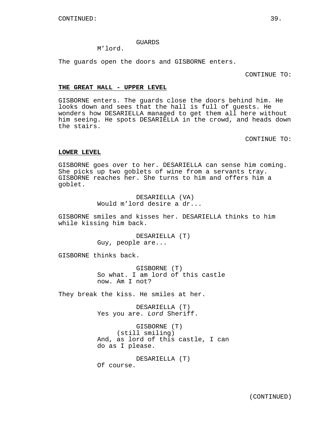#### GUARDS

### M'lord.

The guards open the doors and GISBORNE enters.

CONTINUE TO:

### **THE GREAT HALL - UPPER LEVEL**

GISBORNE enters. The guards close the doors behind him. He looks down and sees that the hall is full of guests. He wonders how DESARIELLA managed to get them all here without him seeing. He spots DESARIELLA in the crowd, and heads down the stairs.

CONTINUE TO:

### **LOWER LEVEL**

GISBORNE goes over to her. DESARIELLA can sense him coming. She picks up two goblets of wine from a servants tray. GISBORNE reaches her. She turns to him and offers him a goblet.

> DESARIELLA (VA) Would m'lord desire a dr...

GISBORNE smiles and kisses her. DESARIELLA thinks to him while kissing him back.

> DESARIELLA (T) Guy, people are...

GISBORNE thinks back.

GISBORNE (T) So what. I am lord of this castle now. Am I not?

They break the kiss. He smiles at her.

DESARIELLA (T) Yes you are. Lord Sheriff.

GISBORNE (T) (still smiling) And, as lord of this castle, I can do as I please.

DESARIELLA (T) Of course.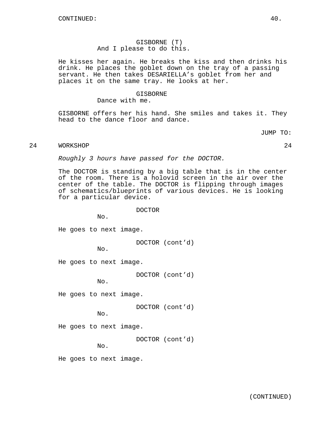# GISBORNE (T) And I please to do this.

He kisses her again. He breaks the kiss and then drinks his drink. He places the goblet down on the tray of a passing servant. He then takes DESARIELLA's goblet from her and places it on the same tray. He looks at her.

#### GISBORNE

Dance with me.

GISBORNE offers her his hand. She smiles and takes it. They head to the dance floor and dance.

JUMP TO:

# 24 WORKSHOP 24

Roughly 3 hours have passed for the DOCTOR.

The DOCTOR is standing by a big table that is in the center of the room. There is a holovid screen in the air over the center of the table. The DOCTOR is flipping through images of schematics/blueprints of various devices. He is looking for a particular device.

#### DOCTOR

No.

He goes to next image.

DOCTOR (cont'd)

No.

He goes to next image.

DOCTOR (cont'd)

No.

He goes to next image.

DOCTOR (cont'd)

No.

He goes to next image.

DOCTOR (cont'd)

No.

He goes to next image.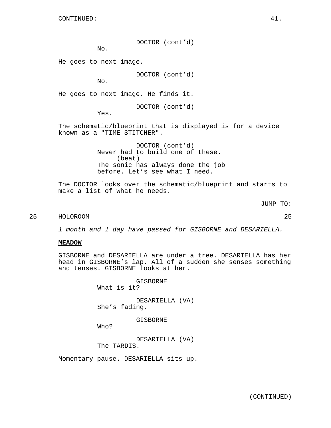DOCTOR (cont'd)

No.

He goes to next image.

DOCTOR (cont'd)

No.

He goes to next image. He finds it.

DOCTOR (cont'd)

Yes.

The schematic/blueprint that is displayed is for a device known as a "TIME STITCHER".

> DOCTOR (cont'd) Never had to build one of these. (beat) The sonic has always done the job before. Let's see what I need.

The DOCTOR looks over the schematic/blueprint and starts to make a list of what he needs.

JUMP TO:

# 25 HOLOROOM 25

1 month and 1 day have passed for GISBORNE and DESARIELLA.

### **MEADOW**

GISBORNE and DESARIELLA are under a tree. DESARIELLA has her head in GISBORNE's lap. All of a sudden she senses something and tenses. GISBORNE looks at her.

> GISBORNE What is it?

DESARIELLA (VA) She's fading.

GISBORNE

Who?

DESARIELLA (VA) The TARDIS.

Momentary pause. DESARIELLA sits up.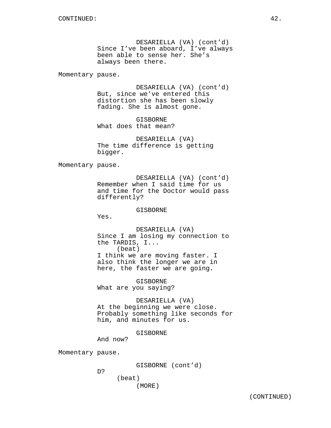DESARIELLA (VA) (cont'd) Since I've been aboard, I've always been able to sense her. She's always been there.

Momentary pause.

DESARIELLA (VA) (cont'd) But, since we've entered this distortion she has been slowly fading. She is almost gone.

GISBORNE What does that mean?

DESARIELLA (VA) The time difference is getting bigger.

Momentary pause.

DESARIELLA (VA) (cont'd) Remember when I said time for us and time for the Doctor would pass differently?

GISBORNE

Yes.

DESARIELLA (VA) Since I am losing my connection to the TARDIS, I... (beat) I think we are moving faster. I also think the longer we are in here, the faster we are going.

GISBORNE What are you saying?

DESARIELLA (VA) At the beginning we were close. Probably something like seconds for him, and minutes for us.

GISBORNE

Momentary pause.

GISBORNE (cont'd)

D?

And now?

```
(beat)
(MORE)
```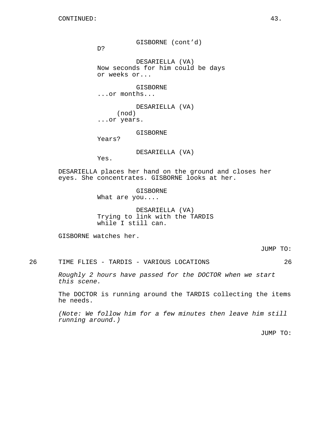GISBORNE (cont'd)

D?

DESARIELLA (VA) Now seconds for him could be days or weeks or...

**GISBORNE** ...or months...

DESARIELLA (VA) (nod) ...or years.

GISBORNE

Years?

DESARIELLA (VA)

Yes.

DESARIELLA places her hand on the ground and closes her eyes. She concentrates. GISBORNE looks at her.

> GISBORNE What are you....

DESARIELLA (VA) Trying to link with the TARDIS while I still can.

GISBORNE watches her.

JUMP TO:

26 TIME FLIES - TARDIS - VARIOUS LOCATIONS 26

Roughly 2 hours have passed for the DOCTOR when we start this scene.

The DOCTOR is running around the TARDIS collecting the items he needs.

(Note: We follow him for a few minutes then leave him still running around.)

JUMP TO: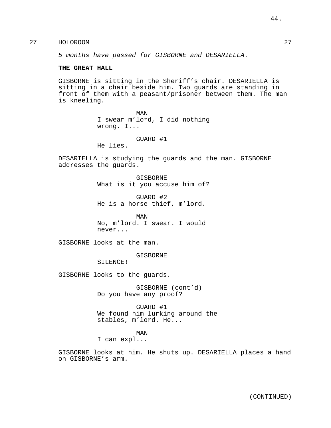5 months have passed for GISBORNE and DESARIELLA.

### **THE GREAT HALL**

GISBORNE is sitting in the Sheriff's chair. DESARIELLA is sitting in a chair beside him. Two guards are standing in front of them with a peasant/prisoner between them. The man is kneeling.

> MAN I swear m'lord, I did nothing wrong. I...

> > GUARD #1

He lies.

DESARIELLA is studying the guards and the man. GISBORNE addresses the guards.

> GISBORNE What is it you accuse him of?

GUARD #2 He is a horse thief, m'lord.

MAN No, m'lord. I swear. I would never...

GISBORNE looks at the man.

GISBORNE

SILENCE!

GISBORNE looks to the guards.

GISBORNE (cont'd) Do you have any proof?

GUARD #1 We found him lurking around the stables, m'lord. He...

MAN

I can expl...

GISBORNE looks at him. He shuts up. DESARIELLA places a hand on GISBORNE's arm.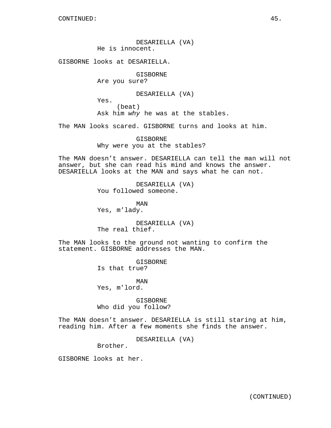DESARIELLA (VA) He is innocent.

GISBORNE looks at DESARIELLA.

GISBORNE Are you sure?

DESARIELLA (VA)

Yes. (beat) Ask him why he was at the stables.

The MAN looks scared. GISBORNE turns and looks at him.

GISBORNE Why were you at the stables?

The MAN doesn't answer. DESARIELLA can tell the man will not answer, but she can read his mind and knows the answer. DESARIELLA looks at the MAN and says what he can not.

> DESARIELLA (VA) You followed someone.

MAN Yes, m'lady.

DESARIELLA (VA) The real thief.

The MAN looks to the ground not wanting to confirm the statement. GISBORNE addresses the MAN.

> GISBORNE Is that true?

MAN Yes, m'lord.

GISBORNE Who did you follow?

The MAN doesn't answer. DESARIELLA is still staring at him, reading him. After a few moments she finds the answer.

DESARIELLA (VA)

Brother.

GISBORNE looks at her.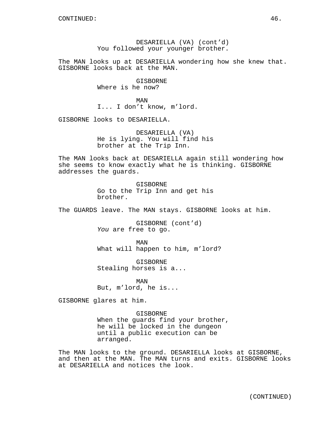DESARIELLA (VA) (cont'd) You followed your younger brother.

The MAN looks up at DESARIELLA wondering how she knew that. GISBORNE looks back at the MAN.

> GISBORNE Where is he now?

MAN I... I don't know, m'lord.

GISBORNE looks to DESARIELLA.

DESARIELLA (VA) He is lying. You will find his brother at the Trip Inn.

The MAN looks back at DESARIELLA again still wondering how she seems to know exactly what he is thinking. GISBORNE addresses the guards.

> GISBORNE Go to the Trip Inn and get his brother.

The GUARDS leave. The MAN stays. GISBORNE looks at him.

GISBORNE (cont'd) You are free to go.

MAN What will happen to him, m'lord?

GISBORNE Stealing horses is a...

MAN But, m'lord, he is...

GISBORNE glares at him.

GISBORNE When the guards find your brother, he will be locked in the dungeon until a public execution can be arranged.

The MAN looks to the ground. DESARIELLA looks at GISBORNE, and then at the MAN. The MAN turns and exits. GISBORNE looks at DESARIELLA and notices the look.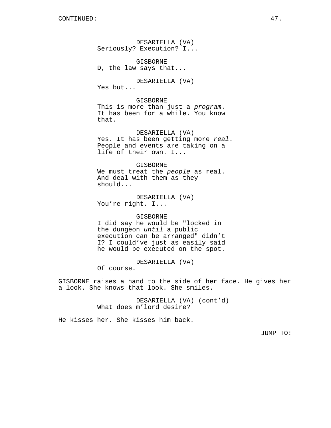DESARIELLA (VA) Seriously? Execution? I...

GISBORNE D, the law says that...

DESARIELLA (VA) Yes but...

GISBORNE This is more than just a program. It has been for a while. You know that.

DESARIELLA (VA) Yes. It has been getting more real. People and events are taking on a life of their own. I...

GISBORNE We must treat the people as real. And deal with them as they should...

DESARIELLA (VA) You're right. I...

#### GISBORNE

I did say he would be "locked in the dungeon until a public execution can be arranged" didn't I? I could've just as easily said he would be executed on the spot.

DESARIELLA (VA)

Of course.

GISBORNE raises a hand to the side of her face. He gives her a look. She knows that look. She smiles.

> DESARIELLA (VA) (cont'd) What does m'lord desire?

He kisses her. She kisses him back.

JUMP TO: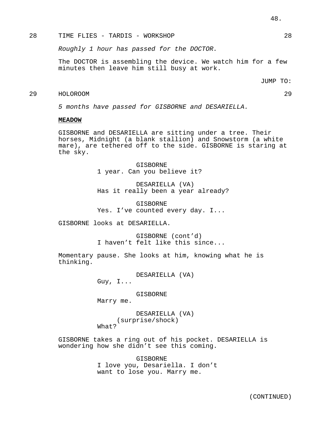## 28 TIME FLIES - TARDIS - WORKSHOP 28

Roughly 1 hour has passed for the DOCTOR.

The DOCTOR is assembling the device. We watch him for a few minutes then leave him still busy at work.

JUMP TO:

# 29 HOLOROOM 29

5 months have passed for GISBORNE and DESARIELLA.

#### **MEADOW**

GISBORNE and DESARIELLA are sitting under a tree. Their horses, Midnight (a blank stallion) and Snowstorm (a white mare), are tethered off to the side. GISBORNE is staring at the sky.

> GISBORNE 1 year. Can you believe it?

DESARIELLA (VA) Has it really been a year already?

GISBORNE Yes. I've counted every day. I...

GISBORNE looks at DESARIELLA.

GISBORNE (cont'd) I haven't felt like this since...

Momentary pause. She looks at him, knowing what he is thinking.

DESARIELLA (VA)

Guy, I...

GISBORNE

Marry me.

DESARIELLA (VA) (surprise/shock) What?

GISBORNE takes a ring out of his pocket. DESARIELLA is wondering how she didn't see this coming.

> GISBORNE I love you, Desariella. I don't want to lose you. Marry me.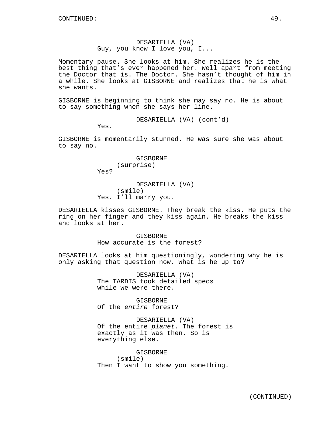### DESARIELLA (VA) Guy, you know I love you, I...

Momentary pause. She looks at him. She realizes he is the best thing that's ever happened her. Well apart from meeting the Doctor that is. The Doctor. She hasn't thought of him in a while. She looks at GISBORNE and realizes that he is what she wants.

GISBORNE is beginning to think she may say no. He is about to say something when she says her line.

DESARIELLA (VA) (cont'd)

Yes.

GISBORNE is momentarily stunned. He was sure she was about to say no.

> GISBORNE (surprise)

Yes?

DESARIELLA (VA) (smile) Yes. I'll marry you.

DESARIELLA kisses GISBORNE. They break the kiss. He puts the ring on her finger and they kiss again. He breaks the kiss and looks at her.

> GISBORNE How accurate is the forest?

DESARIELLA looks at him questioningly, wondering why he is only asking that question now. What is he up to?

> DESARIELLA (VA) The TARDIS took detailed specs while we were there.

GISBORNE Of the entire forest?

DESARIELLA (VA) Of the entire planet. The forest is exactly as it was then. So is everything else.

GISBORNE (smile) Then I want to show you something.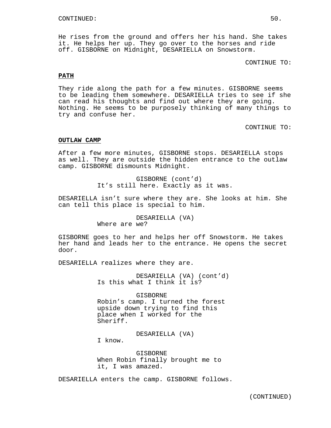He rises from the ground and offers her his hand. She takes it. He helps her up. They go over to the horses and ride off. GISBORNE on Midnight, DESARIELLA on Snowstorm.

CONTINUE TO:

#### **PATH**

They ride along the path for a few minutes. GISBORNE seems to be leading them somewhere. DESARIELLA tries to see if she can read his thoughts and find out where they are going. Nothing. He seems to be purposely thinking of many things to try and confuse her.

CONTINUE TO:

### **OUTLAW CAMP**

After a few more minutes, GISBORNE stops. DESARIELLA stops as well. They are outside the hidden entrance to the outlaw camp. GISBORNE dismounts Midnight.

> GISBORNE (cont'd) It's still here. Exactly as it was.

DESARIELLA isn't sure where they are. She looks at him. She can tell this place is special to him.

> DESARIELLA (VA) Where are we?

GISBORNE goes to her and helps her off Snowstorm. He takes her hand and leads her to the entrance. He opens the secret door.

DESARIELLA realizes where they are.

DESARIELLA (VA) (cont'd) Is this what I think it is?

GISBORNE Robin's camp. I turned the forest upside down trying to find this place when I worked for the Sheriff.

DESARIELLA (VA)

I know.

GISBORNE When Robin finally brought me to it, I was amazed.

DESARIELLA enters the camp. GISBORNE follows.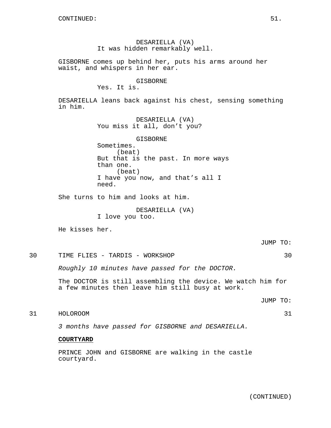# DESARIELLA (VA) It was hidden remarkably well.

GISBORNE comes up behind her, puts his arms around her waist, and whispers in her ear.

### GISBORNE

Yes. It is.

DESARIELLA leans back against his chest, sensing something in him.

> DESARIELLA (VA) You miss it all, don't you?

GISBORNE Sometimes. (beat) But that is the past. In more ways than one. (beat) I have you now, and that's all I need.

She turns to him and looks at him.

DESARIELLA (VA) I love you too.

He kisses her.

JUMP TO:

# 30 TIME FLIES - TARDIS - WORKSHOP 30

Roughly 10 minutes have passed for the DOCTOR.

The DOCTOR is still assembling the device. We watch him for a few minutes then leave him still busy at work.

JUMP TO:

31 HOLOROOM 31

3 months have passed for GISBORNE and DESARIELLA.

### **COURTYARD**

PRINCE JOHN and GISBORNE are walking in the castle courtyard.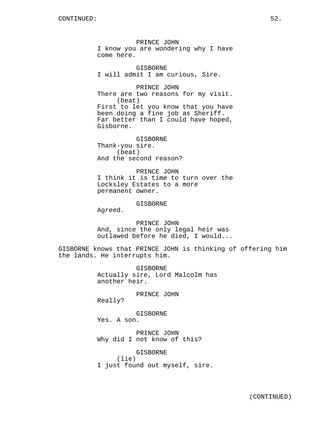PRINCE JOHN I know you are wondering why I have come here.

GISBORNE I will admit I am curious, Sire.

PRINCE JOHN There are two reasons for my visit. (beat) First to let you know that you have been doing a fine job as Sheriff. Far better than I could have hoped, Gisborne.

GISBORNE Thank-you sire. (beat) And the second reason?

PRINCE JOHN I think it is time to turn over the Locksley Estates to a more permanent owner.

GISBORNE

Agreed.

PRINCE JOHN And, since the only legal heir was outlawed before he died, I would...

GISBORNE knows that PRINCE JOHN is thinking of offering him the lands. He interrupts him.

> GISBORNE Actually sire, Lord Malcolm has another heir.

> > PRINCE JOHN

Really?

GISBORNE

Yes. A son.

PRINCE JOHN Why did I not know of this?

GISBORNE (lie) I just found out myself, sire.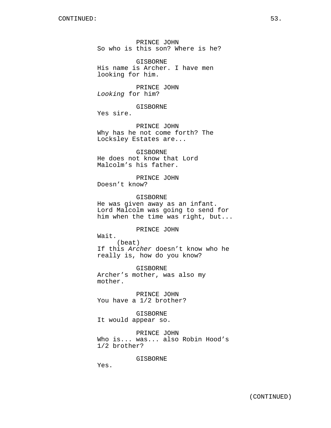PRINCE JOHN So who is this son? Where is he?

GISBORNE His name is Archer. I have men looking for him.

PRINCE JOHN Looking for him?

GISBORNE

Yes sire.

PRINCE JOHN Why has he not come forth? The Locksley Estates are...

GISBORNE He does not know that Lord Malcolm's his father.

PRINCE JOHN Doesn't know?

GISBORNE He was given away as an infant. Lord Malcolm was going to send for him when the time was right, but...

PRINCE JOHN

Wait. (beat) If this Archer doesn't know who he really is, how do you know?

GISBORNE Archer's mother, was also my mother.

PRINCE JOHN You have a 1/2 brother?

GISBORNE It would appear so.

PRINCE JOHN Who is... was... also Robin Hood's 1/2 brother?

GISBORNE

Yes.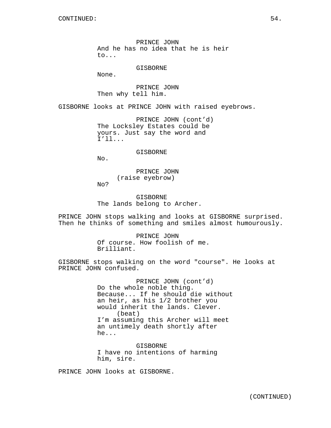PRINCE JOHN And he has no idea that he is heir to...

GISBORNE

None.

PRINCE JOHN Then why tell him.

GISBORNE looks at PRINCE JOHN with raised eyebrows.

PRINCE JOHN (cont'd) The Locksley Estates could be yours. Just say the word and I'll...

GISBORNE

No.

PRINCE JOHN (raise eyebrow)

No?

GISBORNE The lands belong to Archer.

PRINCE JOHN stops walking and looks at GISBORNE surprised. Then he thinks of something and smiles almost humourously.

> PRINCE JOHN Of course. How foolish of me. Brilliant.

GISBORNE stops walking on the word "course". He looks at PRINCE JOHN confused.

> PRINCE JOHN (cont'd) Do the whole noble thing. Because... If he should die without an heir, as his 1/2 brother you would inherit the lands. Clever. (beat) I'm assuming this Archer will meet an untimely death shortly after he...

GISBORNE I have no intentions of harming him, sire.

PRINCE JOHN looks at GISBORNE.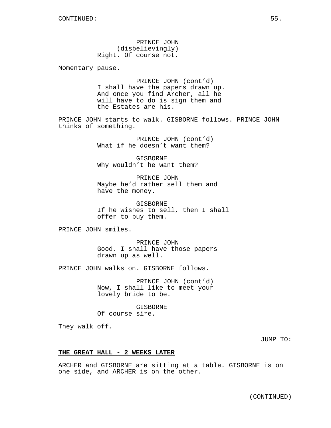PRINCE JOHN (disbelievingly) Right. Of course not.

Momentary pause.

PRINCE JOHN (cont'd) I shall have the papers drawn up. And once you find Archer, all he will have to do is sign them and the Estates are his.

PRINCE JOHN starts to walk. GISBORNE follows. PRINCE JOHN thinks of something.

> PRINCE JOHN (cont'd) What if he doesn't want them?

GISBORNE Why wouldn't he want them?

PRINCE JOHN Maybe he'd rather sell them and have the money.

GISBORNE If he wishes to sell, then I shall offer to buy them.

PRINCE JOHN smiles.

PRINCE JOHN Good. I shall have those papers drawn up as well.

PRINCE JOHN walks on. GISBORNE follows.

PRINCE JOHN (cont'd) Now, I shall like to meet your lovely bride to be.

GISBORNE Of course sire.

They walk off.

JUMP TO:

#### **THE GREAT HALL - 2 WEEKS LATER**

ARCHER and GISBORNE are sitting at a table. GISBORNE is on one side, and ARCHER is on the other.

(CONTINUED)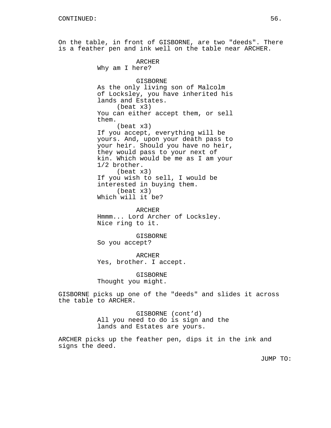On the table, in front of GISBORNE, are two "deeds". There is a feather pen and ink well on the table near ARCHER.

ARCHER

Why am I here? GISBORNE As the only living son of Malcolm of Locksley, you have inherited his lands and Estates. (beat x3) You can either accept them, or sell them. (beat x3) If you accept, everything will be yours. And, upon your death pass to your heir. Should you have no heir, they would pass to your next of kin. Which would be me as I am your 1/2 brother. (beat x3) If you wish to sell, I would be interested in buying them. (beat x3) Which will it be? ARCHER Hmmm... Lord Archer of Locksley. Nice ring to it. GISBORNE So you accept? ARCHER Yes, brother. I accept. GISBORNE

Thought you might.

GISBORNE picks up one of the "deeds" and slides it across the table to ARCHER.

> GISBORNE (cont'd) All you need to do is sign and the lands and Estates are yours.

ARCHER picks up the feather pen, dips it in the ink and signs the deed.

JUMP TO: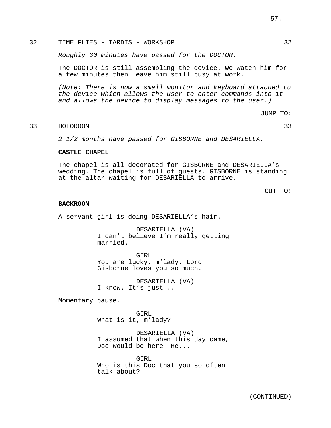# 32 TIME FLIES - TARDIS - WORKSHOP 32

Roughly 30 minutes have passed for the DOCTOR.

The DOCTOR is still assembling the device. We watch him for a few minutes then leave him still busy at work.

(Note: There is now a small monitor and keyboard attached to the device which allows the user to enter commands into it and allows the device to display messages to the user.)

JUMP TO:

# 33 HOLOROOM 33

2 1/2 months have passed for GISBORNE and DESARIELLA.

## **CASTLE CHAPEL**

The chapel is all decorated for GISBORNE and DESARIELLA's wedding. The chapel is full of guests. GISBORNE is standing at the altar waiting for DESARIELLA to arrive.

CUT TO:

#### **BACKROOM**

A servant girl is doing DESARIELLA's hair.

DESARIELLA (VA) I can't believe I'm really getting married.

GIRL You are lucky, m'lady. Lord Gisborne loves you so much.

DESARIELLA (VA) I know. It's just...

Momentary pause.

GIRL What is it, m'lady?

DESARIELLA (VA) I assumed that when this day came, Doc would be here. He...

GIRL Who is this Doc that you so often talk about?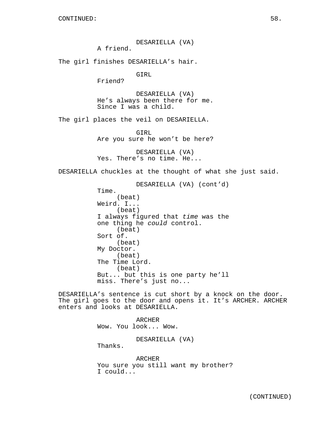DESARIELLA (VA) A friend. The girl finishes DESARIELLA's hair. GIRL Friend? DESARIELLA (VA) He's always been there for me. Since I was a child. The girl places the veil on DESARIELLA. GIRL Are you sure he won't be here? DESARIELLA (VA) Yes. There's no time. He... DESARIELLA chuckles at the thought of what she just said. DESARIELLA (VA) (cont'd) Time. (beat) Weird. I... (beat) I always figured that time was the one thing he could control. (beat) Sort of. (beat) My Doctor. (beat) The Time Lord. (beat) But... but this is one party he'll miss. There's just no... DESARIELLA's sentence is cut short by a knock on the door. The girl goes to the door and opens it. It's ARCHER. ARCHER enters and looks at DESARIELLA.

> ARCHER Wow. You look... Wow. DESARIELLA (VA) Thanks. ARCHER

You sure you still want my brother? I could...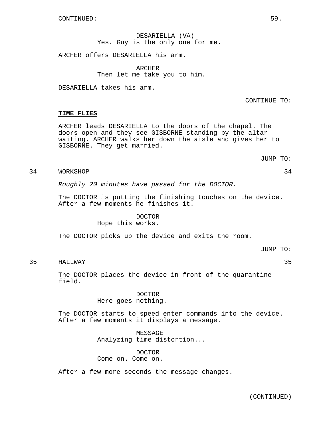DESARIELLA (VA) Yes. Guy is the only one for me.

ARCHER offers DESARIELLA his arm.

ARCHER Then let me take you to him.

DESARIELLA takes his arm.

CONTINUE TO:

### **TIME FLIES**

ARCHER leads DESARIELLA to the doors of the chapel. The doors open and they see GISBORNE standing by the altar waiting. ARCHER walks her down the aisle and gives her to GISBORNE. They get married.

JUMP TO:

# 34 WORKSHOP 34

Roughly 20 minutes have passed for the DOCTOR.

The DOCTOR is putting the finishing touches on the device. After a few moments he finishes it.

### DOCTOR Hope this works.

The DOCTOR picks up the device and exits the room.

JUMP TO:

# 35 HALLWAY 35

The DOCTOR places the device in front of the quarantine field.

> DOCTOR Here goes nothing.

The DOCTOR starts to speed enter commands into the device. After a few moments it displays a message.

> MESSAGE Analyzing time distortion...

### DOCTOR

Come on. Come on.

After a few more seconds the message changes.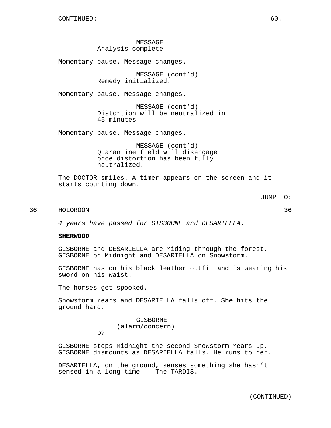MESSAGE Analysis complete.

Momentary pause. Message changes.

MESSAGE (cont'd) Remedy initialized.

Momentary pause. Message changes.

MESSAGE (cont'd) Distortion will be neutralized in 45 minutes.

Momentary pause. Message changes.

MESSAGE (cont'd) Quarantine field will disengage once distortion has been fully neutralized.

The DOCTOR smiles. A timer appears on the screen and it starts counting down.

JUMP TO:

# 36 HOLOROOM 36

4 years have passed for GISBORNE and DESARIELLA.

#### **SHERWOOD**

GISBORNE and DESARIELLA are riding through the forest. GISBORNE on Midnight and DESARIELLA on Snowstorm.

GISBORNE has on his black leather outfit and is wearing his sword on his waist.

The horses get spooked.

D?

Snowstorm rears and DESARIELLA falls off. She hits the ground hard.

> GISBORNE (alarm/concern)

GISBORNE stops Midnight the second Snowstorm rears up. GISBORNE dismounts as DESARIELLA falls. He runs to her.

DESARIELLA, on the ground, senses something she hasn't sensed in a long time -- The TARDIS.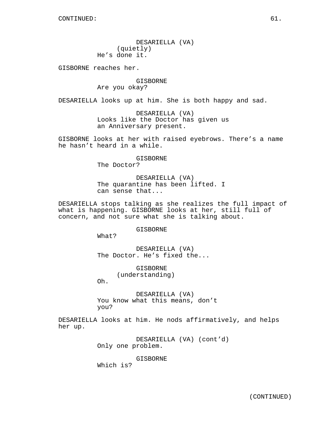DESARIELLA (VA) (quietly) He's done it.

GISBORNE reaches her.

### GISBORNE Are you okay?

DESARIELLA looks up at him. She is both happy and sad.

DESARIELLA (VA) Looks like the Doctor has given us an Anniversary present.

GISBORNE looks at her with raised eyebrows. There's a name he hasn't heard in a while.

#### GISBORNE

The Doctor?

DESARIELLA (VA) The quarantine has been lifted. I can sense that...

DESARIELLA stops talking as she realizes the full impact of what is happening. GISBORNE looks at her, still full of concern, and not sure what she is talking about.

### GISBORNE

What?

DESARIELLA (VA) The Doctor. He's fixed the...

> GISBORNE (understanding)

Oh.

DESARIELLA (VA) You know what this means, don't you?

DESARIELLA looks at him. He nods affirmatively, and helps her up.

> DESARIELLA (VA) (cont'd) Only one problem.

> > GISBORNE

Which is?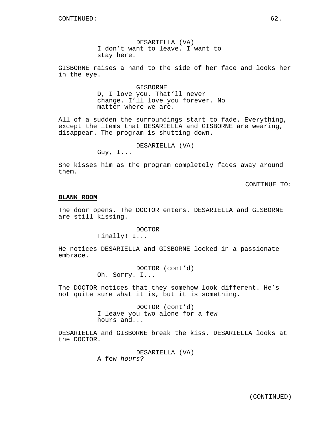DESARIELLA (VA) I don't want to leave. I want to stay here.

GISBORNE raises a hand to the side of her face and looks her in the eye.

> GISBORNE D, I love you. That'll never change. I'll love you forever. No matter where we are.

All of a sudden the surroundings start to fade. Everything, except the items that DESARIELLA and GISBORNE are wearing, disappear. The program is shutting down.

DESARIELLA (VA)

Guy, I...

She kisses him as the program completely fades away around them.

CONTINUE TO:

#### **BLANK ROOM**

The door opens. The DOCTOR enters. DESARIELLA and GISBORNE are still kissing.

# DOCTOR

Finally! I...

He notices DESARIELLA and GISBORNE locked in a passionate embrace.

> DOCTOR (cont'd) Oh. Sorry. I...

The DOCTOR notices that they somehow look different. He's not quite sure what it is, but it is something.

> DOCTOR (cont'd) I leave you two alone for a few hours and...

DESARIELLA and GISBORNE break the kiss. DESARIELLA looks at the DOCTOR.

> DESARIELLA (VA) A few hours?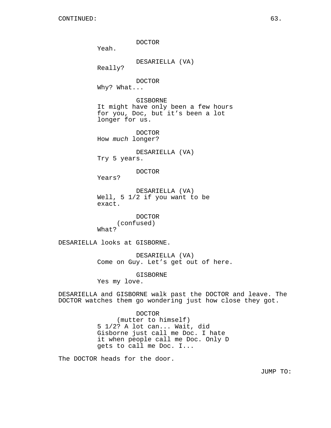DOCTOR Yeah. DESARIELLA (VA) Really? DOCTOR Why? What... GISBORNE It might have only been a few hours for you, Doc, but it's been a lot longer for us. DOCTOR How much longer? DESARIELLA (VA) Try 5 years. DOCTOR Years? DESARIELLA (VA) Well, 5 1/2 if you want to be exact. DOCTOR (confused) What? DESARIELLA looks at GISBORNE. DESARIELLA (VA) Come on Guy. Let's get out of here. GISBORNE Yes my love.

DESARIELLA and GISBORNE walk past the DOCTOR and leave. The DOCTOR watches them go wondering just how close they got.

> DOCTOR (mutter to himself) 5 1/2? A lot can... Wait, did Gisborne just call me Doc. I hate it when people call me Doc. Only D gets to call me Doc. I...

The DOCTOR heads for the door.

JUMP TO: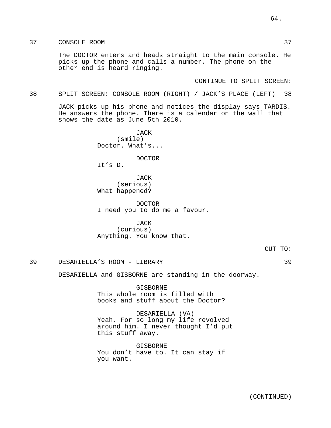# 37 CONSOLE ROOM 37

The DOCTOR enters and heads straight to the main console. He picks up the phone and calls a number. The phone on the other end is heard ringing.

CONTINUE TO SPLIT SCREEN:

### 38 SPLIT SCREEN: CONSOLE ROOM (RIGHT) / JACK'S PLACE (LEFT) 38

JACK picks up his phone and notices the display says TARDIS. He answers the phone. There is a calendar on the wall that shows the date as June 5th 2010.

> **JACK** (smile) Doctor. What's...

> > DOCTOR

It's D.

JACK (serious) What happened?

DOCTOR I need you to do me a favour.

JACK (curious) Anything. You know that.

### 39 DESARIELLA'S ROOM - LIBRARY 39

DESARIELLA and GISBORNE are standing in the doorway.

GISBORNE This whole room is filled with books and stuff about the Doctor?

DESARIELLA (VA) Yeah. For so long my life revolved around him. I never thought I'd put this stuff away.

GISBORNE You don't have to. It can stay if you want.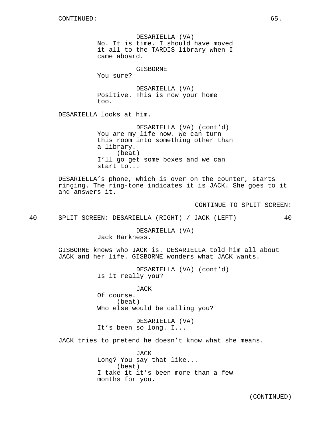DESARIELLA (VA) No. It is time. I should have moved it all to the TARDIS library when I came aboard.

GISBORNE

You sure?

DESARIELLA (VA) Positive. This is now your home too.

DESARIELLA looks at him.

DESARIELLA (VA) (cont'd) You are my life now. We can turn this room into something other than a library. (beat) I'll go get some boxes and we can start to...

DESARIELLA's phone, which is over on the counter, starts ringing. The ring-tone indicates it is JACK. She goes to it and answers it.

CONTINUE TO SPLIT SCREEN:

40 SPLIT SCREEN: DESARIELLA (RIGHT) / JACK (LEFT) 40

DESARIELLA (VA) Jack Harkness.

GISBORNE knows who JACK is. DESARIELLA told him all about JACK and her life. GISBORNE wonders what JACK wants.

> DESARIELLA (VA) (cont'd) Is it really you?

JACK Of course. (beat) Who else would be calling you?

DESARIELLA (VA) It's been so long. I...

JACK tries to pretend he doesn't know what she means.

JACK Long? You say that like... (beat) I take it it's been more than a few months for you.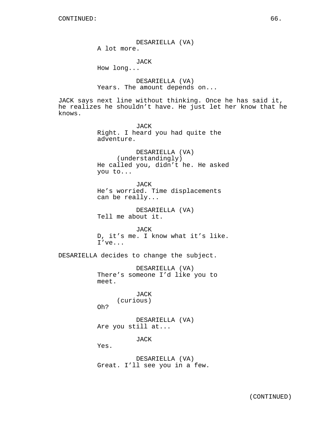DESARIELLA (VA)

A lot more.

JACK

How long...

DESARIELLA (VA) Years. The amount depends on...

JACK says next line without thinking. Once he has said it, he realizes he shouldn't have. He just let her know that he knows.

> JACK Right. I heard you had quite the adventure.

DESARIELLA (VA) (understandingly) He called you, didn't he. He asked you to...

JACK He's worried. Time displacements can be really...

DESARIELLA (VA) Tell me about it.

JACK D, it's me. I know what it's like. I've...

DESARIELLA decides to change the subject.

DESARIELLA (VA) There's someone I'd like you to meet.

> JACK (curious)

Oh?

DESARIELLA (VA) Are you still at...

JACK

Yes.

DESARIELLA (VA) Great. I'll see you in a few.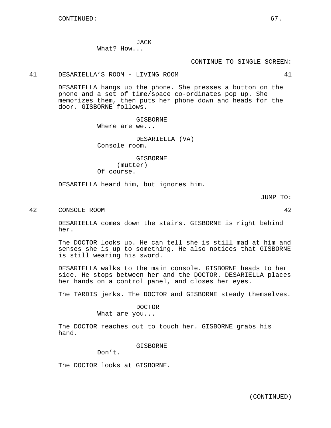JACK What? How...

#### CONTINUE TO SINGLE SCREEN:

### 41 DESARIELLA'S ROOM - LIVING ROOM 41

DESARIELLA hangs up the phone. She presses a button on the phone and a set of time/space co-ordinates pop up. She memorizes them, then puts her phone down and heads for the door. GISBORNE follows.

GISBORNE

Where are we...

DESARIELLA (VA) Console room.

GISBORNE (mutter) Of course.

DESARIELLA heard him, but ignores him.

JUMP TO:

42 CONSOLE ROOM 42

DESARIELLA comes down the stairs. GISBORNE is right behind her.

The DOCTOR looks up. He can tell she is still mad at him and senses she is up to something. He also notices that GISBORNE is still wearing his sword.

DESARIELLA walks to the main console. GISBORNE heads to her side. He stops between her and the DOCTOR. DESARIELLA places her hands on a control panel, and closes her eyes.

The TARDIS jerks. The DOCTOR and GISBORNE steady themselves.

DOCTOR

What are you...

The DOCTOR reaches out to touch her. GISBORNE grabs his hand.

GISBORNE

Don't.

The DOCTOR looks at GISBORNE.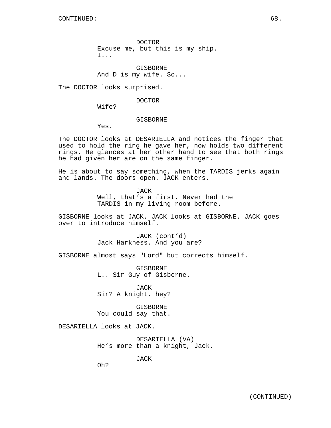GISBORNE And D is my wife. So...

The DOCTOR looks surprised.

DOCTOR

Wife?

#### GISBORNE

Yes.

The DOCTOR looks at DESARIELLA and notices the finger that used to hold the ring he gave her, now holds two different rings. He glances at her other hand to see that both rings he had given her are on the same finger.

He is about to say something, when the TARDIS jerks again and lands. The doors open. JACK enters.

> JACK Well, that's a first. Never had the TARDIS in my living room before.

GISBORNE looks at JACK. JACK looks at GISBORNE. JACK goes over to introduce himself.

> JACK (cont'd) Jack Harkness. And you are?

GISBORNE almost says "Lord" but corrects himself.

GISBORNE L.. Sir Guy of Gisborne.

JACK Sir? A knight, hey?

GISBORNE You could say that.

DESARIELLA looks at JACK.

DESARIELLA (VA) He's more than a knight, Jack.

JACK

Oh?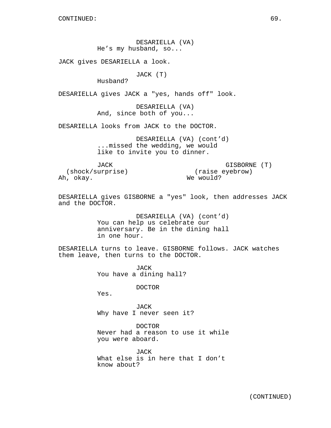DESARIELLA (VA) He's my husband, so...

JACK gives DESARIELLA a look.

JACK (T)

Husband?

DESARIELLA gives JACK a "yes, hands off" look.

DESARIELLA (VA) And, since both of you...

DESARIELLA looks from JACK to the DOCTOR.

DESARIELLA (VA) (cont'd) ...missed the wedding, we would like to invite you to dinner.

JACK

GISBORNE (T) (raise eyebrow) We would?

(shock/surprise) Ah, okay.

DESARIELLA gives GISBORNE a "yes" look, then addresses JACK and the DOCTOR.

> DESARIELLA (VA) (cont'd) You can help us celebrate our anniversary. Be in the dining hall in one hour.

DESARIELLA turns to leave. GISBORNE follows. JACK watches them leave, then turns to the DOCTOR.

> JACK You have a dining hall?

> > DOCTOR

Yes.

JACK Why have I never seen it?

DOCTOR Never had a reason to use it while you were aboard.

JACK What else is in here that I don't know about?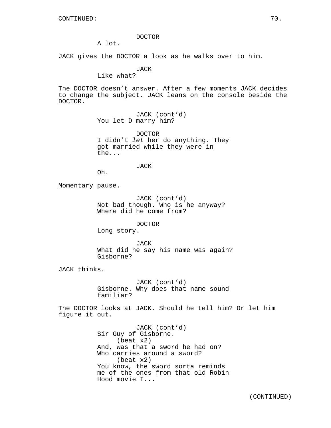#### DOCTOR

A lot.

JACK gives the DOCTOR a look as he walks over to him.

JACK

Like what?

The DOCTOR doesn't answer. After a few moments JACK decides to change the subject. JACK leans on the console beside the DOCTOR.

> JACK (cont'd) You let D marry him?

DOCTOR I didn't let her do anything. They got married while they were in the...

JACK

Oh.

Momentary pause.

JACK (cont'd) Not bad though. Who is he anyway? Where did he come from?

#### DOCTOR

Long story.

JACK What did he say his name was again? Gisborne?

JACK thinks.

JACK (cont'd) Gisborne. Why does that name sound familiar?

The DOCTOR looks at JACK. Should he tell him? Or let him figure it out.

> JACK (cont'd) Sir Guy of Gisborne. (beat x2) And, was that a sword he had on? Who carries around a sword? (beat x2) You know, the sword sorta reminds me of the ones from that old Robin Hood movie I...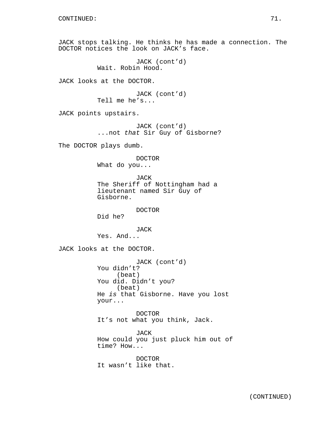JACK stops talking. He thinks he has made a connection. The DOCTOR notices the look on JACK's face.

```
JACK (cont'd)
Wait. Robin Hood.
```
JACK looks at the DOCTOR.

JACK (cont'd) Tell me he's...

JACK points upstairs.

JACK (cont'd) ...not that Sir Guy of Gisborne?

The DOCTOR plays dumb.

DOCTOR

What do you...

JACK The Sheriff of Nottingham had a lieutenant named Sir Guy of Gisborne.

DOCTOR

Did he?

JACK Yes. And...

JACK looks at the DOCTOR.

JACK (cont'd) You didn't? (beat) You did. Didn't you? (beat) He is that Gisborne. Have you lost your...

DOCTOR It's not what you think, Jack.

JACK How could you just pluck him out of time? How...

DOCTOR It wasn't like that.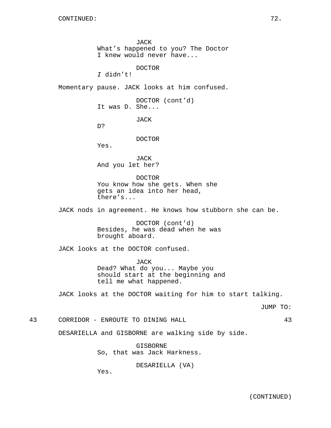JACK What's happened to you? The Doctor I knew would never have...

DOCTOR

I didn't!

Momentary pause. JACK looks at him confused.

DOCTOR (cont'd) It was D. She...

JACK

D?

DOCTOR

Yes.

JACK And you let her?

DOCTOR You know how she gets. When she gets an idea into her head, there's...

JACK nods in agreement. He knows how stubborn she can be.

DOCTOR (cont'd) Besides, he was dead when he was brought aboard.

JACK looks at the DOCTOR confused.

JACK Dead? What do you... Maybe you should start at the beginning and tell me what happened.

JACK looks at the DOCTOR waiting for him to start talking.

JUMP TO:

43 CORRIDOR - ENROUTE TO DINING HALL 43

DESARIELLA and GISBORNE are walking side by side.

GISBORNE So, that was Jack Harkness.

DESARIELLA (VA)

Yes.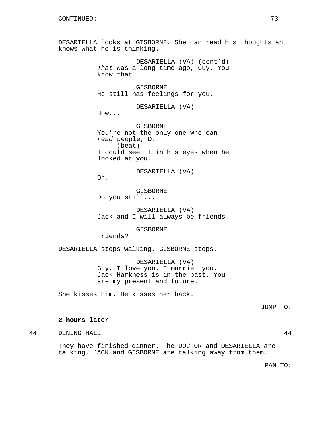DESARIELLA looks at GISBORNE. She can read his thoughts and knows what he is thinking.

> DESARIELLA (VA) (cont'd) That was a long time ago, Guy. You know that.

GISBORNE He still has feelings for you.

DESARIELLA (VA)

How...

Oh.

GISBORNE You're not the only one who can read people, D. (beat) I could see it in his eyes when he looked at you.

DESARIELLA (VA)

GISBORNE Do you still...

DESARIELLA (VA) Jack and I will always be friends.

GISBORNE

Friends?

DESARIELLA stops walking. GISBORNE stops.

DESARIELLA (VA) Guy, I love you. I married you. Jack Harkness is in the past. You are my present and future.

She kisses him. He kisses her back.

JUMP TO:

# **2 hours later**

44 DINING HALL 44

They have finished dinner. The DOCTOR and DESARIELLA are talking. JACK and GISBORNE are talking away from them.

PAN TO: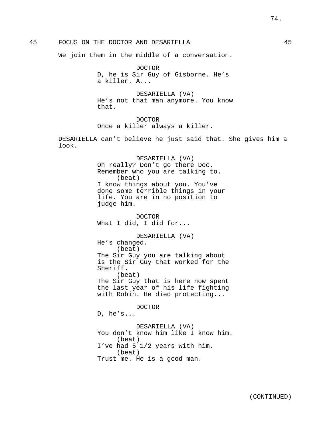We join them in the middle of a conversation.

DOCTOR D, he is Sir Guy of Gisborne. He's a killer. A...

DESARIELLA (VA) He's not that man anymore. You know that.

DOCTOR Once a killer always a killer.

DESARIELLA can't believe he just said that. She gives him a look.

> DESARIELLA (VA) Oh really? Don't go there Doc. Remember who you are talking to. (beat) I know things about you. You've done some terrible things in your life. You are in no position to judge him.

DOCTOR What I did, I did for...

DESARIELLA (VA) He's changed. (beat) The Sir Guy you are talking about is the Sir Guy that worked for the Sheriff. (beat) The Sir Guy that is here now spent the last year of his life fighting

with Robin. He died protecting...

DOCTOR D, he's...

DESARIELLA (VA) You don't know him like I know him. (beat) I've had 5 1/2 years with him. (beat) Trust me. He is a good man.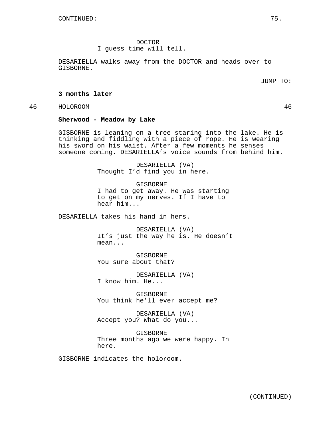DOCTOR

I guess time will tell.

DESARIELLA walks away from the DOCTOR and heads over to GISBORNE.

JUMP TO:

## **3 months later**

46 HOLOROOM 46

## **Sherwood - Meadow by Lake**

GISBORNE is leaning on a tree staring into the lake. He is thinking and fiddling with a piece of rope. He is wearing his sword on his waist. After a few moments he senses someone coming. DESARIELLA's voice sounds from behind him.

> DESARIELLA (VA) Thought I'd find you in here.

GISBORNE I had to get away. He was starting to get on my nerves. If I have to hear him...

DESARIELLA takes his hand in hers.

DESARIELLA (VA) It's just the way he is. He doesn't mean...

GISBORNE You sure about that?

DESARIELLA (VA) I know him. He...

GISBORNE You think he'll ever accept me?

DESARIELLA (VA) Accept you? What do you...

GISBORNE Three months ago we were happy. In here.

GISBORNE indicates the holoroom.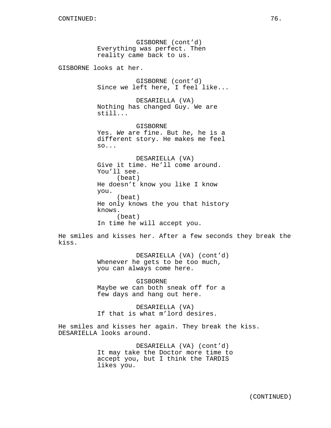GISBORNE (cont'd) Everything was perfect. Then reality came back to us. GISBORNE looks at her. GISBORNE (cont'd) Since we left here, I feel like... DESARIELLA (VA) Nothing has changed Guy. We are still... GISBORNE Yes. We are fine. But he, he is a different story. He makes me feel so... DESARIELLA (VA) Give it time. He'll come around. You'll see. (beat) He doesn't know you like I know you. (beat) He only knows the you that history knows.

(beat) In time he will accept you.

He smiles and kisses her. After a few seconds they break the kiss.

> DESARIELLA (VA) (cont'd) Whenever he gets to be too much, you can always come here.

GISBORNE Maybe we can both sneak off for a few days and hang out here.

DESARIELLA (VA) If that is what m'lord desires.

He smiles and kisses her again. They break the kiss. DESARIELLA looks around.

> DESARIELLA (VA) (cont'd) It may take the Doctor more time to accept you, but I think the TARDIS likes you.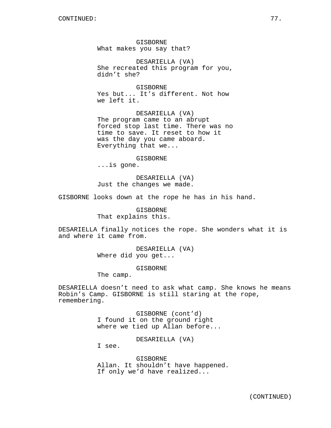GISBORNE What makes you say that?

DESARIELLA (VA) She recreated this program for you, didn't she?

**GISBORNE** Yes but... It's different. Not how we left it.

DESARIELLA (VA) The program came to an abrupt forced stop last time. There was no time to save. It reset to how it was the day you came aboard. Everything that we...

GISBORNE

...is gone.

DESARIELLA (VA) Just the changes we made.

GISBORNE looks down at the rope he has in his hand.

GISBORNE That explains this.

DESARIELLA finally notices the rope. She wonders what it is and where it came from.

> DESARIELLA (VA) Where did you get...

> > GISBORNE

The camp.

DESARIELLA doesn't need to ask what camp. She knows he means Robin's Camp. GISBORNE is still staring at the rope, remembering.

> GISBORNE (cont'd) I found it on the ground right where we tied up Allan before...

> > DESARIELLA (VA)

I see.

GISBORNE Allan. It shouldn't have happened. If only we'd have realized...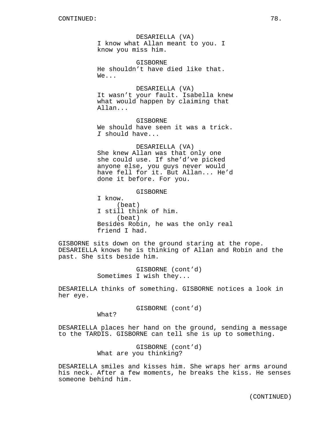DESARIELLA (VA) I know what Allan meant to you. I know you miss him.

GISBORNE He shouldn't have died like that. We...

DESARIELLA (VA) It wasn't your fault. Isabella knew what would happen by claiming that Allan...

GISBORNE We should have seen it was a trick. I should have...

DESARIELLA (VA) She knew Allan was that only one she could use. If she'd've picked anyone else, you guys never would have fell for it. But Allan... He'd done it before. For you.

GISBORNE

I know. (beat) I still think of him. (beat) Besides Robin, he was the only real friend I had.

GISBORNE sits down on the ground staring at the rope. DESARIELLA knows he is thinking of Allan and Robin and the past. She sits beside him.

> GISBORNE (cont'd) Sometimes I wish they...

DESARIELLA thinks of something. GISBORNE notices a look in her eye.

GISBORNE (cont'd)

What?

DESARIELLA places her hand on the ground, sending a message to the TARDIS. GISBORNE can tell she is up to something.

> GISBORNE (cont'd) What are you thinking?

DESARIELLA smiles and kisses him. She wraps her arms around his neck. After a few moments, he breaks the kiss. He senses someone behind him.

(CONTINUED)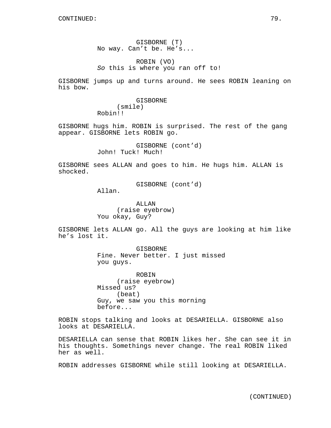GISBORNE (T) No way. Can't be. He's...

ROBIN (VO) So this is where you ran off to!

GISBORNE jumps up and turns around. He sees ROBIN leaning on his bow.

> GISBORNE (smile) Robin!!

GISBORNE hugs him. ROBIN is surprised. The rest of the gang appear. GISBORNE lets ROBIN go.

> GISBORNE (cont'd) John! Tuck! Much!

GISBORNE sees ALLAN and goes to him. He hugs him. ALLAN is shocked.

GISBORNE (cont'd)

Allan.

ALLAN (raise eyebrow) You okay, Guy?

GISBORNE lets ALLAN go. All the guys are looking at him like he's lost it.

> GISBORNE Fine. Never better. I just missed you guys.

ROBIN (raise eyebrow) Missed us? (beat) Guy, we saw you this morning before...

ROBIN stops talking and looks at DESARIELLA. GISBORNE also looks at DESARIELLA.

DESARIELLA can sense that ROBIN likes her. She can see it in his thoughts. Somethings never change. The real ROBIN liked her as well.

ROBIN addresses GISBORNE while still looking at DESARIELLA.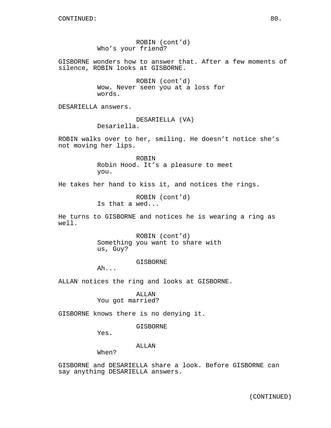ROBIN (cont'd) Who's your friend? GISBORNE wonders how to answer that. After a few moments of silence, ROBIN looks at GISBORNE. ROBIN (cont'd) Wow. Never seen you at a loss for words. DESARIELLA answers. DESARIELLA (VA) Desariella. ROBIN walks over to her, smiling. He doesn't notice she's not moving her lips. ROBIN Robin Hood. It's a pleasure to meet you. He takes her hand to kiss it, and notices the rings. ROBIN (cont'd) Is that a wed... He turns to GISBORNE and notices he is wearing a ring as well. ROBIN (cont'd) Something you want to share with us, Guy? GISBORNE Ah... ALLAN notices the ring and looks at GISBORNE. ALLAN You got married? GISBORNE knows there is no denying it. GISBORNE Yes. ALLAN When? GISBORNE and DESARIELLA share a look. Before GISBORNE can say anything DESARIELLA answers.

(CONTINUED)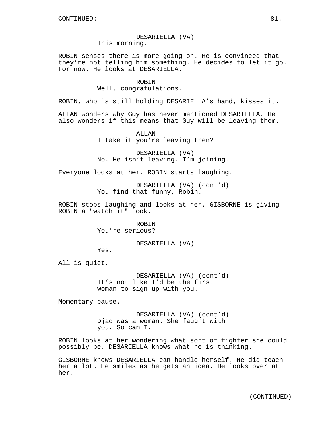# DESARIELLA (VA)

This morning.

ROBIN senses there is more going on. He is convinced that they're not telling him something. He decides to let it go. For now. He looks at DESARIELLA.

> **ROBIN** Well, congratulations.

ROBIN, who is still holding DESARIELLA's hand, kisses it.

ALLAN wonders why Guy has never mentioned DESARIELLA. He also wonders if this means that Guy will be leaving them.

> ALLAN I take it you're leaving then?

DESARIELLA (VA) No. He isn't leaving. I'm joining.

Everyone looks at her. ROBIN starts laughing.

DESARIELLA (VA) (cont'd) You find that funny, Robin.

ROBIN stops laughing and looks at her. GISBORNE is giving ROBIN a "watch it" look.

> ROBIN You're serious?

> > DESARIELLA (VA)

Yes.

All is quiet.

DESARIELLA (VA) (cont'd) It's not like I'd be the first woman to sign up with you.

Momentary pause.

DESARIELLA (VA) (cont'd) Djaq was a woman. She faught with you. So can I.

ROBIN looks at her wondering what sort of fighter she could possibly be. DESARIELLA knows what he is thinking.

GISBORNE knows DESARIELLA can handle herself. He did teach her a lot. He smiles as he gets an idea. He looks over at her.

(CONTINUED)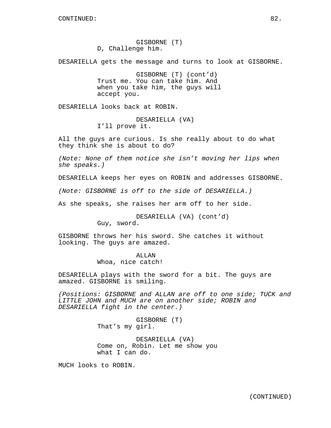GISBORNE (T) D, Challenge him.

DESARIELLA gets the message and turns to look at GISBORNE.

GISBORNE (T) (cont'd) Trust me. You can take him. And when you take him, the guys will accept you.

DESARIELLA looks back at ROBIN.

DESARIELLA (VA) I'll prove it.

All the guys are curious. Is she really about to do what they think she is about to do?

(Note: None of them notice she isn't moving her lips when she speaks.)

DESARIELLA keeps her eyes on ROBIN and addresses GISBORNE.

(Note: GISBORNE is off to the side of DESARIELLA.)

As she speaks, she raises her arm off to her side.

DESARIELLA (VA) (cont'd) Guy, sword.

GISBORNE throws her his sword. She catches it without looking. The guys are amazed.

# ALLAN

Whoa, nice catch!

DESARIELLA plays with the sword for a bit. The guys are amazed. GISBORNE is smiling.

(Positions: GISBORNE and ALLAN are off to one side; TUCK and LITTLE JOHN and MUCH are on another side; ROBIN and DESARIELLA fight in the center.)

> GISBORNE (T) That's my girl.

DESARIELLA (VA) Come on, Robin. Let me show you what I can do.

MUCH looks to ROBIN.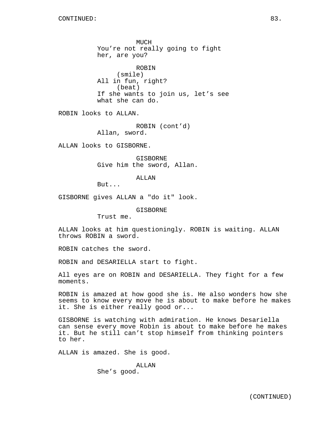MUCH You're not really going to fight her, are you? ROBIN (smile) All in fun, right? (beat) If she wants to join us, let's see what she can do. ROBIN looks to ALLAN. ROBIN (cont'd) Allan, sword. ALLAN looks to GISBORNE. GISBORNE Give him the sword, Allan. ALLAN But... GISBORNE gives ALLAN a "do it" look. GISBORNE Trust me. ALLAN looks at him questioningly. ROBIN is waiting. ALLAN throws ROBIN a sword. ROBIN catches the sword. ROBIN and DESARIELLA start to fight.

All eyes are on ROBIN and DESARIELLA. They fight for a few moments.

ROBIN is amazed at how good she is. He also wonders how she seems to know every move he is about to make before he makes it. She is either really good or...

GISBORNE is watching with admiration. He knows Desariella can sense every move Robin is about to make before he makes it. But he still can't stop himself from thinking pointers to her.

ALLAN is amazed. She is good.

ALLAN She's good.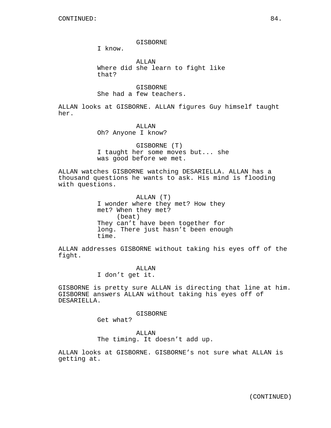GISBORNE

I know.

ALLAN Where did she learn to fight like that?

**GISBORNE** She had a few teachers.

ALLAN looks at GISBORNE. ALLAN figures Guy himself taught her.

> ALLAN Oh? Anyone I know?

GISBORNE (T) I taught her some moves but... she was good before we met.

ALLAN watches GISBORNE watching DESARIELLA. ALLAN has a thousand questions he wants to ask. His mind is flooding with questions.

> ALLAN (T) I wonder where they met? How they met? When they met? (beat) They can't have been together for long. There just hasn't been enough time.

ALLAN addresses GISBORNE without taking his eyes off of the fight.

> ALLAN I don't get it.

GISBORNE is pretty sure ALLAN is directing that line at him. GISBORNE answers ALLAN without taking his eyes off of DESARIELLA.

GISBORNE

Get what?

ALLAN The timing. It doesn't add up.

ALLAN looks at GISBORNE. GISBORNE's not sure what ALLAN is getting at.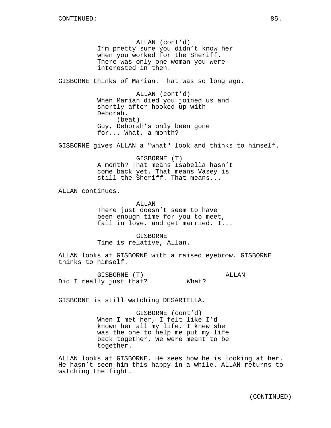ALLAN (cont'd) I'm pretty sure you didn't know her when you worked for the Sheriff. There was only one woman you were interested in then.

GISBORNE thinks of Marian. That was so long ago.

ALLAN (cont'd) When Marian died you joined us and shortly after hooked up with Deborah. (beat) Guy, Deborah's only been gone for... What, a month?

GISBORNE gives ALLAN a "what" look and thinks to himself.

GISBORNE (T) A month? That means Isabella hasn't come back yet. That means Vasey is still the Sheriff. That means...

ALLAN continues.

ALLAN There just doesn't seem to have been enough time for you to meet, fall in love, and get married. I...

GISBORNE Time is relative, Allan.

ALLAN looks at GISBORNE with a raised eyebrow. GISBORNE thinks to himself.

GISBORNE (T) Did I really just that? ALLAN What?

GISBORNE is still watching DESARIELLA.

GISBORNE (cont'd) When I met her, I felt like I'd known her all my life. I knew she was the one to help me put my life back together. We were meant to be together.

ALLAN looks at GISBORNE. He sees how he is looking at her. He hasn't seen him this happy in a while. ALLAN returns to watching the fight.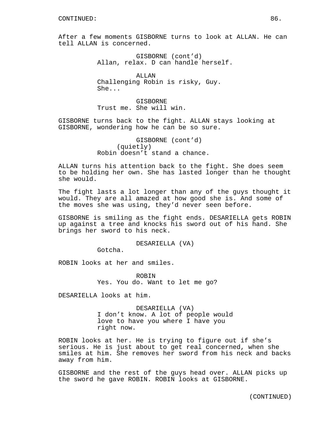After a few moments GISBORNE turns to look at ALLAN. He can tell ALLAN is concerned.

> GISBORNE (cont'd) Allan, relax. D can handle herself.

ALLAN Challenging Robin is risky, Guy. She...

GISBORNE Trust me. She will win.

GISBORNE turns back to the fight. ALLAN stays looking at GISBORNE, wondering how he can be so sure.

> GISBORNE (cont'd) (quietly) Robin doesn't stand a chance.

ALLAN turns his attention back to the fight. She does seem to be holding her own. She has lasted longer than he thought she would.

The fight lasts a lot longer than any of the guys thought it would. They are all amazed at how good she is. And some of the moves she was using, they'd never seen before.

GISBORNE is smiling as the fight ends. DESARIELLA gets ROBIN up against a tree and knocks his sword out of his hand. She brings her sword to his neck.

DESARIELLA (VA)

Gotcha.

ROBIN looks at her and smiles.

ROBIN Yes. You do. Want to let me go?

DESARIELLA looks at him.

DESARIELLA (VA) I don't know. A lot of people would love to have you where I have you right now.

ROBIN looks at her. He is trying to figure out if she's serious. He is just about to get real concerned, when she smiles at him. She removes her sword from his neck and backs away from him.

GISBORNE and the rest of the guys head over. ALLAN picks up the sword he gave ROBIN. ROBIN looks at GISBORNE.

(CONTINUED)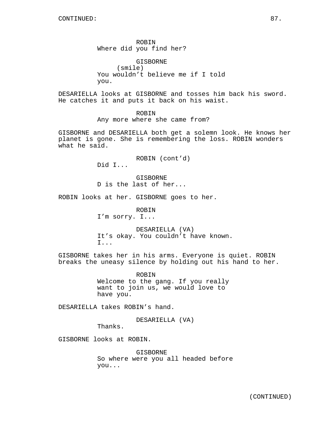ROBIN Where did you find her?

GISBORNE (smile) You wouldn't believe me if I told you.

DESARIELLA looks at GISBORNE and tosses him back his sword. He catches it and puts it back on his waist.

> ROBIN Any more where she came from?

GISBORNE and DESARIELLA both get a solemn look. He knows her planet is gone. She is remembering the loss. ROBIN wonders what he said.

ROBIN (cont'd)

Did I...

GISBORNE D is the last of her...

ROBIN looks at her. GISBORNE goes to her.

ROBIN I'm sorry. I...

DESARIELLA (VA) It's okay. You couldn't have known. I...

GISBORNE takes her in his arms. Everyone is quiet. ROBIN breaks the uneasy silence by holding out his hand to her.

> ROBIN Welcome to the gang. If you really want to join us, we would love to have you.

DESARIELLA takes ROBIN's hand.

DESARIELLA (VA)

Thanks.

GISBORNE looks at ROBIN.

GISBORNE So where were you all headed before you...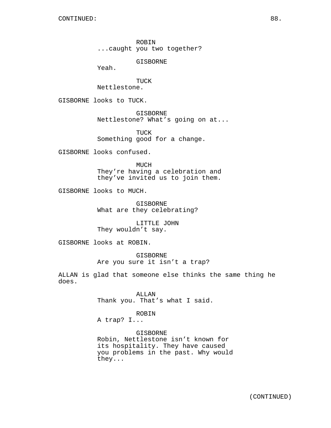ROBIN ...caught you two together?

GISBORNE

Yeah.

TUCK Nettlestone.

GISBORNE looks to TUCK.

GISBORNE Nettlestone? What's going on at...

TUCK Something good for a change.

GISBORNE looks confused.

MUCH They're having a celebration and they've invited us to join them.

GISBORNE looks to MUCH.

GISBORNE What are they celebrating?

LITTLE JOHN They wouldn't say.

GISBORNE looks at ROBIN.

GISBORNE Are you sure it isn't a trap?

ALLAN is glad that someone else thinks the same thing he does.

> ALLAN Thank you. That's what I said.

> > ROBIN

A trap? I...

GISBORNE Robin, Nettlestone isn't known for its hospitality. They have caused you problems in the past. Why would they...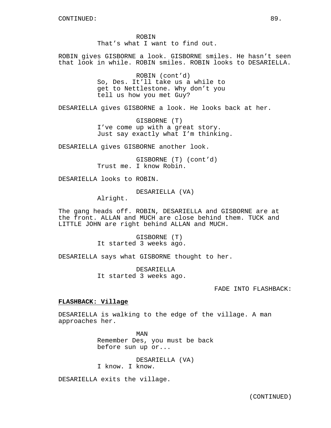ROBIN That's what I want to find out.

ROBIN gives GISBORNE a look. GISBORNE smiles. He hasn't seen that look in while. ROBIN smiles. ROBIN looks to DESARIELLA.

> ROBIN (cont'd) So, Des. It'll take us a while to get to Nettlestone. Why don't you tell us how you met Guy?

DESARIELLA gives GISBORNE a look. He looks back at her.

GISBORNE (T) I've come up with a great story. Just say exactly what I'm thinking.

DESARIELLA gives GISBORNE another look.

GISBORNE (T) (cont'd) Trust me. I know Robin.

DESARIELLA looks to ROBIN.

DESARIELLA (VA)

Alright.

The gang heads off. ROBIN, DESARIELLA and GISBORNE are at the front. ALLAN and MUCH are close behind them. TUCK and LITTLE JOHN are right behind ALLAN and MUCH.

> GISBORNE (T) It started 3 weeks ago.

DESARIELLA says what GISBORNE thought to her.

DESARIELLA It started 3 weeks ago.

FADE INTO FLASHBACK:

# **FLASHBACK: Village**

DESARIELLA is walking to the edge of the village. A man approaches her.

> MAN Remember Des, you must be back before sun up or...

DESARIELLA (VA) I know. I know.

DESARIELLA exits the village.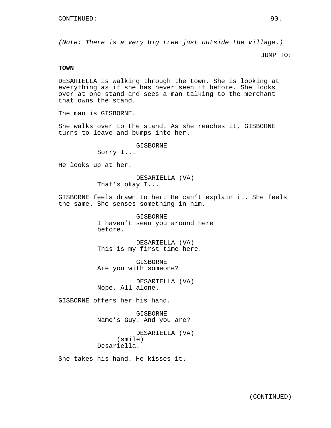(Note: There is a very big tree just outside the village.)

JUMP TO:

#### **TOWN**

DESARIELLA is walking through the town. She is looking at everything as if she has never seen it before. She looks over at one stand and sees a man talking to the merchant that owns the stand.

The man is GISBORNE.

She walks over to the stand. As she reaches it, GISBORNE turns to leave and bumps into her.

# GISBORNE

Sorry I...

He looks up at her.

DESARIELLA (VA) That's okay I...

GISBORNE feels drawn to her. He can't explain it. She feels the same. She senses something in him.

> GISBORNE I haven't seen you around here before.

DESARIELLA (VA) This is my first time here.

GISBORNE Are you with someone?

DESARIELLA (VA) Nope. All alone.

GISBORNE offers her his hand.

GISBORNE Name's Guy. And you are?

DESARIELLA (VA) (smile) Desariella.

She takes his hand. He kisses it.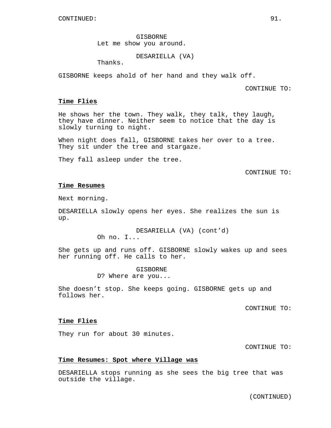GISBORNE Let me show you around.

DESARIELLA (VA)

Thanks.

GISBORNE keeps ahold of her hand and they walk off.

CONTINUE TO:

## **Time Flies**

He shows her the town. They walk, they talk, they laugh, they have dinner. Neither seem to notice that the day is slowly turning to night.

When night does fall, GISBORNE takes her over to a tree. They sit under the tree and stargaze.

They fall asleep under the tree.

# CONTINUE TO:

### **Time Resumes**

Next morning.

DESARIELLA slowly opens her eyes. She realizes the sun is up.

> DESARIELLA (VA) (cont'd) Oh no. I...

She gets up and runs off. GISBORNE slowly wakes up and sees her running off. He calls to her.

> GISBORNE D? Where are you...

She doesn't stop. She keeps going. GISBORNE gets up and follows her.

CONTINUE TO:

# **Time Flies**

They run for about 30 minutes.

CONTINUE TO:

# **Time Resumes: Spot where Village was**

DESARIELLA stops running as she sees the big tree that was outside the village.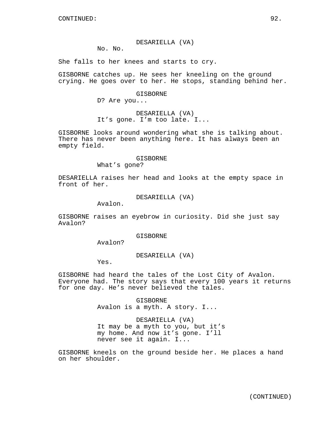#### DESARIELLA (VA)

No. No.

She falls to her knees and starts to cry.

GISBORNE catches up. He sees her kneeling on the ground crying. He goes over to her. He stops, standing behind her.

#### GISBORNE

D? Are you...

DESARIELLA (VA) It's gone. I'm too late. I...

GISBORNE looks around wondering what she is talking about. There has never been anything here. It has always been an empty field.

#### GISBORNE

What's gone?

DESARIELLA raises her head and looks at the empty space in front of her.

DESARIELLA (VA)

Avalon.

GISBORNE raises an eyebrow in curiosity. Did she just say Avalon?

# GISBORNE

Avalon?

## DESARIELLA (VA)

Yes.

GISBORNE had heard the tales of the Lost City of Avalon. Everyone had. The story says that every 100 years it returns for one day. He's never believed the tales.

> GISBORNE Avalon is a myth. A story. I...

# DESARIELLA (VA)

It may be a myth to you, but it's my home. And now it's gone. I'll never see it again. I...

GISBORNE kneels on the ground beside her. He places a hand on her shoulder.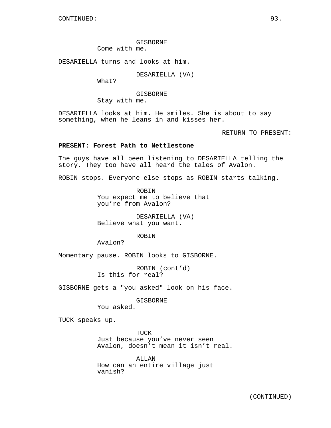GISBORNE Come with me.

DESARIELLA turns and looks at him.

DESARIELLA (VA)

What?

GISBORNE Stay with me.

DESARIELLA looks at him. He smiles. She is about to say something, when he leans in and kisses her.

RETURN TO PRESENT:

# **PRESENT: Forest Path to Nettlestone**

The guys have all been listening to DESARIELLA telling the story. They too have all heard the tales of Avalon.

ROBIN stops. Everyone else stops as ROBIN starts talking.

ROBIN You expect me to believe that you're from Avalon?

DESARIELLA (VA) Believe what you want.

ROBIN

Avalon?

Momentary pause. ROBIN looks to GISBORNE.

ROBIN (cont'd) Is this for real?

GISBORNE gets a "you asked" look on his face.

GISBORNE You asked.

TUCK speaks up.

TUCK Just because you've never seen Avalon, doesn't mean it isn't real.

ALLAN How can an entire village just vanish?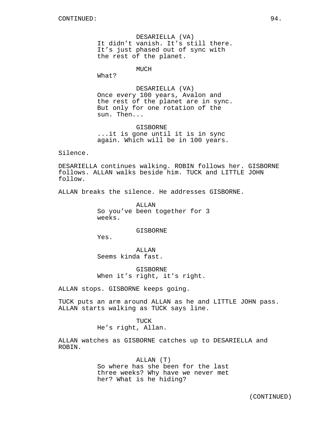DESARIELLA (VA) It didn't vanish. It's still there. It's just phased out of sync with the rest of the planet.

MUCH

What?

DESARIELLA (VA) Once every 100 years, Avalon and the rest of the planet are in sync. But only for one rotation of the sun. Then...

GISBORNE ...it is gone until it is in sync again. Which will be in 100 years.

Silence.

DESARIELLA continues walking. ROBIN follows her. GISBORNE follows. ALLAN walks beside him. TUCK and LITTLE JOHN follow.

ALLAN breaks the silence. He addresses GISBORNE.

ALLAN So you've been together for 3 weeks.

# GISBORNE

Yes.

**ALLAN** Seems kinda fast.

GISBORNE When it's right, it's right.

ALLAN stops. GISBORNE keeps going.

TUCK puts an arm around ALLAN as he and LITTLE JOHN pass. ALLAN starts walking as TUCK says line.

# TUCK He's right, Allan.

ALLAN watches as GISBORNE catches up to DESARIELLA and ROBIN.

# ALLAN (T) So where has she been for the last three weeks? Why have we never met her? What is he hiding?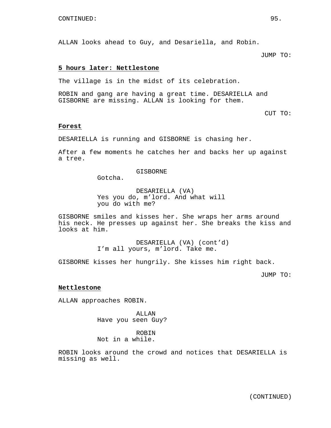ALLAN looks ahead to Guy, and Desariella, and Robin.

JUMP TO:

# **5 hours later: Nettlestone**

The village is in the midst of its celebration.

ROBIN and gang are having a great time. DESARIELLA and GISBORNE are missing. ALLAN is looking for them.

CUT TO:

## **Forest**

DESARIELLA is running and GISBORNE is chasing her.

After a few moments he catches her and backs her up against a tree.

#### **GISBORNE**

Gotcha.

DESARIELLA (VA) Yes you do, m'lord. And what will you do with me?

GISBORNE smiles and kisses her. She wraps her arms around his neck. He presses up against her. She breaks the kiss and looks at him.

> DESARIELLA (VA) (cont'd) I'm all yours, m'lord. Take me.

GISBORNE kisses her hungrily. She kisses him right back.

JUMP TO:

#### **Nettlestone**

ALLAN approaches ROBIN.

ALLAN Have you seen Guy?

ROBIN Not in a while.

ROBIN looks around the crowd and notices that DESARIELLA is missing as well.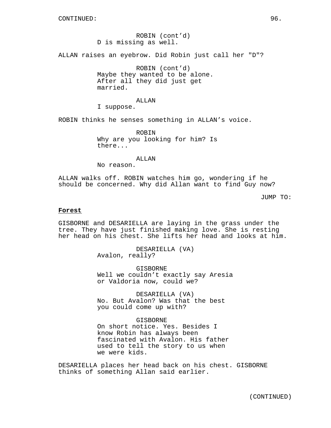ROBIN (cont'd) D is missing as well.

ALLAN raises an eyebrow. Did Robin just call her "D"?

ROBIN (cont'd) Maybe they wanted to be alone. After all they did just get married.

#### ALLAN

I suppose.

ROBIN thinks he senses something in ALLAN's voice.

ROBIN Why are you looking for him? Is there...

ALLAN

No reason.

ALLAN walks off. ROBIN watches him go, wondering if he should be concerned. Why did Allan want to find Guy now?

JUMP TO:

#### **Forest**

GISBORNE and DESARIELLA are laying in the grass under the tree. They have just finished making love. She is resting her head on his chest. She lifts her head and looks at him.

> DESARIELLA (VA) Avalon, really?

GISBORNE Well we couldn't exactly say Aresia or Valdoria now, could we?

DESARIELLA (VA) No. But Avalon? Was that the best you could come up with?

# GISBORNE

On short notice. Yes. Besides I know Robin has always been fascinated with Avalon. His father used to tell the story to us when we were kids.

DESARIELLA places her head back on his chest. GISBORNE thinks of something Allan said earlier.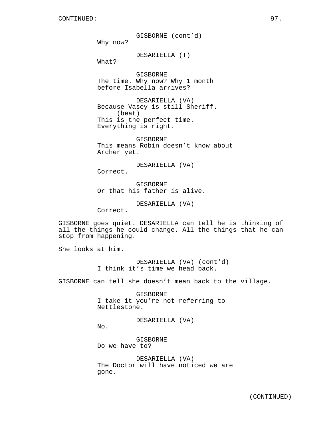GISBORNE (cont'd) Why now?

DESARIELLA (T)

What?

GISBORNE The time. Why now? Why 1 month before Isabella arrives?

DESARIELLA (VA) Because Vasey is still Sheriff. (beat) This is the perfect time. Everything is right.

GISBORNE This means Robin doesn't know about Archer yet.

DESARIELLA (VA) Correct.

GISBORNE Or that his father is alive.

DESARIELLA (VA)

Correct.

GISBORNE goes quiet. DESARIELLA can tell he is thinking of all the things he could change. All the things that he can stop from happening.

She looks at him.

DESARIELLA (VA) (cont'd) I think it's time we head back.

GISBORNE can tell she doesn't mean back to the village.

GISBORNE I take it you're not referring to Nettlestone.

DESARIELLA (VA)

No.

GISBORNE Do we have to?

DESARIELLA (VA) The Doctor will have noticed we are gone.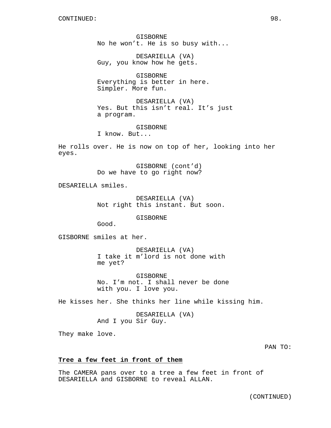GISBORNE No he won't. He is so busy with...

DESARIELLA (VA) Guy, you know how he gets.

GISBORNE Everything is better in here. Simpler. More fun.

DESARIELLA (VA) Yes. But this isn't real. It's just a program.

**GISBORNE** I know. But...

He rolls over. He is now on top of her, looking into her eyes.

> GISBORNE (cont'd) Do we have to go right now?

DESARIELLA smiles.

DESARIELLA (VA) Not right this instant. But soon.

GISBORNE

Good.

GISBORNE smiles at her.

DESARIELLA (VA) I take it m'lord is not done with me yet?

GISBORNE No. I'm not. I shall never be done with you. I love you.

He kisses her. She thinks her line while kissing him.

DESARIELLA (VA) And I you Sir Guy.

They make love.

PAN TO:

# **Tree a few feet in front of them**

The CAMERA pans over to a tree a few feet in front of DESARIELLA and GISBORNE to reveal ALLAN.

(CONTINUED)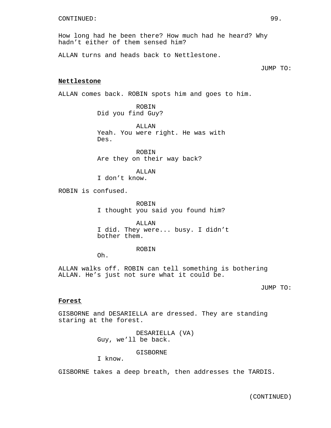How long had he been there? How much had he heard? Why hadn't either of them sensed him?

ALLAN turns and heads back to Nettlestone.

#### JUMP TO:

#### **Nettlestone**

ALLAN comes back. ROBIN spots him and goes to him.

ROBIN Did you find Guy?

ALLAN Yeah. You were right. He was with Des.

ROBIN Are they on their way back?

ALLAN

I don't know.

ROBIN is confused.

ROBIN I thought you said you found him?

ALLAN I did. They were... busy. I didn't bother them.

ROBIN

Oh.

ALLAN walks off. ROBIN can tell something is bothering ALLAN. He's just not sure what it could be.

JUMP TO:

## **Forest**

GISBORNE and DESARIELLA are dressed. They are standing staring at the forest.

> DESARIELLA (VA) Guy, we'll be back.

> > GISBORNE

I know.

GISBORNE takes a deep breath, then addresses the TARDIS.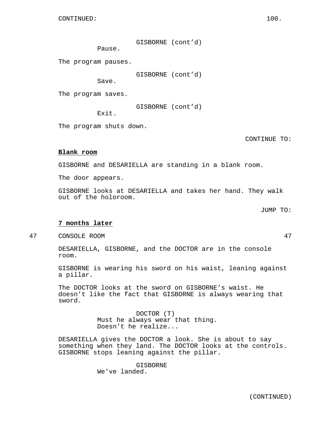GISBORNE (cont'd)

Pause.

The program pauses.

GISBORNE (cont'd)

Save.

The program saves.

GISBORNE (cont'd)

Exit.

The program shuts down.

CONTINUE TO:

## **Blank room**

GISBORNE and DESARIELLA are standing in a blank room.

The door appears.

GISBORNE looks at DESARIELLA and takes her hand. They walk out of the holoroom.

JUMP TO:

## **7 months later**

47 CONSOLE ROOM 47

DESARIELLA, GISBORNE, and the DOCTOR are in the console room.

GISBORNE is wearing his sword on his waist, leaning against a pillar.

The DOCTOR looks at the sword on GISBORNE's waist. He doesn't like the fact that GISBORNE is always wearing that sword.

> DOCTOR (T) Must he always wear that thing. Doesn't he realize...

DESARIELLA gives the DOCTOR a look. She is about to say something when they land. The DOCTOR looks at the controls. GISBORNE stops leaning against the pillar.

> GISBORNE We've landed.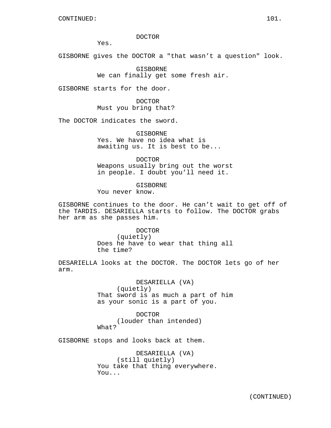#### DOCTOR

Yes.

GISBORNE gives the DOCTOR a "that wasn't a question" look.

GISBORNE We can finally get some fresh air.

GISBORNE starts for the door.

DOCTOR Must you bring that?

The DOCTOR indicates the sword.

GISBORNE Yes. We have no idea what is awaiting us. It is best to be...

DOCTOR Weapons usually bring out the worst in people. I doubt you'll need it.

GISBORNE You never know.

GISBORNE continues to the door. He can't wait to get off of the TARDIS. DESARIELLA starts to follow. The DOCTOR grabs her arm as she passes him.

> DOCTOR (quietly) Does he have to wear that thing all the time?

DESARIELLA looks at the DOCTOR. The DOCTOR lets go of her arm.

> DESARIELLA (VA) (quietly) That sword is as much a part of him as your sonic is a part of you.

DOCTOR (louder than intended) What?

GISBORNE stops and looks back at them.

DESARIELLA (VA) (still quietly) You take that thing everywhere. You...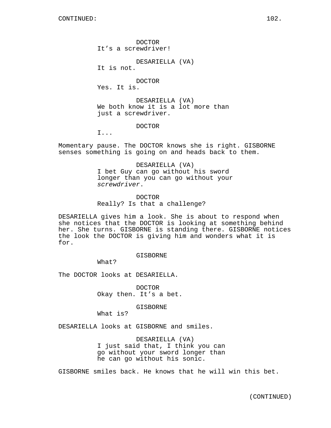CONTINUED: 102.

DOCTOR It's a screwdriver!

DESARIELLA (VA)

It is not.

DOCTOR

Yes. It is.

DESARIELLA (VA) We both know it is a lot more than just a screwdriver.

DOCTOR

I...

Momentary pause. The DOCTOR knows she is right. GISBORNE senses something is going on and heads back to them.

> DESARIELLA (VA) I bet Guy can go without his sword longer than you can go without your screwdriver.

DOCTOR Really? Is that a challenge?

DESARIELLA gives him a look. She is about to respond when she notices that the DOCTOR is looking at something behind her. She turns. GISBORNE is standing there. GISBORNE notices the look the DOCTOR is giving him and wonders what it is for.

GISBORNE

What?

The DOCTOR looks at DESARIELLA.

DOCTOR Okay then. It's a bet.

GISBORNE

What is?

DESARIELLA looks at GISBORNE and smiles.

DESARIELLA (VA) I just said that, I think you can go without your sword longer than he can go without his sonic.

GISBORNE smiles back. He knows that he will win this bet.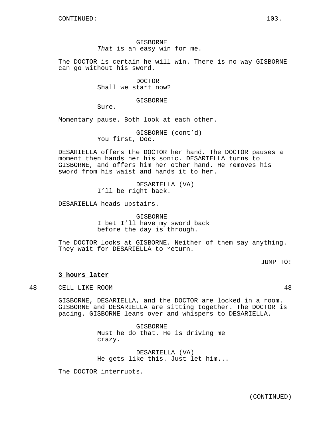GISBORNE That is an easy win for me.

The DOCTOR is certain he will win. There is no way GISBORNE can go without his sword.

> DOCTOR Shall we start now?

> > GISBORNE

Sure.

Momentary pause. Both look at each other.

GISBORNE (cont'd) You first, Doc.

DESARIELLA offers the DOCTOR her hand. The DOCTOR pauses a moment then hands her his sonic. DESARIELLA turns to GISBORNE, and offers him her other hand. He removes his sword from his waist and hands it to her.

> DESARIELLA (VA) I'll be right back.

DESARIELLA heads upstairs.

GISBORNE I bet I'll have my sword back before the day is through.

The DOCTOR looks at GISBORNE. Neither of them say anything. They wait for DESARIELLA to return.

JUMP TO:

## **3 hours later**

48 CELL LIKE ROOM 48

GISBORNE, DESARIELLA, and the DOCTOR are locked in a room. GISBORNE and DESARIELLA are sitting together. The DOCTOR is pacing. GISBORNE leans over and whispers to DESARIELLA.

> GISBORNE Must he do that. He is driving me crazy.

DESARIELLA (VA) He gets like this. Just let him...

The DOCTOR interrupts.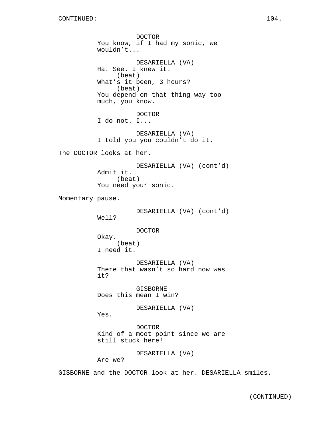DOCTOR You know, if I had my sonic, we wouldn't... DESARIELLA (VA) Ha. See. I knew it. (beat) What's it been, 3 hours? (beat) You depend on that thing way too much, you know. DOCTOR I do not. I... DESARIELLA (VA) I told you you couldn't do it. The DOCTOR looks at her. DESARIELLA (VA) (cont'd) Admit it. (beat) You need your sonic. Momentary pause. DESARIELLA (VA) (cont'd) Well? DOCTOR Okay. (beat) I need it. DESARIELLA (VA) There that wasn't so hard now was it? GISBORNE Does this mean I win? DESARIELLA (VA) Yes. DOCTOR Kind of a moot point since we are still stuck here! DESARIELLA (VA) Are we?

GISBORNE and the DOCTOR look at her. DESARIELLA smiles.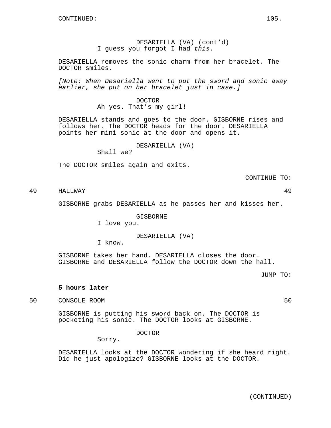DESARIELLA (VA) (cont'd) I guess you forgot I had this.

DESARIELLA removes the sonic charm from her bracelet. The DOCTOR smiles.

[Note: When Desariella went to put the sword and sonic away earlier, she put on her bracelet just in case.]

> DOCTOR Ah yes. That's my girl!

DESARIELLA stands and goes to the door. GISBORNE rises and follows her. The DOCTOR heads for the door. DESARIELLA points her mini sonic at the door and opens it.

DESARIELLA (VA)

Shall we?

The DOCTOR smiles again and exits.

CONTINUE TO:

49 HALLWAY 49

GISBORNE grabs DESARIELLA as he passes her and kisses her.

GISBORNE

I love you.

DESARIELLA (VA)

I know.

GISBORNE takes her hand. DESARIELLA closes the door. GISBORNE and DESARIELLA follow the DOCTOR down the hall.

JUMP TO:

## **5 hours later**

50 CONSOLE ROOM 50

GISBORNE is putting his sword back on. The DOCTOR is pocketing his sonic. The DOCTOR looks at GISBORNE.

DOCTOR

Sorry.

DESARIELLA looks at the DOCTOR wondering if she heard right. Did he just apologize? GISBORNE looks at the DOCTOR.

(CONTINUED)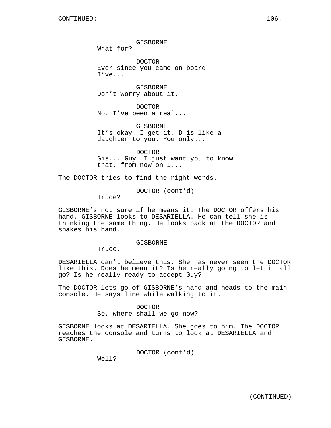GISBORNE

What for?

DOCTOR Ever since you came on board I've...

GISBORNE Don't worry about it.

DOCTOR No. I've been a real...

GISBORNE It's okay. I get it. D is like a daughter to you. You only...

DOCTOR Gis... Guy. I just want you to know that, from now on I...

The DOCTOR tries to find the right words.

DOCTOR (cont'd)

Truce?

GISBORNE's not sure if he means it. The DOCTOR offers his hand. GISBORNE looks to DESARIELLA. He can tell she is thinking the same thing. He looks back at the DOCTOR and shakes his hand.

#### GISBORNE

Truce.

DESARIELLA can't believe this. She has never seen the DOCTOR like this. Does he mean it? Is he really going to let it all go? Is he really ready to accept Guy?

The DOCTOR lets go of GISBORNE's hand and heads to the main console. He says line while walking to it.

#### DOCTOR

So, where shall we go now?

GISBORNE looks at DESARIELLA. She goes to him. The DOCTOR reaches the console and turns to look at DESARIELLA and GISBORNE.

DOCTOR (cont'd)

Well?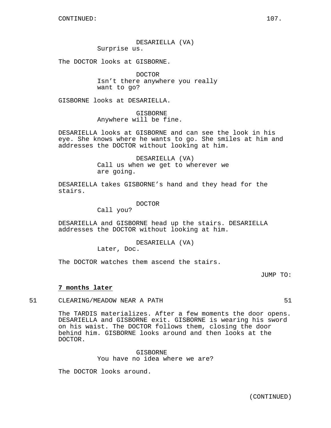DESARIELLA (VA) Surprise us.

The DOCTOR looks at GISBORNE.

DOCTOR Isn't there anywhere you really want to go?

GISBORNE looks at DESARIELLA.

GISBORNE Anywhere will be fine.

DESARIELLA looks at GISBORNE and can see the look in his eye. She knows where he wants to go. She smiles at him and addresses the DOCTOR without looking at him.

> DESARIELLA (VA) Call us when we get to wherever we are going.

DESARIELLA takes GISBORNE's hand and they head for the stairs.

DOCTOR

Call you?

DESARIELLA and GISBORNE head up the stairs. DESARIELLA addresses the DOCTOR without looking at him.

#### DESARIELLA (VA)

Later, Doc.

The DOCTOR watches them ascend the stairs.

JUMP TO:

#### **7 months later**

51 CLEARING/MEADOW NEAR A PATH 51

The TARDIS materializes. After a few moments the door opens. DESARIELLA and GISBORNE exit. GISBORNE is wearing his sword on his waist. The DOCTOR follows them, closing the door behind him. GISBORNE looks around and then looks at the DOCTOR.

> GISBORNE You have no idea where we are?

The DOCTOR looks around.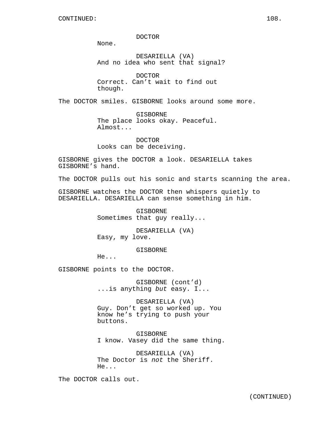DOCTOR

None.

DESARIELLA (VA) And no idea who sent that signal?

DOCTOR Correct. Can't wait to find out though.

The DOCTOR smiles. GISBORNE looks around some more.

GISBORNE The place looks okay. Peaceful. Almost...

DOCTOR Looks can be deceiving.

GISBORNE gives the DOCTOR a look. DESARIELLA takes GISBORNE's hand.

The DOCTOR pulls out his sonic and starts scanning the area.

GISBORNE watches the DOCTOR then whispers quietly to DESARIELLA. DESARIELLA can sense something in him.

> GISBORNE Sometimes that guy really...

DESARIELLA (VA) Easy, my love.

GISBORNE

He...

GISBORNE points to the DOCTOR.

GISBORNE (cont'd) ...is anything but easy. I...

DESARIELLA (VA) Guy. Don't get so worked up. You know he's trying to push your buttons.

GISBORNE I know. Vasey did the same thing.

DESARIELLA (VA) The Doctor is not the Sheriff. He...

The DOCTOR calls out.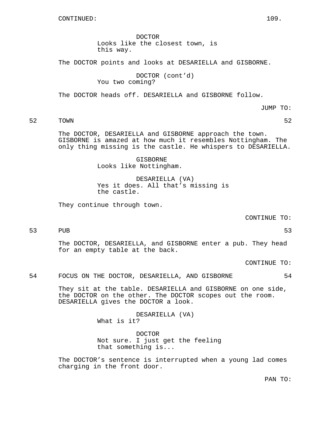DOCTOR Looks like the closest town, is this way.

The DOCTOR points and looks at DESARIELLA and GISBORNE.

DOCTOR (cont'd) You two coming?

The DOCTOR heads off. DESARIELLA and GISBORNE follow.

JUMP TO:

52 TOWN 52

The DOCTOR, DESARIELLA and GISBORNE approach the town. GISBORNE is amazed at how much it resembles Nottingham. The only thing missing is the castle. He whispers to DESARIELLA.

> GISBORNE Looks like Nottingham.

DESARIELLA (VA) Yes it does. All that's missing is the castle.

They continue through town.

CONTINUE TO:

53 PUB 53

The DOCTOR, DESARIELLA, and GISBORNE enter a pub. They head for an empty table at the back.

CONTINUE TO:

# 54 FOCUS ON THE DOCTOR, DESARIELLA, AND GISBORNE 54

They sit at the table. DESARIELLA and GISBORNE on one side, the DOCTOR on the other. The DOCTOR scopes out the room. DESARIELLA gives the DOCTOR a look.

> DESARIELLA (VA) What is it?

DOCTOR Not sure. I just get the feeling that something is...

The DOCTOR's sentence is interrupted when a young lad comes charging in the front door.

PAN TO: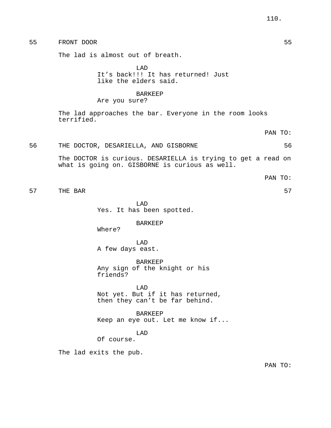55 FRONT DOOR 55

The lad is almost out of breath.

LAD It's back!!! It has returned! Just like the elders said.

# BARKEEP

Are you sure?

The lad approaches the bar. Everyone in the room looks terrified.

# 56 THE DOCTOR, DESARIELLA, AND GISBORNE 56

The DOCTOR is curious. DESARIELLA is trying to get a read on what is going on. GISBORNE is curious as well.

57 THE BAR 57

LAD Yes. It has been spotted.

BARKEEP

Where?

LAD A few days east.

BARKEEP Any sign of the knight or his friends?

LAD Not yet. But if it has returned, then they can't be far behind.

BARKEEP Keep an eye out. Let me know if...

LAD

Of course.

The lad exits the pub.

PAN TO:

PAN TO:

PAN TO: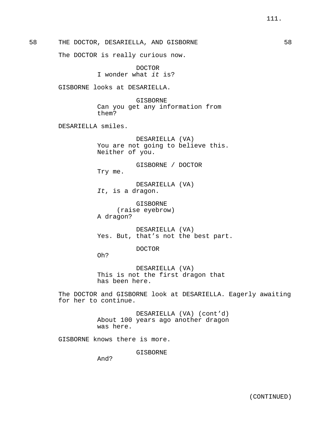58 THE DOCTOR, DESARIELLA, AND GISBORNE 58

The DOCTOR is really curious now.

DOCTOR I wonder what it is?

GISBORNE looks at DESARIELLA.

GISBORNE Can you get any information from them?

DESARIELLA smiles.

DESARIELLA (VA) You are not going to believe this. Neither of you.

GISBORNE / DOCTOR Try me.

DESARIELLA (VA) It, is a dragon.

GISBORNE (raise eyebrow) A dragon?

DESARIELLA (VA) Yes. But, that's not the best part.

DOCTOR

Oh?

DESARIELLA (VA) This is not the first dragon that has been here.

The DOCTOR and GISBORNE look at DESARIELLA. Eagerly awaiting for her to continue.

> DESARIELLA (VA) (cont'd) About 100 years ago another dragon was here.

GISBORNE knows there is more.

GISBORNE

And?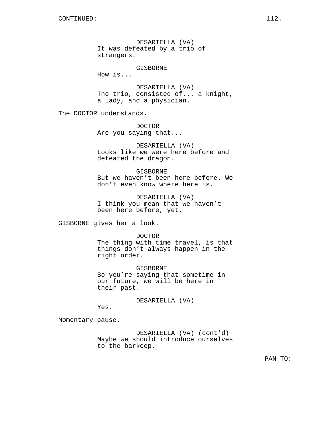DESARIELLA (VA) It was defeated by a trio of strangers.

GISBORNE

How is...

DESARIELLA (VA) The trio, consisted of... a knight, a lady, and a physician.

The DOCTOR understands.

DOCTOR Are you saying that...

DESARIELLA (VA) Looks like we were here before and defeated the dragon.

GISBORNE But we haven't been here before. We don't even know where here is.

DESARIELLA (VA) I think you mean that we haven't been here before, yet.

GISBORNE gives her a look.

DOCTOR

The thing with time travel, is that things don't always happen in the right order.

GISBORNE So you're saying that sometime in our future, we will be here in their past.

DESARIELLA (VA)

Yes.

Momentary pause.

DESARIELLA (VA) (cont'd) Maybe we should introduce ourselves to the barkeep.

PAN TO: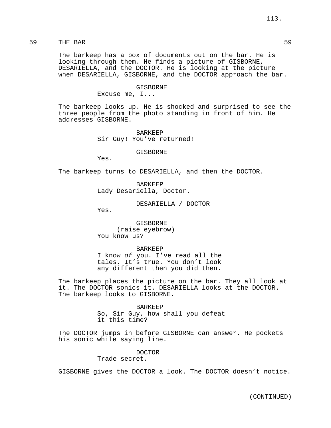The barkeep has a box of documents out on the bar. He is looking through them. He finds a picture of GISBORNE, DESARIELLA, and the DOCTOR. He is looking at the picture when DESARIELLA, GISBORNE, and the DOCTOR approach the bar.

#### GISBORNE

Excuse me, I...

The barkeep looks up. He is shocked and surprised to see the three people from the photo standing in front of him. He addresses GISBORNE.

> BARKEEP Sir Guy! You've returned!

> > GISBORNE

Yes.

The barkeep turns to DESARIELLA, and then the DOCTOR.

BARKEEP Lady Desariella, Doctor.

DESARIELLA / DOCTOR

Yes.

GISBORNE (raise eyebrow) You know us?

#### BARKEEP

I know of you. I've read all the tales. It's true. You don't look any different then you did then.

The barkeep places the picture on the bar. They all look at it. The DOCTOR sonics it. DESARIELLA looks at the DOCTOR. The barkeep looks to GISBORNE.

> BARKEEP So, Sir Guy, how shall you defeat it this time?

The DOCTOR jumps in before GISBORNE can answer. He pockets his sonic while saying line.

> DOCTOR Trade secret.

GISBORNE gives the DOCTOR a look. The DOCTOR doesn't notice.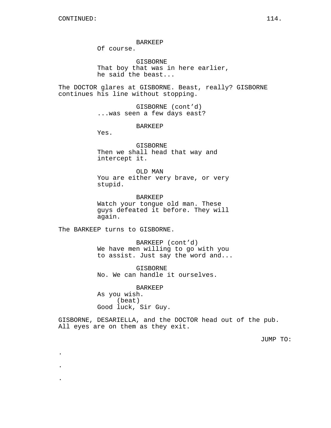BARKEEP

Of course.

GISBORNE That boy that was in here earlier, he said the beast...

The DOCTOR glares at GISBORNE. Beast, really? GISBORNE continues his line without stopping.

> GISBORNE (cont'd) ...was seen a few days east?

> > BARKEEP

Yes.

GISBORNE Then we shall head that way and intercept it.

OLD MAN You are either very brave, or very stupid.

BARKEEP Watch your tongue old man. These guys defeated it before. They will again.

The BARKEEP turns to GISBORNE.

.

.

.

BARKEEP (cont'd) We have men willing to go with you to assist. Just say the word and...

GISBORNE No. We can handle it ourselves.

BARKEEP As you wish. (beat) Good luck, Sir Guy.

GISBORNE, DESARIELLA, and the DOCTOR head out of the pub. All eyes are on them as they exit.

JUMP TO: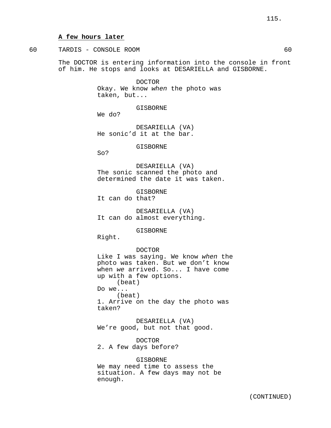#### **A few hours later**

60 TARDIS - CONSOLE ROOM 60 The DOCTOR is entering information into the console in front

of him. He stops and looks at DESARIELLA and GISBORNE.

DOCTOR Okay. We know when the photo was taken, but...

GISBORNE

We do?

DESARIELLA (VA) He sonic'd it at the bar.

GISBORNE

So?

DESARIELLA (VA) The sonic scanned the photo and determined the date it was taken.

GISBORNE It can do that?

DESARIELLA (VA) It can do almost everything.

GISBORNE

Right.

DOCTOR

Like I was saying. We know when the photo was taken. But we don't know when we arrived. So... I have come up with a few options. (beat) Do we... (beat) 1. Arrive on the day the photo was taken?

DESARIELLA (VA) We're good, but not that good.

DOCTOR 2. A few days before?

GISBORNE We may need time to assess the situation. A few days may not be enough.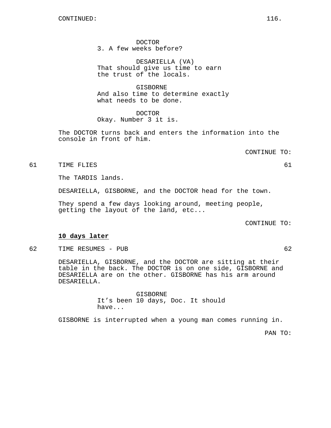DOCTOR 3. A few weeks before?

DESARIELLA (VA) That should give us time to earn the trust of the locals.

**GISBORNE** And also time to determine exactly what needs to be done.

DOCTOR Okay. Number 3 it is.

The DOCTOR turns back and enters the information into the console in front of him.

CONTINUE TO:

61 TIME FLIES 61

The TARDIS lands.

DESARIELLA, GISBORNE, and the DOCTOR head for the town.

They spend a few days looking around, meeting people, getting the layout of the land, etc...

CONTINUE TO:

#### **10 days later**

62 TIME RESUMES - PUB 62

DESARIELLA, GISBORNE, and the DOCTOR are sitting at their table in the back. The DOCTOR is on one side, GISBORNE and DESARIELLA are on the other. GISBORNE has his arm around DESARIELLA.

> GISBORNE It's been 10 days, Doc. It should have...

GISBORNE is interrupted when a young man comes running in.

PAN TO: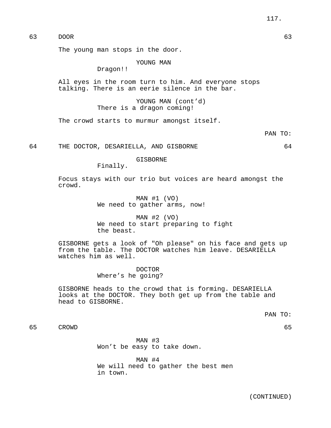63 DOOR 63

The young man stops in the door.

YOUNG MAN

Dragon!!

All eyes in the room turn to him. And everyone stops talking. There is an eerie silence in the bar.

> YOUNG MAN (cont'd) There is a dragon coming!

The crowd starts to murmur amongst itself.

PAN TO:

64 THE DOCTOR, DESARIELLA, AND GISBORNE 64

GISBORNE

Finally.

Focus stays with our trio but voices are heard amongst the crowd.

> MAN #1 (VO) We need to gather arms, now!

MAN #2 (VO) We need to start preparing to fight the beast.

GISBORNE gets a look of "Oh please" on his face and gets up from the table. The DOCTOR watches him leave. DESARIELLA watches him as well.

> DOCTOR Where's he going?

GISBORNE heads to the crowd that is forming. DESARIELLA looks at the DOCTOR. They both get up from the table and head to GISBORNE.

PAN TO:

65 CROWD 65

MAN #3 Won't be easy to take down.

MAN #4 We will need to gather the best men in town.

(CONTINUED)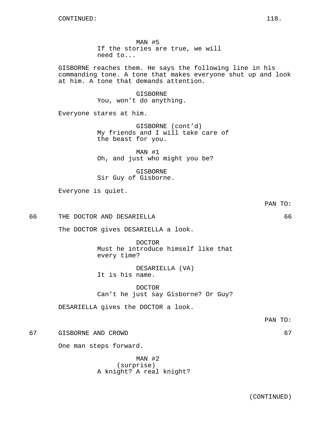MAN #5 If the stories are true, we will need to...

GISBORNE reaches them. He says the following line in his commanding tone. A tone that makes everyone shut up and look at him. A tone that demands attention.

> GISBORNE You, won't do anything.

Everyone stares at him.

GISBORNE (cont'd) My friends and I will take care of the beast for you.

MAN #1 Oh, and just who might you be?

GISBORNE Sir Guy of Gisborne.

Everyone is quiet.

66 THE DOCTOR AND DESARIELLA 66

The DOCTOR gives DESARIELLA a look.

DOCTOR Must he introduce himself like that every time?

DESARIELLA (VA) It is his name.

DOCTOR Can't he just say Gisborne? Or Guy?

DESARIELLA gives the DOCTOR a look.

PAN TO:

PAN TO:

67 GISBORNE AND CROWD 67

One man steps forward.

MAN #2 (surprise) A knight? A real knight?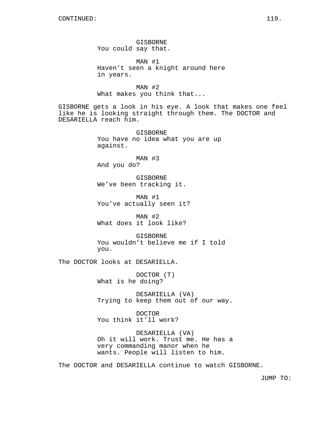GISBORNE You could say that.

MAN #1 Haven't seen a knight around here in years.

MAN #2 What makes you think that...

GISBORNE gets a look in his eye. A look that makes one feel like he is looking straight through them. The DOCTOR and DESARIELLA reach him.

> GISBORNE You have no idea what you are up against.

MAN #3 And you do?

GISBORNE We've been tracking it.

MAN #1 You've actually seen it?

MAN #2 What does it look like?

GISBORNE You wouldn't believe me if I told you.

The DOCTOR looks at DESARIELLA.

DOCTOR (T) What is he doing?

DESARIELLA (VA) Trying to keep them out of our way.

DOCTOR You think it'll work?

DESARIELLA (VA) Oh it will work. Trust me. He has a very commanding manor when he wants. People will listen to him.

The DOCTOR and DESARIELLA continue to watch GISBORNE.

JUMP TO: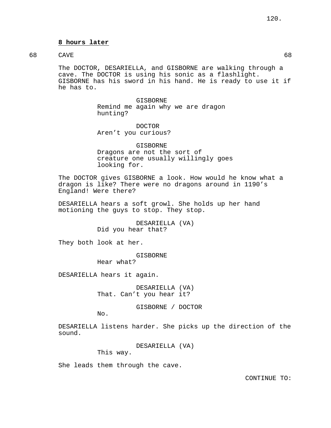# **8 hours later**

# 68 CAVE 68

The DOCTOR, DESARIELLA, and GISBORNE are walking through a cave. The DOCTOR is using his sonic as a flashlight. GISBORNE has his sword in his hand. He is ready to use it if he has to.

> GISBORNE Remind me again why we are dragon hunting?

DOCTOR Aren't you curious?

GISBORNE Dragons are not the sort of creature one usually willingly goes looking for.

The DOCTOR gives GISBORNE a look. How would he know what a dragon is like? There were no dragons around in 1190's England! Were there?

DESARIELLA hears a soft growl. She holds up her hand motioning the guys to stop. They stop.

> DESARIELLA (VA) Did you hear that?

They both look at her.

GISBORNE

Hear what?

DESARIELLA hears it again.

DESARIELLA (VA) That. Can't you hear it?

GISBORNE / DOCTOR

No.

DESARIELLA listens harder. She picks up the direction of the sound.

DESARIELLA (VA)

This way.

She leads them through the cave.

CONTINUE TO: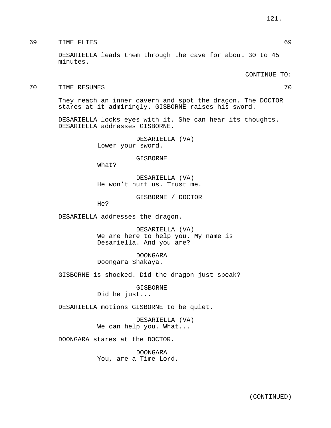69 TIME FLIES 69

DESARIELLA leads them through the cave for about 30 to 45 minutes.

CONTINUE TO:

70 TIME RESUMES 70

They reach an inner cavern and spot the dragon. The DOCTOR stares at it admiringly. GISBORNE raises his sword.

DESARIELLA locks eyes with it. She can hear its thoughts. DESARIELLA addresses GISBORNE.

> DESARIELLA (VA) Lower your sword.

> > GISBORNE

What?

DESARIELLA (VA) He won't hurt us. Trust me.

GISBORNE / DOCTOR

He?

DESARIELLA addresses the dragon.

DESARIELLA (VA) We are here to help you. My name is Desariella. And you are?

DOONGARA Doongara Shakaya.

GISBORNE is shocked. Did the dragon just speak?

GISBORNE Did he just...

DESARIELLA motions GISBORNE to be quiet.

DESARIELLA (VA) We can help you. What...

DOONGARA stares at the DOCTOR.

DOONGARA You, are a Time Lord.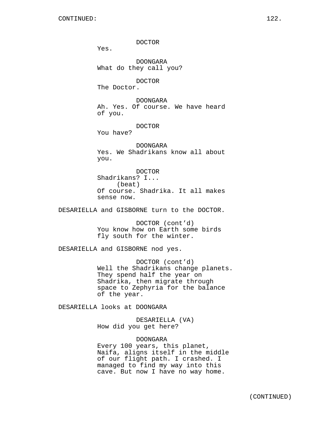DOCTOR Yes. DOONGARA What do they call you? DOCTOR The Doctor. DOONGARA Ah. Yes. Of course. We have heard of you. DOCTOR You have? DOONGARA Yes. We Shadrikans know all about you. DOCTOR Shadrikans? I... (beat) Of course. Shadrika. It all makes sense now. DESARIELLA and GISBORNE turn to the DOCTOR. DOCTOR (cont'd) You know how on Earth some birds fly south for the winter. DESARIELLA and GISBORNE nod yes. DOCTOR (cont'd) Well the Shadrikans change planets. They spend half the year on Shadrika, then migrate through space to Zephyria for the balance

DESARIELLA looks at DOONGARA

of the year.

DESARIELLA (VA) How did you get here?

DOONGARA Every 100 years, this planet, Naifa, aligns itself in the middle of our flight path. I crashed. I managed to find my way into this cave. But now I have no way home.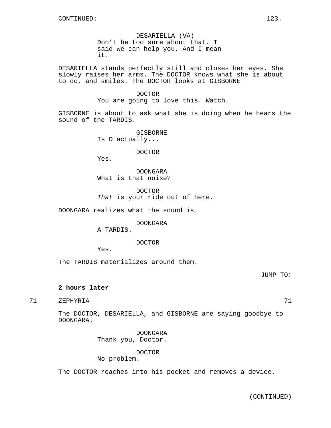DESARIELLA (VA) Don't be too sure about that. I said we can help you. And I mean it.

DESARIELLA stands perfectly still and closes her eyes. She slowly raises her arms. The DOCTOR knows what she is about to do, and smiles. The DOCTOR looks at GISBORNE

# DOCTOR

You are going to love this. Watch.

GISBORNE is about to ask what she is doing when he hears the sound of the TARDIS.

> GISBORNE Is D actually...

> > DOCTOR

Yes.

DOONGARA What is that noise?

DOCTOR That is your ride out of here.

DOONGARA realizes what the sound is.

DOONGARA

A TARDIS.

DOCTOR

Yes.

The TARDIS materializes around them.

JUMP TO:

# **2 hours later**

71 ZEPHYRIA 71

The DOCTOR, DESARIELLA, and GISBORNE are saying goodbye to DOONGARA.

> DOONGARA Thank you, Doctor.

> > DOCTOR

No problem.

The DOCTOR reaches into his pocket and removes a device.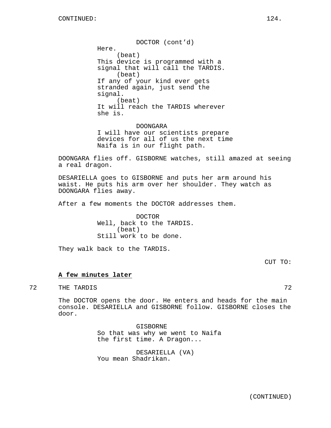DOCTOR (cont'd) Here. (beat) This device is programmed with a signal that will call the TARDIS. (beat) If any of your kind ever gets stranded again, just send the signal. (beat) It will reach the TARDIS wherever she is.

DOONGARA I will have our scientists prepare devices for all of us the next time Naifa is in our flight path.

DOONGARA flies off. GISBORNE watches, still amazed at seeing a real dragon.

DESARIELLA goes to GISBORNE and puts her arm around his waist. He puts his arm over her shoulder. They watch as DOONGARA flies away.

After a few moments the DOCTOR addresses them.

DOCTOR Well, back to the TARDIS. (beat) Still work to be done.

They walk back to the TARDIS.

CUT TO:

#### **A few minutes later**

72 THE TARDIS 72

The DOCTOR opens the door. He enters and heads for the main console. DESARIELLA and GISBORNE follow. GISBORNE closes the door.

> GISBORNE So that was why we went to Naifa the first time. A Dragon...

DESARIELLA (VA) You mean Shadrikan.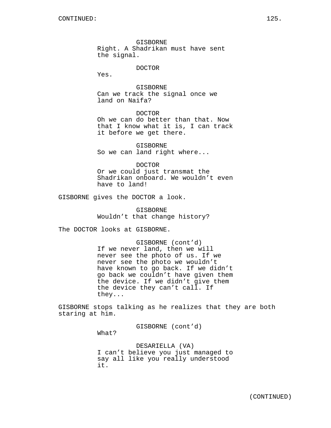GISBORNE Right. A Shadrikan must have sent the signal.

#### DOCTOR

Yes.

GISBORNE Can we track the signal once we land on Naifa?

DOCTOR Oh we can do better than that. Now that I know what it is, I can track it before we get there.

GISBORNE So we can land right where...

DOCTOR Or we could just transmat the Shadrikan onboard. We wouldn't even have to land!

GISBORNE gives the DOCTOR a look.

GISBORNE Wouldn't that change history?

The DOCTOR looks at GISBORNE.

GISBORNE (cont'd) If we never land, then we will never see the photo of us. If we never see the photo we wouldn't have known to go back. If we didn't go back we couldn't have given them the device. If we didn't give them the device they can't call. If they...

GISBORNE stops talking as he realizes that they are both staring at him.

GISBORNE (cont'd)

What?

DESARIELLA (VA) I can't believe you just managed to say all like you really understood it.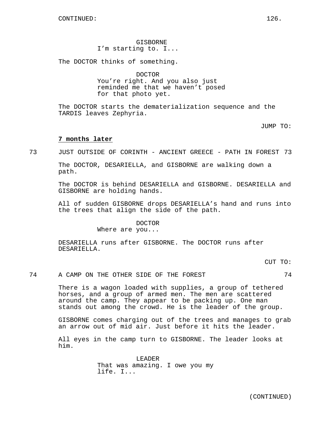GISBORNE I'm starting to. I...

The DOCTOR thinks of something.

#### DOCTOR

You're right. And you also just reminded me that we haven't posed for that photo yet.

The DOCTOR starts the dematerialization sequence and the TARDIS leaves Zephyria.

JUMP TO:

#### **7 months later**

73 JUST OUTSIDE OF CORINTH - ANCIENT GREECE - PATH IN FOREST 73

The DOCTOR, DESARIELLA, and GISBORNE are walking down a path.

The DOCTOR is behind DESARIELLA and GISBORNE. DESARIELLA and GISBORNE are holding hands.

All of sudden GISBORNE drops DESARIELLA's hand and runs into the trees that align the side of the path.

#### DOCTOR

Where are you...

DESARIELLA runs after GISBORNE. The DOCTOR runs after DESARIELLA.

CUT TO:

74 A CAMP ON THE OTHER SIDE OF THE FOREST 674

There is a wagon loaded with supplies, a group of tethered horses, and a group of armed men. The men are scattered around the camp. They appear to be packing up. One man stands out among the crowd. He is the leader of the group.

GISBORNE comes charging out of the trees and manages to grab an arrow out of mid air. Just before it hits the leader.

All eyes in the camp turn to GISBORNE. The leader looks at him.

> LEADER That was amazing. I owe you my life. I...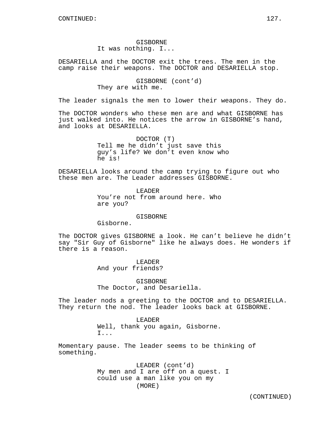GISBORNE It was nothing. I...

DESARIELLA and the DOCTOR exit the trees. The men in the camp raise their weapons. The DOCTOR and DESARIELLA stop.

> GISBORNE (cont'd) They are with me.

The leader signals the men to lower their weapons. They do.

The DOCTOR wonders who these men are and what GISBORNE has just walked into. He notices the arrow in GISBORNE's hand, and looks at DESARIELLA.

> DOCTOR (T) Tell me he didn't just save this guy's life? We don't even know who he is!

DESARIELLA looks around the camp trying to figure out who these men are. The Leader addresses GISBORNE.

> LEADER You're not from around here. Who are you?

#### GISBORNE

Gisborne.

The DOCTOR gives GISBORNE a look. He can't believe he didn't say "Sir Guy of Gisborne" like he always does. He wonders if there is a reason.

> LEADER And your friends?

GISBORNE The Doctor, and Desariella.

The leader nods a greeting to the DOCTOR and to DESARIELLA. They return the nod. The leader looks back at GISBORNE.

> LEADER Well, thank you again, Gisborne. I...

Momentary pause. The leader seems to be thinking of something.

> LEADER (cont'd) My men and I are off on a quest. I could use a man like you on my (MORE)

> > (CONTINUED)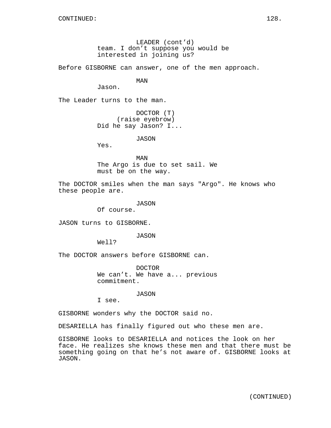LEADER (cont'd) team. I don't suppose you would be interested in joining us?

Before GISBORNE can answer, one of the men approach.

MAN

Jason.

The Leader turns to the man.

DOCTOR (T) (raise eyebrow) Did he say Jason? I...

JASON

Yes.

MAN The Argo is due to set sail. We must be on the way.

The DOCTOR smiles when the man says "Argo". He knows who these people are.

JASON

Of course.

JASON turns to GISBORNE.

JASON

Well?

The DOCTOR answers before GISBORNE can.

DOCTOR We can't. We have a... previous commitment.

JASON

I see.

GISBORNE wonders why the DOCTOR said no.

DESARIELLA has finally figured out who these men are.

GISBORNE looks to DESARIELLA and notices the look on her face. He realizes she knows these men and that there must be something going on that he's not aware of. GISBORNE looks at JASON.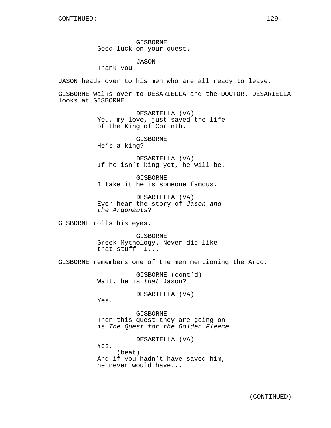GISBORNE Good luck on your quest.

JASON

Thank you.

JASON heads over to his men who are all ready to leave.

GISBORNE walks over to DESARIELLA and the DOCTOR. DESARIELLA looks at GISBORNE.

> DESARIELLA (VA) You, my love, just saved the life of the King of Corinth.

> > GISBORNE

He's a king?

DESARIELLA (VA) If he isn't king yet, he will be.

GISBORNE I take it he is someone famous.

DESARIELLA (VA) Ever hear the story of Jason and the Argonauts?

GISBORNE rolls his eyes.

GISBORNE Greek Mythology. Never did like that stuff. I...

GISBORNE remembers one of the men mentioning the Argo.

GISBORNE (cont'd) Wait, he is that Jason?

DESARIELLA (VA)

Yes.

GISBORNE Then this quest they are going on is The Quest for the Golden Fleece.

DESARIELLA (VA)

Yes.

(beat) And if you hadn't have saved him, he never would have...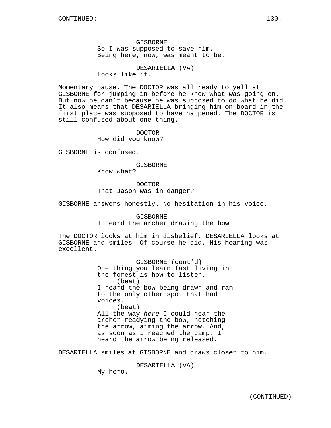GISBORNE So I was supposed to save him. Being here, now, was meant to be.

DESARIELLA (VA) Looks like it.

Momentary pause. The DOCTOR was all ready to yell at GISBORNE for jumping in before he knew what was going on. But now he can't because he was supposed to do what he did. It also means that DESARIELLA bringing him on board in the first place was supposed to have happened. The DOCTOR is still confused about one thing.

> DOCTOR How did you know?

GISBORNE is confused.

GISBORNE

Know what?

DOCTOR That Jason was in danger?

GISBORNE answers honestly. No hesitation in his voice.

GISBORNE I heard the archer drawing the bow.

The DOCTOR looks at him in disbelief. DESARIELLA looks at GISBORNE and smiles. Of course he did. His hearing was excellent.

> GISBORNE (cont'd) One thing you learn fast living in the forest is how to listen. (beat) I heard the bow being drawn and ran to the only other spot that had voices. (beat) All the way here I could hear the archer readying the bow, notching the arrow, aiming the arrow. And, as soon as I reached the camp, I heard the arrow being released.

DESARIELLA smiles at GISBORNE and draws closer to him.

DESARIELLA (VA)

My hero.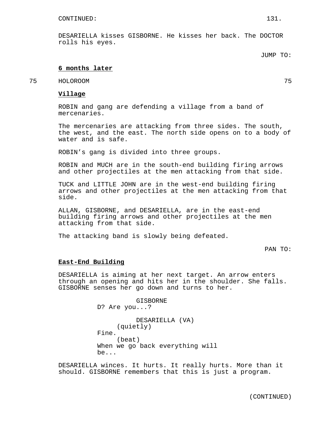DESARIELLA kisses GISBORNE. He kisses her back. The DOCTOR rolls his eyes.

# **6 months later**

# 75 HOLOROOM 75

#### **Village**

ROBIN and gang are defending a village from a band of mercenaries.

The mercenaries are attacking from three sides. The south, the west, and the east. The north side opens on to a body of water and is safe.

ROBIN's gang is divided into three groups.

ROBIN and MUCH are in the south-end building firing arrows and other projectiles at the men attacking from that side.

TUCK and LITTLE JOHN are in the west-end building firing arrows and other projectiles at the men attacking from that side.

ALLAN, GISBORNE, and DESARIELLA, are in the east-end building firing arrows and other projectiles at the men attacking from that side.

The attacking band is slowly being defeated.

#### PAN TO:

#### **East-End Building**

DESARIELLA is aiming at her next target. An arrow enters through an opening and hits her in the shoulder. She falls. GISBORNE senses her go down and turns to her.

> GISBORNE D? Are you...? DESARIELLA (VA) (quietly) Fine. (beat) When we go back everything will be...

DESARIELLA winces. It hurts. It really hurts. More than it should. GISBORNE remembers that this is just a program.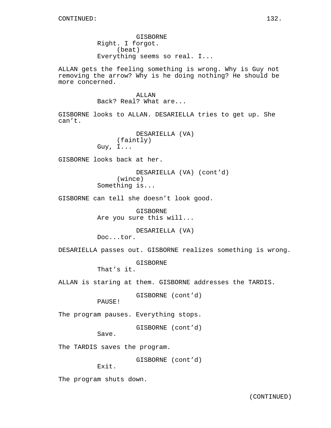GISBORNE Right. I forgot. (beat) Everything seems so real. I...

ALLAN gets the feeling something is wrong. Why is Guy not removing the arrow? Why is he doing nothing? He should be more concerned.

> ALLAN Back? Real? What are...

GISBORNE looks to ALLAN. DESARIELLA tries to get up. She can't.

> DESARIELLA (VA) (faintly) Guy, I...

GISBORNE looks back at her.

DESARIELLA (VA) (cont'd) (wince) Something is...

GISBORNE can tell she doesn't look good.

GISBORNE Are you sure this will...

DESARIELLA (VA) Doc...tor.

DESARIELLA passes out. GISBORNE realizes something is wrong.

GISBORNE

That's it.

ALLAN is staring at them. GISBORNE addresses the TARDIS.

GISBORNE (cont'd)

PAUSE!

The program pauses. Everything stops.

GISBORNE (cont'd)

Save.

The TARDIS saves the program.

GISBORNE (cont'd)

Exit.

The program shuts down.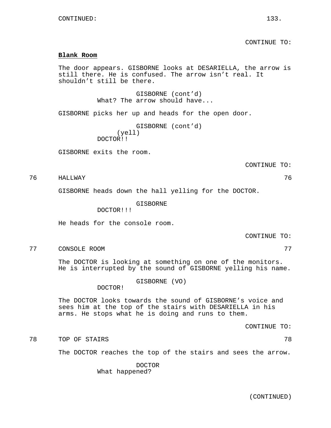CONTINUE TO:

#### **Blank Room**

The door appears. GISBORNE looks at DESARIELLA, the arrow is still there. He is confused. The arrow isn't real. It shouldn't still be there.

> GISBORNE (cont'd) What? The arrow should have...

GISBORNE picks her up and heads for the open door.

```
GISBORNE (cont'd)
     (yell)
DOCTOR!!
```
GISBORNE exits the room.

CONTINUE TO:

76 HALLWAY 76

GISBORNE heads down the hall yelling for the DOCTOR.

GISBORNE

DOCTOR!!!

He heads for the console room.

CONTINUE TO:

77 CONSOLE ROOM 77

The DOCTOR is looking at something on one of the monitors. He is interrupted by the sound of GISBORNE yelling his name.

GISBORNE (VO)

DOCTOR!

The DOCTOR looks towards the sound of GISBORNE's voice and sees him at the top of the stairs with DESARIELLA in his arms. He stops what he is doing and runs to them.

CONTINUE TO:

78 TOP OF STAIRS 78

The DOCTOR reaches the top of the stairs and sees the arrow.

DOCTOR What happened?

(CONTINUED)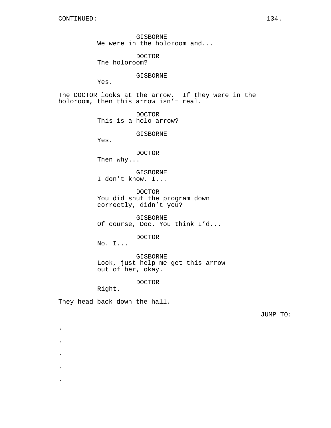GISBORNE We were in the holoroom and...

DOCTOR

The holoroom?

#### GISBORNE

Yes.

The DOCTOR looks at the arrow. If they were in the holoroom, then this arrow isn't real.

> DOCTOR This is a holo-arrow?

> > GISBORNE

Yes.

DOCTOR

Then why...

GISBORNE I don't know. I...

DOCTOR You did shut the program down correctly, didn't you?

GISBORNE Of course, Doc. You think I'd...

DOCTOR

No. I...

GISBORNE Look, just help me get this arrow out of her, okay.

DOCTOR

Right.

.

.

.

.

.

They head back down the hall.

JUMP TO: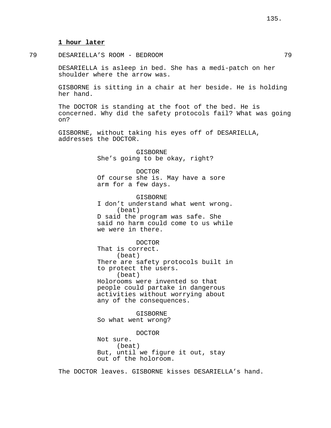#### **1 hour later**

79 DESARIELLA'S ROOM - BEDROOM 79

DESARIELLA is asleep in bed. She has a medi-patch on her shoulder where the arrow was.

GISBORNE is sitting in a chair at her beside. He is holding her hand.

The DOCTOR is standing at the foot of the bed. He is concerned. Why did the safety protocols fail? What was going on?

GISBORNE, without taking his eyes off of DESARIELLA, addresses the DOCTOR.

> GISBORNE She's going to be okay, right?

DOCTOR Of course she is. May have a sore arm for a few days.

GISBORNE I don't understand what went wrong. (beat) D said the program was safe. She said no harm could come to us while we were in there.

DOCTOR That is correct. (beat) There are safety protocols built in to protect the users. (beat) Holorooms were invented so that people could partake in dangerous activities without worrying about

any of the consequences. GISBORNE

So what went wrong?

DOCTOR Not sure. (beat) But, until we figure it out, stay out of the holoroom.

The DOCTOR leaves. GISBORNE kisses DESARIELLA's hand.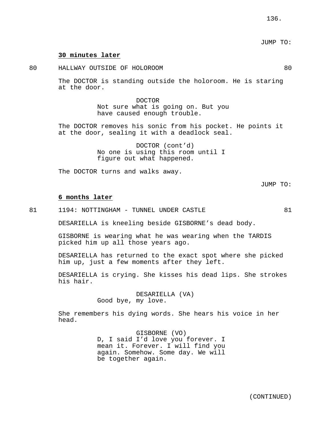# JUMP TO:

#### **30 minutes later**

80 HALLWAY OUTSIDE OF HOLOROOM 80

The DOCTOR is standing outside the holoroom. He is staring at the door.

> DOCTOR Not sure what is going on. But you have caused enough trouble.

The DOCTOR removes his sonic from his pocket. He points it at the door, sealing it with a deadlock seal.

> DOCTOR (cont'd) No one is using this room until I figure out what happened.

The DOCTOR turns and walks away.

JUMP TO:

#### **6 months later**

81 1194: NOTTINGHAM - TUNNEL UNDER CASTLE 31

DESARIELLA is kneeling beside GISBORNE's dead body.

GISBORNE is wearing what he was wearing when the TARDIS picked him up all those years ago.

DESARIELLA has returned to the exact spot where she picked him up, just a few moments after they left.

DESARIELLA is crying. She kisses his dead lips. She strokes his hair.

> DESARIELLA (VA) Good bye, my love.

She remembers his dying words. She hears his voice in her head.

> GISBORNE (VO) D, I said I'd love you forever. I mean it. Forever. I will find you again. Somehow. Some day. We will be together again.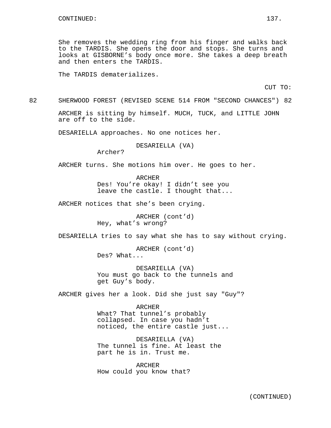She removes the wedding ring from his finger and walks back to the TARDIS. She opens the door and stops. She turns and looks at GISBORNE's body once more. She takes a deep breath and then enters the TARDIS.

The TARDIS dematerializes.

CUT TO:

82 SHERWOOD FOREST (REVISED SCENE 514 FROM "SECOND CHANCES") 82

ARCHER is sitting by himself. MUCH, TUCK, and LITTLE JOHN are off to the side.

DESARIELLA approaches. No one notices her.

DESARIELLA (VA)

Archer?

ARCHER turns. She motions him over. He goes to her.

ARCHER Des! You're okay! I didn't see you leave the castle. I thought that...

ARCHER notices that she's been crying.

ARCHER (cont'd) Hey, what's wrong?

DESARIELLA tries to say what she has to say without crying.

ARCHER (cont'd) Des? What...

DESARIELLA (VA) You must go back to the tunnels and get Guy's body.

ARCHER gives her a look. Did she just say "Guy"?

ARCHER What? That tunnel's probably collapsed. In case you hadn't noticed, the entire castle just...

DESARIELLA (VA) The tunnel is fine. At least the part he is in. Trust me.

ARCHER How could you know that?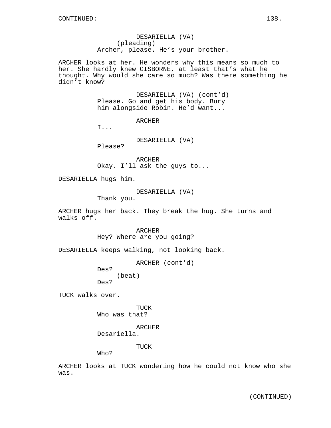DESARIELLA (VA) (pleading) Archer, please. He's your brother.

ARCHER looks at her. He wonders why this means so much to her. She hardly knew GISBORNE, at least that's what he thought. Why would she care so much? Was there something he didn't know?

> DESARIELLA (VA) (cont'd) Please. Go and get his body. Bury him alongside Robin. He'd want...

> > ARCHER

I...

DESARIELLA (VA)

Please?

ARCHER Okay. I'll ask the guys to...

DESARIELLA hugs him.

DESARIELLA (VA)

Thank you.

ARCHER hugs her back. They break the hug. She turns and walks off.

> ARCHER Hey? Where are you going?

DESARIELLA keeps walking, not looking back.

ARCHER (cont'd)

(beat) Des?

Des?

TUCK walks over.

TUCK Who was that?

ARCHER

Desariella.

TUCK

Who?

ARCHER looks at TUCK wondering how he could not know who she was.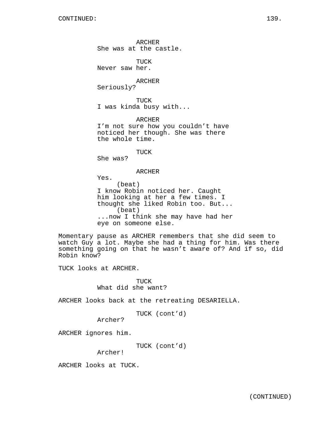ARCHER She was at the castle. TUCK Never saw her. ARCHER Seriously? TUCK I was kinda busy with... ARCHER I'm not sure how you couldn't have noticed her though. She was there the whole time. TUCK She was? ARCHER Yes. (beat) I know Robin noticed her. Caught him looking at her a few times. I thought she liked Robin too. But... (beat)

...now I think she may have had her eye on someone else.

Momentary pause as ARCHER remembers that she did seem to watch Guy a lot. Maybe she had a thing for him. Was there something going on that he wasn't aware of? And if so, did Robin know?

TUCK looks at ARCHER.

TUCK What did she want?

ARCHER looks back at the retreating DESARIELLA.

TUCK (cont'd)

Archer?

ARCHER ignores him.

TUCK (cont'd)

Archer!

ARCHER looks at TUCK.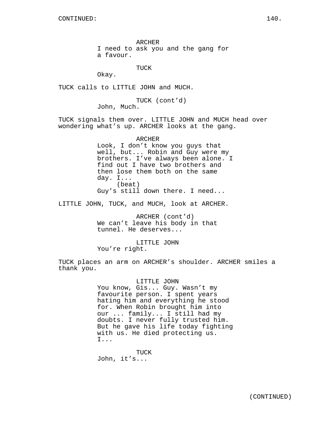ARCHER

I need to ask you and the gang for

a favour.

TUCK

Okay.

TUCK calls to LITTLE JOHN and MUCH.

TUCK (cont'd) John, Much.

TUCK signals them over. LITTLE JOHN and MUCH head over wondering what's up. ARCHER looks at the gang.

> ARCHER Look, I don't know you guys that well, but... Robin and Guy were my brothers. I've always been alone. I find out I have two brothers and then lose them both on the same day. I... (beat) Guy's still down there. I need...

LITTLE JOHN, TUCK, and MUCH, look at ARCHER.

ARCHER (cont'd) We can't leave his body in that tunnel. He deserves...

LITTLE JOHN

You're right.

TUCK places an arm on ARCHER's shoulder. ARCHER smiles a thank you.

#### LITTLE JOHN

You know, Gis... Guy. Wasn't my favourite person. I spent years hating him and everything he stood for. When Robin brought him into our ... family... I still had my doubts. I never fully trusted him. But he gave his life today fighting with us. He died protecting us. I...

TUCK John, it's...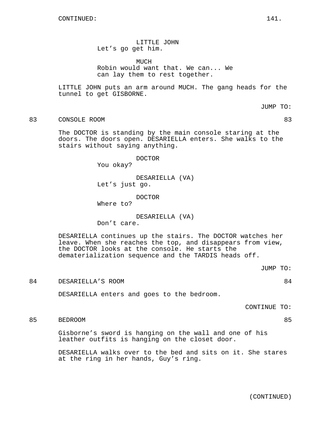LITTLE JOHN Let's go get him.

MUCH

Robin would want that. We can... We can lay them to rest together.

LITTLE JOHN puts an arm around MUCH. The gang heads for the tunnel to get GISBORNE.

JUMP TO:

83 CONSOLE ROOM 83

The DOCTOR is standing by the main console staring at the doors. The doors open. DESARIELLA enters. She walks to the stairs without saying anything.

DOCTOR

You okay?

DESARIELLA (VA) Let's just go.

DOCTOR Where to?

DESARIELLA (VA)

Don't care.

DESARIELLA continues up the stairs. The DOCTOR watches her leave. When she reaches the top, and disappears from view, the DOCTOR looks at the console. He starts the dematerialization sequence and the TARDIS heads off.

JUMP TO:

84 DESARIELLA'S ROOM 84

DESARIELLA enters and goes to the bedroom.

CONTINUE TO:

85 BEDROOM 85

Gisborne's sword is hanging on the wall and one of his leather outfits is hanging on the closet door.

DESARIELLA walks over to the bed and sits on it. She stares at the ring in her hands, Guy's ring.

(CONTINUED)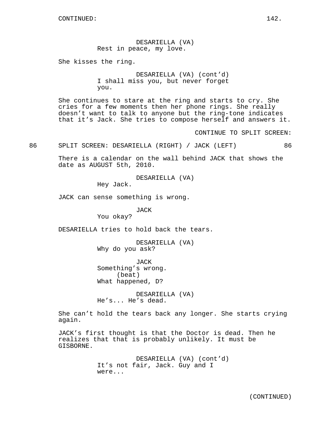DESARIELLA (VA) Rest in peace, my love.

She kisses the ring.

DESARIELLA (VA) (cont'd) I shall miss you, but never forget you.

She continues to stare at the ring and starts to cry. She cries for a few moments then her phone rings. She really doesn't want to talk to anyone but the ring-tone indicates that it's Jack. She tries to compose herself and answers it.

CONTINUE TO SPLIT SCREEN:

86 SPLIT SCREEN: DESARIELLA (RIGHT) / JACK (LEFT) 86

There is a calendar on the wall behind JACK that shows the date as AUGUST 5th, 2010.

DESARIELLA (VA)

Hey Jack.

JACK can sense something is wrong.

JACK

You okay?

DESARIELLA tries to hold back the tears.

DESARIELLA (VA) Why do you ask?

JACK Something's wrong. (beat) What happened, D?

DESARIELLA (VA) He's... He's dead.

She can't hold the tears back any longer. She starts crying again.

JACK's first thought is that the Doctor is dead. Then he realizes that that is probably unlikely. It must be GISBORNE.

> DESARIELLA (VA) (cont'd) It's not fair, Jack. Guy and I were...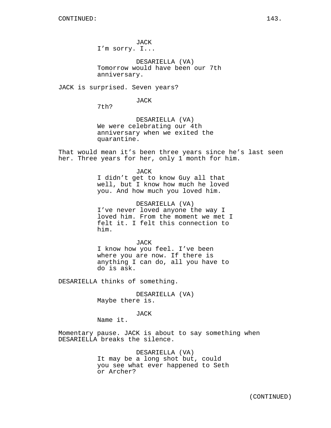JACK I'm sorry. I...

DESARIELLA (VA) Tomorrow would have been our 7th anniversary.

JACK is surprised. Seven years?

JACK

7th?

DESARIELLA (VA) We were celebrating our 4th anniversary when we exited the quarantine.

That would mean it's been three years since he's last seen her. Three years for her, only 1 month for him.

> JACK I didn't get to know Guy all that well, but I know how much he loved you. And how much you loved him.

DESARIELLA (VA) I've never loved anyone the way I loved him. From the moment we met I felt it. I felt this connection to him.

JACK I know how you feel. I've been where you are now. If there is anything I can do, all you have to do is ask.

DESARIELLA thinks of something.

DESARIELLA (VA) Maybe there is.

JACK

Name it.

Momentary pause. JACK is about to say something when DESARIELLA breaks the silence.

> DESARIELLA (VA) It may be a long shot but, could you see what ever happened to Seth or Archer?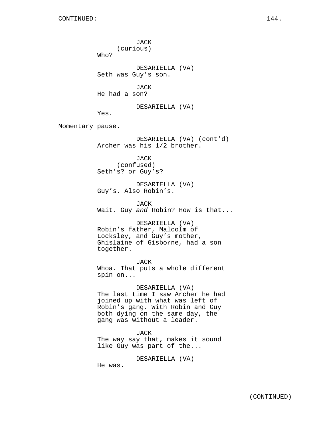JACK (curious) Who? DESARIELLA (VA) Seth was Guy's son. JACK He had a son? DESARIELLA (VA) Yes. Momentary pause. DESARIELLA (VA) (cont'd) Archer was his 1/2 brother. JACK (confused) Seth's? or Guy's? DESARIELLA (VA) Guy's. Also Robin's. JACK Wait. Guy and Robin? How is that... DESARIELLA (VA) Robin's father, Malcolm of Locksley, and Guy's mother, Ghislaine of Gisborne, had a son together. JACK Whoa. That puts a whole different spin on... DESARIELLA (VA) The last time I saw Archer he had joined up with what was left of Robin's gang. With Robin and Guy both dying on the same day, the gang was without a leader. JACK The way say that, makes it sound like Guy was part of the...

He was.

DESARIELLA (VA)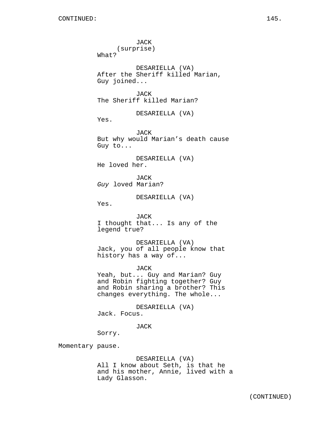JACK (surprise) What? DESARIELLA (VA) After the Sheriff killed Marian, Guy joined... JACK The Sheriff killed Marian? DESARIELLA (VA) Yes. JACK But why would Marian's death cause Guy to... DESARIELLA (VA) He loved her. JACK Guy loved Marian? DESARIELLA (VA) Yes. JACK I thought that... Is any of the legend true? DESARIELLA (VA) Jack, you of all people know that history has a way of... JACK Yeah, but... Guy and Marian? Guy and Robin fighting together? Guy and Robin sharing a brother? This changes everything. The whole... DESARIELLA (VA) Jack. Focus. JACK Sorry. Momentary pause. DESARIELLA (VA)

All I know about Seth, is that he and his mother, Annie, lived with a Lady Glasson.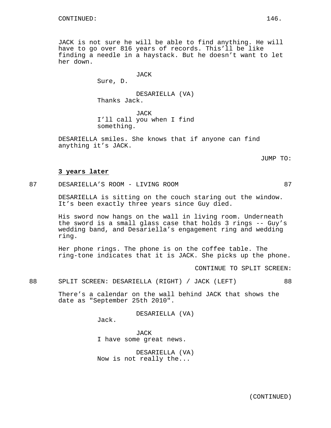JACK is not sure he will be able to find anything. He will have to go over 816 years of records. This'll be like finding a needle in a haystack. But he doesn't want to let her down.

JACK

Sure, D.

DESARIELLA (VA) Thanks Jack.

JACK I'll call you when I find something.

DESARIELLA smiles. She knows that if anyone can find anything it's JACK.

JUMP TO:

### **3 years later**

87 DESARIELLA'S ROOM - LIVING ROOM 87

DESARIELLA is sitting on the couch staring out the window. It's been exactly three years since Guy died.

His sword now hangs on the wall in living room. Underneath the sword is a small glass case that holds 3 rings -- Guy's wedding band, and Desariella's engagement ring and wedding ring.

Her phone rings. The phone is on the coffee table. The ring-tone indicates that it is JACK. She picks up the phone.

CONTINUE TO SPLIT SCREEN:

88 SPLIT SCREEN: DESARIELLA (RIGHT) / JACK (LEFT) 88

There's a calendar on the wall behind JACK that shows the date as "September 25th 2010".

DESARIELLA (VA)

Jack.

JACK I have some great news.

DESARIELLA (VA) Now is not really the...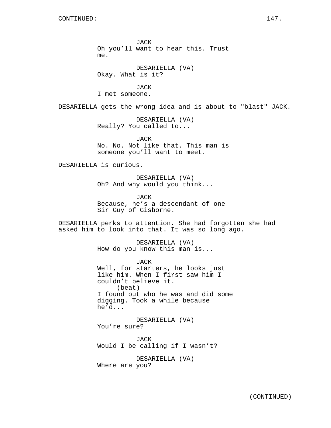JACK Oh you'll want to hear this. Trust me.

DESARIELLA (VA) Okay. What is it?

**JACK** I met someone.

DESARIELLA gets the wrong idea and is about to "blast" JACK.

DESARIELLA (VA) Really? You called to...

JACK No. No. Not like that. This man is someone you'll want to meet.

DESARIELLA is curious.

DESARIELLA (VA) Oh? And why would you think...

JACK Because, he's a descendant of one Sir Guy of Gisborne.

DESARIELLA perks to attention. She had forgotten she had asked him to look into that. It was so long ago.

> DESARIELLA (VA) How do you know this man is...

JACK Well, for starters, he looks just like him. When I first saw him I couldn't believe it. (beat) I found out who he was and did some digging. Took a while because he'd...

DESARIELLA (VA) You're sure?

JACK Would I be calling if I wasn't?

DESARIELLA (VA) Where are you?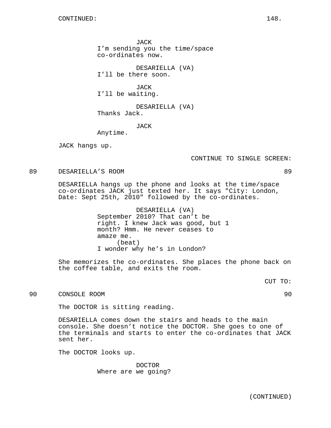JACK I'm sending you the time/space co-ordinates now.

DESARIELLA (VA) I'll be there soon.

**JACK** I'll be waiting.

DESARIELLA (VA) Thanks Jack.

JACK

Anytime.

JACK hangs up.

CONTINUE TO SINGLE SCREEN:

89 DESARIELLA'S ROOM 89

DESARIELLA hangs up the phone and looks at the time/space co-ordinates JACK just texted her. It says "City: London, Date: Sept 25th, 2010" followed by the co-ordinates.

> DESARIELLA (VA) September 2010? That can't be right. I knew Jack was good, but 1 month? Hmm. He never ceases to amaze me. (beat) I wonder why he's in London?

She memorizes the co-ordinates. She places the phone back on the coffee table, and exits the room.

CUT TO:

90 CONSOLE ROOM 90

The DOCTOR is sitting reading.

DESARIELLA comes down the stairs and heads to the main console. She doesn't notice the DOCTOR. She goes to one of the terminals and starts to enter the co-ordinates that JACK sent her.

The DOCTOR looks up.

DOCTOR Where are we going?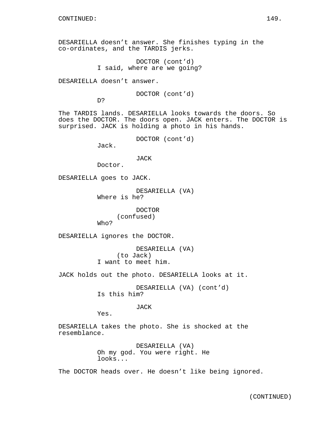DESARIELLA doesn't answer. She finishes typing in the co-ordinates, and the TARDIS jerks.

> DOCTOR (cont'd) I said, where are we going?

DESARIELLA doesn't answer.

DOCTOR (cont'd)

D?

The TARDIS lands. DESARIELLA looks towards the doors. So does the DOCTOR. The doors open. JACK enters. The DOCTOR is surprised. JACK is holding a photo in his hands.

DOCTOR (cont'd)

Jack.

JACK

Doctor.

DESARIELLA goes to JACK.

DESARIELLA (VA) Where is he?

> DOCTOR (confused)

Who?

DESARIELLA ignores the DOCTOR.

DESARIELLA (VA) (to Jack) I want to meet him.

JACK holds out the photo. DESARIELLA looks at it.

DESARIELLA (VA) (cont'd) Is this him?

JACK

Yes.

DESARIELLA takes the photo. She is shocked at the resemblance.

> DESARIELLA (VA) Oh my god. You were right. He looks...

The DOCTOR heads over. He doesn't like being ignored.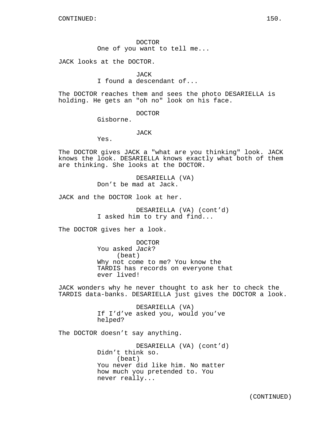DOCTOR One of you want to tell me...

JACK looks at the DOCTOR.

**JACK** 

I found a descendant of...

The DOCTOR reaches them and sees the photo DESARIELLA is holding. He gets an "oh no" look on his face.

DOCTOR

Gisborne.

JACK

Yes.

The DOCTOR gives JACK a "what are you thinking" look. JACK knows the look. DESARIELLA knows exactly what both of them are thinking. She looks at the DOCTOR.

> DESARIELLA (VA) Don't be mad at Jack.

JACK and the DOCTOR look at her.

DESARIELLA (VA) (cont'd) I asked him to try and find...

The DOCTOR gives her a look.

DOCTOR You asked Jack? (beat) Why not come to me? You know the TARDIS has records on everyone that ever lived!

JACK wonders why he never thought to ask her to check the TARDIS data-banks. DESARIELLA just gives the DOCTOR a look.

> DESARIELLA (VA) If I'd've asked you, would you've helped?

The DOCTOR doesn't say anything.

DESARIELLA (VA) (cont'd) Didn't think so. (beat) You never did like him. No matter how much you pretended to. You never really...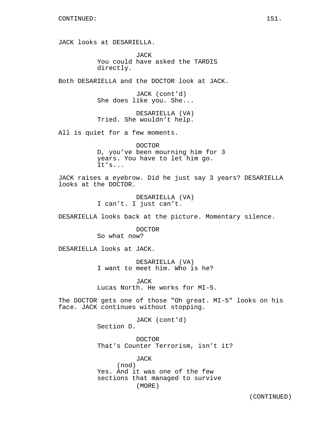JACK looks at DESARIELLA.

JACK You could have asked the TARDIS directly.

Both DESARIELLA and the DOCTOR look at JACK.

JACK (cont'd) She does like you. She...

DESARIELLA (VA) Tried. She wouldn't help.

All is quiet for a few moments.

DOCTOR D, you've been mourning him for 3 years. You have to let him go. It's...

JACK raises a eyebrow. Did he just say 3 years? DESARIELLA looks at the DOCTOR.

> DESARIELLA (VA) I can't. I just can't.

DESARIELLA looks back at the picture. Momentary silence.

DOCTOR So what now?

DESARIELLA looks at JACK.

DESARIELLA (VA) I want to meet him. Who is he?

JACK Lucas North. He works for MI-5.

The DOCTOR gets one of those "Oh great. MI-5" looks on his face. JACK continues without stopping.

> JACK (cont'd) Section D.

DOCTOR That's Counter Terrorism, isn't it?

JACK (nod) Yes. And it was one of the few sections that managed to survive (MORE)

(CONTINUED)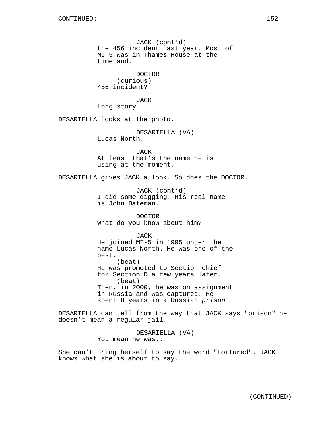JACK (cont'd) the 456 incident last year. Most of MI-5 was in Thames House at the time and... DOCTOR (curious) 456 incident? JACK Long story. DESARIELLA looks at the photo. DESARIELLA (VA) Lucas North. JACK At least that's the name he is using at the moment. DESARIELLA gives JACK a look. So does the DOCTOR. JACK (cont'd) I did some digging. His real name is John Bateman. DOCTOR What do you know about him? JACK He joined MI-5 in 1995 under the name Lucas North. He was one of the best. (beat) He was promoted to Section Chief for Section D a few years later. (beat) Then, in 2000, he was on assignment in Russia and was captured. He spent 8 years in a Russian prison. DESARIELLA can tell from the way that JACK says "prison" he doesn't mean a regular jail. DESARIELLA (VA) You mean he was...

She can't bring herself to say the word "tortured". JACK knows what she is about to say.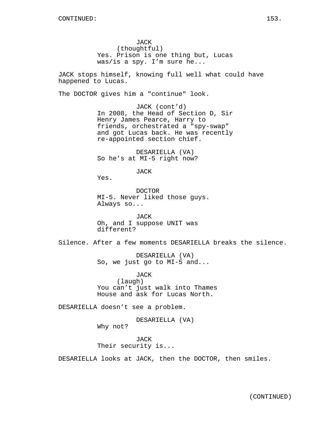JACK (thoughtful) Yes. Prison is one thing but, Lucas was/is a spy. I'm sure he...

JACK stops himself, knowing full well what could have happened to Lucas.

The DOCTOR gives him a "continue" look.

JACK (cont'd) In 2008, the Head of Section D, Sir Henry James Pearce, Harry to friends, orchestrated a "spy-swap" and got Lucas back. He was recently re-appointed section chief.

DESARIELLA (VA) So he's at MI-5 right now?

JACK

Yes.

DOCTOR MI-5. Never liked those guys. Always so...

JACK Oh, and I suppose UNIT was different?

Silence. After a few moments DESARIELLA breaks the silence.

DESARIELLA (VA) So, we just go to MI-5 and...

JACK (laugh) You can't just walk into Thames House and ask for Lucas North.

DESARIELLA doesn't see a problem.

DESARIELLA (VA)

Why not?

JACK Their security is...

DESARIELLA looks at JACK, then the DOCTOR, then smiles.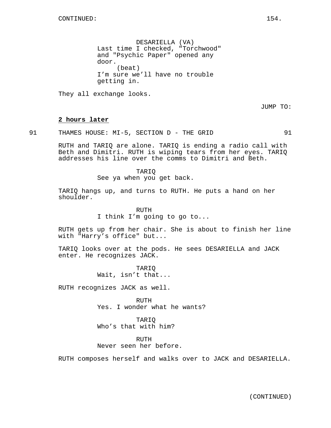DESARIELLA (VA) Last time I checked, "Torchwood" and "Psychic Paper" opened any door. (beat) I'm sure we'll have no trouble getting in.

They all exchange looks.

JUMP TO:

### **2 hours later**

91 THAMES HOUSE: MI-5, SECTION D - THE GRID 91

RUTH and TARIQ are alone. TARIQ is ending a radio call with Beth and Dimitri. RUTH is wiping tears from her eyes. TARIQ addresses his line over the comms to Dimitri and Beth.

> TARIQ See ya when you get back.

TARIQ hangs up, and turns to RUTH. He puts a hand on her shoulder.

> RUTH I think I'm going to go to...

RUTH gets up from her chair. She is about to finish her line with "Harry's office" but...

TARIQ looks over at the pods. He sees DESARIELLA and JACK enter. He recognizes JACK.

> TARIQ Wait, isn't that...

RUTH recognizes JACK as well.

RUTH Yes. I wonder what he wants?

TARIQ Who's that with him?

RUTH Never seen her before.

RUTH composes herself and walks over to JACK and DESARIELLA.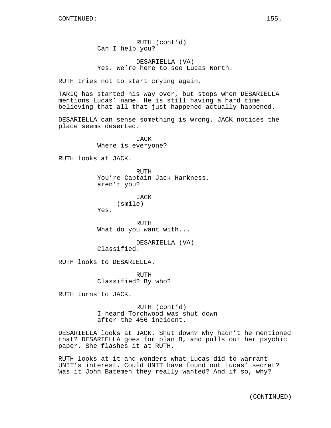RUTH (cont'd) Can I help you?

DESARIELLA (VA) Yes. We're here to see Lucas North.

RUTH tries not to start crying again.

TARIQ has started his way over, but stops when DESARIELLA mentions Lucas' name. He is still having a hard time believing that all that just happened actually happened.

DESARIELLA can sense something is wrong. JACK notices the place seems deserted.

> JACK Where is everyone?

RUTH looks at JACK.

RUTH You're Captain Jack Harkness, aren't you?

> JACK (smile)

Yes.

RUTH What do you want with...

DESARIELLA (VA) Classified.

RUTH looks to DESARIELLA.

RUTH Classified? By who?

RUTH turns to JACK.

RUTH (cont'd) I heard Torchwood was shut down after the 456 incident.

DESARIELLA looks at JACK. Shut down? Why hadn't he mentioned that? DESARIELLA goes for plan B, and pulls out her psychic paper. She flashes it at RUTH.

RUTH looks at it and wonders what Lucas did to warrant UNIT's interest. Could UNIT have found out Lucas' secret? Was it John Batemen they really wanted? And if so, why?

(CONTINUED)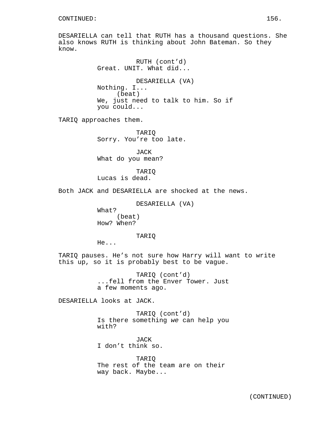DESARIELLA can tell that RUTH has a thousand questions. She also knows RUTH is thinking about John Bateman. So they know.

> RUTH (cont'd) Great. UNIT. What did... DESARIELLA (VA) Nothing. I... (beat) We, just need to talk to him. So if you could...

TARIQ approaches them.

TARIQ Sorry. You're too late.

JACK What do you mean?

TARIQ Lucas is dead.

Both JACK and DESARIELLA are shocked at the news.

DESARIELLA (VA)

What? (beat) How? When?

TARIQ

He...

TARIQ pauses. He's not sure how Harry will want to write this up, so it is probably best to be vague.

> TARIQ (cont'd) ...fell from the Enver Tower. Just a few moments ago.

DESARIELLA looks at JACK.

TARIQ (cont'd) Is there something we can help you with?

JACK I don't think so.

TARIQ The rest of the team are on their way back. Maybe...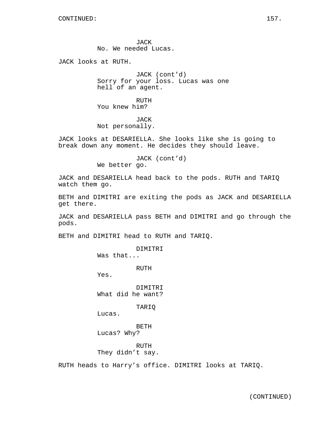JACK No. We needed Lucas.

JACK looks at RUTH.

JACK (cont'd) Sorry for your loss. Lucas was one hell of an agent.

RUTH You knew him?

JACK Not personally.

JACK looks at DESARIELLA. She looks like she is going to break down any moment. He decides they should leave.

> JACK (cont'd) We better go.

JACK and DESARIELLA head back to the pods. RUTH and TARIQ watch them go.

BETH and DIMITRI are exiting the pods as JACK and DESARIELLA get there.

JACK and DESARIELLA pass BETH and DIMITRI and go through the pods.

BETH and DIMITRI head to RUTH and TARIQ.

DIMITRI

Was that...

RUTH

Yes.

DIMITRI What did he want?

TARIQ

Lucas.

BETH

Lucas? Why?

RUTH They didn't say.

RUTH heads to Harry's office. DIMITRI looks at TARIQ.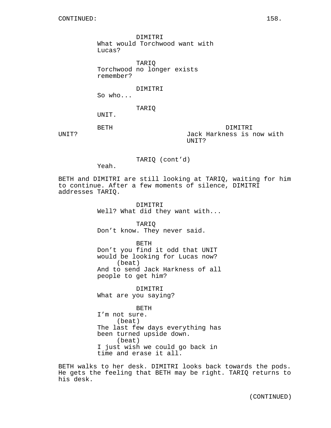DIMITRI What would Torchwood want with Lucas?

TARIQ Torchwood no longer exists remember?

DIMITRI

So who...

TARIQ

UNIT.

BETH

UNIT?

DIMITRI Jack Harkness is now with UNIT?

TARIQ (cont'd)

Yeah.

BETH and DIMITRI are still looking at TARIQ, waiting for him to continue. After a few moments of silence, DIMITRI addresses TARIQ.

> DIMITRI Well? What did they want with...

TARIQ Don't know. They never said.

BETH Don't you find it odd that UNIT would be looking for Lucas now? (beat) And to send Jack Harkness of all people to get him?

DIMITRI What are you saying?

BETH I'm not sure. (beat) The last few days everything has been turned upside down. (beat) I just wish we could go back in time and erase it all.

BETH walks to her desk. DIMITRI looks back towards the pods. He gets the feeling that BETH may be right. TARIQ returns to his desk.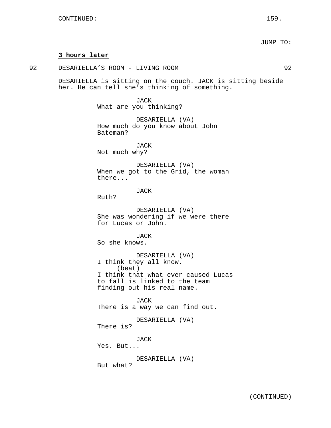### **3 hours later**

92 DESARIELLA'S ROOM - LIVING ROOM 92

DESARIELLA is sitting on the couch. JACK is sitting beside her. He can tell she's thinking of something.

> JACK What are you thinking?

DESARIELLA (VA) How much do you know about John Bateman?

JACK Not much why?

DESARIELLA (VA) When we got to the Grid, the woman there...

JACK

Ruth?

DESARIELLA (VA) She was wondering if we were there for Lucas or John.

**JACK** So she knows.

DESARIELLA (VA) I think they all know. (beat) I think that what ever caused Lucas to fall is linked to the team finding out his real name.

JACK There is a way we can find out.

DESARIELLA (VA) There is?

JACK

Yes. But...

DESARIELLA (VA) But what?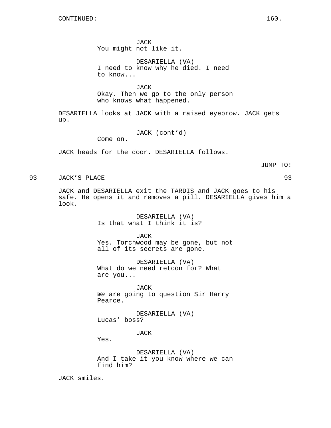JACK You might not like it.

DESARIELLA (VA) I need to know why he died. I need to know...

**JACK** Okay. Then we go to the only person who knows what happened.

DESARIELLA looks at JACK with a raised eyebrow. JACK gets up.

JACK (cont'd)

Come on.

JACK heads for the door. DESARIELLA follows.

JUMP TO:

93 JACK'S PLACE 93

JACK and DESARIELLA exit the TARDIS and JACK goes to his safe. He opens it and removes a pill. DESARIELLA gives him a look.

> DESARIELLA (VA) Is that what I think it is?

JACK Yes. Torchwood may be gone, but not all of its secrets are gone.

DESARIELLA (VA) What do we need retcon for? What are you...

JACK We are going to question Sir Harry Pearce.

DESARIELLA (VA) Lucas' boss?

JACK

Yes.

DESARIELLA (VA) And I take it you know where we can find him?

JACK smiles.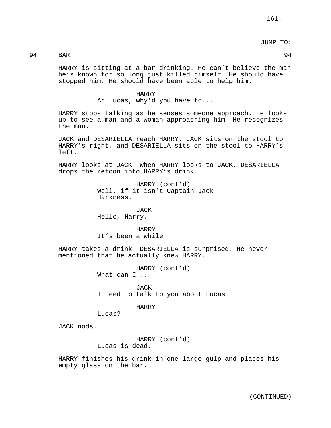JUMP TO:

## 94 BAR 94

HARRY is sitting at a bar drinking. He can't believe the man he's known for so long just killed himself. He should have stopped him. He should have been able to help him.

### HARRY

Ah Lucas, why'd you have to...

HARRY stops talking as he senses someone approach. He looks up to see a man and a woman approaching him. He recognizes the man.

JACK and DESARIELLA reach HARRY. JACK sits on the stool to HARRY's right, and DESARIELLA sits on the stool to HARRY's left.

HARRY looks at JACK. When HARRY looks to JACK, DESARIELLA drops the retcon into HARRY's drink.

> HARRY (cont'd) Well, if it isn't Captain Jack Harkness.

JACK Hello, Harry.

HARRY It's been a while.

HARRY takes a drink. DESARIELLA is surprised. He never mentioned that he actually knew HARRY.

> HARRY (cont'd) What can I...

JACK I need to talk to you about Lucas.

### HARRY

Lucas?

JACK nods.

HARRY (cont'd) Lucas is dead.

HARRY finishes his drink in one large gulp and places his empty glass on the bar.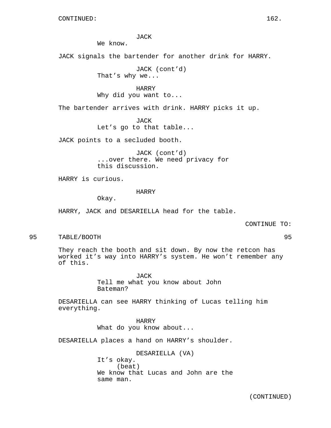JACK

We know.

JACK signals the bartender for another drink for HARRY.

JACK (cont'd) That's why we...

HARRY Why did you want to...

The bartender arrives with drink. HARRY picks it up.

JACK Let's go to that table...

JACK points to a secluded booth.

JACK (cont'd) ...over there. We need privacy for this discussion.

HARRY is curious.

### HARRY

Okay.

HARRY, JACK and DESARIELLA head for the table.

CONTINUE TO:

95 TABLE/BOOTH 95

They reach the booth and sit down. By now the retcon has worked it's way into HARRY's system. He won't remember any of this.

> JACK Tell me what you know about John Bateman?

DESARIELLA can see HARRY thinking of Lucas telling him everything.

> HARRY What do you know about...

DESARIELLA places a hand on HARRY's shoulder.

DESARIELLA (VA) It's okay. (beat) We know that Lucas and John are the same man.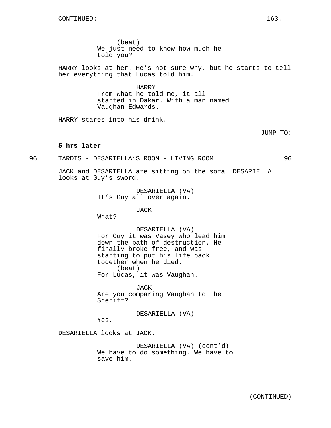(beat) We just need to know how much he told you?

HARRY looks at her. He's not sure why, but he starts to tell her everything that Lucas told him.

> HARRY From what he told me, it all started in Dakar. With a man named Vaughan Edwards.

HARRY stares into his drink.

# JUMP TO:

### **5 hrs later**

96 TARDIS - DESARIELLA'S ROOM - LIVING ROOM 96

JACK and DESARIELLA are sitting on the sofa. DESARIELLA looks at Guy's sword.

> DESARIELLA (VA) It's Guy all over again.

> > JACK

What?

DESARIELLA (VA) For Guy it was Vasey who lead him down the path of destruction. He finally broke free, and was starting to put his life back together when he died. (beat) For Lucas, it was Vaughan.

JACK Are you comparing Vaughan to the Sheriff?

DESARIELLA (VA)

Yes.

DESARIELLA looks at JACK.

DESARIELLA (VA) (cont'd) We have to do something. We have to save him.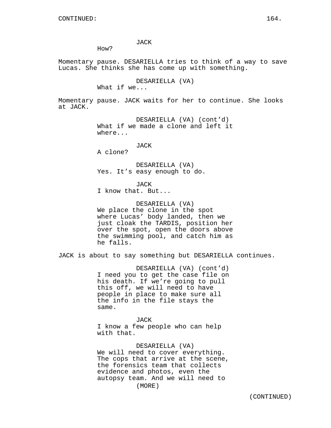How?

Momentary pause. DESARIELLA tries to think of a way to save Lucas. She thinks she has come up with something.

DESARIELLA (VA)

What if we...

Momentary pause. JACK waits for her to continue. She looks at JACK.

> DESARIELLA (VA) (cont'd) What if we made a clone and left it where...

> > JACK

A clone?

DESARIELLA (VA) Yes. It's easy enough to do.

**JACK** 

I know that. But...

DESARIELLA (VA) We place the clone in the spot where Lucas' body landed, then we just cloak the TARDIS, position her over the spot, open the doors above the swimming pool, and catch him as he falls.

JACK is about to say something but DESARIELLA continues.

DESARIELLA (VA) (cont'd) I need you to get the case file on his death. If we're going to pull this off, we will need to have people in place to make sure all the info in the file stays the same.

JACK I know a few people who can help with that.

DESARIELLA (VA) We will need to cover everything. The cops that arrive at the scene, the forensics team that collects evidence and photos, even the autopsy team. And we will need to (MORE)

(CONTINUED)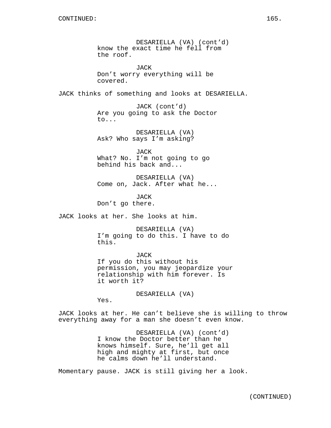DESARIELLA (VA) (cont'd) know the exact time he fell from the roof. JACK Don't worry everything will be covered. JACK thinks of something and looks at DESARIELLA. JACK (cont'd) Are you going to ask the Doctor to... DESARIELLA (VA) Ask? Who says I'm asking? JACK What? No. I'm not going to go behind his back and... DESARIELLA (VA) Come on, Jack. After what he... JACK Don't go there. JACK looks at her. She looks at him.

> DESARIELLA (VA) I'm going to do this. I have to do this.

JACK If you do this without his permission, you may jeopardize your relationship with him forever. Is it worth it?

DESARIELLA (VA)

Yes.

JACK looks at her. He can't believe she is willing to throw everything away for a man she doesn't even know.

> DESARIELLA (VA) (cont'd) I know the Doctor better than he knows himself. Sure, he'll get all high and mighty at first, but once he calms down he'll understand.

Momentary pause. JACK is still giving her a look.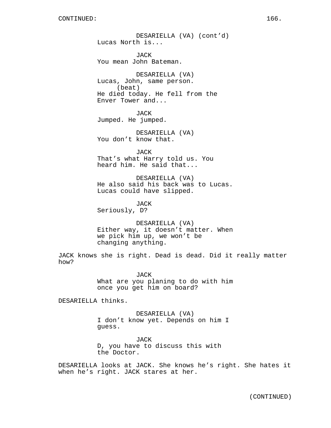DESARIELLA (VA) (cont'd) Lucas North is... JACK You mean John Bateman. DESARIELLA (VA) Lucas, John, same person. (beat) He died today. He fell from the Enver Tower and... JACK Jumped. He jumped. DESARIELLA (VA) You don't know that. JACK That's what Harry told us. You heard him. He said that... DESARIELLA (VA) He also said his back was to Lucas. Lucas could have slipped. JACK Seriously, D?

DESARIELLA (VA) Either way, it doesn't matter. When we pick him up, we won't be changing anything.

JACK knows she is right. Dead is dead. Did it really matter how?

> JACK What are you planing to do with him once you get him on board?

DESARIELLA thinks.

DESARIELLA (VA) I don't know yet. Depends on him I guess.

JACK D, you have to discuss this with the Doctor.

DESARIELLA looks at JACK. She knows he's right. She hates it when he's right. JACK stares at her.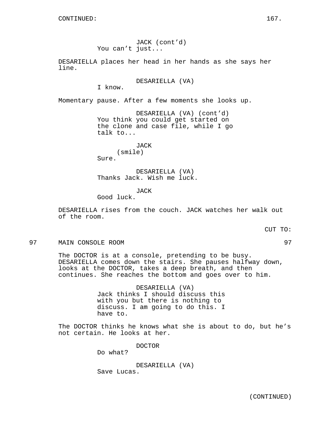JACK (cont'd) You can't just...

DESARIELLA places her head in her hands as she says her line.

DESARIELLA (VA)

I know.

Momentary pause. After a few moments she looks up.

DESARIELLA (VA) (cont'd) You think you could get started on the clone and case file, while I go talk to...

> JACK (smile)

Sure.

DESARIELLA (VA) Thanks Jack. Wish me luck.

JACK

Good luck.

DESARIELLA rises from the couch. JACK watches her walk out of the room.

CUT TO:

97 MAIN CONSOLE ROOM 97

The DOCTOR is at a console, pretending to be busy. DESARIELLA comes down the stairs. She pauses halfway down, looks at the DOCTOR, takes a deep breath, and then continues. She reaches the bottom and goes over to him.

> DESARIELLA (VA) Jack thinks I should discuss this with you but there is nothing to discuss. I am going to do this. I have to.

The DOCTOR thinks he knows what she is about to do, but he's not certain. He looks at her.

DOCTOR

Do what?

DESARIELLA (VA) Save Lucas.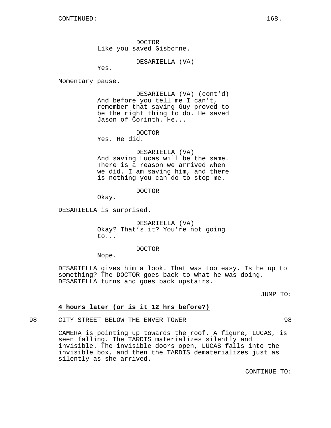DOCTOR Like you saved Gisborne.

DESARIELLA (VA)

Yes.

Momentary pause.

DESARIELLA (VA) (cont'd) And before you tell me I can't, remember that saving Guy proved to be the right thing to do. He saved Jason of Corinth. He...

DOCTOR Yes. He did.

DESARIELLA (VA) And saving Lucas will be the same. There is a reason we arrived when we did. I am saving him, and there is nothing you can do to stop me.

DOCTOR

Okay.

DESARIELLA is surprised.

DESARIELLA (VA) Okay? That's it? You're not going to...

DOCTOR

Nope.

DESARIELLA gives him a look. That was too easy. Is he up to something? The DOCTOR goes back to what he was doing. DESARIELLA turns and goes back upstairs.

JUMP TO:

### **4 hours later (or is it 12 hrs before?)**

98 CITY STREET BELOW THE ENVER TOWER 98

CAMERA is pointing up towards the roof. A figure, LUCAS, is seen falling. The TARDIS materializes silently and invisible. The invisible doors open, LUCAS falls into the invisible box, and then the TARDIS dematerializes just as silently as she arrived.

CONTINUE TO: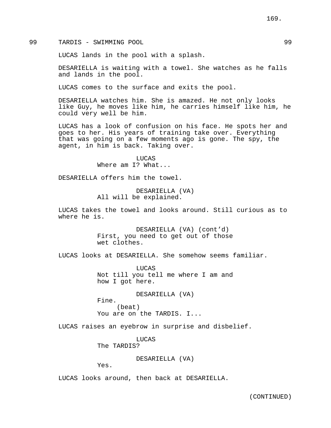99 TARDIS - SWIMMING POOL 99

LUCAS lands in the pool with a splash.

DESARIELLA is waiting with a towel. She watches as he falls and lands in the pool.

LUCAS comes to the surface and exits the pool.

DESARIELLA watches him. She is amazed. He not only looks like Guy, he moves like him, he carries himself like him, he could very well be him.

LUCAS has a look of confusion on his face. He spots her and goes to her. His years of training take over. Everything that was going on a few moments ago is gone. The spy, the agent, in him is back. Taking over.

> LUCAS Where am I? What...

DESARIELLA offers him the towel.

DESARIELLA (VA) All will be explained.

LUCAS takes the towel and looks around. Still curious as to where he is.

> DESARIELLA (VA) (cont'd) First, you need to get out of those wet clothes.

LUCAS looks at DESARIELLA. She somehow seems familiar.

LUCAS Not till you tell me where I am and how I got here.

DESARIELLA (VA)

Fine. (beat) You are on the TARDIS. I...

LUCAS raises an eyebrow in surprise and disbelief.

LUCAS The TARDIS?

DESARIELLA (VA)

Yes.

LUCAS looks around, then back at DESARIELLA.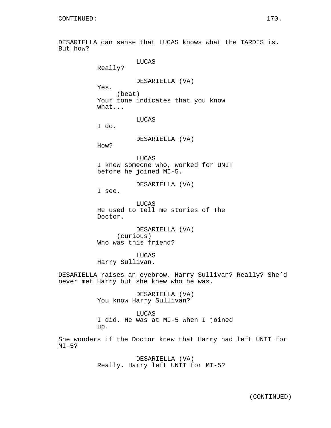DESARIELLA can sense that LUCAS knows what the TARDIS is. But how?

LUCAS Really? DESARIELLA (VA) Yes. (beat) Your tone indicates that you know what... LUCAS I do. DESARIELLA (VA) How? LUCAS I knew someone who, worked for UNIT before he joined MI-5. DESARIELLA (VA) I see. LUCAS He used to tell me stories of The Doctor. DESARIELLA (VA) (curious) Who was this friend? LUCAS Harry Sullivan. DESARIELLA raises an eyebrow. Harry Sullivan? Really? She'd never met Harry but she knew who he was.

> DESARIELLA (VA) You know Harry Sullivan?

LUCAS I did. He was at MI-5 when I joined up.

She wonders if the Doctor knew that Harry had left UNIT for  $MT-5?$ 

> DESARIELLA (VA) Really. Harry left UNIT for MI-5?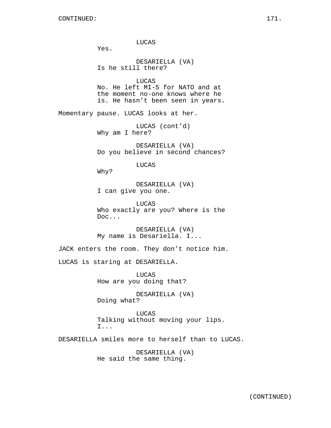LUCAS Yes. DESARIELLA (VA) Is he still there? LUCAS No. He left MI-5 for NATO and at the moment no-one knows where he is. He hasn't been seen in years. Momentary pause. LUCAS looks at her. LUCAS (cont'd) Why am I here? DESARIELLA (VA) Do you believe in second chances? LUCAS Why? DESARIELLA (VA) I can give you one. LUCAS Who exactly are you? Where is the Doc... DESARIELLA (VA) My name is Desariella. I... JACK enters the room. They don't notice him. LUCAS is staring at DESARIELLA. LUCAS How are you doing that? DESARIELLA (VA) Doing what? LUCAS Talking without moving your lips. I... DESARIELLA smiles more to herself than to LUCAS. DESARIELLA (VA)

He said the same thing.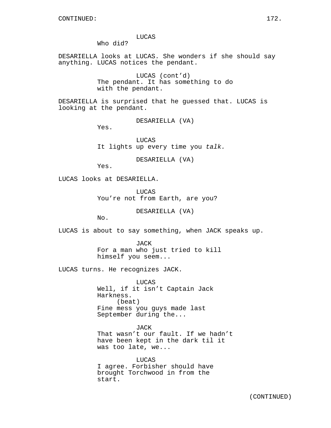LUCAS

Who did?

DESARIELLA looks at LUCAS. She wonders if she should say anything. LUCAS notices the pendant.

> LUCAS (cont'd) The pendant. It has something to do with the pendant.

DESARIELLA is surprised that he guessed that. LUCAS is looking at the pendant.

DESARIELLA (VA)

Yes.

LUCAS It lights up every time you talk.

DESARIELLA (VA)

Yes.

LUCAS looks at DESARIELLA.

LUCAS You're not from Earth, are you?

DESARIELLA (VA)

No.

LUCAS is about to say something, when JACK speaks up.

JACK For a man who just tried to kill himself you seem...

LUCAS turns. He recognizes JACK.

LUCAS Well, if it isn't Captain Jack Harkness. (beat) Fine mess you guys made last September during the...

JACK That wasn't our fault. If we hadn't have been kept in the dark til it was too late, we...

LUCAS I agree. Forbisher should have brought Torchwood in from the start.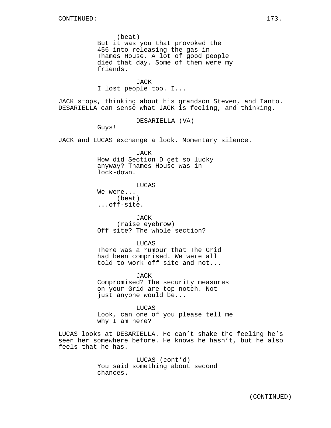(beat) But it was you that provoked the 456 into releasing the gas in Thames House. A lot of good people died that day. Some of them were my friends.

**JACK** I lost people too. I...

JACK stops, thinking about his grandson Steven, and Ianto. DESARIELLA can sense what JACK is feeling, and thinking.

DESARIELLA (VA)

Guys!

JACK and LUCAS exchange a look. Momentary silence.

JACK How did Section D get so lucky anyway? Thames House was in lock-down.

LUCAS

We were... (beat) ...off-site.

JACK (raise eyebrow) Off site? The whole section?

LUCAS There was a rumour that The Grid had been comprised. We were all told to work off site and not...

JACK Compromised? The security measures on your Grid are top notch. Not just anyone would be...

LUCAS Look, can one of you please tell me why I am here?

LUCAS looks at DESARIELLA. He can't shake the feeling he's seen her somewhere before. He knows he hasn't, but he also feels that he has.

> LUCAS (cont'd) You said something about second chances.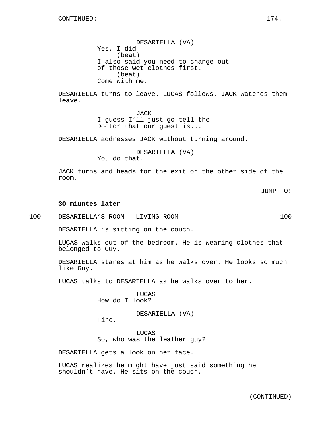DESARIELLA (VA) Yes. I did. (beat) I also said you need to change out of those wet clothes first. (beat) Come with me.

DESARIELLA turns to leave. LUCAS follows. JACK watches them leave.

> JACK I guess I'll just go tell the Doctor that our guest is...

DESARIELLA addresses JACK without turning around.

DESARIELLA (VA)

You do that.

JACK turns and heads for the exit on the other side of the room.

# **30 miuntes later**

100 DESARIELLA'S ROOM - LIVING ROOM 100

DESARIELLA is sitting on the couch.

LUCAS walks out of the bedroom. He is wearing clothes that belonged to Guy.

DESARIELLA stares at him as he walks over. He looks so much like Guy.

LUCAS talks to DESARIELLA as he walks over to her.

LUCAS How do I look?

DESARIELLA (VA)

Fine.

LUCAS So, who was the leather guy?

DESARIELLA gets a look on her face.

LUCAS realizes he might have just said something he shouldn't have. He sits on the couch.

JUMP TO: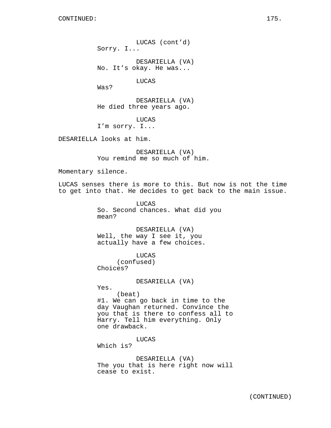LUCAS (cont'd) Sorry. I...

DESARIELLA (VA) No. It's okay. He was...

LUCAS

Was?

DESARIELLA (VA) He died three years ago.

LUCAS

I'm sorry. I...

DESARIELLA looks at him.

DESARIELLA (VA) You remind me so much of him.

Momentary silence.

LUCAS senses there is more to this. But now is not the time to get into that. He decides to get back to the main issue.

> LUCAS So. Second chances. What did you mean?

DESARIELLA (VA) Well, the way I see it, you actually have a few choices.

LUCAS (confused) Choices?

DESARIELLA (VA)

Yes.

(beat) #1. We can go back in time to the day Vaughan returned. Convince the you that is there to confess all to Harry. Tell him everything. Only one drawback.

LUCAS Which is?

DESARIELLA (VA) The you that is here right now will cease to exist.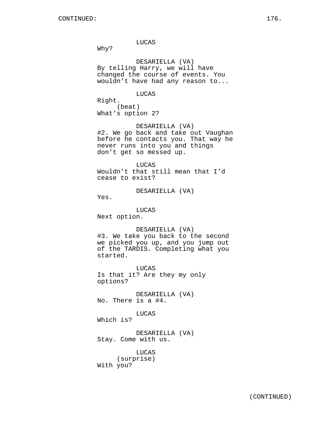LUCAS

Why?

DESARIELLA (VA) By telling Harry, we will have changed the course of events. You wouldn't have had any reason to...

#### LUCAS

Right. (beat) What's option 2?

DESARIELLA (VA) #2. We go back and take out Vaughan before he contacts you. That way he never runs into you and things don't get so messed up.

LUCAS

Wouldn't that still mean that I'd cease to exist?

DESARIELLA (VA)

Yes.

LUCAS

Next option.

DESARIELLA (VA)

#3. We take you back to the second we picked you up, and you jump out of the TARDIS. Completing what you started.

LUCAS Is that it? Are they my only options?

DESARIELLA (VA) No. There is a #4.

### LUCAS

Which is?

DESARIELLA (VA) Stay. Come with us.

LUCAS (surprise) With you?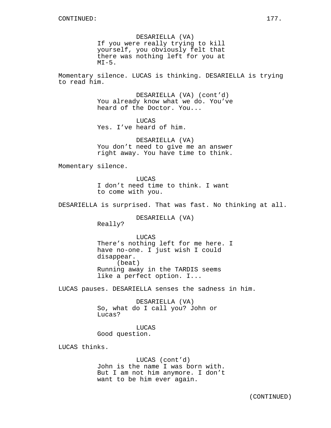DESARIELLA (VA) If you were really trying to kill yourself, you obviously felt that there was nothing left for you at  $MT-5$ .

Momentary silence. LUCAS is thinking. DESARIELLA is trying to read him.

> DESARIELLA (VA) (cont'd) You already know what we do. You've heard of the Doctor. You...

LUCAS Yes. I've heard of him.

DESARIELLA (VA) You don't need to give me an answer right away. You have time to think.

Momentary silence.

Really?

LUCAS I don't need time to think. I want to come with you.

DESARIELLA is surprised. That was fast. No thinking at all.

DESARIELLA (VA)

**LUCAS** There's nothing left for me here. I have no-one. I just wish I could disappear. (beat) Running away in the TARDIS seems like a perfect option. I...

LUCAS pauses. DESARIELLA senses the sadness in him.

DESARIELLA (VA) So, what do I call you? John or Lucas?

LUCAS Good question.

LUCAS thinks.

LUCAS (cont'd) John is the name I was born with. But I am not him anymore. I don't want to be him ever again.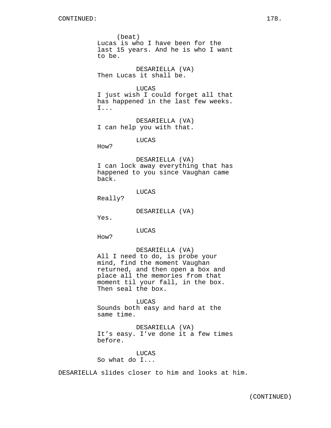(beat) Lucas is who I have been for the last 15 years. And he is who I want to be.

DESARIELLA (VA) Then Lucas it shall be.

## LUCAS

I just wish I could forget all that has happened in the last few weeks. I...

DESARIELLA (VA) I can help you with that.

LUCAS

How?

DESARIELLA (VA) I can lock away everything that has happened to you since Vaughan came back.

LUCAS

Really?

DESARIELLA (VA)

Yes.

LUCAS

How?

#### DESARIELLA (VA)

All I need to do, is probe your mind, find the moment Vaughan returned, and then open a box and place all the memories from that moment til your fall, in the box. Then seal the box.

LUCAS Sounds both easy and hard at the same time.

DESARIELLA (VA) It's easy. I've done it a few times before.

LUCAS So what do I...

DESARIELLA slides closer to him and looks at him.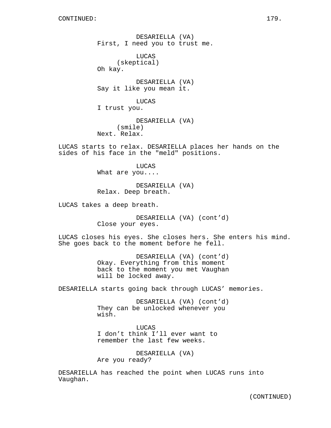DESARIELLA (VA) First, I need you to trust me. LUCAS (skeptical) Oh kay. DESARIELLA (VA) Say it like you mean it. LUCAS I trust you. DESARIELLA (VA) (smile) Next. Relax.

LUCAS starts to relax. DESARIELLA places her hands on the sides of his face in the "meld" positions.

> LUCAS What are you....

DESARIELLA (VA) Relax. Deep breath.

LUCAS takes a deep breath.

DESARIELLA (VA) (cont'd) Close your eyes.

LUCAS closes his eyes. She closes hers. She enters his mind. She goes back to the moment before he fell.

> DESARIELLA (VA) (cont'd) Okay. Everything from this moment back to the moment you met Vaughan will be locked away.

DESARIELLA starts going back through LUCAS' memories.

DESARIELLA (VA) (cont'd) They can be unlocked whenever you wish.

LUCAS I don't think I'll ever want to remember the last few weeks.

DESARIELLA (VA) Are you ready?

DESARIELLA has reached the point when LUCAS runs into Vaughan.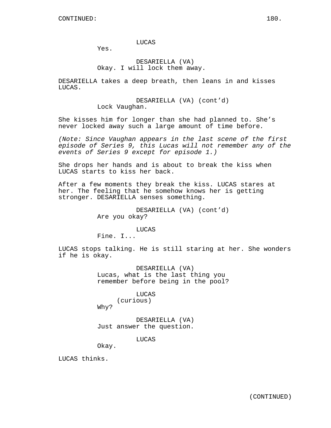Yes.

# DESARIELLA (VA) Okay. I will lock them away.

DESARIELLA takes a deep breath, then leans in and kisses LUCAS.

> DESARIELLA (VA) (cont'd) Lock Vaughan.

She kisses him for longer than she had planned to. She's never locked away such a large amount of time before.

(Note: Since Vaughan appears in the last scene of the first episode of Series 9, this Lucas will not remember any of the events of Series 9 except for episode 1.)

She drops her hands and is about to break the kiss when LUCAS starts to kiss her back.

After a few moments they break the kiss. LUCAS stares at her. The feeling that he somehow knows her is getting stronger. DESARIELLA senses something.

> DESARIELLA (VA) (cont'd) Are you okay?

> > LUCAS

Fine. I...

LUCAS stops talking. He is still staring at her. She wonders if he is okay.

> DESARIELLA (VA) Lucas, what is the last thing you remember before being in the pool?

> > LUCAS (curious)

Why?

DESARIELLA (VA) Just answer the question.

LUCAS

Okay.

LUCAS thinks.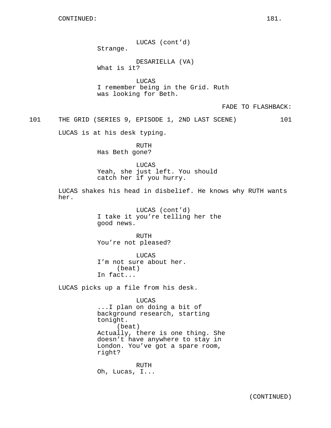LUCAS (cont'd) Strange. DESARIELLA (VA) What is it? LUCAS I remember being in the Grid. Ruth was looking for Beth. FADE TO FLASHBACK: 101 THE GRID (SERIES 9, EPISODE 1, 2ND LAST SCENE) 101 LUCAS is at his desk typing. RUTH Has Beth gone? LUCAS Yeah, she just left. You should catch her if you hurry. LUCAS shakes his head in disbelief. He knows why RUTH wants her. LUCAS (cont'd) I take it you're telling her the good news. RUTH You're not pleased? LUCAS I'm not sure about her. (beat) In fact... LUCAS picks up a file from his desk. LUCAS ...I plan on doing a bit of background research, starting tonight. (beat) Actually, there is one thing. She doesn't have anywhere to stay in London. You've got a spare room, right? RUTH Oh, Lucas, I...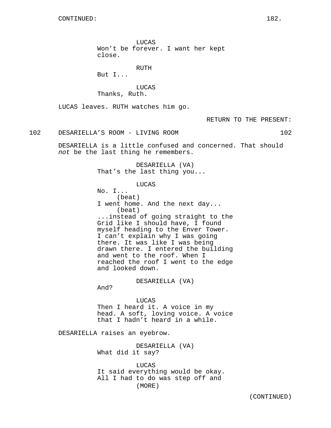LUCAS Won't be forever. I want her kept close.

RUTH

But I...

**LUCAS** Thanks, Ruth.

LUCAS leaves. RUTH watches him go.

RETURN TO THE PRESENT:

102 DESARIELLA'S ROOM - LIVING ROOM 102

DESARIELLA is a little confused and concerned. That should not be the last thing he remembers.

> DESARIELLA (VA) That's the last thing you...

> > LUCAS

No. I... (beat) I went home. And the next day... (beat) ...instead of going straight to the Grid like I should have, I found myself heading to the Enver Tower. I can't explain why I was going there. It was like I was being drawn there. I entered the building and went to the roof. When I reached the roof I went to the edge and looked down.

DESARIELLA (VA)

And?

LUCAS Then I heard it. A voice in my head. A soft, loving voice. A voice that I hadn't heard in a while.

DESARIELLA raises an eyebrow.

DESARIELLA (VA) What did it say?

LUCAS It said everything would be okay. All I had to do was step off and (MORE)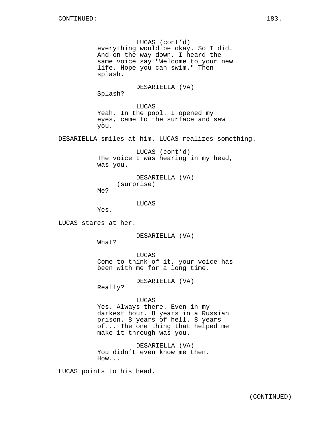LUCAS (cont'd) everything would be okay. So I did. And on the way down, I heard the same voice say "Welcome to your new life. Hope you can swim." Then splash.

DESARIELLA (VA)

Splash?

LUCAS Yeah. In the pool. I opened my eyes, came to the surface and saw you.

DESARIELLA smiles at him. LUCAS realizes something.

LUCAS (cont'd) The voice I was hearing in my head, was you.

DESARIELLA (VA) (surprise)

Me?

LUCAS

Yes.

LUCAS stares at her.

DESARIELLA (VA)

What?

LUCAS Come to think of it, your voice has been with me for a long time.

DESARIELLA (VA)

Really?

## LUCAS

Yes. Always there. Even in my darkest hour. 8 years in a Russian prison. 8 years of hell. 8 years of... The one thing that helped me make it through was you.

DESARIELLA (VA) You didn't even know me then. How...

LUCAS points to his head.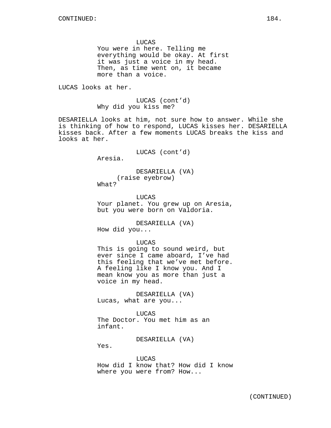LUCAS You were in here. Telling me everything would be okay. At first it was just a voice in my head. Then, as time went on, it became more than a voice.

LUCAS looks at her.

LUCAS (cont'd) Why did you kiss me?

DESARIELLA looks at him, not sure how to answer. While she is thinking of how to respond, LUCAS kisses her. DESARIELLA kisses back. After a few moments LUCAS breaks the kiss and looks at her.

LUCAS (cont'd)

Aresia.

DESARIELLA (VA) (raise eyebrow) What?

LUCAS Your planet. You grew up on Aresia, but you were born on Valdoria.

DESARIELLA (VA) How did you...

LUCAS

This is going to sound weird, but ever since I came aboard, I've had this feeling that we've met before. A feeling like I know you. And I mean know you as more than just a voice in my head.

DESARIELLA (VA) Lucas, what are you...

LUCAS The Doctor. You met him as an infant.

DESARIELLA (VA)

Yes.

LUCAS How did I know that? How did I know where you were from? How...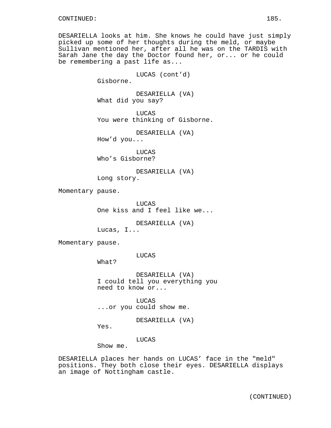DESARIELLA looks at him. She knows he could have just simply picked up some of her thoughts during the meld, or maybe Sullivan mentioned her, after all he was on the TARDIS with Sarah Jane the day the Doctor found her, or... or he could be remembering a past life as...

LUCAS (cont'd) Gisborne. DESARIELLA (VA) What did you say? LUCAS You were thinking of Gisborne. DESARIELLA (VA) How'd you... LUCAS Who's Gisborne? DESARIELLA (VA) Long story. Momentary pause. LUCAS One kiss and I feel like we... DESARIELLA (VA) Lucas, I... Momentary pause. LUCAS What? DESARIELLA (VA) I could tell you everything you need to know or... LUCAS ...or you could show me. DESARIELLA (VA) Yes.

LUCAS

Show me.

DESARIELLA places her hands on LUCAS' face in the "meld" positions. They both close their eyes. DESARIELLA displays an image of Nottingham castle.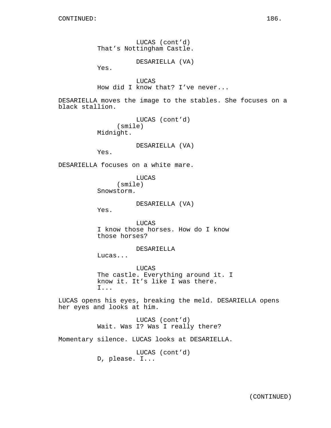LUCAS (cont'd) That's Nottingham Castle.

DESARIELLA (VA)

Yes.

LUCAS How did I know that? I've never...

DESARIELLA moves the image to the stables. She focuses on a black stallion.

> LUCAS (cont'd) (smile) Midnight.

> > DESARIELLA (VA)

Yes.

DESARIELLA focuses on a white mare.

LUCAS (smile) Snowstorm.

DESARIELLA (VA)

Yes.

LUCAS I know those horses. How do I know those horses?

DESARIELLA

Lucas...

LUCAS The castle. Everything around it. I know it. It's like I was there. I...

LUCAS opens his eyes, breaking the meld. DESARIELLA opens her eyes and looks at him.

> LUCAS (cont'd) Wait. Was I? Was I really there?

Momentary silence. LUCAS looks at DESARIELLA.

LUCAS (cont'd) D, please. I...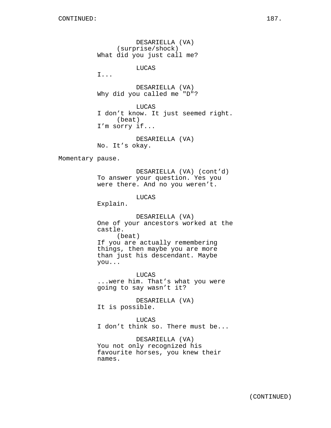DESARIELLA (VA) (surprise/shock) What did you just call me? LUCAS I... DESARIELLA (VA) Why did you called me "D"? LUCAS I don't know. It just seemed right. (beat) I'm sorry if... DESARIELLA (VA) No. It's okay. Momentary pause. DESARIELLA (VA) (cont'd) To answer your question. Yes you were there. And no you weren't. LUCAS Explain. DESARIELLA (VA) One of your ancestors worked at the castle. (beat) If you are actually remembering things, then maybe you are more than just his descendant. Maybe you... LUCAS ...were him. That's what you were going to say wasn't it? DESARIELLA (VA) It is possible. LUCAS I don't think so. There must be... DESARIELLA (VA) You not only recognized his favourite horses, you knew their names.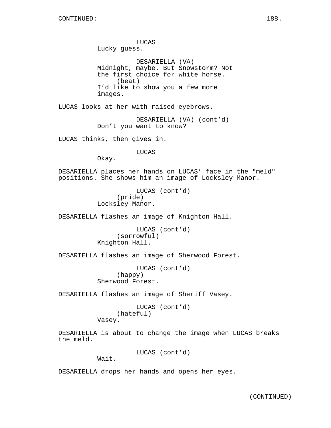LUCAS Lucky guess. DESARIELLA (VA) Midnight, maybe. But Snowstorm? Not the first choice for white horse. (beat) I'd like to show you a few more images. LUCAS looks at her with raised eyebrows. DESARIELLA (VA) (cont'd) Don't you want to know? LUCAS thinks, then gives in. LUCAS Okay. DESARIELLA places her hands on LUCAS' face in the "meld" positions. She shows him an image of Locksley Manor. LUCAS (cont'd) (pride) Locksley Manor. DESARIELLA flashes an image of Knighton Hall. LUCAS (cont'd) (sorrowful) Knighton Hall. DESARIELLA flashes an image of Sherwood Forest. LUCAS (cont'd) (happy) Sherwood Forest. DESARIELLA flashes an image of Sheriff Vasey. LUCAS (cont'd) (hateful) Vasey. DESARIELLA is about to change the image when LUCAS breaks the meld. LUCAS (cont'd)

Wait.

DESARIELLA drops her hands and opens her eyes.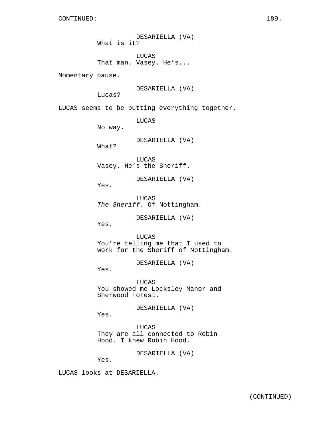DESARIELLA (VA) What is it? LUCAS That man. Vasey. He's... Momentary pause. DESARIELLA (VA) Lucas? LUCAS seems to be putting everything together. LUCAS No way. DESARIELLA (VA) What? LUCAS Vasey. He's the Sheriff. DESARIELLA (VA) Yes. LUCAS The Sheriff. Of Nottingham. DESARIELLA (VA) Yes. LUCAS You're telling me that I used to work for the Sheriff of Nottingham. DESARIELLA (VA) Yes. LUCAS You showed me Locksley Manor and Sherwood Forest. DESARIELLA (VA) Yes. LUCAS They are all connected to Robin Hood. I knew Robin Hood. DESARIELLA (VA) Yes. LUCAS looks at DESARIELLA.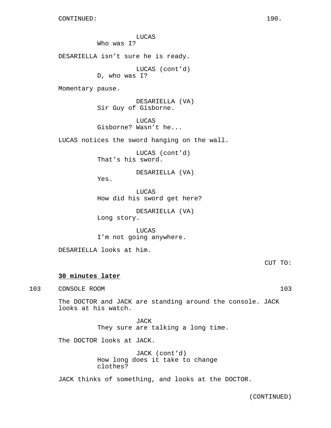LUCAS Who was I? DESARIELLA isn't sure he is ready. LUCAS (cont'd) D, who was I? Momentary pause. DESARIELLA (VA) Sir Guy of Gisborne. LUCAS Gisborne? Wasn't he... LUCAS notices the sword hanging on the wall. LUCAS (cont'd) That's his sword. DESARIELLA (VA) Yes. LUCAS How did his sword get here? DESARIELLA (VA) Long story. LUCAS I'm not going anywhere. DESARIELLA looks at him. CUT TO: **30 minutes later** 103 CONSOLE ROOM 103 The DOCTOR and JACK are standing around the console. JACK looks at his watch.

> JACK They sure are talking a long time.

The DOCTOR looks at JACK.

JACK (cont'd) How long does it take to change clothes?

JACK thinks of something, and looks at the DOCTOR.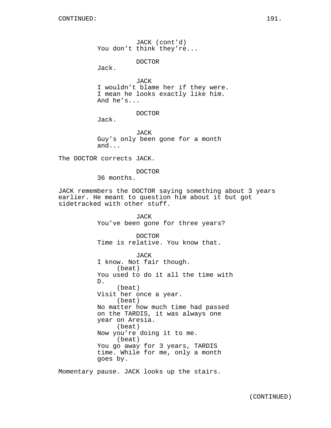JACK (cont'd) You don't think they're...

DOCTOR

Jack.

JACK I wouldn't blame her if they were. I mean he looks exactly like him. And he's...

DOCTOR

Jack.

JACK Guy's only been gone for a month and...

The DOCTOR corrects JACK.

DOCTOR

36 months.

JACK remembers the DOCTOR saying something about 3 years earlier. He meant to question him about it but got sidetracked with other stuff.

> JACK You've been gone for three years? DOCTOR Time is relative. You know that. JACK I know. Not fair though. (beat) You used to do it all the time with D. (beat) Visit her once a year. (beat) No matter how much time had passed on the TARDIS, it was always one year on Aresia. (beat) Now you're doing it to me. (beat) You go away for 3 years, TARDIS time. While for me, only a month goes by.

Momentary pause. JACK looks up the stairs.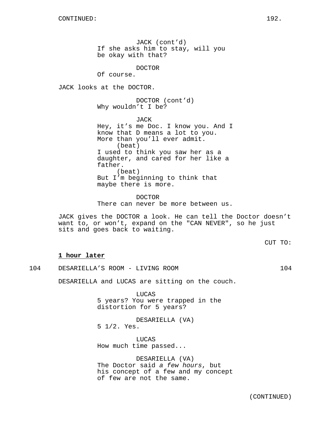JACK (cont'd) If she asks him to stay, will you be okay with that?

DOCTOR

Of course.

JACK looks at the DOCTOR.

DOCTOR (cont'd) Why wouldn't I be?

JACK Hey, it's me Doc. I know you. And I know that D means a lot to you. More than you'll ever admit. (beat) I used to think you saw her as a daughter, and cared for her like a father. (beat) But I'm beginning to think that maybe there is more.

DOCTOR There can never be more between us.

JACK gives the DOCTOR a look. He can tell the Doctor doesn't want to, or won't, expand on the "CAN NEVER", so he just sits and goes back to waiting.

CUT TO:

### **1 hour later**

104 DESARIELLA'S ROOM - LIVING ROOM 104

DESARIELLA and LUCAS are sitting on the couch.

LUCAS 5 years? You were trapped in the distortion for 5 years?

DESARIELLA (VA) 5 1/2. Yes.

LUCAS How much time passed...

DESARIELLA (VA) The Doctor said a few hours, but his concept of a few and my concept of few are not the same.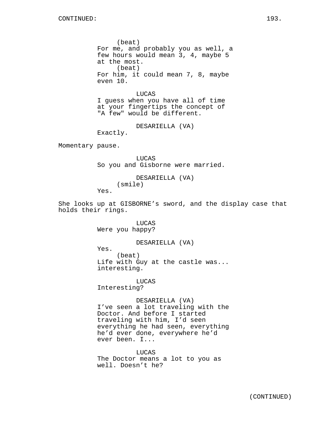(beat) For me, and probably you as well, a few hours would mean 3, 4, maybe 5 at the most. (beat) For him, it could mean 7, 8, maybe even 10.

## LUCAS

I guess when you have all of time at your fingertips the concept of "A few" would be different.

DESARIELLA (VA)

Exactly.

Momentary pause.

LUCAS So you and Gisborne were married.

DESARIELLA (VA) (smile) Yes.

She looks up at GISBORNE's sword, and the display case that holds their rings.

> LUCAS Were you happy?

#### DESARIELLA (VA)

Yes.

(beat) Life with Guy at the castle was... interesting.

LUCAS

Interesting?

DESARIELLA (VA) I've seen a lot traveling with the Doctor. And before I started traveling with him, I'd seen everything he had seen, everything he'd ever done, everywhere he'd ever been. I...

LUCAS The Doctor means a lot to you as well. Doesn't he?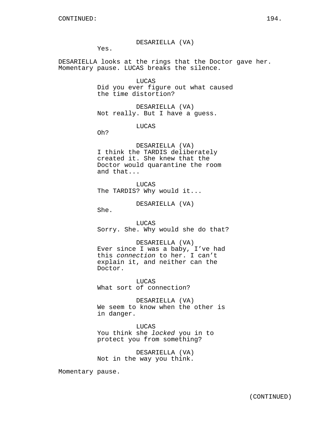#### DESARIELLA (VA)

Yes.

DESARIELLA looks at the rings that the Doctor gave her. Momentary pause. LUCAS breaks the silence.

> LUCAS Did you ever figure out what caused the time distortion?

DESARIELLA (VA) Not really. But I have a guess.

LUCAS

Oh?

DESARIELLA (VA) I think the TARDIS deliberately created it. She knew that the Doctor would quarantine the room and that...

LUCAS The TARDIS? Why would it...

DESARIELLA (VA)

She.

LUCAS Sorry. She. Why would she do that?

DESARIELLA (VA) Ever since I was a baby, I've had this connection to her. I can't explain it, and neither can the Doctor.

**LUCAS** What sort of connection?

DESARIELLA (VA) We seem to know when the other is in danger.

LUCAS You think she locked you in to protect you from something?

DESARIELLA (VA) Not in the way you think.

Momentary pause.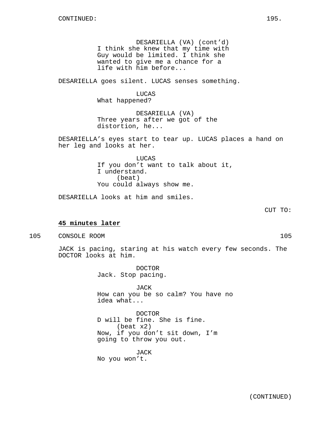DESARIELLA (VA) (cont'd) I think she knew that my time with Guy would be limited. I think she wanted to give me a chance for a life with him before...

DESARIELLA goes silent. LUCAS senses something.

LUCAS What happened?

DESARIELLA (VA) Three years after we got of the distortion, he...

DESARIELLA's eyes start to tear up. LUCAS places a hand on her leg and looks at her.

> LUCAS If you don't want to talk about it, I understand. (beat) You could always show me.

DESARIELLA looks at him and smiles.

CUT TO:

## **45 minutes later**

105 CONSOLE ROOM 105

JACK is pacing, staring at his watch every few seconds. The DOCTOR looks at him.

> DOCTOR Jack. Stop pacing.

JACK How can you be so calm? You have no idea what...

DOCTOR D will be fine. She is fine. (beat x2) Now, if you don't sit down, I'm going to throw you out.

JACK No you won't.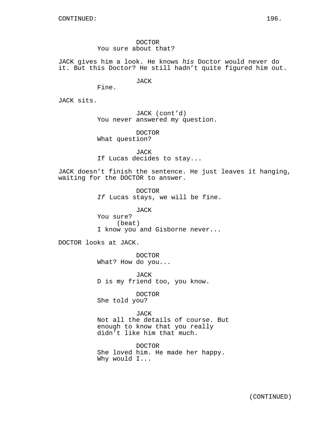DOCTOR You sure about that?

JACK gives him a look. He knows his Doctor would never do it. But this Doctor? He still hadn't quite figured him out.

JACK

Fine.

JACK sits.

JACK (cont'd) You never answered my question.

DOCTOR What question?

JACK If Lucas decides to stay...

JACK doesn't finish the sentence. He just leaves it hanging, waiting for the DOCTOR to answer.

> DOCTOR If Lucas stays, we will be fine.

> JACK You sure? (beat) I know you and Gisborne never...

DOCTOR looks at JACK.

DOCTOR What? How do you...

JACK D is my friend too, you know.

DOCTOR She told you?

JACK Not all the details of course. But enough to know that you really didn't like him that much.

DOCTOR She loved him. He made her happy. Why would I...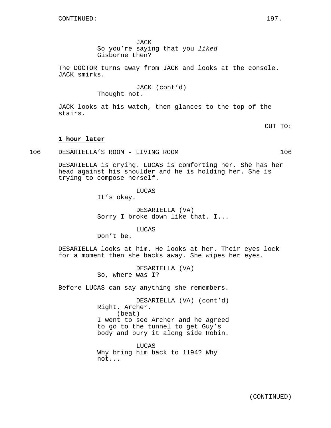JACK

So you're saying that you liked Gisborne then?

The DOCTOR turns away from JACK and looks at the console. JACK smirks.

> JACK (cont'd) Thought not.

JACK looks at his watch, then glances to the top of the stairs.

CUT TO:

## **1 hour later**

106 DESARIELLA'S ROOM - LIVING ROOM 106

DESARIELLA is crying. LUCAS is comforting her. She has her head against his shoulder and he is holding her. She is trying to compose herself.

LUCAS

It's okay.

DESARIELLA (VA) Sorry I broke down like that. I...

LUCAS

Don't be.

DESARIELLA looks at him. He looks at her. Their eyes lock for a moment then she backs away. She wipes her eyes.

> DESARIELLA (VA) So, where was I?

Before LUCAS can say anything she remembers.

DESARIELLA (VA) (cont'd) Right. Archer. (beat) I went to see Archer and he agreed to go to the tunnel to get Guy's body and bury it along side Robin.

LUCAS Why bring him back to 1194? Why not...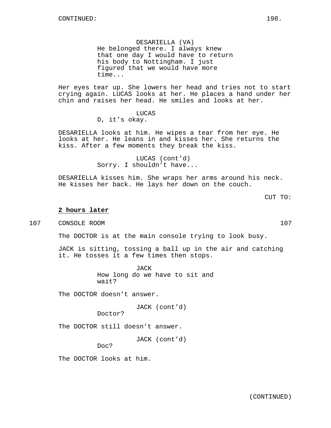DESARIELLA (VA) He belonged there. I always knew that one day I would have to return his body to Nottingham. I just figured that we would have more time...

Her eyes tear up. She lowers her head and tries not to start crying again. LUCAS looks at her. He places a hand under her chin and raises her head. He smiles and looks at her.

LUCAS

D, it's okay.

DESARIELLA looks at him. He wipes a tear from her eye. He looks at her. He leans in and kisses her. She returns the kiss. After a few moments they break the kiss.

> LUCAS (cont'd) Sorry. I shouldn't have...

DESARIELLA kisses him. She wraps her arms around his neck. He kisses her back. He lays her down on the couch.

CUT TO:

## **2 hours later**

107 CONSOLE ROOM 107

The DOCTOR is at the main console trying to look busy.

JACK is sitting, tossing a ball up in the air and catching it. He tosses it a few times then stops.

> JACK How long do we have to sit and wait?

The DOCTOR doesn't answer.

JACK (cont'd)

Doctor?

The DOCTOR still doesn't answer.

JACK (cont'd)

Doc?

The DOCTOR looks at him.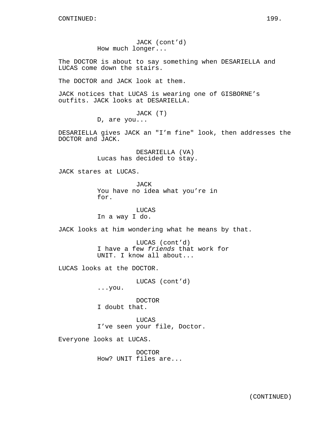JACK (cont'd) How much longer...

The DOCTOR is about to say something when DESARIELLA and LUCAS come down the stairs.

The DOCTOR and JACK look at them.

JACK notices that LUCAS is wearing one of GISBORNE's outfits. JACK looks at DESARIELLA.

JACK (T)

D, are you...

DESARIELLA gives JACK an "I'm fine" look, then addresses the DOCTOR and JACK.

> DESARIELLA (VA) Lucas has decided to stay.

JACK stares at LUCAS.

**JACK** You have no idea what you're in for.

LUCAS In a way I do.

JACK looks at him wondering what he means by that.

LUCAS (cont'd) I have a few friends that work for UNIT. I know all about...

LUCAS looks at the DOCTOR.

LUCAS (cont'd)

...you.

DOCTOR I doubt that.

LUCAS I've seen your file, Doctor.

Everyone looks at LUCAS.

DOCTOR How? UNIT files are...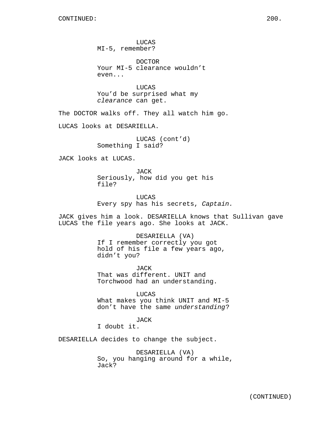LUCAS MI-5, remember?

DOCTOR Your MI-5 clearance wouldn't even...

LUCAS You'd be surprised what my clearance can get.

The DOCTOR walks off. They all watch him go.

LUCAS looks at DESARIELLA.

LUCAS (cont'd) Something I said?

JACK looks at LUCAS.

JACK Seriously, how did you get his file?

LUCAS Every spy has his secrets, Captain.

JACK gives him a look. DESARIELLA knows that Sullivan gave LUCAS the file years ago. She looks at JACK.

> DESARIELLA (VA) If I remember correctly you got hold of his file a few years ago, didn't you?

JACK That was different. UNIT and Torchwood had an understanding.

LUCAS What makes you think UNIT and MI-5 don't have the same understanding?

JACK I doubt it.

DESARIELLA decides to change the subject.

DESARIELLA (VA) So, you hanging around for a while, Jack?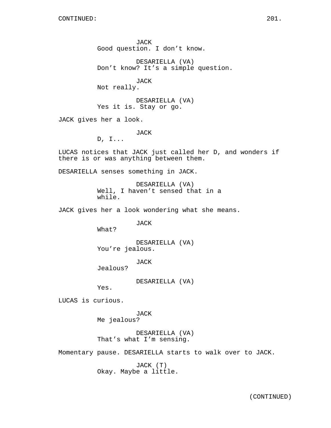JACK Good question. I don't know.

DESARIELLA (VA) Don't know? It's a simple question.

JACK Not really.

DESARIELLA (VA) Yes it is. Stay or go.

JACK gives her a look.

JACK

D, I...

LUCAS notices that JACK just called her D, and wonders if there is or was anything between them.

DESARIELLA senses something in JACK.

DESARIELLA (VA) Well, I haven't sensed that in a while.

JACK gives her a look wondering what she means.

JACK

What?

DESARIELLA (VA) You're jealous.

JACK

Jealous?

DESARIELLA (VA)

Yes.

LUCAS is curious.

JACK Me jealous?

DESARIELLA (VA) That's what I'm sensing.

Momentary pause. DESARIELLA starts to walk over to JACK.

JACK (T) Okay. Maybe a little.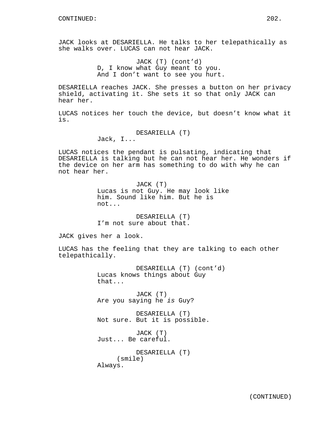JACK looks at DESARIELLA. He talks to her telepathically as she walks over. LUCAS can not hear JACK.

> JACK (T) (cont'd) D, I know what Guy meant to you. And I don't want to see you hurt.

DESARIELLA reaches JACK. She presses a button on her privacy shield, activating it. She sets it so that only JACK can hear her.

LUCAS notices her touch the device, but doesn't know what it is.

DESARIELLA (T)

Jack, I...

LUCAS notices the pendant is pulsating, indicating that DESARIELLA is talking but he can not hear her. He wonders if the device on her arm has something to do with why he can not hear her.

> JACK (T) Lucas is not Guy. He may look like him. Sound like him. But he is not...

DESARIELLA (T) I'm not sure about that.

JACK gives her a look.

LUCAS has the feeling that they are talking to each other telepathically.

> DESARIELLA (T) (cont'd) Lucas knows things about Guy that...

JACK (T) Are you saying he is Guy?

DESARIELLA (T) Not sure. But it is possible.

JACK (T) Just... Be careful.

DESARIELLA (T) (smile) Always.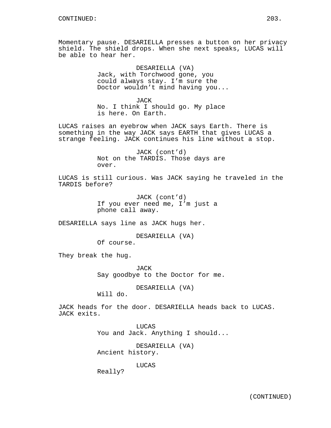Momentary pause. DESARIELLA presses a button on her privacy shield. The shield drops. When she next speaks, LUCAS will be able to hear her.

> DESARIELLA (VA) Jack, with Torchwood gone, you could always stay. I'm sure the Doctor wouldn't mind having you...

JACK No. I think I should go. My place is here. On Earth.

LUCAS raises an eyebrow when JACK says Earth. There is something in the way JACK says EARTH that gives LUCAS a strange feeling. JACK continues his line without a stop.

> JACK (cont'd) Not on the TARDIS. Those days are over.

LUCAS is still curious. Was JACK saying he traveled in the TARDIS before?

> JACK (cont'd) If you ever need me, I'm just a phone call away.

DESARIELLA says line as JACK hugs her.

DESARIELLA (VA) Of course.

They break the hug.

JACK Say goodbye to the Doctor for me.

DESARIELLA (VA)

Will do.

JACK heads for the door. DESARIELLA heads back to LUCAS. JACK exits.

> LUCAS You and Jack. Anything I should...

DESARIELLA (VA) Ancient history.

LUCAS

Really?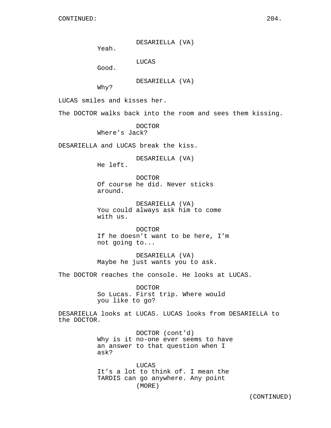DESARIELLA (VA)

Yeah.

LUCAS

Good.

DESARIELLA (VA)

Why?

LUCAS smiles and kisses her.

The DOCTOR walks back into the room and sees them kissing.

DOCTOR Where's Jack?

DESARIELLA and LUCAS break the kiss.

DESARIELLA (VA)

He left.

DOCTOR Of course he did. Never sticks around.

DESARIELLA (VA) You could always ask him to come with us.

DOCTOR If he doesn't want to be here, I'm not going to...

DESARIELLA (VA) Maybe he just wants you to ask.

The DOCTOR reaches the console. He looks at LUCAS.

DOCTOR So Lucas. First trip. Where would you like to go?

DESARIELLA looks at LUCAS. LUCAS looks from DESARIELLA to the DOCTOR.

> DOCTOR (cont'd) Why is it no-one ever seems to have an answer to that question when I ask?

LUCAS It's a lot to think of. I mean the TARDIS can go anywhere. Any point (MORE)

(CONTINUED)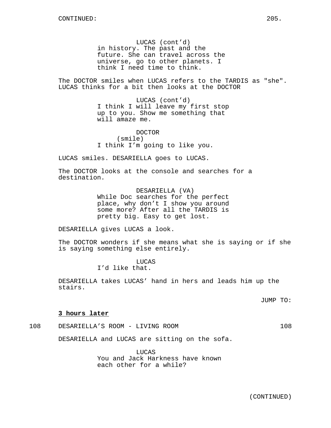LUCAS (cont'd) in history. The past and the future. She can travel across the universe, go to other planets. I think I need time to think.

The DOCTOR smiles when LUCAS refers to the TARDIS as "she". LUCAS thinks for a bit then looks at the DOCTOR

> LUCAS (cont'd) I think I will leave my first stop up to you. Show me something that will amaze me.

DOCTOR (smile) I think I'm going to like you.

LUCAS smiles. DESARIELLA goes to LUCAS.

The DOCTOR looks at the console and searches for a destination.

> DESARIELLA (VA) While Doc searches for the perfect place, why don't I show you around some more? After all the TARDIS is pretty big. Easy to get lost.

DESARIELLA gives LUCAS a look.

The DOCTOR wonders if she means what she is saying or if she is saying something else entirely.

> LUCAS I'd like that.

DESARIELLA takes LUCAS' hand in hers and leads him up the stairs.

JUMP TO:

#### **3 hours later**

108 DESARIELLA'S ROOM - LIVING ROOM 108

DESARIELLA and LUCAS are sitting on the sofa.

LUCAS You and Jack Harkness have known each other for a while?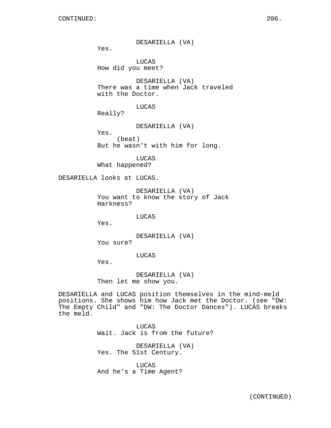DESARIELLA (VA)

Yes.

LUCAS How did you meet?

DESARIELLA (VA) There was a time when Jack traveled with the Doctor.

LUCAS

Really?

DESARIELLA (VA)

Yes. (beat) But he wasn't with him for long.

LUCAS What happened?

DESARIELLA looks at LUCAS.

DESARIELLA (VA) You want to know the story of Jack Harkness?

LUCAS

Yes.

DESARIELLA (VA) You sure?

LUCAS

Yes.

DESARIELLA (VA) Then let me show you.

DESARIELLA and LUCAS position themselves in the mind-meld positions. She shows him how Jack met the Doctor. (see "DW: The Empty Child" and "DW: The Doctor Dances"). LUCAS breaks the meld.

> LUCAS Wait. Jack is from the future?

DESARIELLA (VA) Yes. The 51st Century.

LUCAS And he's a Time Agent?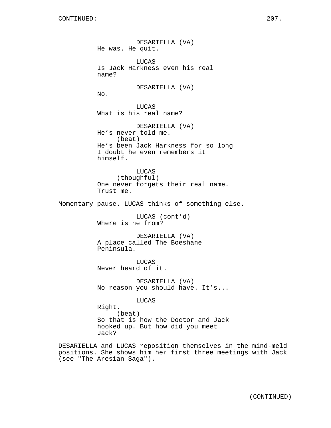DESARIELLA (VA) He was. He quit. LUCAS Is Jack Harkness even his real name? DESARIELLA (VA) No. LUCAS What is his real name? DESARIELLA (VA) He's never told me. (beat) He's been Jack Harkness for so long I doubt he even remembers it himself. LUCAS (thoughful) One never forgets their real name. Trust me. Momentary pause. LUCAS thinks of something else. LUCAS (cont'd) Where is he from? DESARIELLA (VA) A place called The Boeshane Peninsula. LUCAS Never heard of it. DESARIELLA (VA) No reason you should have. It's... LUCAS Right. (beat) So that is how the Doctor and Jack hooked up. But how did you meet Jack?

DESARIELLA and LUCAS reposition themselves in the mind-meld positions. She shows him her first three meetings with Jack (see "The Aresian Saga").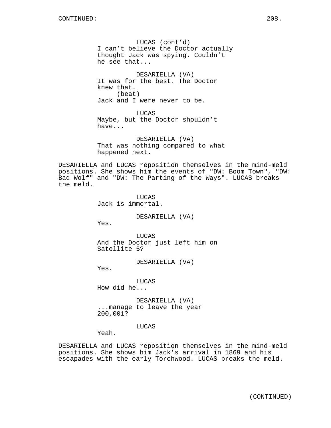LUCAS (cont'd) I can't believe the Doctor actually thought Jack was spying. Couldn't he see that...

DESARIELLA (VA) It was for the best. The Doctor knew that. (beat) Jack and I were never to be.

LUCAS Maybe, but the Doctor shouldn't have...

DESARIELLA (VA) That was nothing compared to what happened next.

DESARIELLA and LUCAS reposition themselves in the mind-meld positions. She shows him the events of "DW: Boom Town", "DW: Bad Wolf" and "DW: The Parting of the Ways". LUCAS breaks the meld.

> **LUCAS** Jack is immortal.

> > DESARIELLA (VA)

Yes.

LUCAS And the Doctor just left him on Satellite 5?

DESARIELLA (VA)

Yes.

**LUCAS** How did he...

DESARIELLA (VA) ...manage to leave the year 200,001?

## LUCAS

Yeah.

DESARIELLA and LUCAS reposition themselves in the mind-meld positions. She shows him Jack's arrival in 1869 and his escapades with the early Torchwood. LUCAS breaks the meld.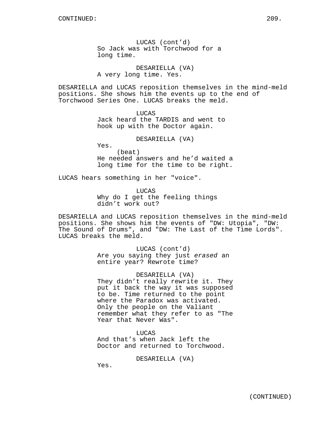LUCAS (cont'd) So Jack was with Torchwood for a long time.

DESARIELLA (VA) A very long time. Yes.

DESARIELLA and LUCAS reposition themselves in the mind-meld positions. She shows him the events up to the end of Torchwood Series One. LUCAS breaks the meld.

> LUCAS Jack heard the TARDIS and went to hook up with the Doctor again.

> > DESARIELLA (VA)

Yes.

(beat) He needed answers and he'd waited a long time for the time to be right.

LUCAS hears something in her "voice".

LUCAS Why do I get the feeling things didn't work out?

DESARIELLA and LUCAS reposition themselves in the mind-meld positions. She shows him the events of "DW: Utopia", "DW: The Sound of Drums", and "DW: The Last of the Time Lords". LUCAS breaks the meld.

> LUCAS (cont'd) Are you saying they just erased an entire year? Rewrote time?

DESARIELLA (VA) They didn't really rewrite it. They put it back the way it was supposed to be. Time returned to the point where the Paradox was activated. Only the people on the Valiant remember what they refer to as "The Year that Never Was".

LUCAS And that's when Jack left the Doctor and returned to Torchwood.

DESARIELLA (VA)

Yes.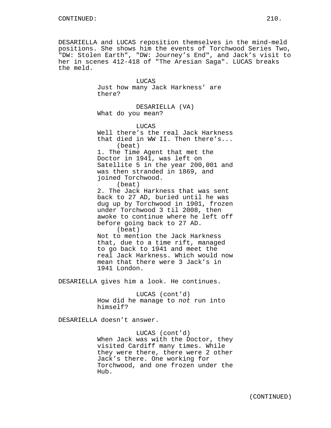DESARIELLA and LUCAS reposition themselves in the mind-meld positions. She shows him the events of Torchwood Series Two, "DW: Stolen Earth", "DW: Journey's End", and Jack's visit to her in scenes 412-418 of "The Aresian Saga". LUCAS breaks the meld.

> LUCAS Just how many Jack Harkness' are there?

DESARIELLA (VA) What do you mean?

LUCAS Well there's the real Jack Harkness that died in WW II. Then there's... (beat) 1. The Time Agent that met the Doctor in 1941, was left on Satellite 5 in the year 200,001 and was then stranded in 1869, and joined Torchwood. (beat) 2. The Jack Harkness that was sent back to 27 AD, buried until he was dug up by Torchwood in 1901, frozen under Torchwood 3 til 2008, then awoke to continue where he left off before going back to 27 AD.

(beat) Not to mention the Jack Harkness that, due to a time rift, managed to go back to 1941 and meet the real Jack Harkness. Which would now mean that there were 3 Jack's in 1941 London.

DESARIELLA gives him a look. He continues.

LUCAS (cont'd) How did he manage to not run into himself?

DESARIELLA doesn't answer.

LUCAS (cont'd) When Jack was with the Doctor, they visited Cardiff many times. While they were there, there were 2 other Jack's there. One working for Torchwood, and one frozen under the Hub.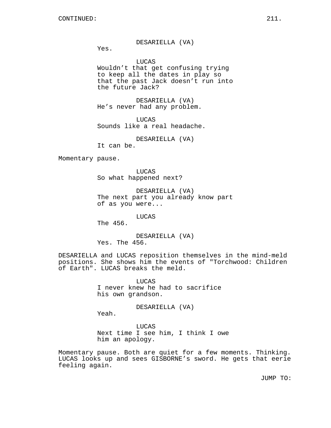Yes.

LUCAS

Wouldn't that get confusing trying to keep all the dates in play so that the past Jack doesn't run into the future Jack?

DESARIELLA (VA) He's never had any problem.

LUCAS Sounds like a real headache.

DESARIELLA (VA)

It can be.

Momentary pause.

LUCAS So what happened next?

DESARIELLA (VA) The next part you already know part of as you were...

LUCAS

The 456.

DESARIELLA (VA) Yes. The 456.

DESARIELLA and LUCAS reposition themselves in the mind-meld positions. She shows him the events of "Torchwood: Children of Earth". LUCAS breaks the meld.

> **LUCAS** I never knew he had to sacrifice his own grandson.

> > DESARIELLA (VA)

Yeah.

LUCAS Next time I see him, I think I owe him an apology.

Momentary pause. Both are quiet for a few moments. Thinking. LUCAS looks up and sees GISBORNE's sword. He gets that eerie feeling again.

JUMP TO: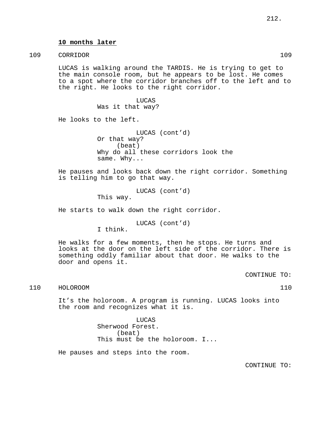## **10 months later**

# 109 CORRIDOR 109

LUCAS is walking around the TARDIS. He is trying to get to the main console room, but he appears to be lost. He comes to a spot where the corridor branches off to the left and to the right. He looks to the right corridor.

> LUCAS Was it that way?

He looks to the left.

LUCAS (cont'd) Or that way? (beat) Why do all these corridors look the same. Why...

He pauses and looks back down the right corridor. Something is telling him to go that way.

> LUCAS (cont'd) This way.

He starts to walk down the right corridor.

LUCAS (cont'd)

I think.

He walks for a few moments, then he stops. He turns and looks at the door on the left side of the corridor. There is something oddly familiar about that door. He walks to the door and opens it.

CONTINUE TO:

## 110 HOLOROOM 110

It's the holoroom. A program is running. LUCAS looks into the room and recognizes what it is.

> LUCAS Sherwood Forest. (beat) This must be the holoroom. I...

He pauses and steps into the room.

CONTINUE TO: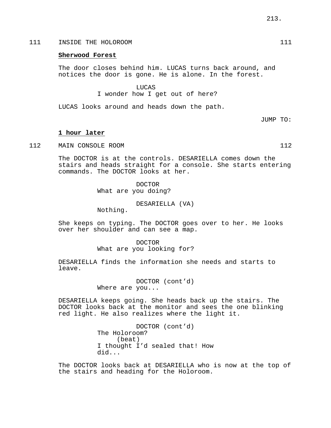# 111 INSIDE THE HOLOROOM 111

#### **Sherwood Forest**

The door closes behind him. LUCAS turns back around, and notices the door is gone. He is alone. In the forest.

LUCAS

I wonder how I get out of here?

LUCAS looks around and heads down the path.

JUMP TO:

#### **1 hour later**

112 MAIN CONSOLE ROOM 112

The DOCTOR is at the controls. DESARIELLA comes down the stairs and heads straight for a console. She starts entering commands. The DOCTOR looks at her.

> DOCTOR What are you doing?

> > DESARIELLA (VA)

Nothing.

She keeps on typing. The DOCTOR goes over to her. He looks over her shoulder and can see a map.

> DOCTOR What are you looking for?

DESARIELLA finds the information she needs and starts to leave.

> DOCTOR (cont'd) Where are you...

DESARIELLA keeps going. She heads back up the stairs. The DOCTOR looks back at the monitor and sees the one blinking red light. He also realizes where the light it.

> DOCTOR (cont'd) The Holoroom? (beat) I thought I'd sealed that! How did...

The DOCTOR looks back at DESARIELLA who is now at the top of the stairs and heading for the Holoroom.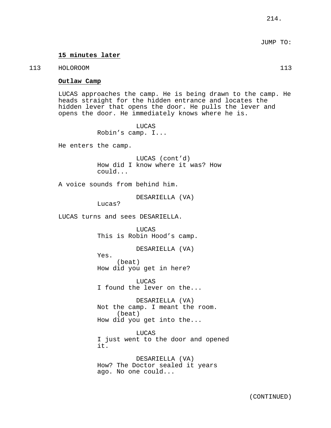# **15 minutes later**

#### 113 HOLOROOM 113 HOLOROOM 113

**Outlaw Camp**

LUCAS approaches the camp. He is being drawn to the camp. He heads straight for the hidden entrance and locates the hidden lever that opens the door. He pulls the lever and opens the door. He immediately knows where he is.

> LUCAS Robin's camp. I...

He enters the camp.

LUCAS (cont'd) How did I know where it was? How could...

A voice sounds from behind him.

DESARIELLA (VA)

Lucas?

LUCAS turns and sees DESARIELLA.

LUCAS This is Robin Hood's camp.

DESARIELLA (VA)

Yes. (beat) How did you get in here?

**LUCAS** I found the lever on the...

DESARIELLA (VA) Not the camp. I meant the room. (beat) How did you get into the...

LUCAS I just went to the door and opened it.

DESARIELLA (VA) How? The Doctor sealed it years ago. No one could...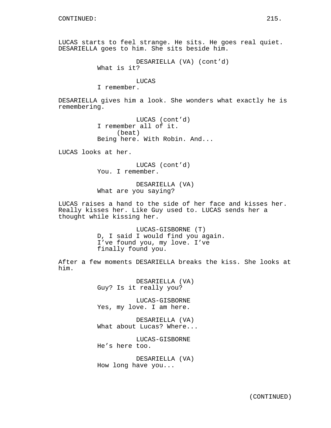LUCAS starts to feel strange. He sits. He goes real quiet. DESARIELLA goes to him. She sits beside him.

> DESARIELLA (VA) (cont'd) What is it?

# LUCAS

I remember.

DESARIELLA gives him a look. She wonders what exactly he is remembering.

> LUCAS (cont'd) I remember all of it. (beat) Being here. With Robin. And...

LUCAS looks at her.

LUCAS (cont'd) You. I remember.

DESARIELLA (VA) What are you saying?

LUCAS raises a hand to the side of her face and kisses her. Really kisses her. Like Guy used to. LUCAS sends her a thought while kissing her.

> LUCAS-GISBORNE (T) D, I said I would find you again. I've found you, my love. I've finally found you.

After a few moments DESARIELLA breaks the kiss. She looks at him.

> DESARIELLA (VA) Guy? Is it really you?

LUCAS-GISBORNE Yes, my love. I am here.

DESARIELLA (VA) What about Lucas? Where...

LUCAS-GISBORNE He's here too.

DESARIELLA (VA) How long have you...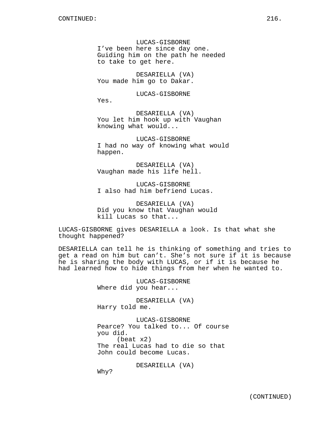Yes.

LUCAS-GISBORNE I've been here since day one. Guiding him on the path he needed to take to get here.

DESARIELLA (VA) You made him go to Dakar.

LUCAS-GISBORNE

DESARIELLA (VA) You let him hook up with Vaughan knowing what would...

LUCAS-GISBORNE I had no way of knowing what would happen.

DESARIELLA (VA) Vaughan made his life hell.

LUCAS-GISBORNE I also had him befriend Lucas.

DESARIELLA (VA) Did you know that Vaughan would kill Lucas so that...

LUCAS-GISBORNE gives DESARIELLA a look. Is that what she thought happened?

DESARIELLA can tell he is thinking of something and tries to get a read on him but can't. She's not sure if it is because he is sharing the body with LUCAS, or if it is because he had learned how to hide things from her when he wanted to.

> LUCAS-GISBORNE Where did you hear...

DESARIELLA (VA) Harry told me.

LUCAS-GISBORNE Pearce? You talked to... Of course you did. (beat x2) The real Lucas had to die so that John could become Lucas.

DESARIELLA (VA)

Why?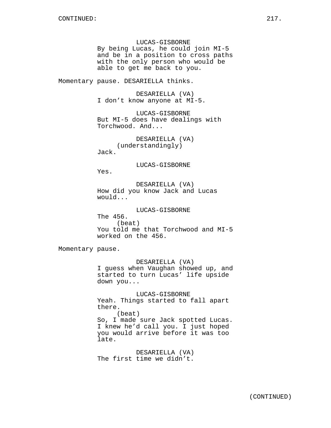LUCAS-GISBORNE By being Lucas, he could join MI-5 and be in a position to cross paths with the only person who would be able to get me back to you.

Momentary pause. DESARIELLA thinks.

DESARIELLA (VA) I don't know anyone at MI-5.

LUCAS-GISBORNE But MI-5 does have dealings with Torchwood. And...

DESARIELLA (VA) (understandingly) Jack.

LUCAS-GISBORNE

Yes.

DESARIELLA (VA) How did you know Jack and Lucas would...

LUCAS-GISBORNE The 456. (beat) You told me that Torchwood and MI-5 worked on the 456.

Momentary pause.

DESARIELLA (VA) I guess when Vaughan showed up, and started to turn Lucas' life upside down you...

LUCAS-GISBORNE Yeah. Things started to fall apart there. (beat) So, I made sure Jack spotted Lucas. I knew he'd call you. I just hoped you would arrive before it was too late.

DESARIELLA (VA) The first time we didn't.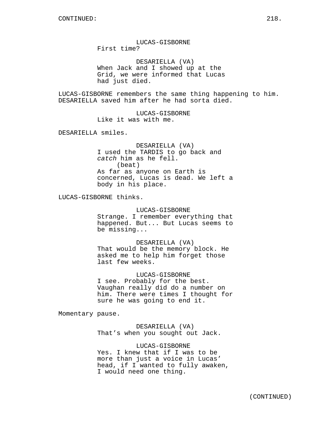LUCAS-GISBORNE First time?

DESARIELLA (VA) When Jack and I showed up at the Grid, we were informed that Lucas had just died.

LUCAS-GISBORNE remembers the same thing happening to him. DESARIELLA saved him after he had sorta died.

> LUCAS-GISBORNE Like it was with me.

DESARIELLA smiles.

DESARIELLA (VA) I used the TARDIS to go back and catch him as he fell. (beat) As far as anyone on Earth is concerned, Lucas is dead. We left a body in his place.

LUCAS-GISBORNE thinks.

# LUCAS-GISBORNE

Strange. I remember everything that happened. But... But Lucas seems to be missing...

DESARIELLA (VA)

That would be the memory block. He asked me to help him forget those last few weeks.

LUCAS-GISBORNE

I see. Probably for the best. Vaughan really did do a number on him. There were times I thought for sure he was going to end it.

Momentary pause.

DESARIELLA (VA) That's when you sought out Jack.

LUCAS-GISBORNE Yes. I knew that if I was to be more than just a voice in Lucas' head, if I wanted to fully awaken, I would need one thing.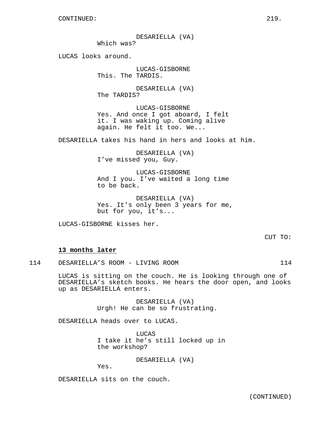DESARIELLA (VA)

Which was?

LUCAS looks around.

LUCAS-GISBORNE This. The TARDIS.

DESARIELLA (VA) The TARDIS?

LUCAS-GISBORNE Yes. And once I got aboard, I felt it. I was waking up. Coming alive again. He felt it too. We...

DESARIELLA takes his hand in hers and looks at him.

DESARIELLA (VA) I've missed you, Guy.

LUCAS-GISBORNE And I you. I've waited a long time to be back.

DESARIELLA (VA) Yes. It's only been 3 years for me, but for you, it's...

LUCAS-GISBORNE kisses her.

CUT TO:

## **13 months later**

114 DESARIELLA'S ROOM - LIVING ROOM 114

LUCAS is sitting on the couch. He is looking through one of DESARIELLA's sketch books. He hears the door open, and looks up as DESARIELLA enters.

> DESARIELLA (VA) Urgh! He can be so frustrating.

DESARIELLA heads over to LUCAS.

**LUCAS** I take it he's still locked up in the workshop?

DESARIELLA (VA)

Yes.

DESARIELLA sits on the couch.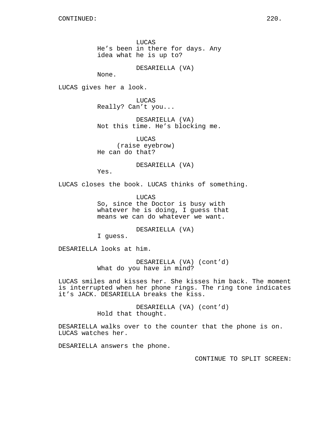LUCAS He's been in there for days. Any idea what he is up to?

DESARIELLA (VA)

None.

LUCAS gives her a look.

LUCAS Really? Can't you...

DESARIELLA (VA) Not this time. He's blocking me.

LUCAS (raise eyebrow) He can do that?

DESARIELLA (VA)

Yes.

LUCAS closes the book. LUCAS thinks of something.

LUCAS So, since the Doctor is busy with whatever he is doing, I guess that means we can do whatever we want.

DESARIELLA (VA)

I guess.

DESARIELLA looks at him.

DESARIELLA (VA) (cont'd) What do you have in mind?

LUCAS smiles and kisses her. She kisses him back. The moment is interrupted when her phone rings. The ring tone indicates it's JACK. DESARIELLA breaks the kiss.

> DESARIELLA (VA) (cont'd) Hold that thought.

DESARIELLA walks over to the counter that the phone is on. LUCAS watches her.

DESARIELLA answers the phone.

CONTINUE TO SPLIT SCREEN: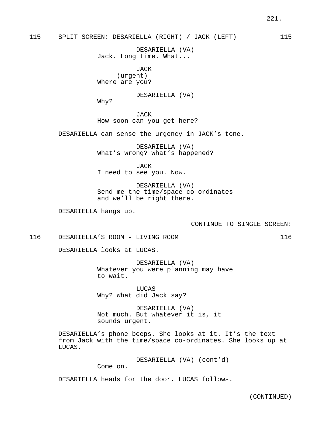# 115 SPLIT SCREEN: DESARIELLA (RIGHT) / JACK (LEFT) 115

DESARIELLA (VA) Jack. Long time. What...

JACK (urgent) Where are you?

DESARIELLA (VA)

Why?

JACK How soon can you get here?

DESARIELLA can sense the urgency in JACK's tone.

DESARIELLA (VA) What's wrong? What's happened?

JACK I need to see you. Now.

DESARIELLA (VA) Send me the time/space co-ordinates and we'll be right there.

DESARIELLA hangs up.

CONTINUE TO SINGLE SCREEN:

116 DESARIELLA'S ROOM - LIVING ROOM 116

DESARIELLA looks at LUCAS.

DESARIELLA (VA) Whatever you were planning may have to wait.

LUCAS Why? What did Jack say?

DESARIELLA (VA) Not much. But whatever it is, it sounds urgent.

DESARIELLA's phone beeps. She looks at it. It's the text from Jack with the time/space co-ordinates. She looks up at LUCAS.

DESARIELLA (VA) (cont'd)

Come on.

DESARIELLA heads for the door. LUCAS follows.

(CONTINUED)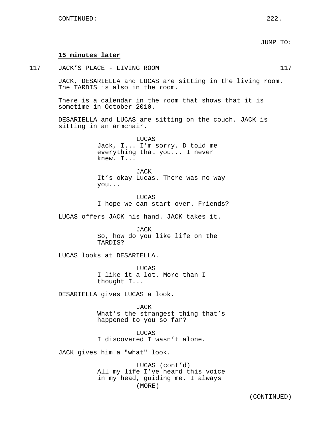|     |                                                                                                   | JUMP TO: |     |
|-----|---------------------------------------------------------------------------------------------------|----------|-----|
|     | 15 minutes later                                                                                  |          |     |
| 117 | JACK'S PLACE - LIVING ROOM                                                                        |          | 117 |
|     | JACK, DESARIELLA and LUCAS are sitting in the living room.<br>The TARDIS is also in the room.     |          |     |
|     | There is a calendar in the room that shows that it is<br>sometime in October 2010.                |          |     |
|     | DESARIELLA and LUCAS are sitting on the couch. JACK is<br>sitting in an armchair.                 |          |     |
|     | LUCAS<br>Jack, I I'm sorry. D told me<br>everything that you I never<br>knew. I                   |          |     |
|     | JACK<br>It's okay Lucas. There was no way<br>you                                                  |          |     |
|     | LUCAS<br>I hope we can start over. Friends?                                                       |          |     |
|     | LUCAS offers JACK his hand. JACK takes it.                                                        |          |     |
|     | JACK<br>So, how do you like life on the<br>TARDIS?                                                |          |     |
|     | LUCAS looks at DESARIELLA.                                                                        |          |     |
|     | LUCAS<br>I like it a lot. More than I<br>thought I                                                |          |     |
|     | DESARIELLA gives LUCAS a look.                                                                    |          |     |
|     | JACK<br>What's the strangest thing that's<br>happened to you so far?                              |          |     |
|     | LUCAS<br>I discovered I wasn't alone.                                                             |          |     |
|     | JACK gives him a "what" look.                                                                     |          |     |
|     | LUCAS (cont'd)<br>All my life I've heard this voice<br>in my head, guiding me. I always<br>(MORE) |          |     |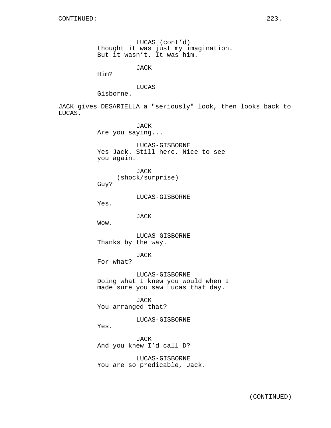LUCAS (cont'd) thought it was just my imagination. But it wasn't. It was him.

JACK

Him?

LUCAS

Gisborne.

JACK gives DESARIELLA a "seriously" look, then looks back to LUCAS.

> JACK Are you saying...

LUCAS-GISBORNE Yes Jack. Still here. Nice to see you again.

JACK (shock/surprise) Guy?

LUCAS-GISBORNE

Yes.

JACK

Wow.

LUCAS-GISBORNE Thanks by the way.

JACK

For what?

LUCAS-GISBORNE Doing what I knew you would when I made sure you saw Lucas that day.

JACK You arranged that?

LUCAS-GISBORNE

Yes.

JACK And you knew I'd call D?

LUCAS-GISBORNE You are so predicable, Jack.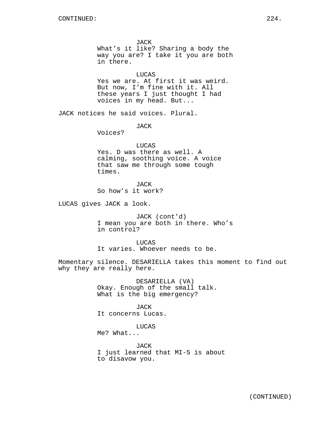JACK What's it like? Sharing a body the way you are? I take it you are both in there.

LUCAS Yes we are. At first it was weird. But now, I'm fine with it. All these years I just thought I had voices in my head. But...

JACK notices he said voices. Plural.

JACK

Voices?

LUCAS

Yes. D was there as well. A calming, soothing voice. A voice that saw me through some tough times.

**JACK** So how's it work?

LUCAS gives JACK a look.

JACK (cont'd) I mean you are both in there. Who's in control?

LUCAS It varies. Whoever needs to be.

Momentary silence. DESARIELLA takes this moment to find out why they are really here.

> DESARIELLA (VA) Okay. Enough of the small talk. What is the big emergency?

JACK It concerns Lucas.

LUCAS

Me? What...

JACK I just learned that MI-5 is about to disavow you.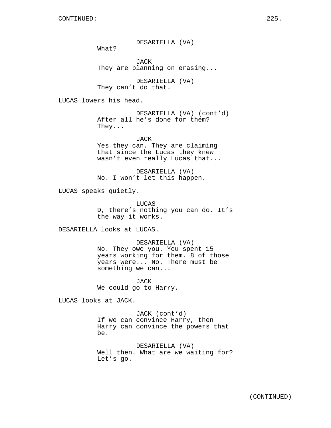DESARIELLA (VA)

What?

JACK They are planning on erasing...

DESARIELLA (VA) They can't do that.

LUCAS lowers his head.

DESARIELLA (VA) (cont'd) After all he's done for them? They...

JACK Yes they can. They are claiming that since the Lucas they knew wasn't even really Lucas that...

DESARIELLA (VA) No. I won't let this happen.

LUCAS speaks quietly.

LUCAS D, there's nothing you can do. It's the way it works.

DESARIELLA looks at LUCAS.

DESARIELLA (VA) No. They owe you. You spent 15 years working for them. 8 of those years were... No. There must be something we can...

JACK We could go to Harry.

LUCAS looks at JACK.

JACK (cont'd) If we can convince Harry, then Harry can convince the powers that be.

DESARIELLA (VA) Well then. What are we waiting for? Let's go.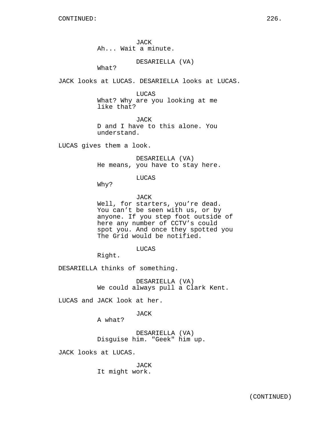JACK Ah... Wait a minute.

DESARIELLA (VA)

What?

JACK looks at LUCAS. DESARIELLA looks at LUCAS.

LUCAS

What? Why are you looking at me like that?

JACK D and I have to this alone. You understand.

LUCAS gives them a look.

DESARIELLA (VA) He means, you have to stay here.

LUCAS

Why?

JACK

Well, for starters, you're dead. You can't be seen with us, or by anyone. If you step foot outside of here any number of CCTV's could spot you. And once they spotted you The Grid would be notified.

LUCAS

Right.

DESARIELLA thinks of something.

DESARIELLA (VA) We could always pull a Clark Kent.

LUCAS and JACK look at her.

JACK

A what?

DESARIELLA (VA) Disguise him. "Geek" him up.

JACK looks at LUCAS.

JACK It might work.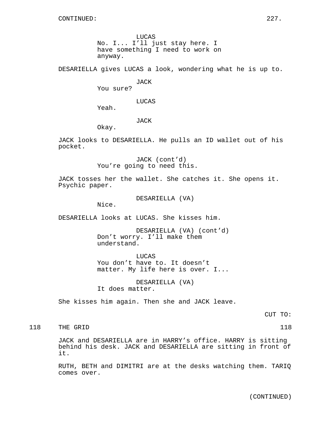LUCAS No. I... I'll just stay here. I have something I need to work on anyway.

DESARIELLA gives LUCAS a look, wondering what he is up to.

JACK

You sure?

LUCAS

Yeah.

JACK

Okay.

JACK looks to DESARIELLA. He pulls an ID wallet out of his pocket.

> JACK (cont'd) You're going to need this.

JACK tosses her the wallet. She catches it. She opens it. Psychic paper.

DESARIELLA (VA)

Nice.

DESARIELLA looks at LUCAS. She kisses him.

DESARIELLA (VA) (cont'd) Don't worry. I'll make them understand.

LUCAS You don't have to. It doesn't matter. My life here is over. I...

DESARIELLA (VA) It does matter.

She kisses him again. Then she and JACK leave.

CUT TO:

118 THE GRID 118 118

JACK and DESARIELLA are in HARRY's office. HARRY is sitting behind his desk. JACK and DESARIELLA are sitting in front of it.

RUTH, BETH and DIMITRI are at the desks watching them. TARIQ comes over.

(CONTINUED)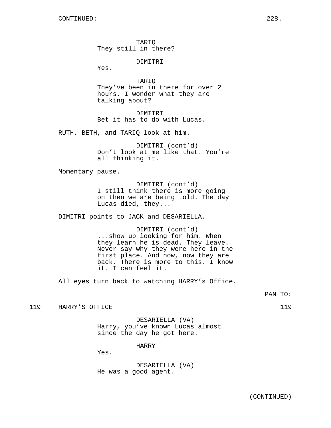TARIQ They still in there?

DIMITRI

Yes.

TARIQ They've been in there for over 2 hours. I wonder what they are talking about?

DIMITRI Bet it has to do with Lucas.

RUTH, BETH, and TARIQ look at him.

DIMITRI (cont'd) Don't look at me like that. You're all thinking it.

Momentary pause.

DIMITRI (cont'd) I still think there is more going on then we are being told. The day Lucas died, they...

DIMITRI points to JACK and DESARIELLA.

DIMITRI (cont'd) ...show up looking for him. When they learn he is dead. They leave. Never say why they were here in the first place. And now, now they are back. There is more to this. I know it. I can feel it.

All eyes turn back to watching HARRY's Office.

PAN TO:

119 HARRY'S OFFICE 119

DESARIELLA (VA) Harry, you've known Lucas almost since the day he got here.

HARRY

Yes.

DESARIELLA (VA) He was a good agent.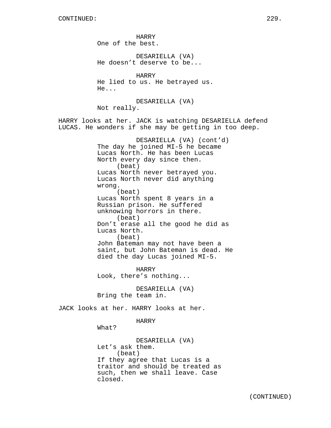HARRY One of the best. DESARIELLA (VA) He doesn't deserve to be... HARRY He lied to us. He betrayed us. He... DESARIELLA (VA) Not really. HARRY looks at her. JACK is watching DESARIELLA defend LUCAS. He wonders if she may be getting in too deep. DESARIELLA (VA) (cont'd) The day he joined MI-5 he became Lucas North. He has been Lucas North every day since then. (beat) Lucas North never betrayed you. Lucas North never did anything wrong. (beat) Lucas North spent 8 years in a Russian prison. He suffered unknowing horrors in there. (beat) Don't erase all the good he did as Lucas North. (beat) John Bateman may not have been a saint, but John Bateman is dead. He died the day Lucas joined MI-5. HARRY Look, there's nothing... DESARIELLA (VA) Bring the team in. JACK looks at her. HARRY looks at her. HARRY What? DESARIELLA (VA)

Let's ask them. (beat) If they agree that Lucas is a traitor and should be treated as such, then we shall leave. Case closed.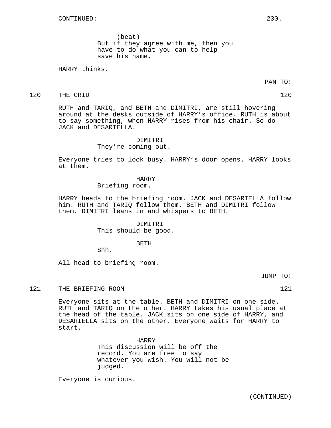(beat) But if they agree with me, then you have to do what you can to help save his name.

HARRY thinks.

PAN TO:

# 120 THE GRID 120 120

RUTH and TARIQ, and BETH and DIMITRI, are still hovering around at the desks outside of HARRY's office. RUTH is about to say something, when HARRY rises from his chair. So do JACK and DESARIELLA.

## DIMITRI They're coming out.

Everyone tries to look busy. HARRY's door opens. HARRY looks at them.

#### HARRY

Briefing room.

HARRY heads to the briefing room. JACK and DESARIELLA follow him. RUTH and TARIQ follow them. BETH and DIMITRI follow them. DIMITRI leans in and whispers to BETH.

> DIMITRI This should be good.

## BETH

Shh.

All head to briefing room.

JUMP TO:

121 THE BRIEFING ROOM 121 21

Everyone sits at the table. BETH and DIMITRI on one side. RUTH and TARIQ on the other. HARRY takes his usual place at the head of the table. JACK sits on one side of HARRY, and DESARIELLA sits on the other. Everyone waits for HARRY to start.

> HARRY This discussion will be off the record. You are free to say whatever you wish. You will not be judged.

Everyone is curious.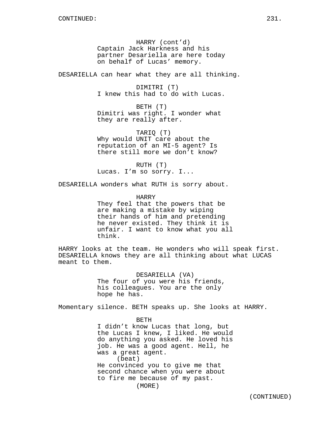HARRY (cont'd) Captain Jack Harkness and his partner Desariella are here today on behalf of Lucas' memory.

DESARIELLA can hear what they are all thinking.

DIMITRI (T) I knew this had to do with Lucas.

BETH (T) Dimitri was right. I wonder what they are really after.

TARIQ (T) Why would UNIT care about the reputation of an MI-5 agent? Is there still more we don't know?

RUTH (T) Lucas. I'm so sorry. I...

DESARIELLA wonders what RUTH is sorry about.

HARRY They feel that the powers that be are making a mistake by wiping their hands of him and pretending he never existed. They think it is unfair. I want to know what you all think.

HARRY looks at the team. He wonders who will speak first. DESARIELLA knows they are all thinking about what LUCAS meant to them.

> DESARIELLA (VA) The four of you were his friends, his colleagues. You are the only hope he has.

Momentary silence. BETH speaks up. She looks at HARRY.

BETH I didn't know Lucas that long, but the Lucas I knew, I liked. He would do anything you asked. He loved his job. He was a good agent. Hell, he was a great agent. (beat) He convinced you to give me that second chance when you were about to fire me because of my past. (MORE)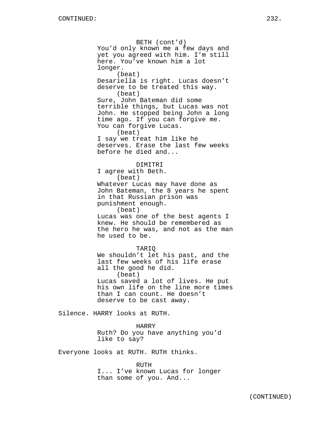BETH (cont'd) You'd only known me a few days and yet you agreed with him. I'm still here. You've known him a lot longer. (beat) Desariella is right. Lucas doesn't deserve to be treated this way. (beat) Sure, John Bateman did some terrible things, but Lucas was not John. He stopped being John a long time ago. If you can forgive me. You can forgive Lucas. (beat) I say we treat him like he deserves. Erase the last few weeks before he died and... DIMITRI I agree with Beth. (beat) Whatever Lucas may have done as John Bateman, the 8 years he spent in that Russian prison was punishment enough. (beat) Lucas was one of the best agents I

knew. He should be remembered as the hero he was, and not as the man he used to be.

#### TARIQ

We shouldn't let his past, and the last few weeks of his life erase all the good he did. (beat) Lucas saved a lot of lives. He put his own life on the line more times than I can count. He doesn't deserve to be cast away.

Silence. HARRY looks at RUTH.

#### HARRY

Ruth? Do you have anything you'd like to say?

Everyone looks at RUTH. RUTH thinks.

#### RUTH

I... I've known Lucas for longer than some of you. And...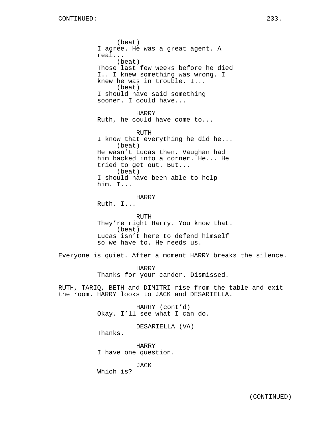(beat) I agree. He was a great agent. A real... (beat) Those last few weeks before he died I.. I knew something was wrong. I knew he was in trouble. I... (beat) I should have said something sooner. I could have...

HARRY Ruth, he could have come to...

RUTH I know that everything he did he... (beat) He wasn't Lucas then. Vaughan had him backed into a corner. He... He tried to get out. But... (beat) I should have been able to help him. I...

HARRY

Ruth. I...

RUTH They're right Harry. You know that. (beat) Lucas isn't here to defend himself so we have to. He needs us.

Everyone is quiet. After a moment HARRY breaks the silence.

HARRY Thanks for your cander. Dismissed.

RUTH, TARIQ, BETH and DIMITRI rise from the table and exit the room. HARRY looks to JACK and DESARIELLA.

> HARRY (cont'd) Okay. I'll see what I can do.

> > DESARIELLA (VA)

Thanks.

HARRY I have one question.

JACK

Which is?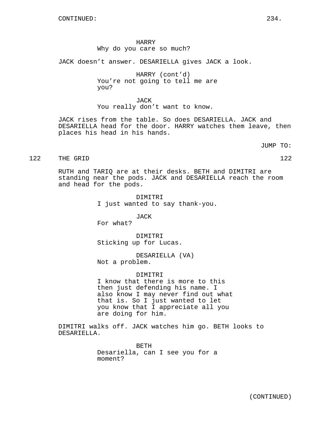HARRY Why do you care so much?

JACK doesn't answer. DESARIELLA gives JACK a look.

HARRY (cont'd) You're not going to tell me are you?

JACK You really don't want to know.

JACK rises from the table. So does DESARIELLA. JACK and DESARIELLA head for the door. HARRY watches them leave, then places his head in his hands.

JUMP TO:

122 THE GRID 122

RUTH and TARIQ are at their desks. BETH and DIMITRI are standing near the pods. JACK and DESARIELLA reach the room and head for the pods.

> DIMITRI I just wanted to say thank-you.

JACK For what?

DIMITRI Sticking up for Lucas.

DESARIELLA (VA) Not a problem.

DIMITRI

I know that there is more to this then just defending his name. I also know I may never find out what that is. So I just wanted to let you know that I appreciate all you are doing for him.

DIMITRI walks off. JACK watches him go. BETH looks to DESARIELLA.

> BETH Desariella, can I see you for a moment?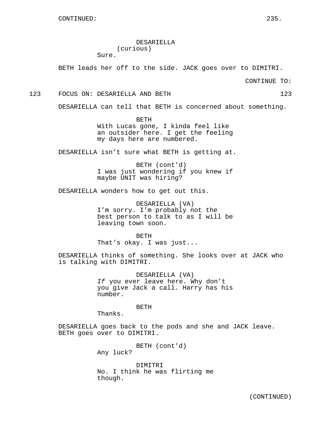DESARIELLA (curious) Sure.

BETH leads her off to the side. JACK goes over to DIMITRI.

CONTINUE TO:

123 FOCUS ON: DESARIELLA AND BETH 123

DESARIELLA can tell that BETH is concerned about something.

BETH With Lucas gone, I kinda feel like an outsider here. I get the feeling my days here are numbered.

DESARIELLA isn't sure what BETH is getting at.

BETH (cont'd) I was just wondering if you knew if maybe UNIT was hiring?

DESARIELLA wonders how to get out this.

DESARIELLA (VA) I'm sorry. I'm probably not the best person to talk to as I will be leaving town soon.

BETH That's okay. I was just...

DESARIELLA thinks of something. She looks over at JACK who is talking with DIMITRI.

> DESARIELLA (VA) If you ever leave here. Why don't you give Jack a call. Harry has his number.

> > **BETH**

Thanks.

DESARIELLA goes back to the pods and she and JACK leave. BETH goes over to DIMITRI.

BETH (cont'd)

Any luck?

DIMITRI No. I think he was flirting me though.

(CONTINUED)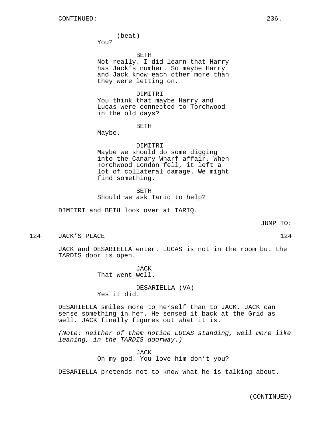(beat)

You?

#### BETH

Not really. I did learn that Harry has Jack's number. So maybe Harry and Jack know each other more than they were letting on.

#### DIMITRI

You think that maybe Harry and Lucas were connected to Torchwood in the old days?

BETH

Maybe.

DIMITRI Maybe we should do some digging into the Canary Wharf affair. When Torchwood London fell, it left a lot of collateral damage. We might find something.

BETH Should we ask Tariq to help?

DIMITRI and BETH look over at TARIQ.

JUMP TO:

124 JACK'S PLACE 124 124

JACK and DESARIELLA enter. LUCAS is not in the room but the TARDIS door is open.

> JACK That went well.

DESARIELLA (VA) Yes it did.

DESARIELLA smiles more to herself than to JACK. JACK can sense something in her. He sensed it back at the Grid as well. JACK finally figures out what it is.

(Note: neither of them notice LUCAS standing, well more like leaning, in the TARDIS doorway.)

> JACK Oh my god. You love him don't you?

DESARIELLA pretends not to know what he is talking about.

(CONTINUED)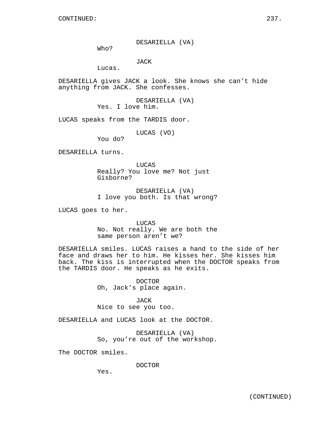DESARIELLA (VA)

Who?

JACK

Lucas.

DESARIELLA gives JACK a look. She knows she can't hide anything from JACK. She confesses.

> DESARIELLA (VA) Yes. I love him.

LUCAS speaks from the TARDIS door.

LUCAS (VO)

You do?

DESARIELLA turns.

LUCAS Really? You love me? Not just Gisborne?

DESARIELLA (VA) I love you both. Is that wrong?

LUCAS goes to her.

LUCAS No. Not really. We are both the same person aren't we?

DESARIELLA smiles. LUCAS raises a hand to the side of her face and draws her to him. He kisses her. She kisses him back. The kiss is interrupted when the DOCTOR speaks from the TARDIS door. He speaks as he exits.

> DOCTOR Oh, Jack's place again.

JACK Nice to see you too.

DESARIELLA and LUCAS look at the DOCTOR.

DESARIELLA (VA) So, you're out of the workshop.

The DOCTOR smiles.

DOCTOR

Yes.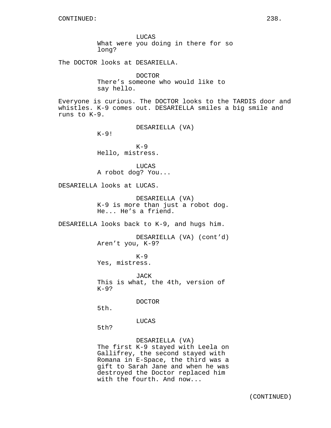LUCAS What were you doing in there for so long?

The DOCTOR looks at DESARIELLA.

DOCTOR There's someone who would like to say hello.

Everyone is curious. The DOCTOR looks to the TARDIS door and whistles. K-9 comes out. DESARIELLA smiles a big smile and runs to K-9.

DESARIELLA (VA)

 $K-9!$ 

 $K-9$ Hello, mistress.

LUCAS A robot dog? You...

DESARIELLA looks at LUCAS.

DESARIELLA (VA) K-9 is more than just a robot dog. He... He's a friend.

DESARIELLA looks back to K-9, and hugs him.

DESARIELLA (VA) (cont'd) Aren't you, K-9?

 $K-9$ Yes, mistress.

JACK This is what, the 4th, version of K-9?

DOCTOR

5th.

LUCAS

5th?

DESARIELLA (VA) The first K-9 stayed with Leela on Gallifrey, the second stayed with Romana in E-Space, the third was a gift to Sarah Jane and when he was destroyed the Doctor replaced him with the fourth. And now...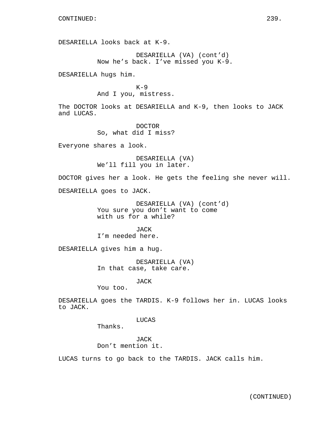DESARIELLA looks back at K-9.

DESARIELLA (VA) (cont'd) Now he's back. I've missed you K-9.

DESARIELLA hugs him.

 $K-9$ And I you, mistress.

The DOCTOR looks at DESARIELLA and K-9, then looks to JACK and LUCAS.

> DOCTOR So, what did I miss?

Everyone shares a look.

DESARIELLA (VA) We'll fill you in later.

DOCTOR gives her a look. He gets the feeling she never will.

DESARIELLA goes to JACK.

DESARIELLA (VA) (cont'd) You sure you don't want to come with us for a while?

JACK I'm needed here.

DESARIELLA gives him a hug.

DESARIELLA (VA) In that case, take care.

JACK

You too.

DESARIELLA goes the TARDIS. K-9 follows her in. LUCAS looks to JACK.

LUCAS

Thanks.

JACK Don't mention it.

LUCAS turns to go back to the TARDIS. JACK calls him.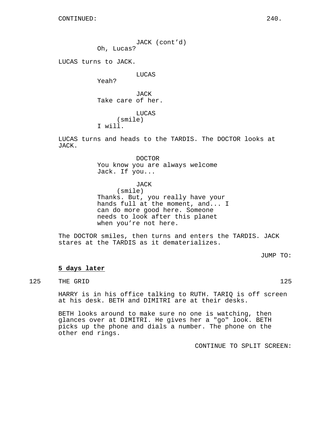JACK (cont'd)

Oh, Lucas?

LUCAS turns to JACK.

LUCAS

Yeah?

JACK Take care of her.

LUCAS (smile) I will.

LUCAS turns and heads to the TARDIS. The DOCTOR looks at JACK.

# DOCTOR You know you are always welcome Jack. If you...

JACK

(smile)

Thanks. But, you really have your hands full at the moment, and... I can do more good here. Someone needs to look after this planet when you're not here.

The DOCTOR smiles, then turns and enters the TARDIS. JACK stares at the TARDIS as it dematerializes.

JUMP TO:

# **5 days later**

125 THE GRID 125

HARRY is in his office talking to RUTH. TARIQ is off screen at his desk. BETH and DIMITRI are at their desks.

BETH looks around to make sure no one is watching, then glances over at DIMITRI. He gives her a "go" look. BETH picks up the phone and dials a number. The phone on the other end rings.

CONTINUE TO SPLIT SCREEN: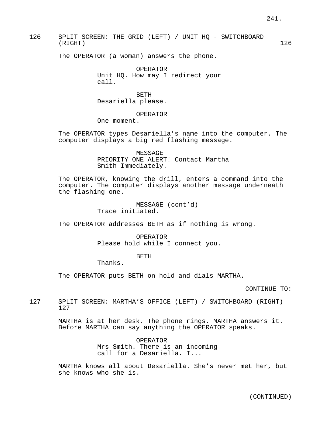126 SPLIT SCREEN: THE GRID (LEFT) / UNIT HQ - SWITCHBOARD (RIGHT) 126

The OPERATOR (a woman) answers the phone.

OPERATOR Unit HQ. How may I redirect your call.

BETH Desariella please.

OPERATOR

One moment.

The OPERATOR types Desariella's name into the computer. The computer displays a big red flashing message.

> MESSAGE PRIORITY ONE ALERT! Contact Martha Smith Immediately.

The OPERATOR, knowing the drill, enters a command into the computer. The computer displays another message underneath the flashing one.

> MESSAGE (cont'd) Trace initiated.

The OPERATOR addresses BETH as if nothing is wrong.

OPERATOR Please hold while I connect you.

BETH

Thanks.

The OPERATOR puts BETH on hold and dials MARTHA.

CONTINUE TO:

127 SPLIT SCREEN: MARTHA'S OFFICE (LEFT) / SWITCHBOARD (RIGHT) 127

> MARTHA is at her desk. The phone rings. MARTHA answers it. Before MARTHA can say anything the OPERATOR speaks.

> > OPERATOR Mrs Smith. There is an incoming call for a Desariella. I...

MARTHA knows all about Desariella. She's never met her, but she knows who she is.

(CONTINUED)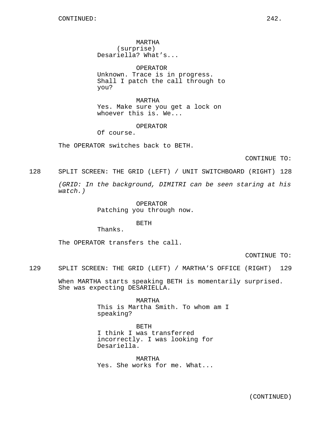MARTHA (surprise) Desariella? What's...

OPERATOR Unknown. Trace is in progress. Shall I patch the call through to you?

MARTHA Yes. Make sure you get a lock on whoever this is. We...

OPERATOR

Of course.

The OPERATOR switches back to BETH.

CONTINUE TO:

128 SPLIT SCREEN: THE GRID (LEFT) / UNIT SWITCHBOARD (RIGHT) 128

(GRID: In the background, DIMITRI can be seen staring at his watch.)

> OPERATOR Patching you through now.

> > BETH

Thanks.

The OPERATOR transfers the call.

CONTINUE TO:

129 SPLIT SCREEN: THE GRID (LEFT) / MARTHA'S OFFICE (RIGHT) 129

When MARTHA starts speaking BETH is momentarily surprised. She was expecting DESARIELLA.

> MARTHA This is Martha Smith. To whom am I speaking?

BETH I think I was transferred incorrectly. I was looking for Desariella.

MARTHA Yes. She works for me. What...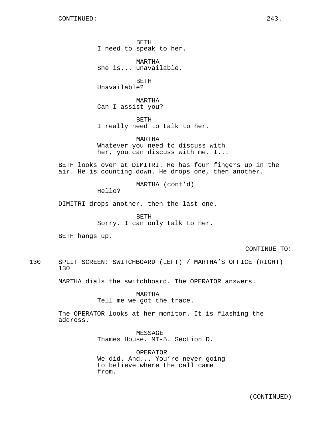BETH I need to speak to her.

MARTHA She is... unavailable.

BETH Unavailable?

MARTHA Can I assist you?

BETH I really need to talk to her.

MARTHA Whatever you need to discuss with her, you can discuss with me. I...

BETH looks over at DIMITRI. He has four fingers up in the air. He is counting down. He drops one, then another.

MARTHA (cont'd)

Hello?

DIMITRI drops another, then the last one.

BETH

Sorry. I can only talk to her.

BETH hangs up.

CONTINUE TO:

130 SPLIT SCREEN: SWITCHBOARD (LEFT) / MARTHA'S OFFICE (RIGHT) 130

MARTHA dials the switchboard. The OPERATOR answers.

MARTHA Tell me we got the trace.

The OPERATOR looks at her monitor. It is flashing the address.

> MESSAGE Thames House. MI-5. Section D.

OPERATOR We did. And... You're never going to believe where the call came from.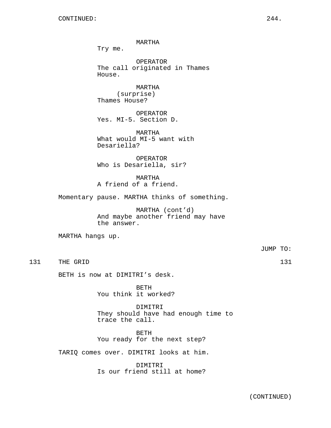MARTHA

Try me.

OPERATOR The call originated in Thames House.

MARTHA (surprise) Thames House?

OPERATOR Yes. MI-5. Section D.

MARTHA What would MI-5 want with Desariella?

OPERATOR Who is Desariella, sir?

MARTHA A friend of a friend.

Momentary pause. MARTHA thinks of something.

MARTHA (cont'd) And maybe another friend may have the answer.

MARTHA hangs up.

JUMP TO:

131 THE GRID 131 131

BETH is now at DIMITRI's desk.

BETH You think it worked?

DIMITRI They should have had enough time to trace the call.

BETH You ready for the next step?

TARIQ comes over. DIMITRI looks at him.

DIMITRI Is our friend still at home?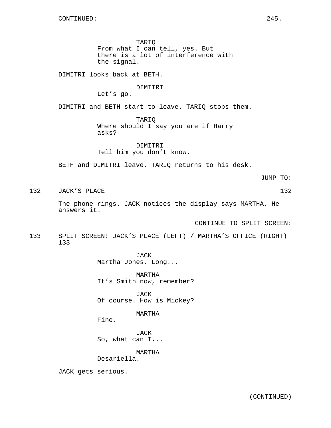TARIQ From what I can tell, yes. But there is a lot of interference with the signal.

DIMITRI looks back at BETH.

# DIMITRI

Let's go.

DIMITRI and BETH start to leave. TARIQ stops them.

TARIQ Where should I say you are if Harry asks?

DIMITRI Tell him you don't know.

BETH and DIMITRI leave. TARIQ returns to his desk.

JUMP TO:

132 JACK'S PLACE 132 132

The phone rings. JACK notices the display says MARTHA. He answers it.

CONTINUE TO SPLIT SCREEN:

133 SPLIT SCREEN: JACK'S PLACE (LEFT) / MARTHA'S OFFICE (RIGHT) 133

JACK

Martha Jones. Long...

MARTHA It's Smith now, remember?

JACK Of course. How is Mickey?

# MARTHA

Fine.

JACK So, what can I...

MARTHA

Desariella.

JACK gets serious.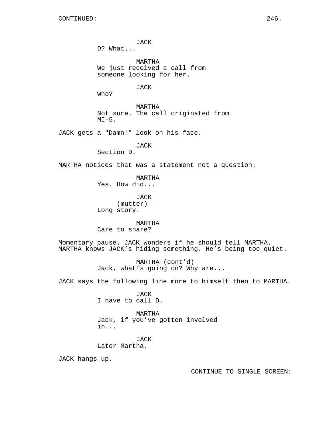JACK D? What... MARTHA We just received a call from someone looking for her. JACK Who? MARTHA Not sure. The call originated from  $MT-5$ . JACK gets a "Damn!" look on his face. JACK Section D. MARTHA notices that was a statement not a question. MARTHA Yes. How did... JACK (mutter) Long story. MARTHA Care to share? Momentary pause. JACK wonders if he should tell MARTHA. MARTHA knows JACK's hiding something. He's being too quiet. MARTHA (cont'd) Jack, what's going on? Why are... JACK says the following line more to himself then to MARTHA. JACK I have to call D. MARTHA Jack, if you've gotten involved in... JACK Later Martha.

JACK hangs up.

CONTINUE TO SINGLE SCREEN: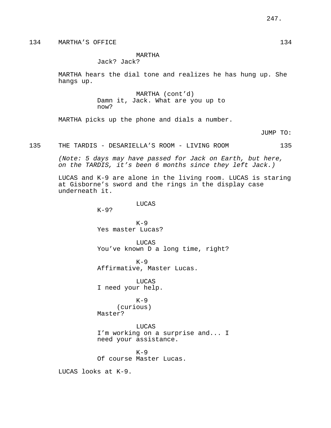# 134 MARTHA'S OFFICE 134

# MARTHA

Jack? Jack?

MARTHA hears the dial tone and realizes he has hung up. She hangs up.

> MARTHA (cont'd) Damn it, Jack. What are you up to now?

MARTHA picks up the phone and dials a number.

JUMP TO:

#### 135 THE TARDIS - DESARIELLA'S ROOM - LIVING ROOM 135

(Note: 5 days may have passed for Jack on Earth, but here, on the TARDIS, it's been 6 months since they left Jack.)

LUCAS and K-9 are alone in the living room. LUCAS is staring at Gisborne's sword and the rings in the display case underneath it.

LUCAS

K-9?

 $K-9$ Yes master Lucas?

LUCAS You've known D a long time, right?

 $K-9$ Affirmative, Master Lucas.

LUCAS I need your help.

 $K-9$ (curious) Master?

LUCAS I'm working on a surprise and... I need your assistance.

 $K-9$ Of course Master Lucas.

LUCAS looks at K-9.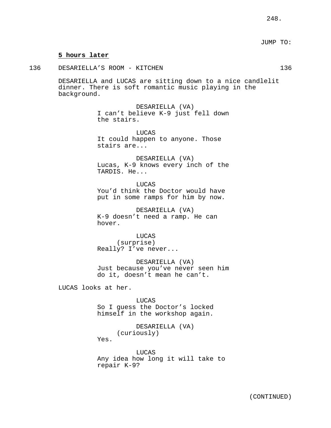### **5 hours later**

136 DESARIELLA'S ROOM - KITCHEN 136

DESARIELLA and LUCAS are sitting down to a nice candlelit dinner. There is soft romantic music playing in the background.

> DESARIELLA (VA) I can't believe K-9 just fell down the stairs.

LUCAS It could happen to anyone. Those stairs are...

DESARIELLA (VA) Lucas, K-9 knows every inch of the TARDIS. He...

**LUCAS** You'd think the Doctor would have put in some ramps for him by now.

DESARIELLA (VA) K-9 doesn't need a ramp. He can hover.

LUCAS (surprise) Really? I've never...

DESARIELLA (VA) Just because you've never seen him do it, doesn't mean he can't.

LUCAS looks at her.

LUCAS So I guess the Doctor's locked himself in the workshop again.

> DESARIELLA (VA) (curiously)

Yes.

LUCAS Any idea how long it will take to repair K-9?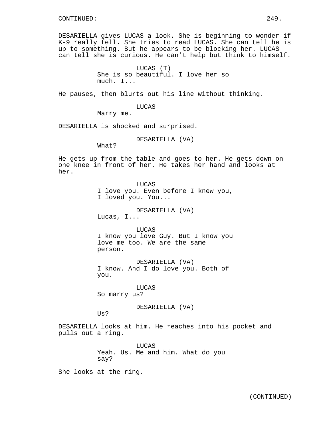DESARIELLA gives LUCAS a look. She is beginning to wonder if K-9 really fell. She tries to read LUCAS. She can tell he is up to something. But he appears to be blocking her. LUCAS can tell she is curious. He can't help but think to himself.

> LUCAS (T) She is so beautiful. I love her so much. I...

He pauses, then blurts out his line without thinking.

LUCAS

Marry me.

DESARIELLA is shocked and surprised.

DESARIELLA (VA)

What?

He gets up from the table and goes to her. He gets down on one knee in front of her. He takes her hand and looks at her.

> LUCAS I love you. Even before I knew you, I loved you. You...

> > DESARIELLA (VA)

Lucas, I...

LUCAS I know you love Guy. But I know you love me too. We are the same person.

DESARIELLA (VA) I know. And I do love you. Both of you.

LUCAS So marry us?

DESARIELLA (VA)

 $Us?$ 

DESARIELLA looks at him. He reaches into his pocket and pulls out a ring.

> LUCAS Yeah. Us. Me and him. What do you say?

She looks at the ring.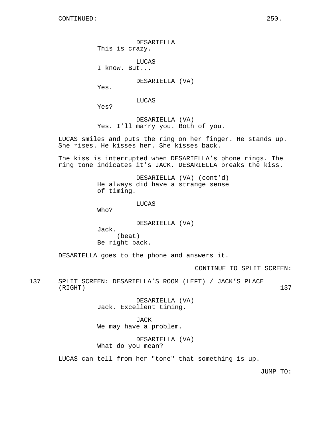DESARIELLA This is crazy.

LUCAS I know. But...

DESARIELLA (VA)

Yes.

LUCAS

Yes?

DESARIELLA (VA) Yes. I'll marry you. Both of you.

LUCAS smiles and puts the ring on her finger. He stands up. She rises. He kisses her. She kisses back.

The kiss is interrupted when DESARIELLA's phone rings. The ring tone indicates it's JACK. DESARIELLA breaks the kiss.

> DESARIELLA (VA) (cont'd) He always did have a strange sense of timing.

> > LUCAS

Who?

DESARIELLA (VA)

Jack. (beat) Be right back.

DESARIELLA goes to the phone and answers it.

CONTINUE TO SPLIT SCREEN:

137 SPLIT SCREEN: DESARIELLA'S ROOM (LEFT) / JACK'S PLACE (RIGHT) 137

> DESARIELLA (VA) Jack. Excellent timing.

JACK We may have a problem.

DESARIELLA (VA) What do you mean?

LUCAS can tell from her "tone" that something is up.

JUMP TO: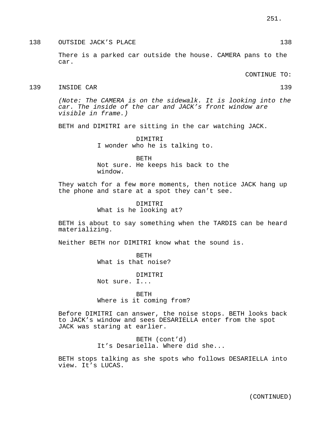138 OUTSIDE JACK'S PLACE 138 (138)

There is a parked car outside the house. CAMERA pans to the car.

CONTINUE TO:

#### 139 INSIDE CAR 139

(Note: The CAMERA is on the sidewalk. It is looking into the car. The inside of the car and JACK's front window are visible in frame.)

BETH and DIMITRI are sitting in the car watching JACK.

DIMITRI I wonder who he is talking to.

BETH Not sure. He keeps his back to the window.

They watch for a few more moments, then notice JACK hang up the phone and stare at a spot they can't see.

> DIMITRI What is he looking at?

BETH is about to say something when the TARDIS can be heard materializing.

Neither BETH nor DIMITRI know what the sound is.

BETH What is that noise?

DIMITRI

Not sure. I...

BETH Where is it coming from?

Before DIMITRI can answer, the noise stops. BETH looks back to JACK's window and sees DESARIELLA enter from the spot JACK was staring at earlier.

> BETH (cont'd) It's Desariella. Where did she...

BETH stops talking as she spots who follows DESARIELLA into view. It's LUCAS.

(CONTINUED)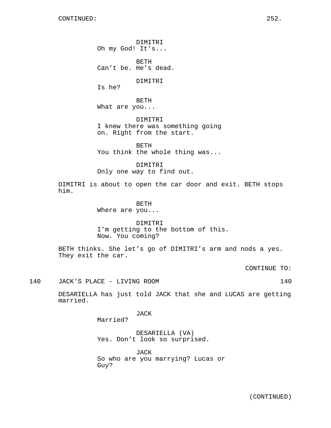DIMITRI Oh my God! It's...

BETH Can't be. He's dead.

DIMITRI

Is he?

BETH What are you...

DIMITRI I knew there was something going on. Right from the start.

BETH You think the whole thing was...

DIMITRI Only one way to find out.

DIMITRI is about to open the car door and exit. BETH stops him.

BETH

Where are you...

DIMITRI I'm getting to the bottom of this. Now. You coming?

BETH thinks. She let's go of DIMITRI's arm and nods a yes. They exit the car.

CONTINUE TO:

140 JACK'S PLACE - LIVING ROOM 140

DESARIELLA has just told JACK that she and LUCAS are getting married.

JACK

Married?

DESARIELLA (VA) Yes. Don't look so surprised.

JACK So who are you marrying? Lucas or Guy?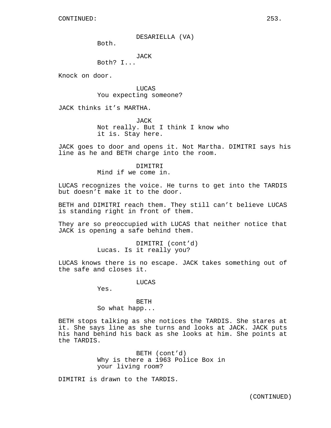DESARIELLA (VA)

Both.

JACK

Both? I...

Knock on door.

LUCAS You expecting someone?

JACK thinks it's MARTHA.

JACK Not really. But I think I know who it is. Stay here.

JACK goes to door and opens it. Not Martha. DIMITRI says his line as he and BETH charge into the room.

# DIMITRI

Mind if we come in.

LUCAS recognizes the voice. He turns to get into the TARDIS but doesn't make it to the door.

BETH and DIMITRI reach them. They still can't believe LUCAS is standing right in front of them.

They are so preoccupied with LUCAS that neither notice that JACK is opening a safe behind them.

> DIMITRI (cont'd) Lucas. Is it really you?

LUCAS knows there is no escape. JACK takes something out of the safe and closes it.

LUCAS

Yes.

BETH So what happ...

BETH stops talking as she notices the TARDIS. She stares at it. She says line as she turns and looks at JACK. JACK puts his hand behind his back as she looks at him. She points at the TARDIS.

> BETH (cont'd) Why is there a 1963 Police Box in your living room?

DIMITRI is drawn to the TARDIS.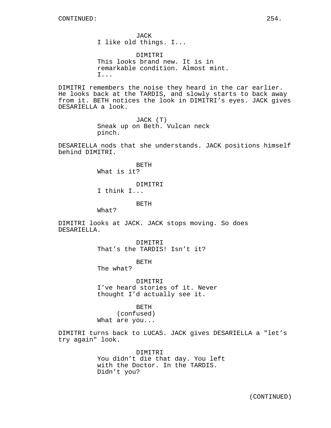JACK I like old things. I...

DIMITRI This looks brand new. It is in remarkable condition. Almost mint. I...

DIMITRI remembers the noise they heard in the car earlier. He looks back at the TARDIS, and slowly starts to back away from it. BETH notices the look in DIMITRI's eyes. JACK gives DESARIELLA a look.

> JACK (T) Sneak up on Beth. Vulcan neck pinch.

DESARIELLA nods that she understands. JACK positions himself behind DIMITRI.

> BETH What is it?

> > DIMITRI

I think I...

BETH

What?

DIMITRI looks at JACK. JACK stops moving. So does DESARIELLA.

> DIMITRI That's the TARDIS! Isn't it?

> > BETH

The what?

DIMITRI I've heard stories of it. Never thought I'd actually see it.

BETH (confused) What are you...

DIMITRI turns back to LUCAS. JACK gives DESARIELLA a "let's try again" look.

> DIMITRI You didn't die that day. You left with the Doctor. In the TARDIS. Didn't you?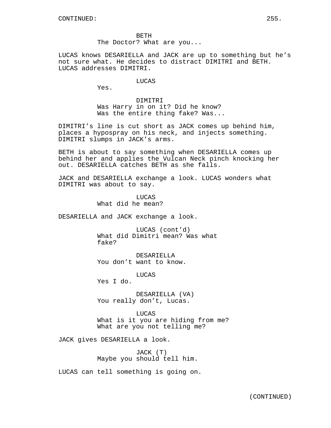BETH The Doctor? What are you...

LUCAS knows DESARIELLA and JACK are up to something but he's not sure what. He decides to distract DIMITRI and BETH. LUCAS addresses DIMITRI.

LUCAS

Yes.

DIMITRI Was Harry in on it? Did he know? Was the entire thing fake? Was...

DIMITRI's line is cut short as JACK comes up behind him, places a hypospray on his neck, and injects something. DIMITRI slumps in JACK's arms.

BETH is about to say something when DESARIELLA comes up behind her and applies the Vulcan Neck pinch knocking her out. DESARIELLA catches BETH as she falls.

JACK and DESARIELLA exchange a look. LUCAS wonders what DIMITRI was about to say.

> **LUCAS** What did he mean?

DESARIELLA and JACK exchange a look.

LUCAS (cont'd) What did Dimitri mean? Was what fake?

DESARIELLA You don't want to know.

LUCAS

Yes I do.

DESARIELLA (VA) You really don't, Lucas.

LUCAS What is it you are hiding from me? What are you not telling me?

JACK gives DESARIELLA a look.

JACK (T) Maybe you should tell him.

LUCAS can tell something is going on.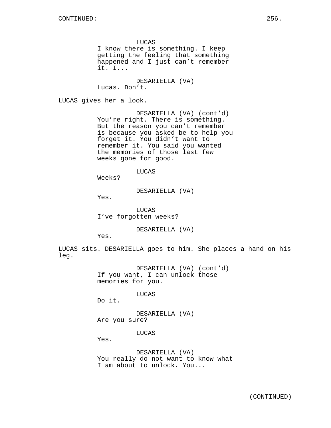LUCAS I know there is something. I keep getting the feeling that something happened and I just can't remember it. I...

DESARIELLA (VA) Lucas. Don't.

LUCAS gives her a look.

DESARIELLA (VA) (cont'd) You're right. There is something. But the reason you can't remember is because you asked be to help you forget it. You didn't want to remember it. You said you wanted the memories of those last few weeks gone for good.

LUCAS

Weeks?

DESARIELLA (VA)

Yes.

LUCAS I've forgotten weeks?

DESARIELLA (VA)

Yes.

LUCAS sits. DESARIELLA goes to him. She places a hand on his leg.

> DESARIELLA (VA) (cont'd) If you want, I can unlock those memories for you.

> > LUCAS

Do it.

DESARIELLA (VA) Are you sure?

LUCAS

Yes.

DESARIELLA (VA) You really do not want to know what I am about to unlock. You...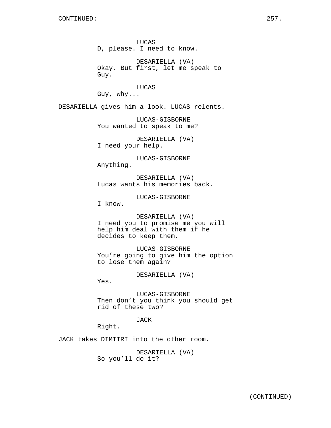LUCAS D, please. I need to know.

DESARIELLA (VA) Okay. But first, let me speak to Guy.

LUCAS Guy, why...

DESARIELLA gives him a look. LUCAS relents.

LUCAS-GISBORNE You wanted to speak to me?

DESARIELLA (VA) I need your help.

LUCAS-GISBORNE Anything.

DESARIELLA (VA) Lucas wants his memories back.

LUCAS-GISBORNE

I know.

DESARIELLA (VA) I need you to promise me you will help him deal with them if he decides to keep them.

LUCAS-GISBORNE You're going to give him the option to lose them again?

DESARIELLA (VA)

Yes.

LUCAS-GISBORNE Then don't you think you should get rid of these two?

JACK

Right.

JACK takes DIMITRI into the other room.

DESARIELLA (VA) So you'll do it?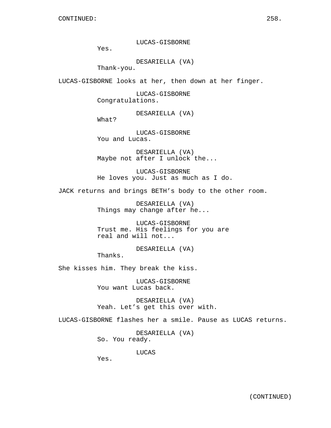LUCAS-GISBORNE

Yes.

DESARIELLA (VA)

Thank-you.

LUCAS-GISBORNE looks at her, then down at her finger.

LUCAS-GISBORNE Congratulations.

DESARIELLA (VA)

What?

LUCAS-GISBORNE You and Lucas.

DESARIELLA (VA) Maybe not after I unlock the...

LUCAS-GISBORNE He loves you. Just as much as I do.

JACK returns and brings BETH's body to the other room.

DESARIELLA (VA) Things may change after he...

LUCAS-GISBORNE Trust me. His feelings for you are real and will not...

DESARIELLA (VA)

Thanks.

She kisses him. They break the kiss.

LUCAS-GISBORNE You want Lucas back.

DESARIELLA (VA) Yeah. Let's get this over with.

LUCAS-GISBORNE flashes her a smile. Pause as LUCAS returns.

DESARIELLA (VA) So. You ready.

LUCAS

Yes.

(CONTINUED)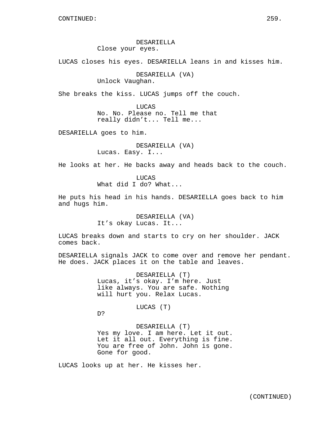## DESARIELLA Close your eyes.

LUCAS closes his eyes. DESARIELLA leans in and kisses him.

DESARIELLA (VA) Unlock Vaughan.

She breaks the kiss. LUCAS jumps off the couch.

LUCAS No. No. Please no. Tell me that really didn't... Tell me...

DESARIELLA goes to him.

DESARIELLA (VA) Lucas. Easy. I...

He looks at her. He backs away and heads back to the couch.

LUCAS What did I do? What...

He puts his head in his hands. DESARIELLA goes back to him and hugs him.

> DESARIELLA (VA) It's okay Lucas. It...

LUCAS breaks down and starts to cry on her shoulder. JACK comes back.

DESARIELLA signals JACK to come over and remove her pendant. He does. JACK places it on the table and leaves.

> DESARIELLA (T) Lucas, it's okay. I'm here. Just like always. You are safe. Nothing will hurt you. Relax Lucas.

> > LUCAS (T)

D?

DESARIELLA (T) Yes my love. I am here. Let it out. Let it all out. Everything is fine. You are free of John. John is gone. Gone for good.

LUCAS looks up at her. He kisses her.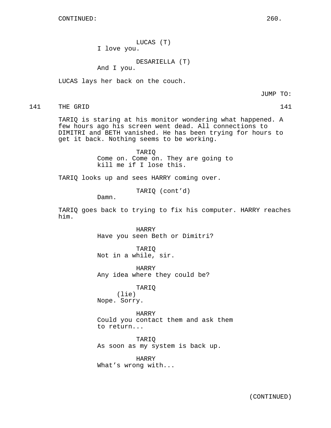LUCAS (T) I love you.

DESARIELLA (T)

And I you.

LUCAS lays her back on the couch.

JUMP TO:

141 THE GRID 141

TARIQ is staring at his monitor wondering what happened. A few hours ago his screen went dead. All connections to DIMITRI and BETH vanished. He has been trying for hours to get it back. Nothing seems to be working.

> TARIQ Come on. Come on. They are going to kill me if I lose this.

TARIQ looks up and sees HARRY coming over.

TARIQ (cont'd)

Damn.

TARIQ goes back to trying to fix his computer. HARRY reaches him.

> HARRY Have you seen Beth or Dimitri?

TARIQ Not in a while, sir.

HARRY Any idea where they could be?

TARIQ

(lie) Nope. Sorry.

HARRY Could you contact them and ask them to return...

TARIQ As soon as my system is back up.

HARRY What's wrong with...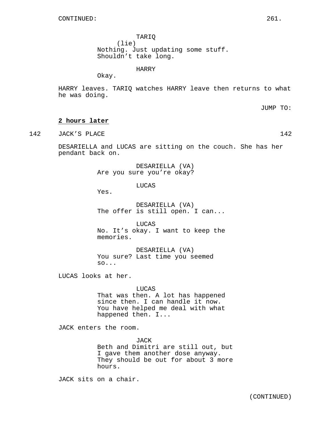TARIQ (lie) Nothing. Just updating some stuff. Shouldn't take long.

HARRY

Okay.

HARRY leaves. TARIQ watches HARRY leave then returns to what he was doing.

JUMP TO:

## **2 hours later**

142 JACK'S PLACE 142 142

DESARIELLA and LUCAS are sitting on the couch. She has her pendant back on.

> DESARIELLA (VA) Are you sure you're okay?

> > LUCAS

Yes.

DESARIELLA (VA) The offer is still open. I can...

**LUCAS** No. It's okay. I want to keep the memories.

DESARIELLA (VA) You sure? Last time you seemed so...

LUCAS looks at her.

#### LUCAS

That was then. A lot has happened since then. I can handle it now. You have helped me deal with what happened then. I...

JACK enters the room.

JACK

Beth and Dimitri are still out, but I gave them another dose anyway. They should be out for about 3 more hours.

JACK sits on a chair.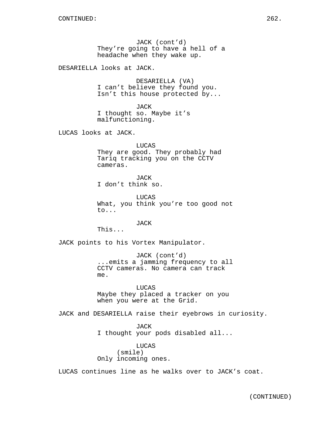JACK (cont'd) They're going to have a hell of a headache when they wake up.

DESARIELLA looks at JACK.

DESARIELLA (VA) I can't believe they found you. Isn't this house protected by...

JACK I thought so. Maybe it's malfunctioning.

LUCAS looks at JACK.

LUCAS They are good. They probably had Tariq tracking you on the CCTV cameras.

JACK I don't think so.

LUCAS What, you think you're too good not to...

JACK

This...

JACK points to his Vortex Manipulator.

JACK (cont'd) ...emits a jamming frequency to all CCTV cameras. No camera can track me.

LUCAS Maybe they placed a tracker on you when you were at the Grid.

JACK and DESARIELLA raise their eyebrows in curiosity.

JACK I thought your pods disabled all...

LUCAS (smile) Only incoming ones.

LUCAS continues line as he walks over to JACK's coat.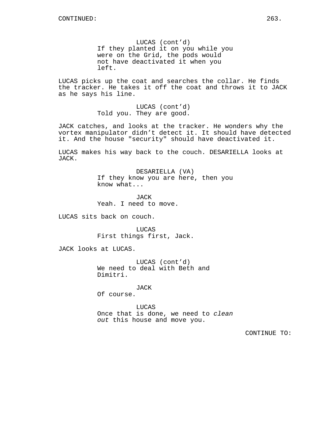LUCAS (cont'd) If they planted it on you while you were on the Grid, the pods would not have deactivated it when you left.

LUCAS picks up the coat and searches the collar. He finds the tracker. He takes it off the coat and throws it to JACK as he says his line.

> LUCAS (cont'd) Told you. They are good.

JACK catches, and looks at the tracker. He wonders why the vortex manipulator didn't detect it. It should have detected it. And the house "security" should have deactivated it.

LUCAS makes his way back to the couch. DESARIELLA looks at JACK.

> DESARIELLA (VA) If they know you are here, then you know what...

JACK Yeah. I need to move.

LUCAS sits back on couch.

LUCAS First things first, Jack.

JACK looks at LUCAS.

LUCAS (cont'd) We need to deal with Beth and Dimitri.

JACK

Of course.

LUCAS Once that is done, we need to clean out this house and move you.

CONTINUE TO: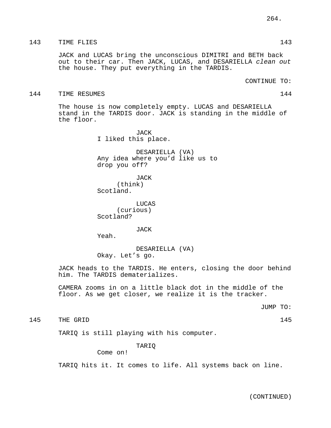## 143 TIME FLIES 143

JACK and LUCAS bring the unconscious DIMITRI and BETH back out to their car. Then JACK, LUCAS, and DESARIELLA clean out the house. They put everything in the TARDIS.

CONTINUE TO:

#### 144 TIME RESUMES 144

The house is now completely empty. LUCAS and DESARIELLA stand in the TARDIS door. JACK is standing in the middle of the floor.

> JACK I liked this place.

DESARIELLA (VA) Any idea where you'd like us to drop you off?

JACK (think) Scotland.

LUCAS (curious) Scotland?

JACK

Yeah.

DESARIELLA (VA) Okay. Let's go.

JACK heads to the TARDIS. He enters, closing the door behind him. The TARDIS dematerializes.

CAMERA zooms in on a little black dot in the middle of the floor. As we get closer, we realize it is the tracker.

JUMP TO:

145 THE GRID 145

TARIQ is still playing with his computer.

TARIQ

Come on!

TARIQ hits it. It comes to life. All systems back on line.

(CONTINUED)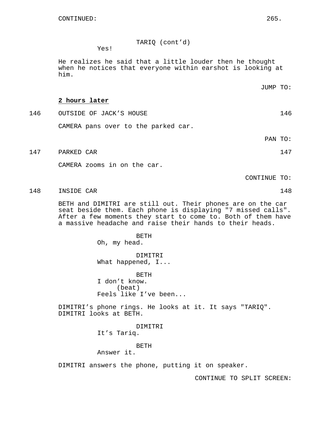TARIQ (cont'd)

Yes!

He realizes he said that a little louder then he thought when he notices that everyone within earshot is looking at him.

**2 hours later**

- 146 OUTSIDE OF JACK'S HOUSE 146 CAMERA pans over to the parked car.
- 147 PARKED CAR 147

CAMERA zooms in on the car.

CONTINUE TO:

148 INSIDE CAR 148

BETH and DIMITRI are still out. Their phones are on the car seat beside them. Each phone is displaying "7 missed calls". After a few moments they start to come to. Both of them have a massive headache and raise their hands to their heads.

> BETH Oh, my head.

DIMITRI What happened, I...

BETH I don't know. (beat) Feels like I've been...

DIMITRI's phone rings. He looks at it. It says "TARIQ". DIMITRI looks at BETH.

> DIMITRI It's Tariq.

> > BETH

Answer it.

DIMITRI answers the phone, putting it on speaker.

CONTINUE TO SPLIT SCREEN:

JUMP TO:

PAN TO: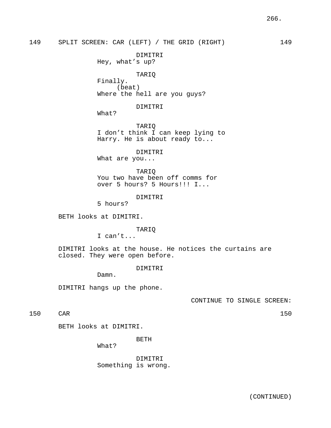149 SPLIT SCREEN: CAR (LEFT) / THE GRID (RIGHT) 149

DIMITRI Hey, what's up?

TARIQ Finally. (beat) Where the hell are you guys?

DIMITRI

What?

TARIQ I don't think I can keep lying to Harry. He is about ready to...

DIMITRI What are you...

TARIQ You two have been off comms for over 5 hours? 5 Hours!!! I...

DIMITRI

5 hours?

BETH looks at DIMITRI.

TARIQ

I can't...

DIMITRI looks at the house. He notices the curtains are closed. They were open before.

DIMITRI

Damn.

DIMITRI hangs up the phone.

CONTINUE TO SINGLE SCREEN:

150 CAR 150

BETH looks at DIMITRI.

BETH

What?

DIMITRI Something is wrong.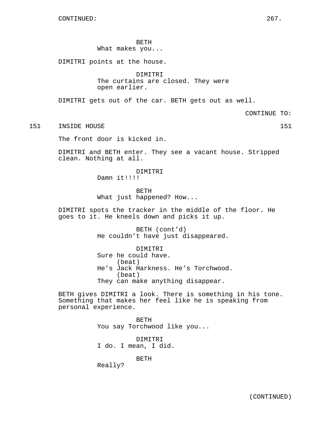BETH

What makes you...

DIMITRI points at the house.

DIMITRI The curtains are closed. They were open earlier.

DIMITRI gets out of the car. BETH gets out as well.

CONTINUE TO:

151 INSIDE HOUSE 151

The front door is kicked in.

DIMITRI and BETH enter. They see a vacant house. Stripped clean. Nothing at all.

> DIMITRI Damn it!!!!

BETH What just happened? How...

DIMITRI spots the tracker in the middle of the floor. He goes to it. He kneels down and picks it up.

> BETH (cont'd) He couldn't have just disappeared.

DIMITRI Sure he could have. (beat) He's Jack Harkness. He's Torchwood. (beat) They can make anything disappear.

BETH gives DIMITRI a look. There is something in his tone. Something that makes her feel like he is speaking from personal experience.

> BETH You say Torchwood like you... DIMITRI I do. I mean, I did. BETH

Really?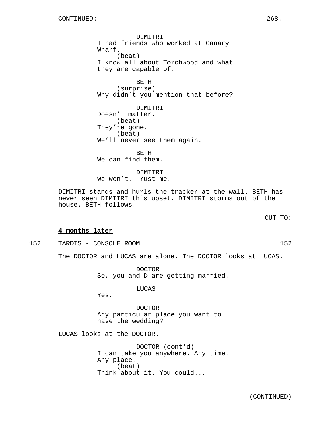DIMITRI I had friends who worked at Canary Wharf. (beat) I know all about Torchwood and what they are capable of.

BETH (surprise) Why didn't you mention that before?

DIMITRI Doesn't matter. (beat) They're gone. (beat) We'll never see them again.

BETH We can find them.

DIMITRI We won't. Trust me.

DIMITRI stands and hurls the tracker at the wall. BETH has never seen DIMITRI this upset. DIMITRI storms out of the house. BETH follows.

**4 months later**

152 TARDIS - CONSOLE ROOM 152

The DOCTOR and LUCAS are alone. The DOCTOR looks at LUCAS.

DOCTOR So, you and D are getting married.

LUCAS

Yes.

DOCTOR Any particular place you want to have the wedding?

LUCAS looks at the DOCTOR.

DOCTOR (cont'd) I can take you anywhere. Any time. Any place. (beat) Think about it. You could...

(CONTINUED)

CUT TO: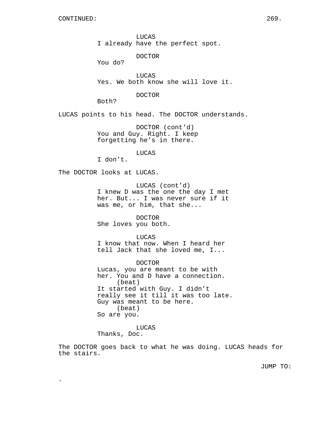LUCAS I already have the perfect spot.

DOCTOR

You do?

LUCAS Yes. We both know she will love it.

DOCTOR

Both?

LUCAS points to his head. The DOCTOR understands.

DOCTOR (cont'd) You and Guy. Right. I keep forgetting he's in there.

LUCAS

I don't.

The DOCTOR looks at LUCAS.

LUCAS (cont'd) I knew D was the one the day I met her. But... I was never sure if it was me, or him, that she...

DOCTOR She loves you both.

LUCAS

I know that now. When I heard her tell Jack that she loved me, I...

DOCTOR Lucas, you are meant to be with her. You and D have a connection. (beat) It started with Guy. I didn't really see it till it was too late. Guy was meant to be here. (beat) So are you.

LUCAS

Thanks, Doc.

.

The DOCTOR goes back to what he was doing. LUCAS heads for the stairs.

JUMP TO: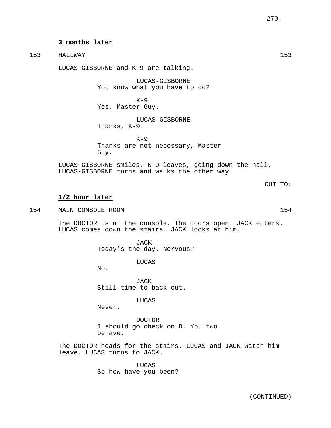### **3 months later**

LUCAS-GISBORNE and K-9 are talking.

LUCAS-GISBORNE You know what you have to do?

 $K-9$ Yes, Master Guy.

LUCAS-GISBORNE Thanks, K-9.

 $K-9$ Thanks are not necessary, Master Guy.

LUCAS-GISBORNE smiles. K-9 leaves, going down the hall. LUCAS-GISBORNE turns and walks the other way.

**1/2 hour later**

154 MAIN CONSOLE ROOM 154

The DOCTOR is at the console. The doors open. JACK enters. LUCAS comes down the stairs. JACK looks at him.

> JACK Today's the day. Nervous?

> > LUCAS

No.

**JACK** Still time to back out.

LUCAS

Never.

DOCTOR I should go check on D. You two behave.

The DOCTOR heads for the stairs. LUCAS and JACK watch him leave. LUCAS turns to JACK.

> LUCAS So how have you been?

CUT TO: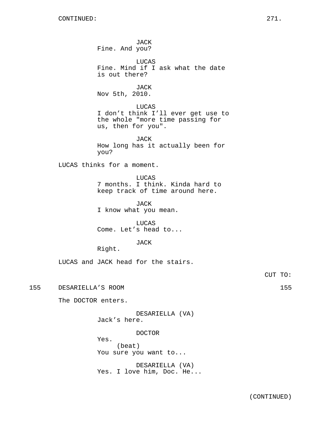JACK Fine. And you? LUCAS Fine. Mind if I ask what the date is out there? JACK Nov 5th, 2010. LUCAS I don't think I'll ever get use to the whole "more time passing for us, then for you". JACK How long has it actually been for you? LUCAS thinks for a moment. LUCAS 7 months. I think. Kinda hard to keep track of time around here. JACK I know what you mean. LUCAS Come. Let's head to... JACK Right. LUCAS and JACK head for the stairs. 155 DESARIELLA'S ROOM 155 The DOCTOR enters. DESARIELLA (VA) Jack's here. DOCTOR Yes. (beat) You sure you want to...

> DESARIELLA (VA) Yes. I love him, Doc. He...

CUT TO: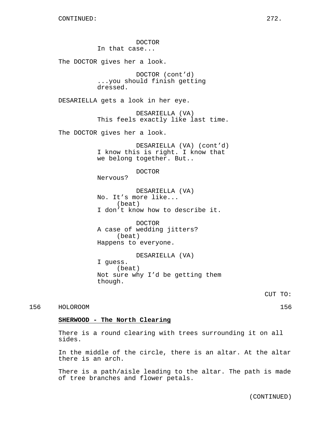DOCTOR In that case... The DOCTOR gives her a look. DOCTOR (cont'd) ...you should finish getting dressed. DESARIELLA gets a look in her eye. DESARIELLA (VA) This feels exactly like last time. The DOCTOR gives her a look. DESARIELLA (VA) (cont'd) I know this is right. I know that we belong together. But.. DOCTOR Nervous? DESARIELLA (VA) No. It's more like... (beat) I don't know how to describe it. DOCTOR A case of wedding jitters? (beat) Happens to everyone. DESARIELLA (VA) I guess. (beat) Not sure why I'd be getting them though. CUT TO: 156 HOLOROOM 156 **SHERWOOD - The North Clearing**

> There is a round clearing with trees surrounding it on all sides.

In the middle of the circle, there is an altar. At the altar there is an arch.

There is a path/aisle leading to the altar. The path is made of tree branches and flower petals.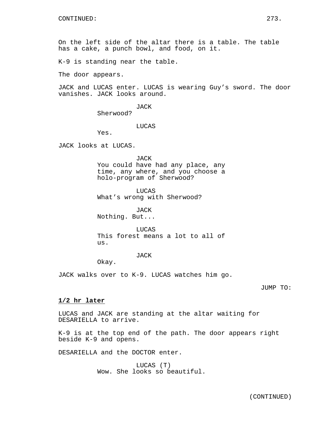On the left side of the altar there is a table. The table has a cake, a punch bowl, and food, on it.

K-9 is standing near the table.

The door appears.

JACK and LUCAS enter. LUCAS is wearing Guy's sword. The door vanishes. JACK looks around.

JACK

Sherwood?

LUCAS

Yes.

JACK looks at LUCAS.

JACK You could have had any place, any time, any where, and you choose a holo-program of Sherwood?

LUCAS What's wrong with Sherwood?

JACK Nothing. But...

LUCAS This forest means a lot to all of us.

### JACK

Okay.

JACK walks over to K-9. LUCAS watches him go.

JUMP TO:

### **1/2 hr later**

LUCAS and JACK are standing at the altar waiting for DESARIELLA to arrive.

K-9 is at the top end of the path. The door appears right beside K-9 and opens.

DESARIELLA and the DOCTOR enter.

LUCAS (T) Wow. She looks so beautiful.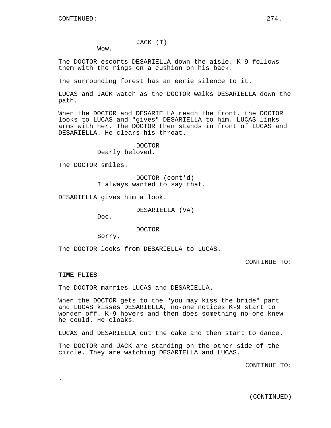## JACK (T)

Wow.

The DOCTOR escorts DESARIELLA down the aisle. K-9 follows them with the rings on a cushion on his back.

The surrounding forest has an eerie silence to it.

LUCAS and JACK watch as the DOCTOR walks DESARIELLA down the path.

When the DOCTOR and DESARIELLA reach the front, the DOCTOR looks to LUCAS and "gives" DESARIELLA to him. LUCAS links arms with her. The DOCTOR then stands in front of LUCAS and DESARIELLA. He clears his throat.

> DOCTOR Dearly beloved.

The DOCTOR smiles.

DOCTOR (cont'd) I always wanted to say that.

DESARIELLA gives him a look.

DESARIELLA (VA)

Doc.

DOCTOR

Sorry.

The DOCTOR looks from DESARIELLA to LUCAS.

CONTINUE TO:

#### **TIME FLIES**

.

The DOCTOR marries LUCAS and DESARIELLA.

When the DOCTOR gets to the "you may kiss the bride" part and LUCAS kisses DESARIELLA, no-one notices K-9 start to wonder off. K-9 hovers and then does something no-one knew he could. He cloaks.

LUCAS and DESARIELLA cut the cake and then start to dance.

The DOCTOR and JACK are standing on the other side of the circle. They are watching DESARIELLA and LUCAS.

CONTINUE TO:

(CONTINUED)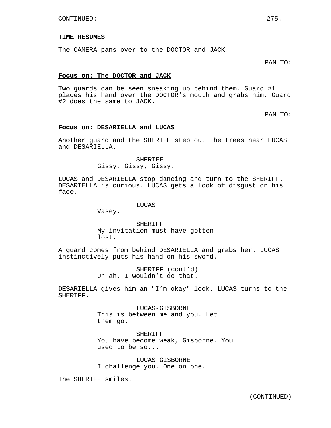#### **TIME RESUMES**

The CAMERA pans over to the DOCTOR and JACK.

PAN TO:

### **Focus on: The DOCTOR and JACK**

Two guards can be seen sneaking up behind them. Guard #1 places his hand over the DOCTOR's mouth and grabs him. Guard #2 does the same to JACK.

PAN TO:

### **Focus on: DESARIELLA and LUCAS**

Another guard and the SHERIFF step out the trees near LUCAS and DESARIELLA.

> SHERIFF Gissy, Gissy, Gissy.

LUCAS and DESARIELLA stop dancing and turn to the SHERIFF. DESARIELLA is curious. LUCAS gets a look of disgust on his face.

LUCAS

Vasey.

**SHERIFF** My invitation must have gotten lost.

A guard comes from behind DESARIELLA and grabs her. LUCAS instinctively puts his hand on his sword.

> SHERIFF (cont'd) Uh-ah. I wouldn't do that.

DESARIELLA gives him an "I'm okay" look. LUCAS turns to the SHERIFF.

> LUCAS-GISBORNE This is between me and you. Let them go.

SHERIFF You have become weak, Gisborne. You used to be so...

LUCAS-GISBORNE I challenge you. One on one.

The SHERIFF smiles.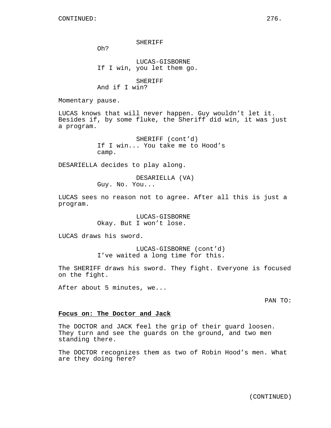SHERIFF

Oh?

LUCAS-GISBORNE If I win, you let them go.

SHERIFF And if I win?

Momentary pause.

LUCAS knows that will never happen. Guy wouldn't let it. Besides if, by some fluke, the Sheriff did win, it was just a program.

> SHERIFF (cont'd) If I win... You take me to Hood's camp.

DESARIELLA decides to play along.

DESARIELLA (VA) Guy. No. You...

LUCAS sees no reason not to agree. After all this is just a program.

> LUCAS-GISBORNE Okay. But I won't lose.

LUCAS draws his sword.

LUCAS-GISBORNE (cont'd) I've waited a long time for this.

The SHERIFF draws his sword. They fight. Everyone is focused on the fight.

After about 5 minutes, we...

PAN TO:

#### **Focus on: The Doctor and Jack**

The DOCTOR and JACK feel the grip of their guard loosen. They turn and see the guards on the ground, and two men standing there.

The DOCTOR recognizes them as two of Robin Hood's men. What are they doing here?

(CONTINUED)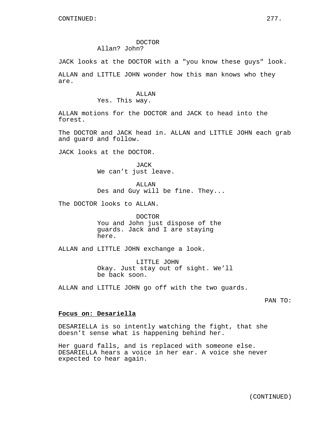#### DOCTOR Allan? John?

JACK looks at the DOCTOR with a "you know these guys" look.

ALLAN and LITTLE JOHN wonder how this man knows who they are.

### ALLAN Yes. This way.

ALLAN motions for the DOCTOR and JACK to head into the forest.

The DOCTOR and JACK head in. ALLAN and LITTLE JOHN each grab and guard and follow.

JACK looks at the DOCTOR.

JACK We can't just leave.

**ALLAN** Des and Guy will be fine. They...

The DOCTOR looks to ALLAN.

DOCTOR You and John just dispose of the guards. Jack and I are staying here.

ALLAN and LITTLE JOHN exchange a look.

LITTLE JOHN Okay. Just stay out of sight. We'll be back soon.

ALLAN and LITTLE JOHN go off with the two guards.

PAN TO:

### **Focus on: Desariella**

DESARIELLA is so intently watching the fight, that she doesn't sense what is happening behind her.

Her guard falls, and is replaced with someone else. DESARIELLA hears a voice in her ear. A voice she never expected to hear again.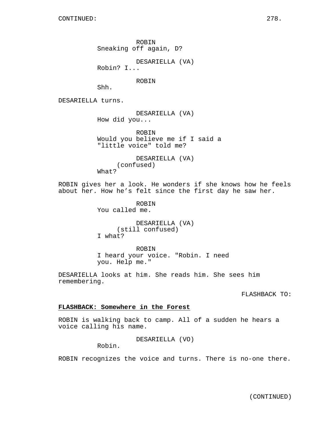ROBIN Sneaking off again, D?

DESARIELLA (VA)

Robin? I...

ROBIN

Shh.

DESARIELLA turns.

DESARIELLA (VA) How did you...

ROBIN Would you believe me if I said a "little voice" told me?

DESARIELLA (VA) (confused) What?

ROBIN gives her a look. He wonders if she knows how he feels about her. How he's felt since the first day he saw her.

> ROBIN You called me.

DESARIELLA (VA) (still confused) I what?

ROBIN I heard your voice. "Robin. I need you. Help me."

DESARIELLA looks at him. She reads him. She sees him remembering.

FLASHBACK TO:

## **FLASHBACK: Somewhere in the Forest**

ROBIN is walking back to camp. All of a sudden he hears a voice calling his name.

DESARIELLA (VO)

Robin.

ROBIN recognizes the voice and turns. There is no-one there.

(CONTINUED)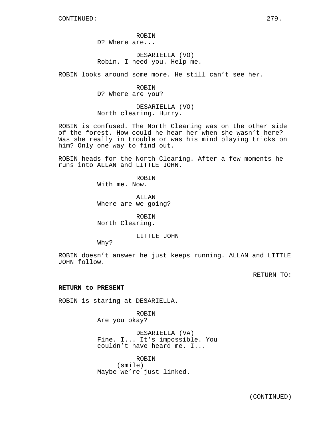ROBIN D? Where are...

DESARIELLA (VO) Robin. I need you. Help me.

ROBIN looks around some more. He still can't see her.

ROBIN D? Where are you?

DESARIELLA (VO) North clearing. Hurry.

ROBIN is confused. The North Clearing was on the other side of the forest. How could he hear her when she wasn't here? Was she really in trouble or was his mind playing tricks on him? Only one way to find out.

ROBIN heads for the North Clearing. After a few moments he runs into ALLAN and LITTLE JOHN.

> ROBIN With me. Now.

ALLAN Where are we going?

ROBIN North Clearing.

LITTLE JOHN

Why?

ROBIN doesn't answer he just keeps running. ALLAN and LITTLE JOHN follow.

RETURN TO:

### **RETURN to PRESENT**

ROBIN is staring at DESARIELLA.

ROBIN Are you okay?

DESARIELLA (VA) Fine. I... It's impossible. You couldn't have heard me. I...

ROBIN (smile) Maybe we're just linked.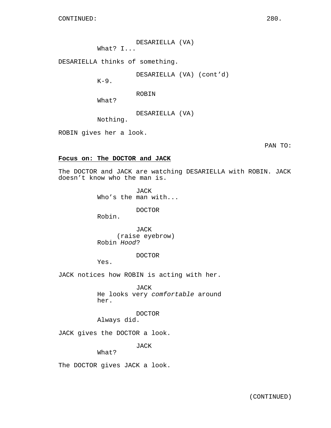DESARIELLA (VA) What? I...

DESARIELLA thinks of something.

DESARIELLA (VA) (cont'd)

 $K-9$ .

ROBIN

What?

DESARIELLA (VA)

Nothing.

ROBIN gives her a look.

PAN TO:

## **Focus on: The DOCTOR and JACK**

The DOCTOR and JACK are watching DESARIELLA with ROBIN. JACK doesn't know who the man is.

> JACK Who's the man with...

> > DOCTOR

Robin.

JACK (raise eyebrow) Robin Hood?

DOCTOR

Yes.

JACK notices how ROBIN is acting with her.

JACK He looks very comfortable around her.

DOCTOR

Always did.

JACK gives the DOCTOR a look.

JACK

What?

The DOCTOR gives JACK a look.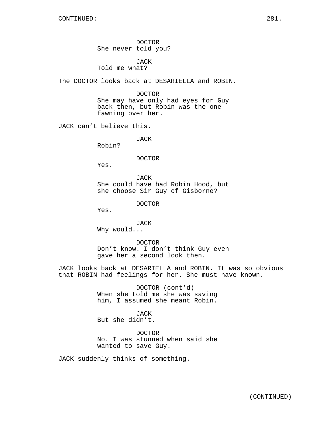DOCTOR She never told you?

JACK Told me what?

The DOCTOR looks back at DESARIELLA and ROBIN.

DOCTOR

She may have only had eyes for Guy back then, but Robin was the one fawning over her.

JACK can't believe this.

JACK

Robin?

DOCTOR

Yes.

JACK She could have had Robin Hood, but she choose Sir Guy of Gisborne?

DOCTOR

Yes.

JACK Why would...

DOCTOR Don't know. I don't think Guy even gave her a second look then.

JACK looks back at DESARIELLA and ROBIN. It was so obvious that ROBIN had feelings for her. She must have known.

> DOCTOR (cont'd) When she told me she was saving him, I assumed she meant Robin.

JACK But she didn't.

DOCTOR No. I was stunned when said she wanted to save Guy.

JACK suddenly thinks of something.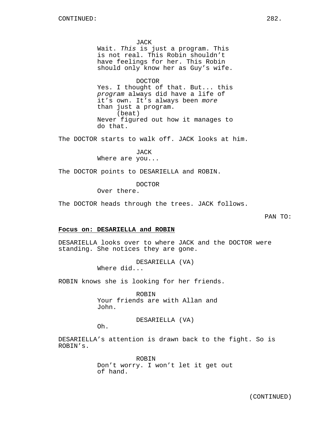JACK

Wait. This is just a program. This is not real. This Robin shouldn't have feelings for her. This Robin should only know her as Guy's wife.

#### DOCTOR

Yes. I thought of that. But... this program always did have a life of it's own. It's always been more than just a program. (beat) Never figured out how it manages to do that.

The DOCTOR starts to walk off. JACK looks at him.

JACK Where are you...

The DOCTOR points to DESARIELLA and ROBIN.

DOCTOR

Over there.

The DOCTOR heads through the trees. JACK follows.

PAN TO:

## **Focus on: DESARIELLA and ROBIN**

DESARIELLA looks over to where JACK and the DOCTOR were standing. She notices they are gone.

> DESARIELLA (VA) Where did...

ROBIN knows she is looking for her friends.

ROBIN Your friends are with Allan and John.

DESARIELLA (VA)

Oh.

DESARIELLA's attention is drawn back to the fight. So is ROBIN's.

> ROBIN Don't worry. I won't let it get out of hand.

(CONTINUED)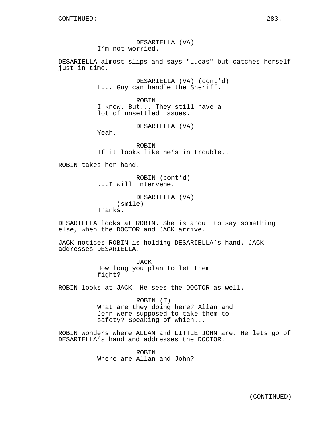DESARIELLA (VA) I'm not worried.

DESARIELLA almost slips and says "Lucas" but catches herself just in time.

> DESARIELLA (VA) (cont'd) L... Guy can handle the Sheriff.

ROBIN I know. But... They still have a lot of unsettled issues.

DESARIELLA (VA)

Yeah.

ROBIN If it looks like he's in trouble...

ROBIN takes her hand.

ROBIN (cont'd) ...I will intervene.

DESARIELLA (VA) (smile) Thanks.

DESARIELLA looks at ROBIN. She is about to say something else, when the DOCTOR and JACK arrive.

JACK notices ROBIN is holding DESARIELLA's hand. JACK addresses DESARIELLA.

> JACK How long you plan to let them fight?

ROBIN looks at JACK. He sees the DOCTOR as well.

ROBIN (T) What are they doing here? Allan and John were supposed to take them to safety? Speaking of which...

ROBIN wonders where ALLAN and LITTLE JOHN are. He lets go of DESARIELLA's hand and addresses the DOCTOR.

> ROBIN Where are Allan and John?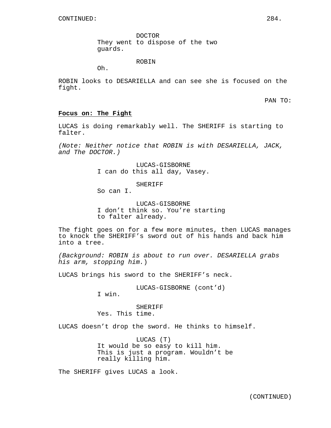DOCTOR They went to dispose of the two guards.

ROBIN

Oh.

ROBIN looks to DESARIELLA and can see she is focused on the fight.

PAN TO:

## **Focus on: The Fight**

LUCAS is doing remarkably well. The SHERIFF is starting to falter.

(Note: Neither notice that ROBIN is with DESARIELLA, JACK, and The DOCTOR.)

> LUCAS-GISBORNE I can do this all day, Vasey.

> > **SHERIFF**

So can I.

LUCAS-GISBORNE I don't think so. You're starting to falter already.

The fight goes on for a few more minutes, then LUCAS manages to knock the SHERIFF's sword out of his hands and back him into a tree.

(Background: ROBIN is about to run over. DESARIELLA grabs his arm, stopping him.)

LUCAS brings his sword to the SHERIFF's neck.

LUCAS-GISBORNE (cont'd)

I win.

**SHERIFF** Yes. This time.

LUCAS doesn't drop the sword. He thinks to himself.

LUCAS (T) It would be so easy to kill him. This is just a program. Wouldn't be really killing him.

The SHERIFF gives LUCAS a look.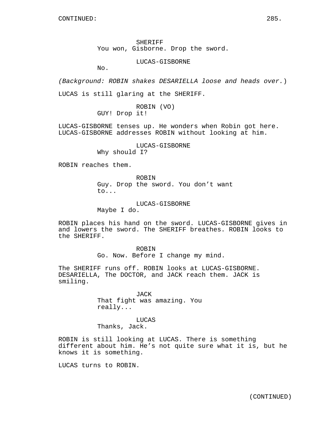SHERIFF You won, Gisborne. Drop the sword.

LUCAS-GISBORNE

No.

(Background: ROBIN shakes DESARIELLA loose and heads over.) LUCAS is still glaring at the SHERIFF.

> ROBIN (VO) GUY! Drop it!

LUCAS-GISBORNE tenses up. He wonders when Robin got here. LUCAS-GISBORNE addresses ROBIN without looking at him.

> LUCAS-GISBORNE Why should I?

ROBIN reaches them.

ROBIN Guy. Drop the sword. You don't want to...

LUCAS-GISBORNE Maybe I do.

ROBIN places his hand on the sword. LUCAS-GISBORNE gives in and lowers the sword. The SHERIFF breathes. ROBIN looks to the SHERIFF.

> ROBIN Go. Now. Before I change my mind.

The SHERIFF runs off. ROBIN looks at LUCAS-GISBORNE. DESARIELLA, The DOCTOR, and JACK reach them. JACK is smiling.

> JACK That fight was amazing. You really...

LUCAS Thanks, Jack.

ROBIN is still looking at LUCAS. There is something different about him. He's not quite sure what it is, but he knows it is something.

LUCAS turns to ROBIN.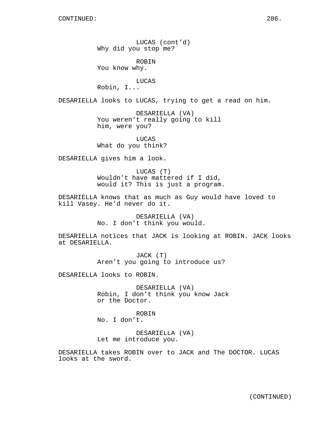LUCAS (cont'd) Why did you stop me?

ROBIN You know why.

LUCAS

Robin, I...

DESARIELLA looks to LUCAS, trying to get a read on him.

DESARIELLA (VA) You weren't really going to kill him, were you?

LUCAS What do you think?

DESARIELLA gives him a look.

LUCAS (T) Wouldn't have mattered if I did, would it? This is just a program.

DESARIELLA knows that as much as Guy would have loved to kill Vasey. He'd never do it.

> DESARIELLA (VA) No. I don't think you would.

DESARIELLA notices that JACK is looking at ROBIN. JACK looks at DESARIELLA.

> JACK (T) Aren't you going to introduce us?

DESARIELLA looks to ROBIN.

DESARIELLA (VA) Robin, I don't think you know Jack or the Doctor.

ROBIN No. I don't.

DESARIELLA (VA) Let me introduce you.

DESARIELLA takes ROBIN over to JACK and The DOCTOR. LUCAS looks at the sword.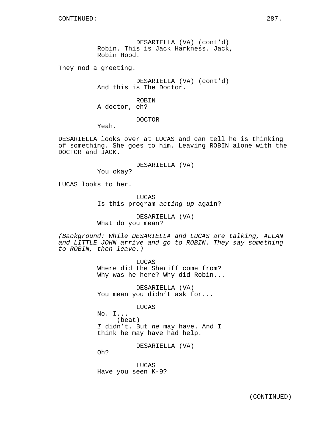DESARIELLA (VA) (cont'd) Robin. This is Jack Harkness. Jack, Robin Hood.

They nod a greeting.

DESARIELLA (VA) (cont'd) And this is The Doctor.

ROBIN A doctor, eh?

DOCTOR

Yeah.

DESARIELLA looks over at LUCAS and can tell he is thinking of something. She goes to him. Leaving ROBIN alone with the DOCTOR and JACK.

DESARIELLA (VA)

You okay?

LUCAS looks to her.

**LUCAS** Is this program acting up again?

DESARIELLA (VA) What do you mean?

(Background: While DESARIELLA and LUCAS are talking, ALLAN and LITTLE JOHN arrive and go to ROBIN. They say something to ROBIN, then leave.)

> LUCAS Where did the Sheriff come from? Why was he here? Why did Robin...

DESARIELLA (VA) You mean you didn't ask for...

LUCAS

No. I... (beat) I didn't. But he may have. And I think he may have had help.

DESARIELLA (VA)

Oh?

LUCAS Have you seen K-9?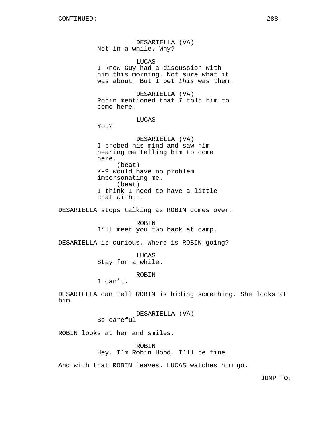DESARIELLA (VA) Not in a while. Why?

LUCAS

I know Guy had a discussion with him this morning. Not sure what it was about. But I bet this was them.

DESARIELLA (VA) Robin mentioned that I told him to come here.

### LUCAS

You?

DESARIELLA (VA) I probed his mind and saw him hearing me telling him to come here. (beat) K-9 would have no problem impersonating me. (beat) I think I need to have a little chat with...

DESARIELLA stops talking as ROBIN comes over.

ROBIN I'll meet you two back at camp.

DESARIELLA is curious. Where is ROBIN going?

LUCAS Stay for a while.

ROBIN

I can't.

DESARIELLA can tell ROBIN is hiding something. She looks at him.

> DESARIELLA (VA) Be careful.

ROBIN looks at her and smiles.

ROBIN Hey. I'm Robin Hood. I'll be fine.

And with that ROBIN leaves. LUCAS watches him go.

JUMP TO: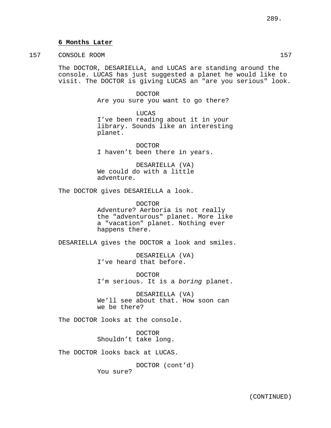### **6 Months Later**

157 CONSOLE ROOM 157

The DOCTOR, DESARIELLA, and LUCAS are standing around the console. LUCAS has just suggested a planet he would like to visit. The DOCTOR is giving LUCAS an "are you serious" look.

> DOCTOR Are you sure you want to go there?

LUCAS I've been reading about it in your library. Sounds like an interesting planet.

DOCTOR I haven't been there in years.

DESARIELLA (VA) We could do with a little adventure.

The DOCTOR gives DESARIELLA a look.

DOCTOR Adventure? Aerboria is not really the "adventurous" planet. More like a "vacation" planet. Nothing ever happens there.

DESARIELLA gives the DOCTOR a look and smiles.

DESARIELLA (VA) I've heard that before.

DOCTOR I'm serious. It is a boring planet.

DESARIELLA (VA) We'll see about that. How soon can we be there?

The DOCTOR looks at the console.

DOCTOR Shouldn't take long.

The DOCTOR looks back at LUCAS.

DOCTOR (cont'd) You sure?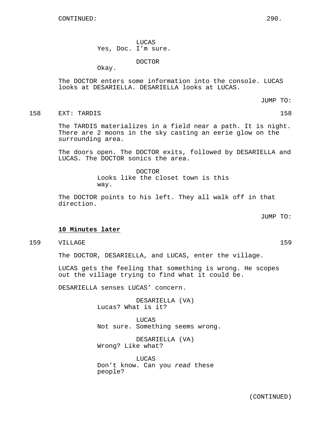LUCAS Yes, Doc. I'm sure.

DOCTOR

Okay.

The DOCTOR enters some information into the console. LUCAS looks at DESARIELLA. DESARIELLA looks at LUCAS.

JUMP TO:

158 EXT: TARDIS 158

The TARDIS materializes in a field near a path. It is night. There are 2 moons in the sky casting an eerie glow on the surrounding area.

The doors open. The DOCTOR exits, followed by DESARIELLA and LUCAS. The DOCTOR sonics the area.

> DOCTOR Looks like the closet town is this way.

The DOCTOR points to his left. They all walk off in that direction.

JUMP TO:

### **10 Minutes later**

159 VILLAGE 159

The DOCTOR, DESARIELLA, and LUCAS, enter the village.

LUCAS gets the feeling that something is wrong. He scopes out the village trying to find what it could be.

DESARIELLA senses LUCAS' concern.

DESARIELLA (VA) Lucas? What is it?

LUCAS Not sure. Something seems wrong.

DESARIELLA (VA) Wrong? Like what?

LUCAS Don't know. Can you read these people?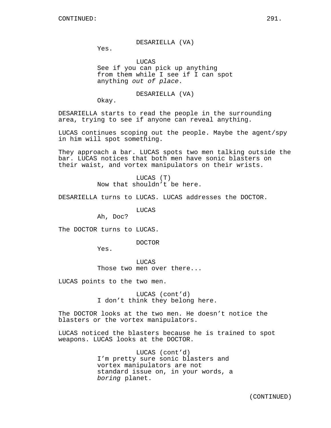DESARIELLA (VA)

Yes.

**LUCAS** See if you can pick up anything from them while I see if I can spot anything out of place.

DESARIELLA (VA)

Okay.

DESARIELLA starts to read the people in the surrounding area, trying to see if anyone can reveal anything.

LUCAS continues scoping out the people. Maybe the agent/spy in him will spot something.

They approach a bar. LUCAS spots two men talking outside the bar. LUCAS notices that both men have sonic blasters on their waist, and vortex manipulators on their wrists.

> LUCAS (T) Now that shouldn't be here.

DESARIELLA turns to LUCAS. LUCAS addresses the DOCTOR.

LUCAS

Ah, Doc?

The DOCTOR turns to LUCAS.

DOCTOR

Yes.

LUCAS Those two men over there...

LUCAS points to the two men.

LUCAS (cont'd) I don't think they belong here.

The DOCTOR looks at the two men. He doesn't notice the blasters or the vortex manipulators.

LUCAS noticed the blasters because he is trained to spot weapons. LUCAS looks at the DOCTOR.

> LUCAS (cont'd) I'm pretty sure sonic blasters and vortex manipulators are not standard issue on, in your words, a boring planet.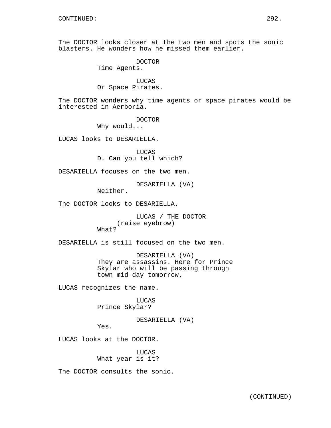The DOCTOR looks closer at the two men and spots the sonic blasters. He wonders how he missed them earlier.

> DOCTOR Time Agents.

LUCAS Or Space Pirates.

The DOCTOR wonders why time agents or space pirates would be interested in Aerboria.

DOCTOR

Why would...

LUCAS looks to DESARIELLA.

LUCAS D. Can you tell which?

DESARIELLA focuses on the two men.

DESARIELLA (VA)

Neither.

The DOCTOR looks to DESARIELLA.

LUCAS / THE DOCTOR (raise eyebrow) What?

DESARIELLA is still focused on the two men.

DESARIELLA (VA) They are assassins. Here for Prince Skylar who will be passing through town mid-day tomorrow.

LUCAS recognizes the name.

LUCAS Prince Skylar?

DESARIELLA (VA)

Yes.

LUCAS looks at the DOCTOR.

LUCAS What year is it?

The DOCTOR consults the sonic.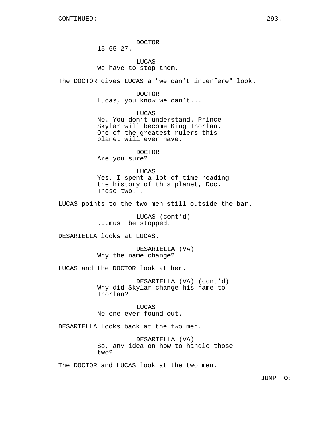DOCTOR

 $15-65-27$ .

LUCAS We have to stop them.

The DOCTOR gives LUCAS a "we can't interfere" look.

DOCTOR

Lucas, you know we can't...

LUCAS

No. You don't understand. Prince Skylar will become King Thorlan. One of the greatest rulers this planet will ever have.

DOCTOR Are you sure?

LUCAS Yes. I spent a lot of time reading the history of this planet, Doc. Those two...

LUCAS points to the two men still outside the bar.

LUCAS (cont'd) ...must be stopped.

DESARIELLA looks at LUCAS.

DESARIELLA (VA) Why the name change?

LUCAS and the DOCTOR look at her.

DESARIELLA (VA) (cont'd) Why did Skylar change his name to Thorlan?

**LUCAS** No one ever found out.

DESARIELLA looks back at the two men.

DESARIELLA (VA) So, any idea on how to handle those two?

The DOCTOR and LUCAS look at the two men.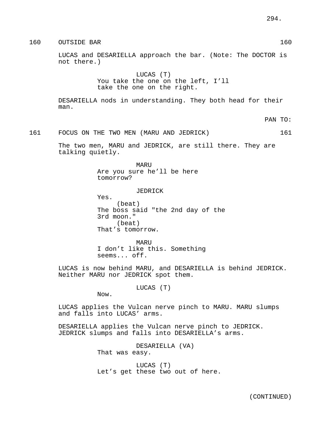160 OUTSIDE BAR 160 NOVEMBER 160 NOVEMBER 160 NOVEMBER 160 NOVEMBER 160 NOVEMBER 160 NOVEMBER 160 NOVEMBER 160 LUCAS and DESARIELLA approach the bar. (Note: The DOCTOR is not there.) LUCAS (T) You take the one on the left, I'll take the one on the right. DESARIELLA nods in understanding. They both head for their man. PAN TO: 161 FOCUS ON THE TWO MEN (MARU AND JEDRICK) 161 The two men, MARU and JEDRICK, are still there. They are talking quietly. MARU Are you sure he'll be here tomorrow? JEDRICK Yes. (beat) The boss said "the 2nd day of the 3rd moon." (beat) That's tomorrow. MARU I don't like this. Something seems... off. LUCAS is now behind MARU, and DESARIELLA is behind JEDRICK. Neither MARU nor JEDRICK spot them.

LUCAS (T)

Now.

LUCAS applies the Vulcan nerve pinch to MARU. MARU slumps and falls into LUCAS' arms.

DESARIELLA applies the Vulcan nerve pinch to JEDRICK. JEDRICK slumps and falls into DESARIELLA's arms.

> DESARIELLA (VA) That was easy.

LUCAS (T) Let's get these two out of here.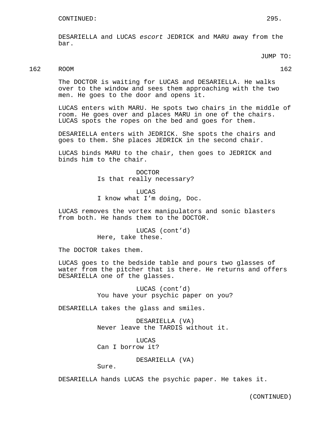DESARIELLA and LUCAS escort JEDRICK and MARU away from the bar.

JUMP TO:

## 162 ROOM 162

The DOCTOR is waiting for LUCAS and DESARIELLA. He walks over to the window and sees them approaching with the two men. He goes to the door and opens it.

LUCAS enters with MARU. He spots two chairs in the middle of room. He goes over and places MARU in one of the chairs. LUCAS spots the ropes on the bed and goes for them.

DESARIELLA enters with JEDRICK. She spots the chairs and goes to them. She places JEDRICK in the second chair.

LUCAS binds MARU to the chair, then goes to JEDRICK and binds him to the chair.

> DOCTOR Is that really necessary?

LUCAS I know what I'm doing, Doc.

LUCAS removes the vortex manipulators and sonic blasters from both. He hands them to the DOCTOR.

> LUCAS (cont'd) Here, take these.

The DOCTOR takes them.

LUCAS goes to the bedside table and pours two glasses of water from the pitcher that is there. He returns and offers DESARIELLA one of the glasses.

> LUCAS (cont'd) You have your psychic paper on you?

DESARIELLA takes the glass and smiles.

DESARIELLA (VA) Never leave the TARDIS without it.

LUCAS Can I borrow it?

DESARIELLA (VA)

Sure.

DESARIELLA hands LUCAS the psychic paper. He takes it.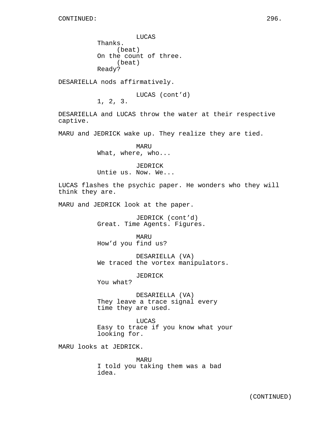LUCAS Thanks. (beat) On the count of three. (beat) Ready?

DESARIELLA nods affirmatively.

LUCAS (cont'd)

1, 2, 3.

DESARIELLA and LUCAS throw the water at their respective captive.

MARU and JEDRICK wake up. They realize they are tied.

MARU What, where, who...

JEDRICK Untie us. Now. We...

LUCAS flashes the psychic paper. He wonders who they will think they are.

MARU and JEDRICK look at the paper.

JEDRICK (cont'd) Great. Time Agents. Figures.

MARU How'd you find us?

DESARIELLA (VA) We traced the vortex manipulators.

JEDRICK

You what?

DESARIELLA (VA) They leave a trace signal every time they are used.

LUCAS Easy to trace if you know what your looking for.

MARU looks at JEDRICK.

MARU I told you taking them was a bad idea.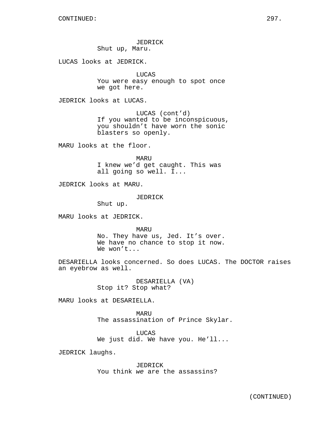JEDRICK Shut up, Maru.

LUCAS looks at JEDRICK.

LUCAS You were easy enough to spot once we got here.

JEDRICK looks at LUCAS.

LUCAS (cont'd) If you wanted to be inconspicuous, you shouldn't have worn the sonic blasters so openly.

MARU looks at the floor.

MARU I knew we'd get caught. This was all going so well. I...

JEDRICK looks at MARU.

JEDRICK

Shut up.

MARU looks at JEDRICK.

MARU No. They have us, Jed. It's over. We have no chance to stop it now. We won't...

DESARIELLA looks concerned. So does LUCAS. The DOCTOR raises an eyebrow as well.

> DESARIELLA (VA) Stop it? Stop what?

MARU looks at DESARIELLA.

MARU The assassination of Prince Skylar.

LUCAS We just did. We have you. He'll...

JEDRICK laughs.

JEDRICK You think we are the assassins?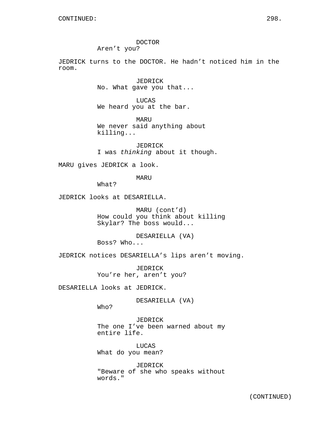DOCTOR Aren't you?

JEDRICK turns to the DOCTOR. He hadn't noticed him in the room.

> JEDRICK No. What gave you that...

LUCAS We heard you at the bar.

MARU We never said anything about killing...

JEDRICK I was thinking about it though.

MARU gives JEDRICK a look.

MARU

What?

JEDRICK looks at DESARIELLA.

MARU (cont'd) How could you think about killing Skylar? The boss would...

DESARIELLA (VA) Boss? Who...

JEDRICK notices DESARIELLA's lips aren't moving.

JEDRICK You're her, aren't you?

DESARIELLA looks at JEDRICK.

DESARIELLA (VA)

Who?

JEDRICK The one I've been warned about my entire life.

LUCAS What do you mean?

JEDRICK "Beware of she who speaks without words."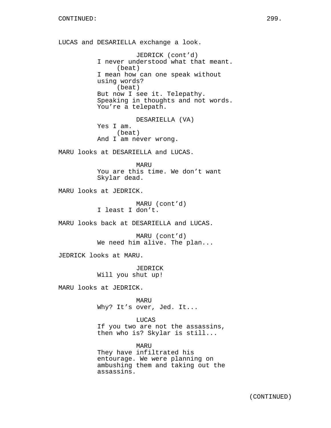LUCAS and DESARIELLA exchange a look. JEDRICK (cont'd) I never understood what that meant. (beat) I mean how can one speak without using words? (beat) But now I see it. Telepathy. Speaking in thoughts and not words. You're a telepath. DESARIELLA (VA) Yes I am. (beat) And I am never wrong. MARU looks at DESARIELLA and LUCAS. MARU You are this time. We don't want Skylar dead. MARU looks at JEDRICK. MARU (cont'd) I least I don't. MARU looks back at DESARIELLA and LUCAS. MARU (cont'd) We need him alive. The plan... JEDRICK looks at MARU. JEDRICK Will you shut up! MARU looks at JEDRICK. MARU Why? It's over, Jed. It... LUCAS If you two are not the assassins, then who is? Skylar is still... MARU They have infiltrated his entourage. We were planning on ambushing them and taking out the assassins.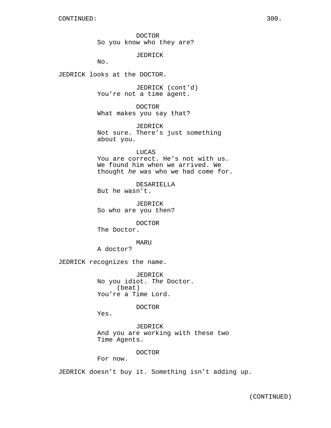DOCTOR So you know who they are?

JEDRICK

No.

JEDRICK looks at the DOCTOR.

JEDRICK (cont'd) You're not a time agent.

DOCTOR What makes you say that?

JEDRICK Not sure. There's just something about you.

LUCAS You are correct. He's not with us. We found him when we arrived. We thought he was who we had come for.

DESARIELLA But he wasn't.

JEDRICK So who are you then?

DOCTOR The Doctor.

#### MARU

A doctor?

JEDRICK recognizes the name.

JEDRICK No you idiot. The Doctor. (beat) You're a Time Lord.

#### DOCTOR

Yes.

JEDRICK And you are working with these two Time Agents.

### DOCTOR

For now.

JEDRICK doesn't buy it. Something isn't adding up.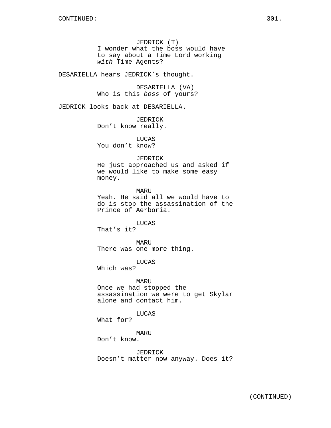JEDRICK (T) I wonder what the boss would have to say about a Time Lord working with Time Agents?

DESARIELLA hears JEDRICK's thought.

DESARIELLA (VA) Who is this boss of yours?

JEDRICK looks back at DESARIELLA.

JEDRICK Don't know really.

LUCAS You don't know?

#### JEDRICK

He just approached us and asked if we would like to make some easy money.

MARU Yeah. He said all we would have to do is stop the assassination of the Prince of Aerboria.

# LUCAS

That's it?

MARU There was one more thing.

LUCAS

Which was?

MARU Once we had stopped the assassination we were to get Skylar alone and contact him.

LUCAS

What for?

### MARU

Don't know.

JEDRICK Doesn't matter now anyway. Does it?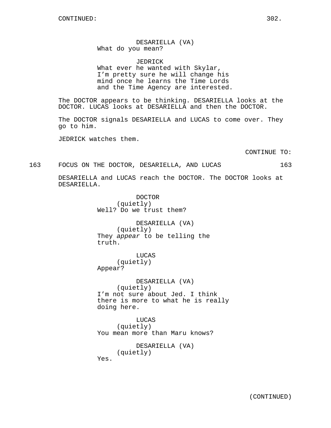DESARIELLA (VA) What do you mean?

JEDRICK

What ever he wanted with Skylar, I'm pretty sure he will change his mind once he learns the Time Lords and the Time Agency are interested.

The DOCTOR appears to be thinking. DESARIELLA looks at the DOCTOR. LUCAS looks at DESARIELLA and then the DOCTOR.

The DOCTOR signals DESARIELLA and LUCAS to come over. They go to him.

JEDRICK watches them.

CONTINUE TO:

163 FOCUS ON THE DOCTOR, DESARIELLA, AND LUCAS 163

DESARIELLA and LUCAS reach the DOCTOR. The DOCTOR looks at DESARIELLA.

> DOCTOR (quietly) Well? Do we trust them?

DESARIELLA (VA) (quietly) They appear to be telling the truth.

LUCAS (quietly) Appear?

DESARIELLA (VA) (quietly) I'm not sure about Jed. I think there is more to what he is really doing here.

LUCAS (quietly) You mean more than Maru knows?

> DESARIELLA (VA) (quietly)

Yes.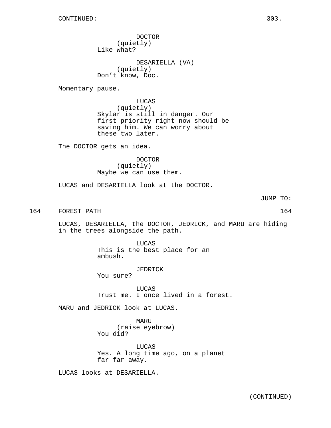DOCTOR (quietly) Like what?

DESARIELLA (VA) (quietly) Don't know, Doc.

Momentary pause.

LUCAS (quietly) Skylar is still in danger. Our first priority right now should be saving him. We can worry about these two later.

The DOCTOR gets an idea.

DOCTOR (quietly) Maybe we can use them.

LUCAS and DESARIELLA look at the DOCTOR.

JUMP TO:

164 FOREST PATH 164 and 200 million and 200 million and 2016 and 2016 164 and 2016 164 and 2016 164 and 2016 164 and 2016 164 and 2016 164 and 2016 164 and 2016 164 and 2016 164 and 2016 164 and 2016 164 and 2016 164 and 2

LUCAS, DESARIELLA, the DOCTOR, JEDRICK, and MARU are hiding in the trees alongside the path.

> LUCAS This is the best place for an ambush.

JEDRICK You sure?

LUCAS Trust me. I once lived in a forest.

MARU and JEDRICK look at LUCAS.

MARU (raise eyebrow) You did?

LUCAS Yes. A long time ago, on a planet far far away.

LUCAS looks at DESARIELLA.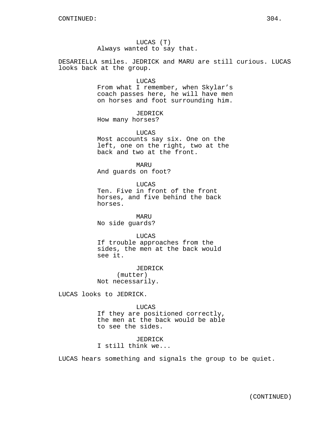# LUCAS (T) Always wanted to say that.

DESARIELLA smiles. JEDRICK and MARU are still curious. LUCAS looks back at the group.

LUCAS

From what I remember, when Skylar's coach passes here, he will have men on horses and foot surrounding him.

JEDRICK How many horses?

LUCAS Most accounts say six. One on the left, one on the right, two at the back and two at the front.

MARU And guards on foot?

LUCAS Ten. Five in front of the front horses, and five behind the back horses.

MARU No side guards?

LUCAS If trouble approaches from the sides, the men at the back would see it.

JEDRICK (mutter) Not necessarily.

LUCAS looks to JEDRICK.

LUCAS If they are positioned correctly, the men at the back would be able to see the sides.

JEDRICK I still think we...

LUCAS hears something and signals the group to be quiet.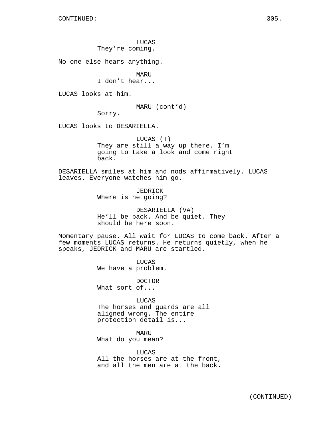LUCAS

They're coming.

No one else hears anything.

MARU

I don't hear...

LUCAS looks at him.

MARU (cont'd)

Sorry.

LUCAS looks to DESARIELLA.

LUCAS (T) They are still a way up there. I'm going to take a look and come right back.

DESARIELLA smiles at him and nods affirmatively. LUCAS leaves. Everyone watches him go.

> JEDRICK Where is he going?

DESARIELLA (VA) He'll be back. And be quiet. They should be here soon.

Momentary pause. All wait for LUCAS to come back. After a few moments LUCAS returns. He returns quietly, when he speaks, JEDRICK and MARU are startled.

> LUCAS We have a problem.

DOCTOR What sort of...

LUCAS The horses and guards are all aligned wrong. The entire protection detail is...

MARU What do you mean?

LUCAS All the horses are at the front, and all the men are at the back.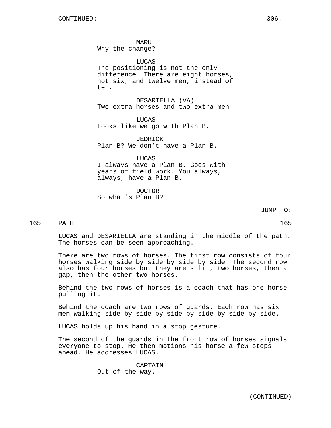MARU Why the change?

LUCAS The positioning is not the only difference. There are eight horses, not six, and twelve men, instead of ten.

DESARIELLA (VA) Two extra horses and two extra men.

LUCAS Looks like we go with Plan B.

JEDRICK Plan B? We don't have a Plan B.

LUCAS I always have a Plan B. Goes with years of field work. You always, always, have a Plan B.

DOCTOR So what's Plan B?

JUMP TO:

## 165 PATH 165

LUCAS and DESARIELLA are standing in the middle of the path. The horses can be seen approaching.

There are two rows of horses. The first row consists of four horses walking side by side by side by side. The second row also has four horses but they are split, two horses, then a gap, then the other two horses.

Behind the two rows of horses is a coach that has one horse pulling it.

Behind the coach are two rows of guards. Each row has six men walking side by side by side by side by side by side.

LUCAS holds up his hand in a stop gesture.

The second of the guards in the front row of horses signals everyone to stop. He then motions his horse a few steps ahead. He addresses LUCAS.

> CAPTAIN Out of the way.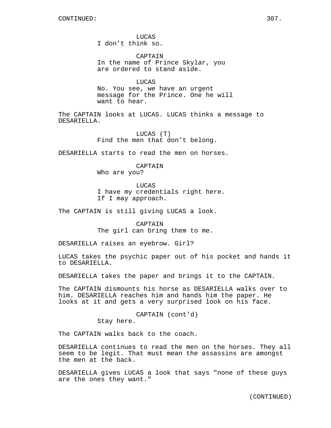**LUCAS** I don't think so.

CAPTAIN In the name of Prince Skylar, you are ordered to stand aside.

LUCAS No. You see, we have an urgent message for the Prince. One he will want to hear.

The CAPTAIN looks at LUCAS. LUCAS thinks a message to DESARIELLA.

> LUCAS (T) Find the men that don't belong.

DESARIELLA starts to read the men on horses.

## CAPTAIN

Who are you?

LUCAS

I have my credentials right here. If I may approach.

The CAPTAIN is still giving LUCAS a look.

CAPTAIN The girl can bring them to me.

DESARIELLA raises an eyebrow. Girl?

LUCAS takes the psychic paper out of his pocket and hands it to DESARIELLA.

DESARIELLA takes the paper and brings it to the CAPTAIN.

The CAPTAIN dismounts his horse as DESARIELLA walks over to him. DESARIELLA reaches him and hands him the paper. He looks at it and gets a very surprised look on his face.

CAPTAIN (cont'd)

Stay here.

The CAPTAIN walks back to the coach.

DESARIELLA continues to read the men on the horses. They all seem to be legit. That must mean the assassins are amongst the men at the back.

DESARIELLA gives LUCAS a look that says "none of these guys are the ones they want."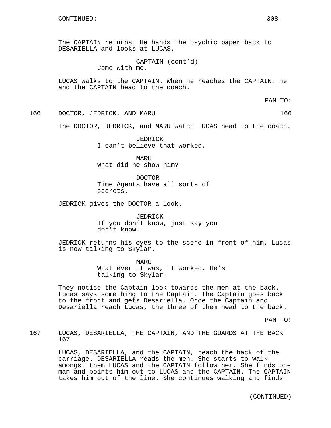The CAPTAIN returns. He hands the psychic paper back to DESARIELLA and looks at LUCAS.

> CAPTAIN (cont'd) Come with me.

LUCAS walks to the CAPTAIN. When he reaches the CAPTAIN, he and the CAPTAIN head to the coach.

PAN TO:

166 DOCTOR, JEDRICK, AND MARU 166

The DOCTOR, JEDRICK, and MARU watch LUCAS head to the coach.

JEDRICK I can't believe that worked.

MARU What did he show him?

DOCTOR Time Agents have all sorts of secrets.

JEDRICK gives the DOCTOR a look.

JEDRICK If you don't know, just say you don't know.

JEDRICK returns his eyes to the scene in front of him. Lucas is now talking to Skylar.

> MARU What ever it was, it worked. He's talking to Skylar.

They notice the Captain look towards the men at the back. Lucas says something to the Captain. The Captain goes back to the front and gets Desariella. Once the Captain and Desariella reach Lucas, the three of them head to the back.

PAN TO:

167 LUCAS, DESARIELLA, THE CAPTAIN, AND THE GUARDS AT THE BACK 167

> LUCAS, DESARIELLA, and the CAPTAIN, reach the back of the carriage. DESARIELLA reads the men. She starts to walk amongst them LUCAS and the CAPTAIN follow her. She finds one man and points him out to LUCAS and the CAPTAIN. The CAPTAIN takes him out of the line. She continues walking and finds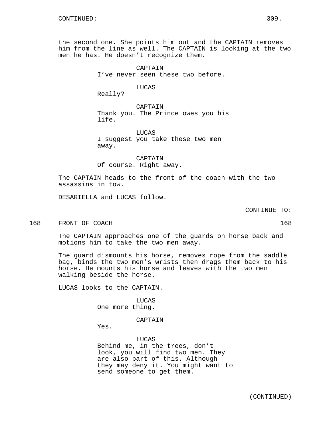the second one. She points him out and the CAPTAIN removes him from the line as well. The CAPTAIN is looking at the two men he has. He doesn't recognize them.

> CAPTAIN I've never seen these two before.

## LUCAS

Really?

CAPTAIN Thank you. The Prince owes you his life.

LUCAS I suggest you take these two men away.

CAPTAIN Of course. Right away.

The CAPTAIN heads to the front of the coach with the two assassins in tow.

DESARIELLA and LUCAS follow.

CONTINUE TO:

168 FRONT OF COACH 168 SERIES AND THE SERIES OF STREET ASSAULT AS A SERIES OF STREET ASSAULT OF STREET ASSAULT ASSAULT OF STREET ASSAULT OF STREET ASSAULT OF STREET ASSAULT OF STREET ASSAULT OF STREET ASSAULT OF STREET ASS

The CAPTAIN approaches one of the guards on horse back and motions him to take the two men away.

The guard dismounts his horse, removes rope from the saddle bag, binds the two men's wrists then drags them back to his horse. He mounts his horse and leaves with the two men walking beside the horse.

LUCAS looks to the CAPTAIN.

LUCAS One more thing.

CAPTAIN

Yes.

LUCAS Behind me, in the trees, don't look, you will find two men. They are also part of this. Although they may deny it. You might want to send someone to get them.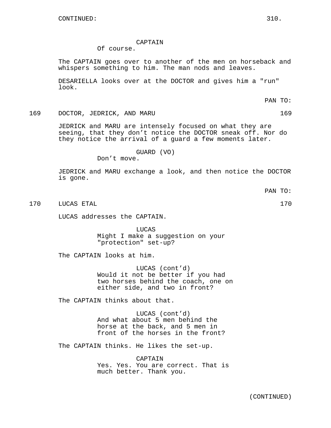### CAPTAIN

# Of course.

The CAPTAIN goes over to another of the men on horseback and whispers something to him. The man nods and leaves.

DESARIELLA looks over at the DOCTOR and gives him a "run" look.

PAN TO:

169 DOCTOR, JEDRICK, AND MARU 169

JEDRICK and MARU are intensely focused on what they are seeing, that they don't notice the DOCTOR sneak off. Nor do they notice the arrival of a guard a few moments later.

GUARD (VO)

Don't move.

JEDRICK and MARU exchange a look, and then notice the DOCTOR is gone.

PAN TO:

170 LUCAS ETAL 170

LUCAS addresses the CAPTAIN.

LUCAS Might I make a suggestion on your "protection" set-up?

The CAPTAIN looks at him.

LUCAS (cont'd) Would it not be better if you had two horses behind the coach, one on either side, and two in front?

The CAPTAIN thinks about that.

LUCAS (cont'd) And what about 5 men behind the horse at the back, and 5 men in front of the horses in the front?

The CAPTAIN thinks. He likes the set-up.

CAPTAIN Yes. Yes. You are correct. That is much better. Thank you.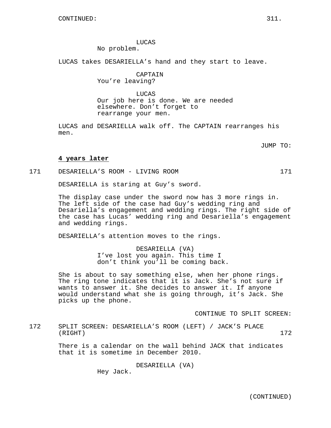LUCAS No problem.

LUCAS takes DESARIELLA's hand and they start to leave.

CAPTAIN You're leaving?

LUCAS Our job here is done. We are needed elsewhere. Don't forget to rearrange your men.

LUCAS and DESARIELLA walk off. The CAPTAIN rearranges his men.

JUMP TO:

#### **4 years later**

171 DESARIELLA'S ROOM - LIVING ROOM 171

DESARIELLA is staring at Guy's sword.

The display case under the sword now has 3 more rings in. The left side of the case had Guy's wedding ring and Desariella's engagement and wedding rings. The right side of the case has Lucas' wedding ring and Desariella's engagement and wedding rings.

DESARIELLA's attention moves to the rings.

DESARIELLA (VA) I've lost you again. This time I don't think you'll be coming back.

She is about to say something else, when her phone rings. The ring tone indicates that it is Jack. She's not sure if wants to answer it. She decides to answer it. If anyone would understand what she is going through, it's Jack. She picks up the phone.

CONTINUE TO SPLIT SCREEN:

172 SPLIT SCREEN: DESARIELLA'S ROOM (LEFT) / JACK'S PLACE (RIGHT) 172

> There is a calendar on the wall behind JACK that indicates that it is sometime in December 2010.

> > DESARIELLA (VA)

Hey Jack.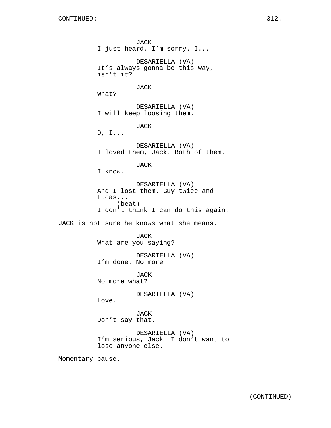JACK I just heard. I'm sorry. I... DESARIELLA (VA) It's always gonna be this way, isn't it? JACK What? DESARIELLA (VA) I will keep loosing them. JACK D, I... DESARIELLA (VA) I loved them, Jack. Both of them. JACK I know. DESARIELLA (VA) And I lost them. Guy twice and Lucas... (beat) I don't think I can do this again. JACK is not sure he knows what she means. JACK What are you saying? DESARIELLA (VA) I'm done. No more. JACK No more what? DESARIELLA (VA) Love. JACK Don't say that. DESARIELLA (VA) I'm serious, Jack. I don't want to lose anyone else. Momentary pause.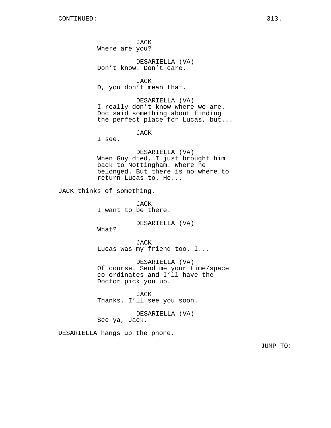JACK Where are you?

DESARIELLA (VA) Don't know. Don't care.

JACK D, you don't mean that.

DESARIELLA (VA) I really don't know where we are. Doc said something about finding the perfect place for Lucas, but...

JACK

I see.

DESARIELLA (VA) When Guy died, I just brought him back to Nottingham. Where he belonged. But there is no where to return Lucas to. He...

JACK thinks of something.

JACK I want to be there.

DESARIELLA (VA)

What?

JACK Lucas was my friend too. I...

DESARIELLA (VA) Of course. Send me your time/space co-ordinates and I'll have the Doctor pick you up.

JACK Thanks. I'll see you soon.

DESARIELLA (VA) See ya, Jack.

DESARIELLA hangs up the phone.

JUMP TO: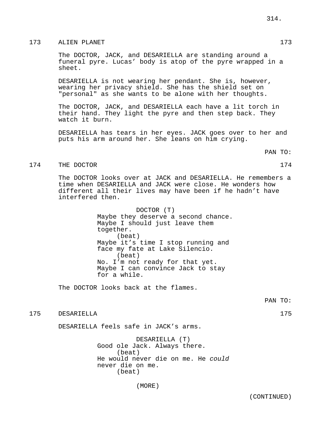The DOCTOR, JACK, and DESARIELLA are standing around a funeral pyre. Lucas' body is atop of the pyre wrapped in a sheet.

DESARIELLA is not wearing her pendant. She is, however, wearing her privacy shield. She has the shield set on "personal" as she wants to be alone with her thoughts.

The DOCTOR, JACK, and DESARIELLA each have a lit torch in their hand. They light the pyre and then step back. They watch it burn.

DESARIELLA has tears in her eyes. JACK goes over to her and puts his arm around her. She leans on him crying.

PAN TO:

### 174 THE DOCTOR 174

The DOCTOR looks over at JACK and DESARIELLA. He remembers a time when DESARIELLA and JACK were close. He wonders how different all their lives may have been if he hadn't have interfered then.

> DOCTOR (T) Maybe they deserve a second chance. Maybe I should just leave them together. (beat) Maybe it's time I stop running and face my fate at Lake Silencio. (beat) No. I'm not ready for that yet. Maybe I can convince Jack to stay for a while.

The DOCTOR looks back at the flames.

175 DESARIELLA 175

DESARIELLA feels safe in JACK's arms.

DESARIELLA (T) Good ole Jack. Always there. (beat) He would never die on me. He could never die on me. (beat)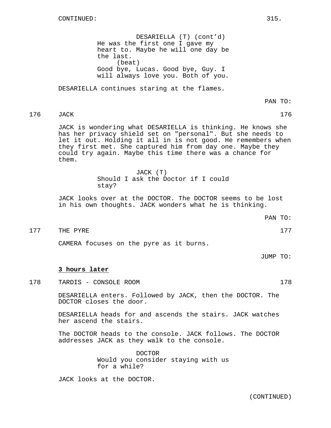DESARIELLA (T) (cont'd) He was the first one I gave my heart to. Maybe he will one day be the last. (beat) Good bye, Lucas. Good bye, Guy. I will always love you. Both of you.

DESARIELLA continues staring at the flames.

PAN TO:

176 JACK 176

JACK is wondering what DESARIELLA is thinking. He knows she has her privacy shield set on "personal". But she needs to let it out. Holding it all in is not good. He remembers when they first met. She captured him from day one. Maybe they could try again. Maybe this time there was a chance for them.

> JACK (T) Should I ask the Doctor if I could stay?

JACK looks over at the DOCTOR. The DOCTOR seems to be lost in his own thoughts. JACK wonders what he is thinking.

177 THE PYRE 2008 177

CAMERA focuses on the pyre as it burns.

JUMP TO:

### **3 hours later**

178 TARDIS - CONSOLE ROOM 178

DESARIELLA enters. Followed by JACK, then the DOCTOR. The DOCTOR closes the door.

DESARIELLA heads for and ascends the stairs. JACK watches her ascend the stairs.

The DOCTOR heads to the console. JACK follows. The DOCTOR addresses JACK as they walk to the console.

> DOCTOR Would you consider staying with us for a while?

JACK looks at the DOCTOR.

(CONTINUED)

PAN TO: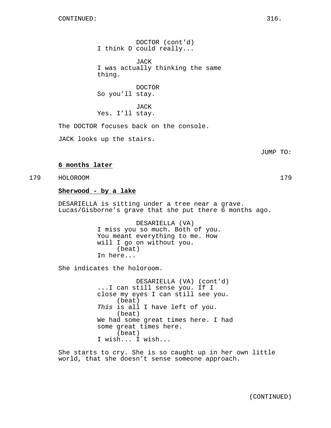DOCTOR (cont'd) I think D could really...

**JACK** I was actually thinking the same thing.

DOCTOR So you'll stay.

JACK Yes. I'll stay.

The DOCTOR focuses back on the console.

JACK looks up the stairs.

**6 months later**

**Sherwood - by a lake** DESARIELLA is sitting under a tree near a grave.

Lucas/Gisborne's grave that she put there 6 months ago.

DESARIELLA (VA) I miss you so much. Both of you. You meant everything to me. How will I go on without you. (beat) In here...

She indicates the holoroom.

DESARIELLA (VA) (cont'd) ...I can still sense you. If I close my eyes I can still see you. (beat) This is all I have left of you. (beat) We had some great times here. I had some great times here. (beat) I wish... I wish...

She starts to cry. She is so caught up in her own little world, that she doesn't sense someone approach.

179 HOLOROOM 179

JUMP TO: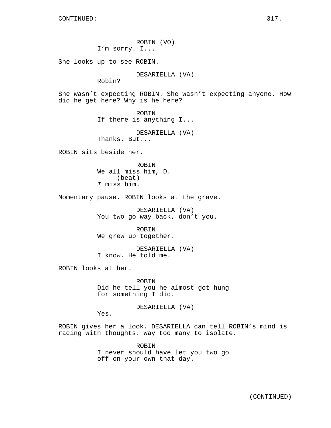ROBIN (VO) I'm sorry. I... She looks up to see ROBIN. DESARIELLA (VA) Robin? She wasn't expecting ROBIN. She wasn't expecting anyone. How did he get here? Why is he here? ROBIN If there is anything I... DESARIELLA (VA) Thanks. But... ROBIN sits beside her. ROBIN We all miss him, D. (beat) I miss him. Momentary pause. ROBIN looks at the grave. DESARIELLA (VA) You two go way back, don't you. ROBIN We grew up together. DESARIELLA (VA) I know. He told me. ROBIN looks at her. ROBIN Did he tell you he almost got hung for something I did. DESARIELLA (VA) Yes. ROBIN gives her a look. DESARIELLA can tell ROBIN's mind is racing with thoughts. Way too many to isolate. ROBIN

I never should have let you two go off on your own that day.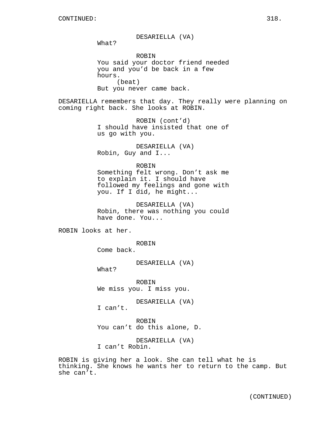DESARIELLA (VA) What? ROBIN You said your doctor friend needed you and you'd be back in a few hours. (beat) But you never came back. DESARIELLA remembers that day. They really were planning on coming right back. She looks at ROBIN. ROBIN (cont'd) I should have insisted that one of us go with you. DESARIELLA (VA) Robin, Guy and I... ROBIN Something felt wrong. Don't ask me to explain it. I should have followed my feelings and gone with you. If I did, he might... DESARIELLA (VA) Robin, there was nothing you could have done. You... ROBIN looks at her. ROBIN Come back. DESARIELLA (VA) What? ROBIN We miss you. I miss you. DESARIELLA (VA) I can't. ROBIN You can't do this alone, D.

> DESARIELLA (VA) I can't Robin.

ROBIN is giving her a look. She can tell what he is thinking. She knows he wants her to return to the camp. But she can't.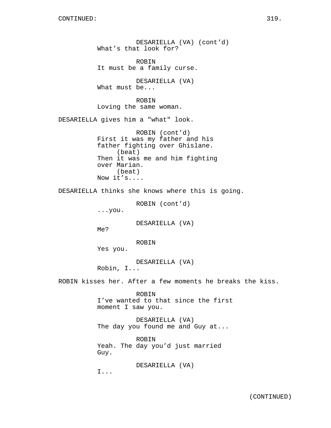DESARIELLA (VA) (cont'd) What's that look for? ROBIN It must be a family curse. DESARIELLA (VA) What must be... ROBIN Loving the same woman. DESARIELLA gives him a "what" look. ROBIN (cont'd) First it was my father and his father fighting over Ghislane. (beat) Then it was me and him fighting over Marian. (beat) Now it's.... DESARIELLA thinks she knows where this is going. ROBIN (cont'd) ...you. DESARIELLA (VA) Me? ROBIN Yes you. DESARIELLA (VA) Robin, I... ROBIN kisses her. After a few moments he breaks the kiss. ROBIN I've wanted to that since the first moment I saw you. DESARIELLA (VA) The day you found me and Guy at... ROBIN

Yeah. The day you'd just married Guy.

DESARIELLA (VA)

I...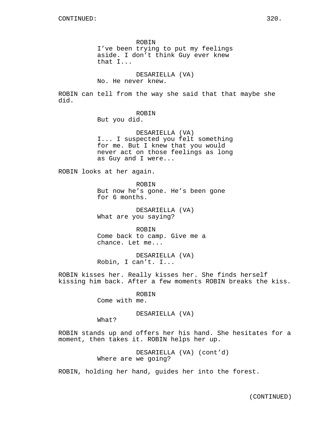ROBIN I've been trying to put my feelings aside. I don't think Guy ever knew that I...

DESARIELLA (VA) No. He never knew.

ROBIN can tell from the way she said that that maybe she did.

ROBIN

But you did.

DESARIELLA (VA) I... I suspected you felt something for me. But I knew that you would never act on those feelings as long as Guy and I were...

ROBIN looks at her again.

ROBIN But now he's gone. He's been gone for 6 months.

DESARIELLA (VA) What are you saying?

ROBIN Come back to camp. Give me a chance. Let me...

DESARIELLA (VA) Robin, I can't. I...

ROBIN kisses her. Really kisses her. She finds herself kissing him back. After a few moments ROBIN breaks the kiss.

> ROBIN Come with me.

> > DESARIELLA (VA)

What?

ROBIN stands up and offers her his hand. She hesitates for a moment, then takes it. ROBIN helps her up.

> DESARIELLA (VA) (cont'd) Where are we going?

ROBIN, holding her hand, guides her into the forest.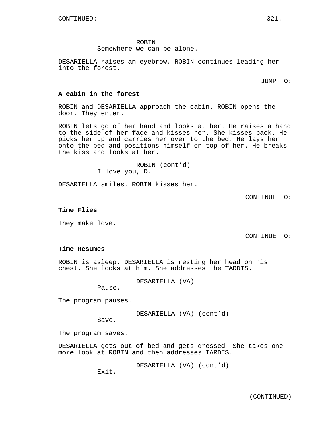ROBIN

Somewhere we can be alone.

DESARIELLA raises an eyebrow. ROBIN continues leading her into the forest.

JUMP TO:

## **A cabin in the forest**

ROBIN and DESARIELLA approach the cabin. ROBIN opens the door. They enter.

ROBIN lets go of her hand and looks at her. He raises a hand to the side of her face and kisses her. She kisses back. He picks her up and carries her over to the bed. He lays her onto the bed and positions himself on top of her. He breaks the kiss and looks at her.

> ROBIN (cont'd) I love you, D.

DESARIELLA smiles. ROBIN kisses her.

CONTINUE TO:

### **Time Flies**

They make love.

CONTINUE TO:

### **Time Resumes**

ROBIN is asleep. DESARIELLA is resting her head on his chest. She looks at him. She addresses the TARDIS.

DESARIELLA (VA)

Pause.

The program pauses.

DESARIELLA (VA) (cont'd)

Save.

The program saves.

DESARIELLA gets out of bed and gets dressed. She takes one more look at ROBIN and then addresses TARDIS.

DESARIELLA (VA) (cont'd)

Exit.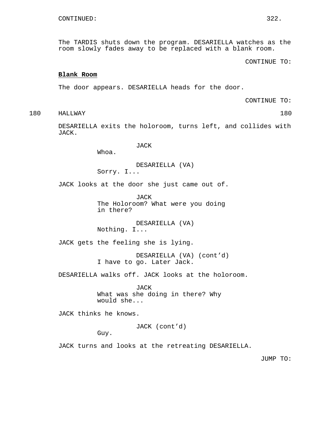The TARDIS shuts down the program. DESARIELLA watches as the room slowly fades away to be replaced with a blank room.

CONTINUE TO:

### **Blank Room**

The door appears. DESARIELLA heads for the door.

CONTINUE TO:

180 HALLWAY 180

DESARIELLA exits the holoroom, turns left, and collides with JACK.

JACK

Whoa.

DESARIELLA (VA) Sorry. I...

JACK looks at the door she just came out of.

JACK The Holoroom? What were you doing in there?

DESARIELLA (VA) Nothing. I...

JACK gets the feeling she is lying.

DESARIELLA (VA) (cont'd) I have to go. Later Jack.

DESARIELLA walks off. JACK looks at the holoroom.

JACK What was she doing in there? Why would she...

JACK thinks he knows.

JACK (cont'd)

Guy.

JACK turns and looks at the retreating DESARIELLA.

JUMP TO: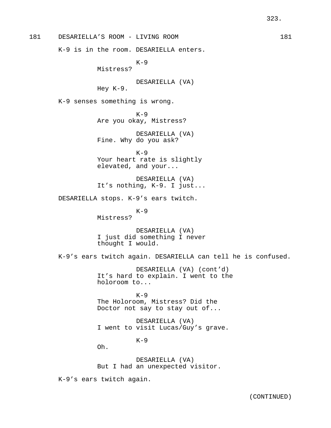181 DESARIELLA'S ROOM - LIVING ROOM 181

K-9 is in the room. DESARIELLA enters.

 $K-9$ 

Mistress?

DESARIELLA (VA)

Hey K-9.

K-9 senses something is wrong.

 $K-9$ Are you okay, Mistress?

DESARIELLA (VA) Fine. Why do you ask?

 $K-9$ Your heart rate is slightly elevated, and your...

DESARIELLA (VA) It's nothing, K-9. I just...

DESARIELLA stops. K-9's ears twitch.

 $K-9$ Mistress?

DESARIELLA (VA) I just did something I never thought I would.

K-9's ears twitch again. DESARIELLA can tell he is confused.

DESARIELLA (VA) (cont'd) It's hard to explain. I went to the holoroom to...

 $K-9$ The Holoroom, Mistress? Did the Doctor not say to stay out of...

DESARIELLA (VA) I went to visit Lucas/Guy's grave.

 $K-9$ 

Oh.

DESARIELLA (VA) But I had an unexpected visitor.

K-9's ears twitch again.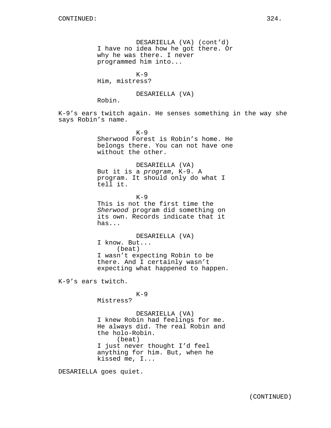DESARIELLA (VA) (cont'd) I have no idea how he got there. Or why he was there. I never programmed him into...  $K-9$ 

Him, mistress?

DESARIELLA (VA)

Robin.

K-9's ears twitch again. He senses something in the way she says Robin's name.

> $K-9$ Sherwood Forest is Robin's home. He belongs there. You can not have one without the other.

DESARIELLA (VA) But it is a program, K-9. A program. It should only do what I tell it.

 $K-9$ This is not the first time the Sherwood program did something on its own. Records indicate that it has...

DESARIELLA (VA) I know. But... (beat) I wasn't expecting Robin to be there. And I certainly wasn't expecting what happened to happen.

K-9's ears twitch.

# $K-9$

Mistress?

DESARIELLA (VA) I knew Robin had feelings for me. He always did. The real Robin and the holo-Robin. (beat) I just never thought I'd feel anything for him. But, when he kissed me, I...

DESARIELLA goes quiet.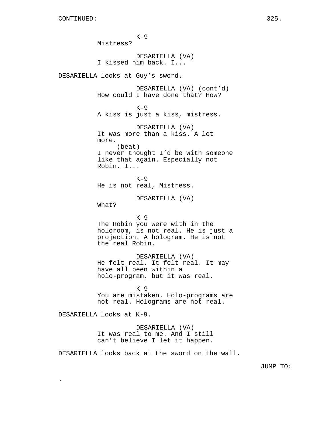.

 $K-9$ Mistress? DESARIELLA (VA) I kissed him back. I... DESARIELLA looks at Guy's sword. DESARIELLA (VA) (cont'd) How could I have done that? How?  $K-9$ A kiss is just a kiss, mistress. DESARIELLA (VA) It was more than a kiss. A lot more. (beat) I never thought I'd be with someone like that again. Especially not Robin. I...  $K-9$ He is not real, Mistress. DESARIELLA (VA) What?  $K-9$ The Robin you were with in the holoroom, is not real. He is just a projection. A hologram. He is not the real Robin. DESARIELLA (VA) He felt real. It felt real. It may have all been within a holo-program, but it was real. K-9 You are mistaken. Holo-programs are not real. Holograms are not real. DESARIELLA looks at K-9. DESARIELLA (VA) It was real to me. And I still can't believe I let it happen. DESARIELLA looks back at the sword on the wall.

JUMP TO: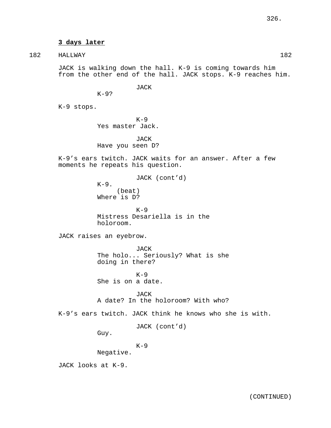# **3 days later**

182 HALLWAY 182

JACK is walking down the hall. K-9 is coming towards him from the other end of the hall. JACK stops. K-9 reaches him.

JACK

K-9 stops.

 $K-9$ ?

 $K-9$ Yes master Jack.

JACK Have you seen D?

K-9's ears twitch. JACK waits for an answer. After a few moments he repeats his question.

JACK (cont'd)

 $K-9$ . (beat) Where is D?

 $K-9$ Mistress Desariella is in the holoroom.

JACK raises an eyebrow.

JACK The holo... Seriously? What is she doing in there?

 $K-9$ She is on a date.

JACK A date? In the holoroom? With who?

K-9's ears twitch. JACK think he knows who she is with.

JACK (cont'd)

Guy.

 $K-9$ 

Negative.

JACK looks at K-9.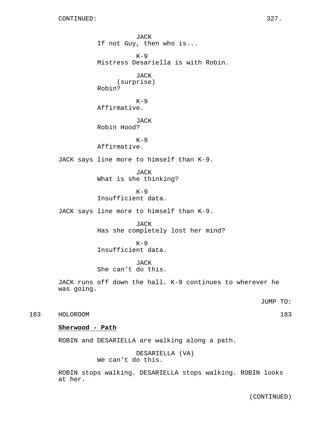JACK If not Guy, then who is...  $K-9$ Mistress Desariella is with Robin. JACK (surprise) Robin?  $K-9$ Affirmative. JACK Robin Hood?  $K-9$ Affirmative. JACK says line more to himself than K-9. JACK What is she thinking?  $K-9$ Insufficient data. JACK says line more to himself than K-9. JACK Has she completely lost her mind?  $K-9$ Insufficient data. JACK She can't do this. JACK runs off down the hall. K-9 continues to wherever he was going. JUMP TO: 183 HOLOROOM 183 **Sherwood - Path** ROBIN and DESARIELLA are walking along a path.

> DESARIELLA (VA) We can't do this.

ROBIN stops walking. DESARIELLA stops walking. ROBIN looks at her.

(CONTINUED)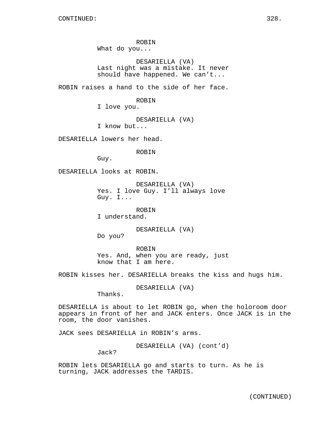ROBIN What do you...

DESARIELLA (VA) Last night was a mistake. It never should have happened. We can't...

ROBIN raises a hand to the side of her face.

ROBIN

I love you.

DESARIELLA (VA)

I know but...

DESARIELLA lowers her head.

ROBIN

Guy.

DESARIELLA looks at ROBIN.

DESARIELLA (VA) Yes. I love Guy. I'll always love Guy. I...

ROBIN

I understand.

DESARIELLA (VA)

Do you?

ROBIN Yes. And, when you are ready, just know that I am here.

ROBIN kisses her. DESARIELLA breaks the kiss and hugs him.

DESARIELLA (VA)

Thanks.

DESARIELLA is about to let ROBIN go, when the holoroom door appears in front of her and JACK enters. Once JACK is in the room, the door vanishes.

JACK sees DESARIELLA in ROBIN's arms.

DESARIELLA (VA) (cont'd)

Jack?

ROBIN lets DESARIELLA go and starts to turn. As he is turning, JACK addresses the TARDIS.

(CONTINUED)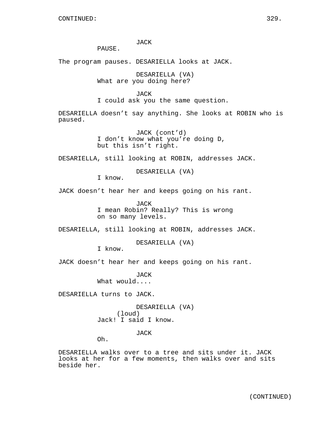JACK

PAUSE.

The program pauses. DESARIELLA looks at JACK.

DESARIELLA (VA) What are you doing here?

JACK I could ask you the same question.

DESARIELLA doesn't say anything. She looks at ROBIN who is paused.

> JACK (cont'd) I don't know what you're doing D, but this isn't right.

DESARIELLA, still looking at ROBIN, addresses JACK.

DESARIELLA (VA)

I know.

JACK doesn't hear her and keeps going on his rant.

JACK I mean Robin? Really? This is wrong on so many levels.

DESARIELLA, still looking at ROBIN, addresses JACK.

DESARIELLA (VA)

I know.

JACK doesn't hear her and keeps going on his rant.

JACK What would....

DESARIELLA turns to JACK.

DESARIELLA (VA) (loud) Jack! I said I know.

JACK

Oh.

DESARIELLA walks over to a tree and sits under it. JACK looks at her for a few moments, then walks over and sits beside her.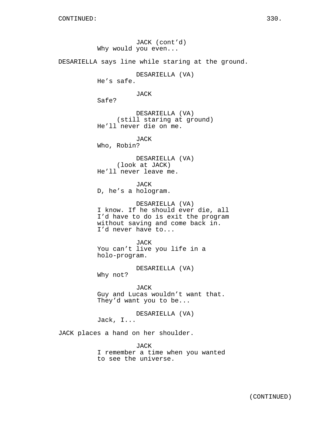JACK (cont'd) Why would you even... DESARIELLA says line while staring at the ground. DESARIELLA (VA) He's safe. JACK Safe? DESARIELLA (VA) (still staring at ground) He'll never die on me. JACK Who, Robin? DESARIELLA (VA) (look at JACK) He'll never leave me. JACK D, he's a hologram. DESARIELLA (VA) I know. If he should ever die, all I'd have to do is exit the program without saving and come back in. I'd never have to... JACK You can't live you life in a holo-program. DESARIELLA (VA) Why not? JACK Guy and Lucas wouldn't want that. They'd want you to be... DESARIELLA (VA) Jack, I... JACK places a hand on her shoulder.

JACK I remember a time when you wanted to see the universe.

(CONTINUED)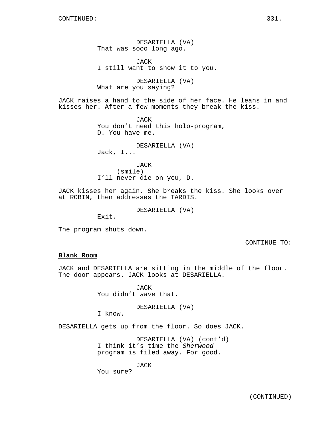DESARIELLA (VA) That was sooo long ago.

JACK I still want to show it to you.

DESARIELLA (VA) What are you saying?

JACK raises a hand to the side of her face. He leans in and kisses her. After a few moments they break the kiss.

> JACK You don't need this holo-program, D. You have me.

DESARIELLA (VA) Jack, I...

JACK (smile) I'll never die on you, D.

JACK kisses her again. She breaks the kiss. She looks over at ROBIN, then addresses the TARDIS.

DESARIELLA (VA)

Exit.

The program shuts down.

CONTINUE TO:

### **Blank Room**

JACK and DESARIELLA are sitting in the middle of the floor. The door appears. JACK looks at DESARIELLA.

> JACK You didn't save that.

> > DESARIELLA (VA)

I know.

DESARIELLA gets up from the floor. So does JACK.

DESARIELLA (VA) (cont'd) I think it's time the Sherwood program is filed away. For good.

JACK

You sure?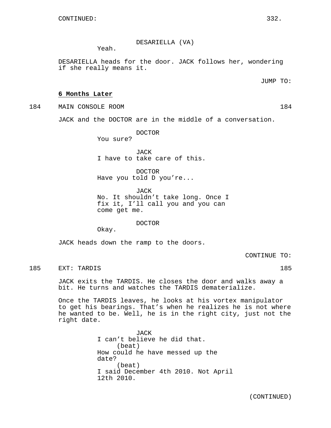DESARIELLA (VA)

Yeah.

DESARIELLA heads for the door. JACK follows her, wondering if she really means it.

JUMP TO:

### **6 Months Later**

184 MAIN CONSOLE ROOM 184

JACK and the DOCTOR are in the middle of a conversation.

DOCTOR

You sure?

JACK I have to take care of this.

DOCTOR Have you told D you're...

JACK No. It shouldn't take long. Once I fix it, I'll call you and you can come get me.

DOCTOR

Okay.

JACK heads down the ramp to the doors.

CONTINUE TO:

185 EXT: TARDIS 185

JACK exits the TARDIS. He closes the door and walks away a bit. He turns and watches the TARDIS dematerialize.

Once the TARDIS leaves, he looks at his vortex manipulator to get his bearings. That's when he realizes he is not where he wanted to be. Well, he is in the right city, just not the right date.

> JACK I can't believe he did that. (beat) How could he have messed up the date? (beat) I said December 4th 2010. Not April 12th 2010.